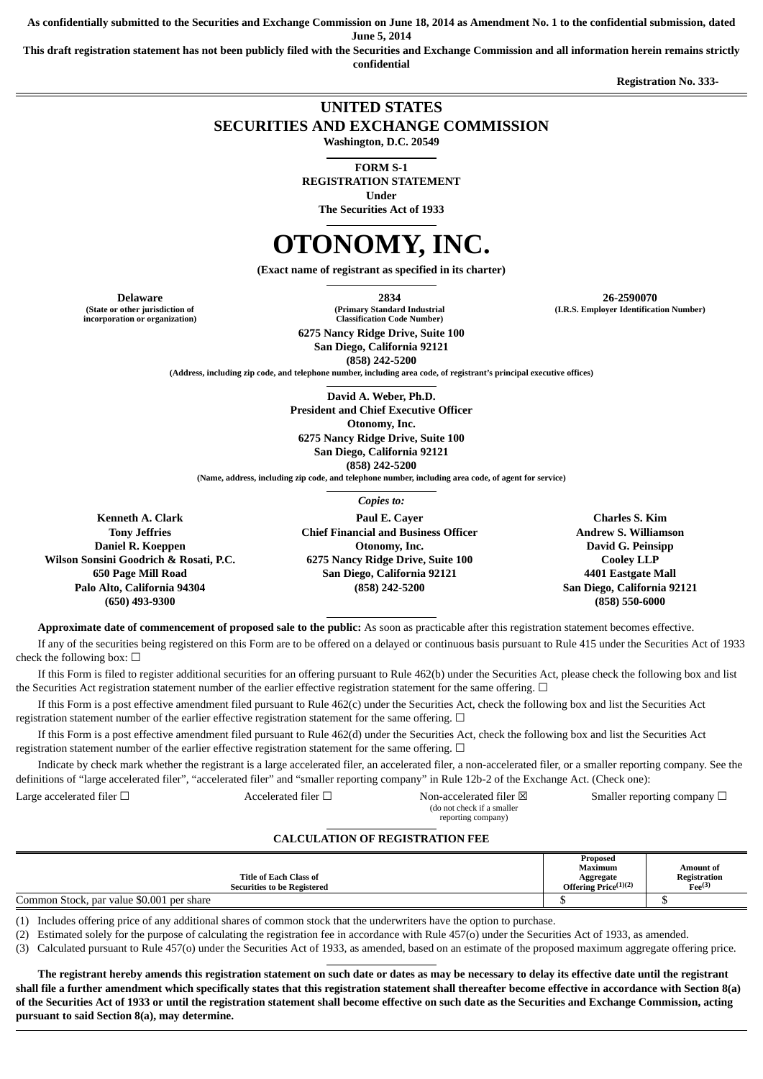**As confidentially submitted to the Securities and Exchange Commission on June 18, 2014 as Amendment No. 1 to the confidential submission, dated**

**June 5, 2014**

**This draft registration statement has not been publicly filed with the Securities and Exchange Commission and all information herein remains strictly confidential**

**Registration No. 333-** 

# **UNITED STATES SECURITIES AND EXCHANGE COMMISSION**

**Washington, D.C. 20549**

**FORM S-1**

**REGISTRATION STATEMENT**

**Under**

**The Securities Act of 1933**

# **OTONOMY, INC.**

**(Exact name of registrant as specified in its charter)**

**(State or other jurisdiction of incorporation or organization)**

**Delaware 2834 26-2590070 (I.R.S. Employer Identification Number)**

**(Primary Standard Industrial Classification Code Number)**

**6275 Nancy Ridge Drive, Suite 100 San Diego, California 92121 (858) 242-5200**

**(Address, including zip code, and telephone number, including area code, of registrant's principal executive offices)**

**David A. Weber, Ph.D. President and Chief Executive Officer Otonomy, Inc. 6275 Nancy Ridge Drive, Suite 100 San Diego, California 92121 (858) 242-5200**

**(Name, address, including zip code, and telephone number, including area code, of agent for service)**

*Copies to:*

**Kenneth A. Clark Tony Jeffries Daniel R. Koeppen Wilson Sonsini Goodrich & Rosati, P.C. 650 Page Mill Road Palo Alto, California 94304 (650) 493-9300**

**Paul E. Cayer Chief Financial and Business Officer Otonomy, Inc. 6275 Nancy Ridge Drive, Suite 100 San Diego, California 92121 (858) 242-5200**

**Charles S. Kim Andrew S. Williamson David G. Peinsipp Cooley LLP 4401 Eastgate Mall San Diego, California 92121 (858) 550-6000**

**Approximate date of commencement of proposed sale to the public:** As soon as practicable after this registration statement becomes effective. If any of the securities being registered on this Form are to be offered on a delayed or continuous basis pursuant to Rule 415 under the Securities Act of 1933 check the following box:  $\square$ 

If this Form is filed to register additional securities for an offering pursuant to Rule 462(b) under the Securities Act, please check the following box and list the Securities Act registration statement number of the earlier effective registration statement for the same offering. □

If this Form is a post effective amendment filed pursuant to Rule 462(c) under the Securities Act, check the following box and list the Securities Act registration statement number of the earlier effective registration statement for the same offering.  $\Box$ 

If this Form is a post effective amendment filed pursuant to Rule 462(d) under the Securities Act, check the following box and list the Securities Act registration statement number of the earlier effective registration statement for the same offering. □

Indicate by check mark whether the registrant is a large accelerated filer, an accelerated filer, a non-accelerated filer, or a smaller reporting company. See the definitions of "large accelerated filer", "accelerated filer" and "smaller reporting company" in Rule 12b-2 of the Exchange Act. (Check one):

(do not check if a smaller

Large accelerated filer □ <br>
Accelerated filer □ Non-accelerated filer ⊠ Smaller reporting company □

reporting company)

# **CALCULATION OF REGISTRATION FEE**

| Title of Each Class of<br><b>Securities to be Registered</b> | Proposed<br><b>Maximum</b><br>Aggregate<br>Offering $Price^{(1)(2)}$ | Amount of<br>Registration<br>$Fee^{(3)}$ |
|--------------------------------------------------------------|----------------------------------------------------------------------|------------------------------------------|
| Common Stock, par value \$0.001 per share                    |                                                                      | -14                                      |

(1) Includes offering price of any additional shares of common stock that the underwriters have the option to purchase.

(2) Estimated solely for the purpose of calculating the registration fee in accordance with Rule 457(o) under the Securities Act of 1933, as amended.

(3) Calculated pursuant to Rule 457(o) under the Securities Act of 1933, as amended, based on an estimate of the proposed maximum aggregate offering price.

**The registrant hereby amends this registration statement on such date or dates as may be necessary to delay its effective date until the registrant shall file a further amendment which specifically states that this registration statement shall thereafter become effective in accordance with Section 8(a) of the Securities Act of 1933 or until the registration statement shall become effective on such date as the Securities and Exchange Commission, acting pursuant to said Section 8(a), may determine.**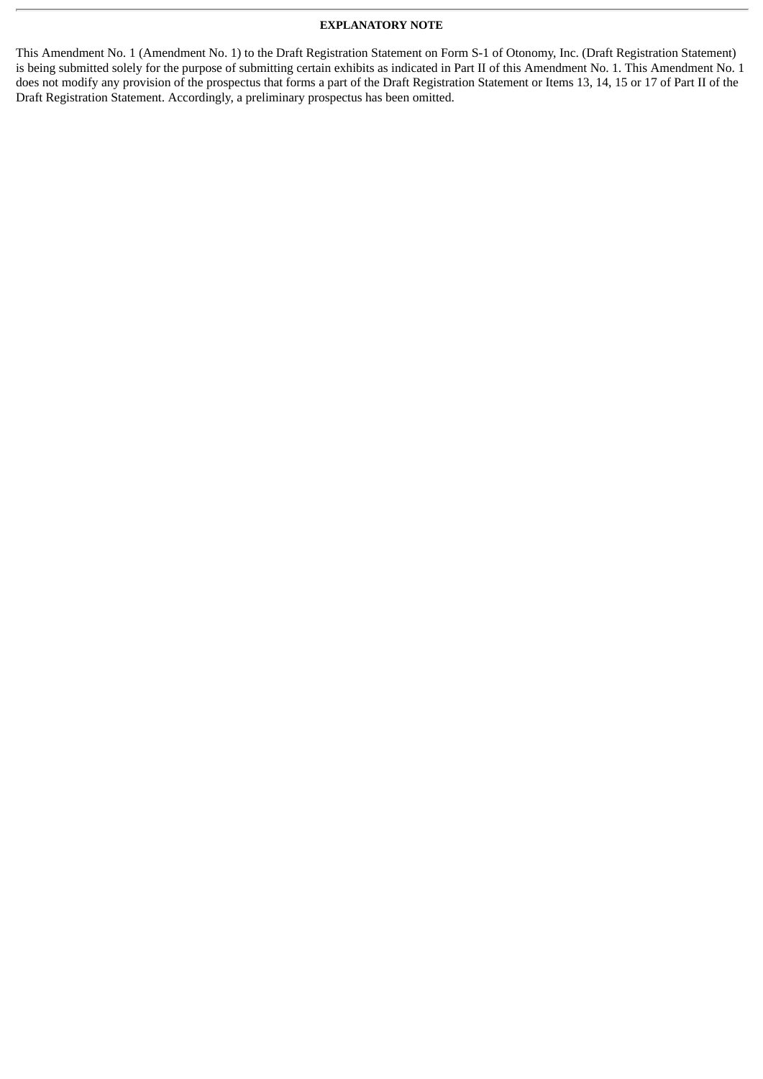#### **EXPLANATORY NOTE**

This Amendment No. 1 (Amendment No. 1) to the Draft Registration Statement on Form S-1 of Otonomy, Inc. (Draft Registration Statement) is being submitted solely for the purpose of submitting certain exhibits as indicated in Part II of this Amendment No. 1. This Amendment No. 1 does not modify any provision of the prospectus that forms a part of the Draft Registration Statement or Items 13, 14, 15 or 17 of Part II of the Draft Registration Statement. Accordingly, a preliminary prospectus has been omitted.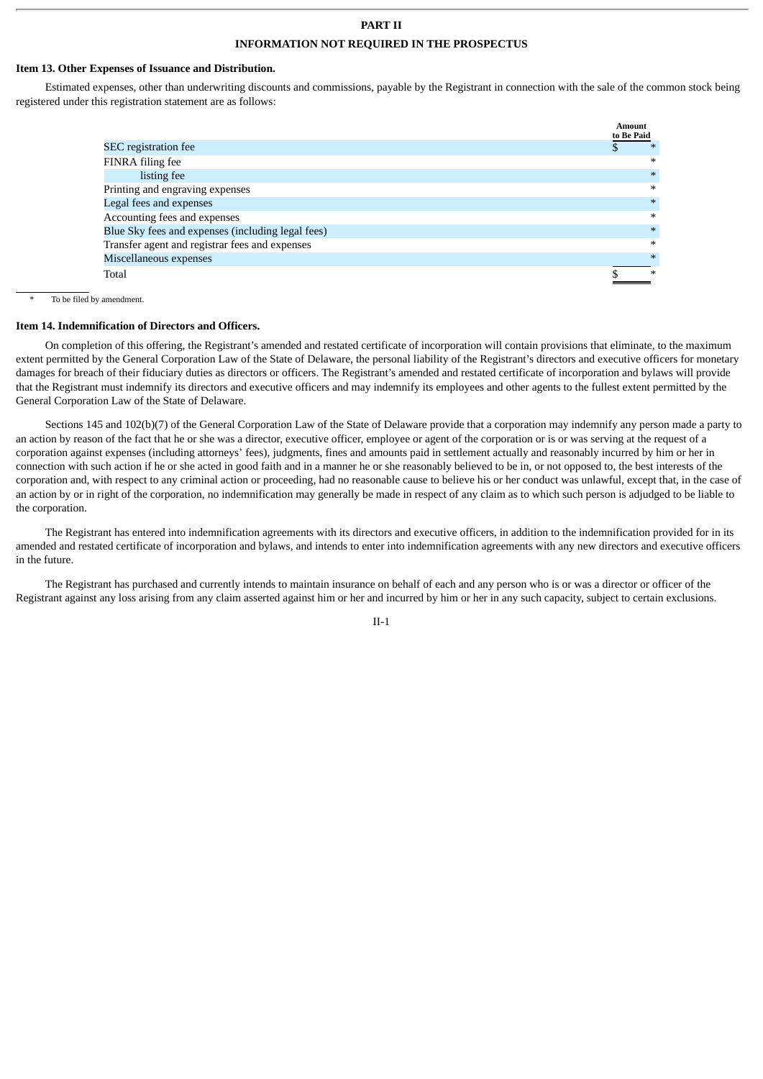## **PART II INFORMATION NOT REQUIRED IN THE PROSPECTUS**

#### **Item 13. Other Expenses of Issuance and Distribution.**

Estimated expenses, other than underwriting discounts and commissions, payable by the Registrant in connection with the sale of the common stock being registered under this registration statement are as follows:

|                                                   | <b>Amount</b> |        |
|---------------------------------------------------|---------------|--------|
|                                                   | to Be Paid    |        |
| <b>SEC</b> registration fee                       | D             | ∗      |
| FINRA filing fee                                  |               | $\ast$ |
| listing fee                                       |               | $\ast$ |
| Printing and engraving expenses                   |               | $\ast$ |
| Legal fees and expenses                           |               | $*$    |
| Accounting fees and expenses                      |               | $\ast$ |
| Blue Sky fees and expenses (including legal fees) |               | $\ast$ |
| Transfer agent and registrar fees and expenses    |               | $\ast$ |
| Miscellaneous expenses                            |               | $\ast$ |
| Total                                             |               | $\ast$ |

To be filed by amendment.

#### **Item 14. Indemnification of Directors and Officers.**

On completion of this offering, the Registrant's amended and restated certificate of incorporation will contain provisions that eliminate, to the maximum extent permitted by the General Corporation Law of the State of Delaware, the personal liability of the Registrant's directors and executive officers for monetary damages for breach of their fiduciary duties as directors or officers. The Registrant's amended and restated certificate of incorporation and bylaws will provide that the Registrant must indemnify its directors and executive officers and may indemnify its employees and other agents to the fullest extent permitted by the General Corporation Law of the State of Delaware.

Sections 145 and 102(b)(7) of the General Corporation Law of the State of Delaware provide that a corporation may indemnify any person made a party to an action by reason of the fact that he or she was a director, executive officer, employee or agent of the corporation or is or was serving at the request of a corporation against expenses (including attorneys' fees), judgments, fines and amounts paid in settlement actually and reasonably incurred by him or her in connection with such action if he or she acted in good faith and in a manner he or she reasonably believed to be in, or not opposed to, the best interests of the corporation and, with respect to any criminal action or proceeding, had no reasonable cause to believe his or her conduct was unlawful, except that, in the case of an action by or in right of the corporation, no indemnification may generally be made in respect of any claim as to which such person is adjudged to be liable to the corporation.

The Registrant has entered into indemnification agreements with its directors and executive officers, in addition to the indemnification provided for in its amended and restated certificate of incorporation and bylaws, and intends to enter into indemnification agreements with any new directors and executive officers in the future.

The Registrant has purchased and currently intends to maintain insurance on behalf of each and any person who is or was a director or officer of the Registrant against any loss arising from any claim asserted against him or her and incurred by him or her in any such capacity, subject to certain exclusions.

II-1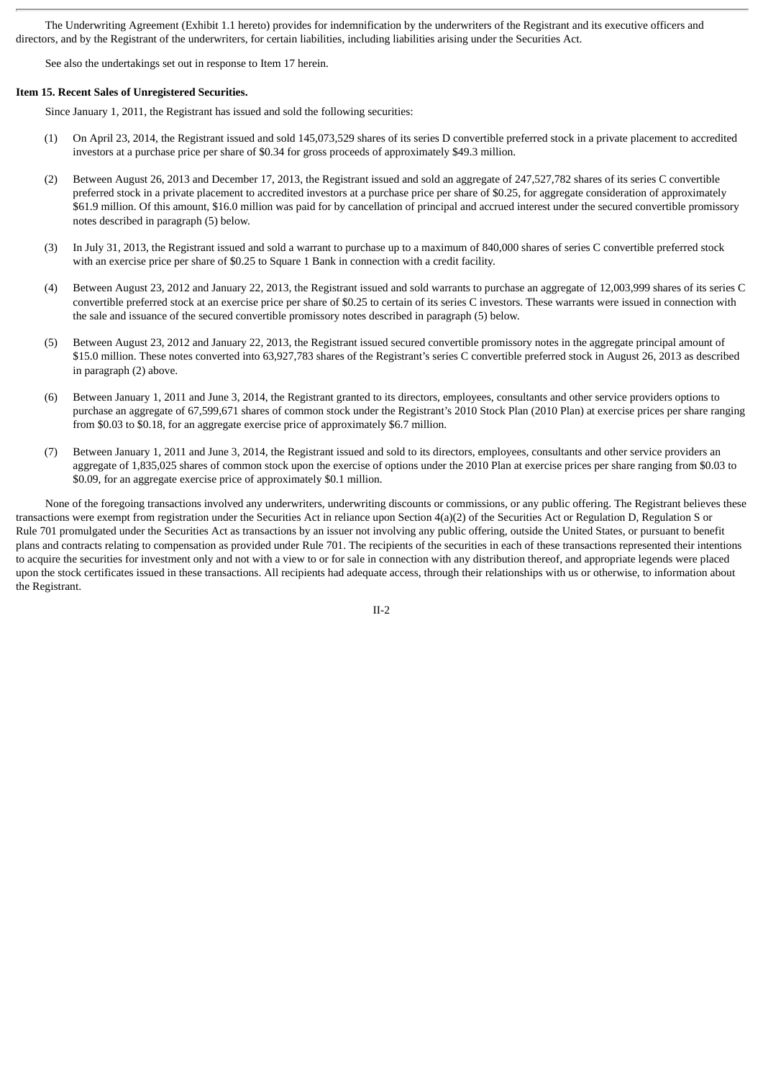The Underwriting Agreement (Exhibit 1.1 hereto) provides for indemnification by the underwriters of the Registrant and its executive officers and directors, and by the Registrant of the underwriters, for certain liabilities, including liabilities arising under the Securities Act.

See also the undertakings set out in response to Item 17 herein.

#### **Item 15. Recent Sales of Unregistered Securities.**

Since January 1, 2011, the Registrant has issued and sold the following securities:

- (1) On April 23, 2014, the Registrant issued and sold 145,073,529 shares of its series D convertible preferred stock in a private placement to accredited investors at a purchase price per share of \$0.34 for gross proceeds of approximately \$49.3 million.
- (2) Between August 26, 2013 and December 17, 2013, the Registrant issued and sold an aggregate of 247,527,782 shares of its series C convertible preferred stock in a private placement to accredited investors at a purchase price per share of \$0.25, for aggregate consideration of approximately \$61.9 million. Of this amount, \$16.0 million was paid for by cancellation of principal and accrued interest under the secured convertible promissory notes described in paragraph (5) below.
- (3) In July 31, 2013, the Registrant issued and sold a warrant to purchase up to a maximum of 840,000 shares of series C convertible preferred stock with an exercise price per share of \$0.25 to Square 1 Bank in connection with a credit facility.
- (4) Between August 23, 2012 and January 22, 2013, the Registrant issued and sold warrants to purchase an aggregate of 12,003,999 shares of its series C convertible preferred stock at an exercise price per share of \$0.25 to certain of its series C investors. These warrants were issued in connection with the sale and issuance of the secured convertible promissory notes described in paragraph (5) below.
- (5) Between August 23, 2012 and January 22, 2013, the Registrant issued secured convertible promissory notes in the aggregate principal amount of \$15.0 million. These notes converted into 63,927,783 shares of the Registrant's series C convertible preferred stock in August 26, 2013 as described in paragraph (2) above.
- (6) Between January 1, 2011 and June 3, 2014, the Registrant granted to its directors, employees, consultants and other service providers options to purchase an aggregate of 67,599,671 shares of common stock under the Registrant's 2010 Stock Plan (2010 Plan) at exercise prices per share ranging from \$0.03 to \$0.18, for an aggregate exercise price of approximately \$6.7 million.
- (7) Between January 1, 2011 and June 3, 2014, the Registrant issued and sold to its directors, employees, consultants and other service providers an aggregate of 1,835,025 shares of common stock upon the exercise of options under the 2010 Plan at exercise prices per share ranging from \$0.03 to \$0.09, for an aggregate exercise price of approximately \$0.1 million.

None of the foregoing transactions involved any underwriters, underwriting discounts or commissions, or any public offering. The Registrant believes these transactions were exempt from registration under the Securities Act in reliance upon Section 4(a)(2) of the Securities Act or Regulation D, Regulation S or Rule 701 promulgated under the Securities Act as transactions by an issuer not involving any public offering, outside the United States, or pursuant to benefit plans and contracts relating to compensation as provided under Rule 701. The recipients of the securities in each of these transactions represented their intentions to acquire the securities for investment only and not with a view to or for sale in connection with any distribution thereof, and appropriate legends were placed upon the stock certificates issued in these transactions. All recipients had adequate access, through their relationships with us or otherwise, to information about the Registrant.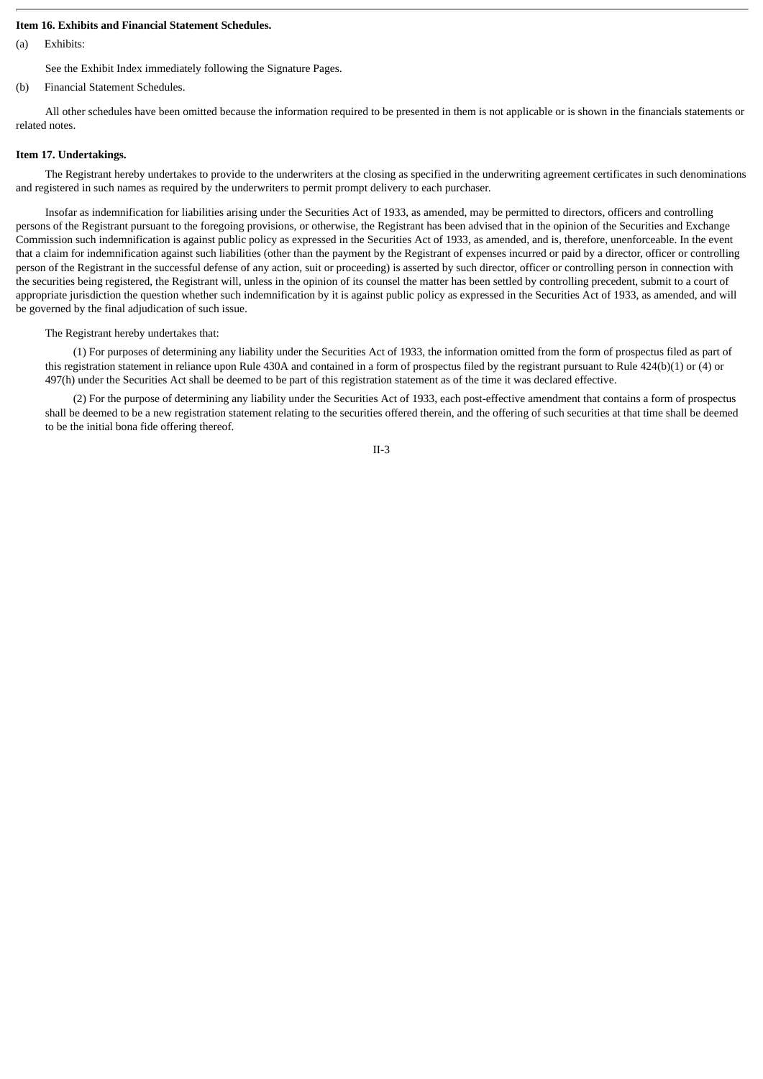#### **Item 16. Exhibits and Financial Statement Schedules.**

(a) Exhibits:

See the Exhibit Index immediately following the Signature Pages.

(b) Financial Statement Schedules.

All other schedules have been omitted because the information required to be presented in them is not applicable or is shown in the financials statements or related notes.

#### **Item 17. Undertakings.**

The Registrant hereby undertakes to provide to the underwriters at the closing as specified in the underwriting agreement certificates in such denominations and registered in such names as required by the underwriters to permit prompt delivery to each purchaser.

Insofar as indemnification for liabilities arising under the Securities Act of 1933, as amended, may be permitted to directors, officers and controlling persons of the Registrant pursuant to the foregoing provisions, or otherwise, the Registrant has been advised that in the opinion of the Securities and Exchange Commission such indemnification is against public policy as expressed in the Securities Act of 1933, as amended, and is, therefore, unenforceable. In the event that a claim for indemnification against such liabilities (other than the payment by the Registrant of expenses incurred or paid by a director, officer or controlling person of the Registrant in the successful defense of any action, suit or proceeding) is asserted by such director, officer or controlling person in connection with the securities being registered, the Registrant will, unless in the opinion of its counsel the matter has been settled by controlling precedent, submit to a court of appropriate jurisdiction the question whether such indemnification by it is against public policy as expressed in the Securities Act of 1933, as amended, and will be governed by the final adjudication of such issue.

The Registrant hereby undertakes that:

(1) For purposes of determining any liability under the Securities Act of 1933, the information omitted from the form of prospectus filed as part of this registration statement in reliance upon Rule 430A and contained in a form of prospectus filed by the registrant pursuant to Rule 424(b)(1) or (4) or 497(h) under the Securities Act shall be deemed to be part of this registration statement as of the time it was declared effective.

(2) For the purpose of determining any liability under the Securities Act of 1933, each post-effective amendment that contains a form of prospectus shall be deemed to be a new registration statement relating to the securities offered therein, and the offering of such securities at that time shall be deemed to be the initial bona fide offering thereof.

II-3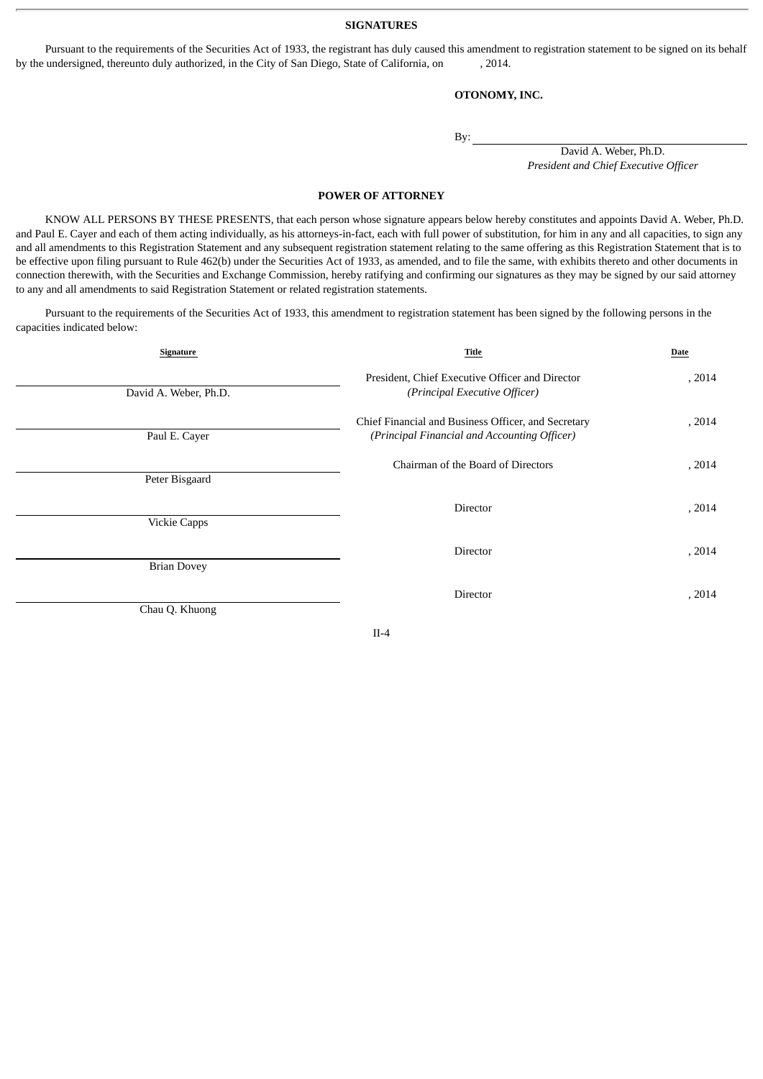**SIGNATURES**

Pursuant to the requirements of the Securities Act of 1933, the registrant has duly caused this amendment to registration statement to be signed on its behalf by the undersigned, thereunto duly authorized, in the City of San Diego, State of California, on , 2014.

#### **OTONOMY, INC.**

By:

David A. Weber, Ph.D. *President and Chief Executive Officer*

#### **POWER OF ATTORNEY**

KNOW ALL PERSONS BY THESE PRESENTS, that each person whose signature appears below hereby constitutes and appoints David A. Weber, Ph.D. and Paul E. Cayer and each of them acting individually, as his attorneys-in-fact, each with full power of substitution, for him in any and all capacities, to sign any and all amendments to this Registration Statement and any subsequent registration statement relating to the same offering as this Registration Statement that is to be effective upon filing pursuant to Rule 462(b) under the Securities Act of 1933, as amended, and to file the same, with exhibits thereto and other documents in connection therewith, with the Securities and Exchange Commission, hereby ratifying and confirming our signatures as they may be signed by our said attorney to any and all amendments to said Registration Statement or related registration statements.

Pursuant to the requirements of the Securities Act of 1933, this amendment to registration statement has been signed by the following persons in the capacities indicated below:

| Signature             | Title                                                                                               | Date   |
|-----------------------|-----------------------------------------------------------------------------------------------------|--------|
| David A. Weber, Ph.D. | President, Chief Executive Officer and Director<br>(Principal Executive Officer)                    | , 2014 |
| Paul E. Cayer         | Chief Financial and Business Officer, and Secretary<br>(Principal Financial and Accounting Officer) | , 2014 |
| Peter Bisgaard        | Chairman of the Board of Directors                                                                  | , 2014 |
| <b>Vickie Capps</b>   | Director                                                                                            | , 2014 |
| <b>Brian Dovey</b>    | Director                                                                                            | , 2014 |
| Chau Q. Khuong        | Director                                                                                            | , 2014 |

II-4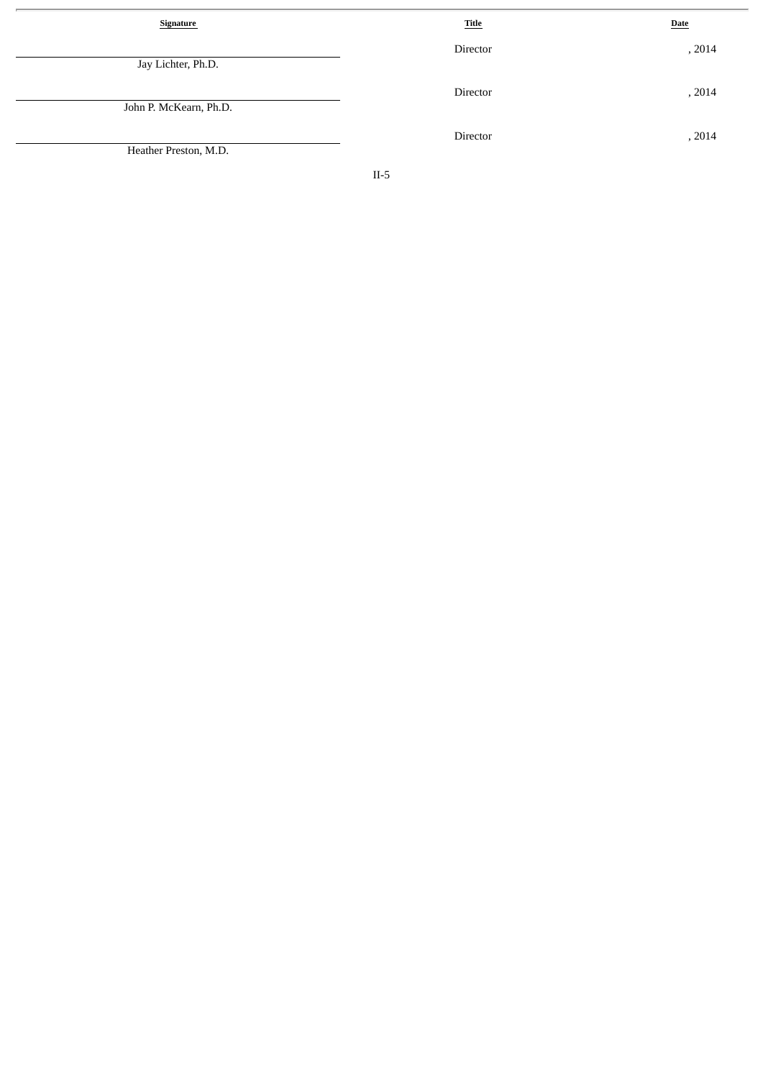| <b>Signature</b>       | <b>Title</b> | <b>Date</b> |
|------------------------|--------------|-------------|
| Jay Lichter, Ph.D.     | Director     | , 2014      |
| John P. McKearn, Ph.D. | Director     | , 2014      |
| Heather Preston, M.D.  | Director     | , 2014      |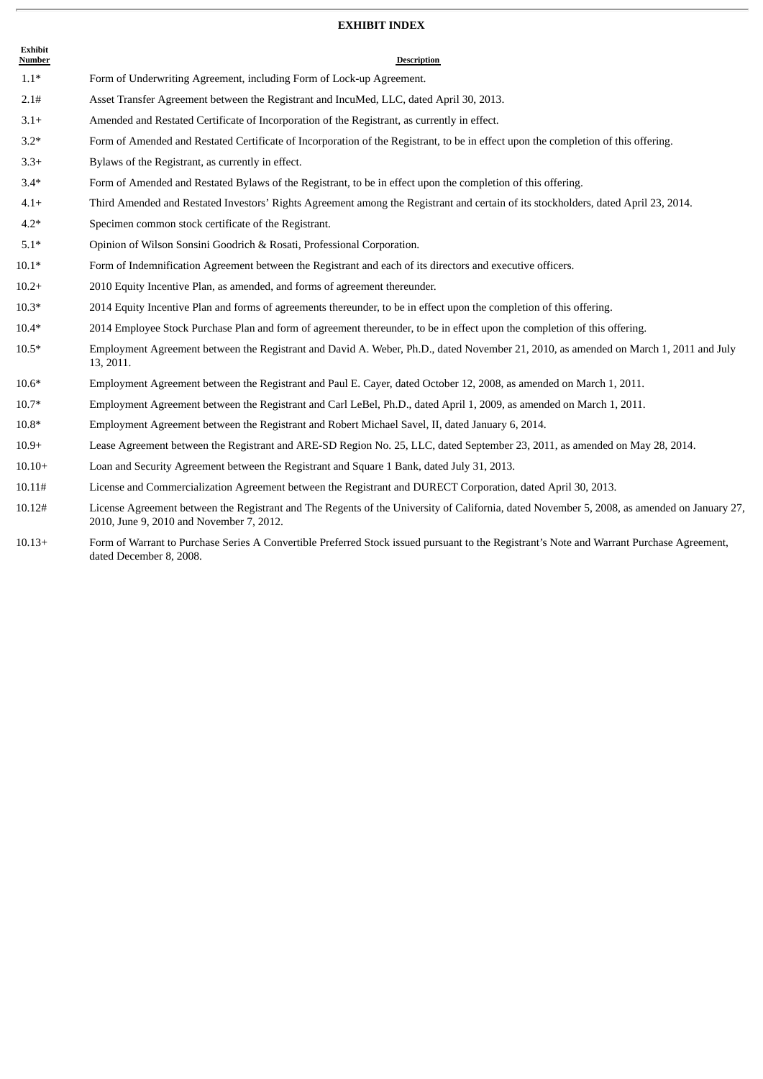#### **EXHIBIT INDEX**

| Exhibit<br>Number | <b>Description</b>                                                                                                                                |
|-------------------|---------------------------------------------------------------------------------------------------------------------------------------------------|
| $1.1*$            | Form of Underwriting Agreement, including Form of Lock-up Agreement.                                                                              |
| 2.1#              | Asset Transfer Agreement between the Registrant and IncuMed, LLC, dated April 30, 2013.                                                           |
| $3.1+$            | Amended and Restated Certificate of Incorporation of the Registrant, as currently in effect.                                                      |
| $3.2*$            | Form of Amended and Restated Certificate of Incorporation of the Registrant, to be in effect upon the completion of this offering.                |
| $3.3+$            | Bylaws of the Registrant, as currently in effect.                                                                                                 |
| $3.4*$            | Form of Amended and Restated Bylaws of the Registrant, to be in effect upon the completion of this offering.                                      |
| $4.1+$            | Third Amended and Restated Investors' Rights Agreement among the Registrant and certain of its stockholders, dated April 23, 2014.                |
| $4.2*$            | Specimen common stock certificate of the Registrant.                                                                                              |
| $5.1*$            | Opinion of Wilson Sonsini Goodrich & Rosati, Professional Corporation.                                                                            |
| $10.1*$           | Form of Indemnification Agreement between the Registrant and each of its directors and executive officers.                                        |
| $10.2+$           | 2010 Equity Incentive Plan, as amended, and forms of agreement thereunder.                                                                        |
| $10.3*$           | 2014 Equity Incentive Plan and forms of agreements thereunder, to be in effect upon the completion of this offering.                              |
| $10.4*$           | 2014 Employee Stock Purchase Plan and form of agreement thereunder, to be in effect upon the completion of this offering.                         |
| $10.5*$           | Employment Agreement between the Registrant and David A. Weber, Ph.D., dated November 21, 2010, as amended on March 1, 2011 and July<br>13, 2011. |
| $10.6*$           | Employment Agreement between the Registrant and Paul E. Cayer, dated October 12, 2008, as amended on March 1, 2011.                               |
| $10.7*$           | Employment Agreement between the Registrant and Carl LeBel, Ph.D., dated April 1, 2009, as amended on March 1, 2011.                              |
| $10.8*$           | Employment Agreement between the Registrant and Robert Michael Savel, II, dated January 6, 2014.                                                  |
| $10.9+$           | Lease Agreement between the Registrant and ARE-SD Region No. 25, LLC, dated September 23, 2011, as amended on May 28, 2014.                       |
| $10.10+$          | Loan and Security Agreement between the Registrant and Square 1 Bank, dated July 31, 2013.                                                        |

10.11# License and Commercialization Agreement between the Registrant and DURECT Corporation, dated April 30, 2013.

- 10.12# License Agreement between the Registrant and The Regents of the University of California, dated November 5, 2008, as amended on January 27, 2010, June 9, 2010 and November 7, 2012.
- 10.13+ Form of Warrant to Purchase Series A Convertible Preferred Stock issued pursuant to the Registrant's Note and Warrant Purchase Agreement, dated December 8, 2008.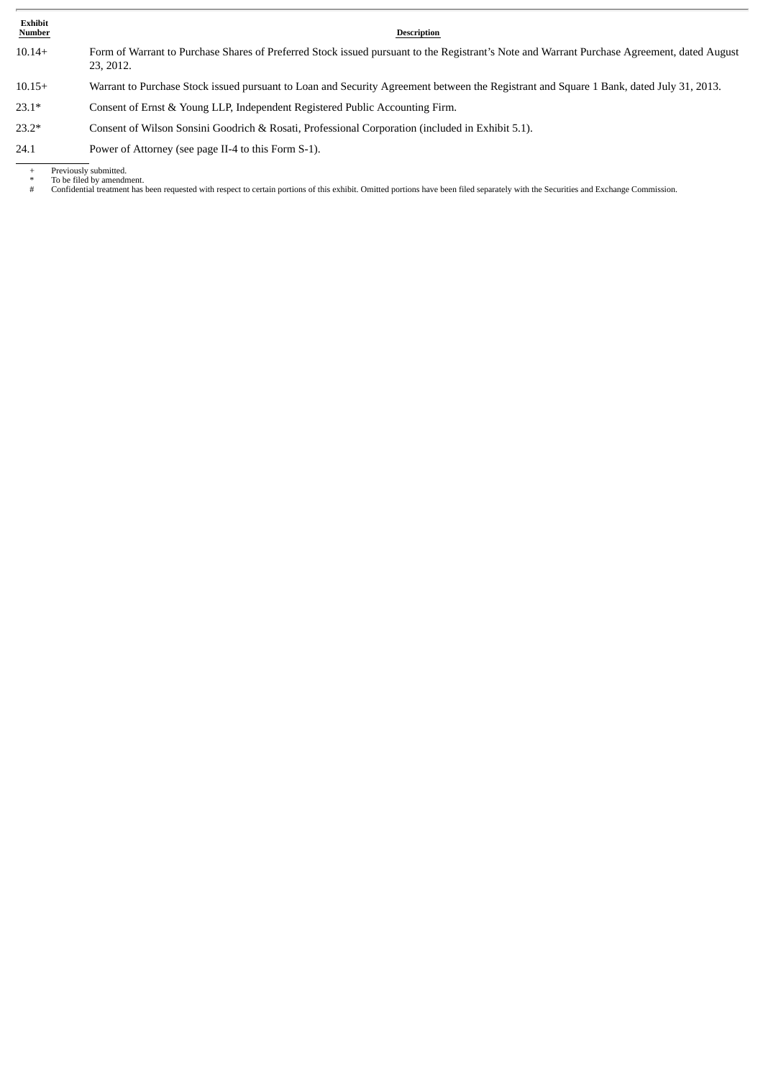**Exhibit**

#### **Description**

- 10.14+ Form of Warrant to Purchase Shares of Preferred Stock issued pursuant to the Registrant's Note and Warrant Purchase Agreement, dated August 23, 2012.
- 10.15+ Warrant to Purchase Stock issued pursuant to Loan and Security Agreement between the Registrant and Square 1 Bank, dated July 31, 2013.
- 23.1\* Consent of Ernst & Young LLP, Independent Registered Public Accounting Firm.
- 23.2\* Consent of Wilson Sonsini Goodrich & Rosati, Professional Corporation (included in Exhibit 5.1).
- 24.1 Power of Attorney (see page II-4 to this Form S-1).

+ Previously submitted. \* To be filed by amendment.

- 
- # Confidential treatment has been requested with respect to certain portions of this exhibit. Omitted portions have been filed separately with the Securities and Exchange Commission.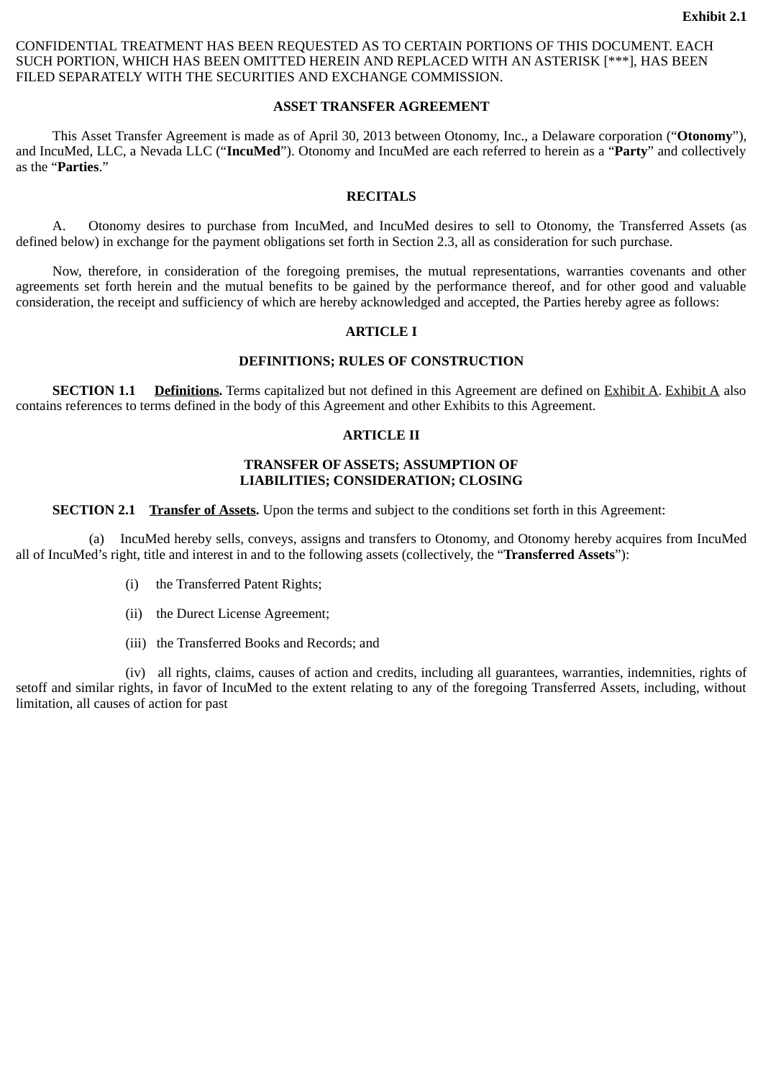CONFIDENTIAL TREATMENT HAS BEEN REQUESTED AS TO CERTAIN PORTIONS OF THIS DOCUMENT. EACH SUCH PORTION, WHICH HAS BEEN OMITTED HEREIN AND REPLACED WITH AN ASTERISK [\*\*\*], HAS BEEN FILED SEPARATELY WITH THE SECURITIES AND EXCHANGE COMMISSION.

#### **ASSET TRANSFER AGREEMENT**

This Asset Transfer Agreement is made as of April 30, 2013 between Otonomy, Inc., a Delaware corporation ("**Otonomy**"), and IncuMed, LLC, a Nevada LLC ("**IncuMed**"). Otonomy and IncuMed are each referred to herein as a "**Party**" and collectively as the "**Parties**."

## **RECITALS**

A. Otonomy desires to purchase from IncuMed, and IncuMed desires to sell to Otonomy, the Transferred Assets (as defined below) in exchange for the payment obligations set forth in Section 2.3, all as consideration for such purchase.

Now, therefore, in consideration of the foregoing premises, the mutual representations, warranties covenants and other agreements set forth herein and the mutual benefits to be gained by the performance thereof, and for other good and valuable consideration, the receipt and sufficiency of which are hereby acknowledged and accepted, the Parties hereby agree as follows:

#### **ARTICLE I**

# **DEFINITIONS; RULES OF CONSTRUCTION**

**SECTION 1.1** Definitions. Terms capitalized but not defined in this Agreement are defined on **Exhibit A. Exhibit A** also contains references to terms defined in the body of this Agreement and other Exhibits to this Agreement.

#### **ARTICLE II**

#### **TRANSFER OF ASSETS; ASSUMPTION OF LIABILITIES; CONSIDERATION; CLOSING**

**SECTION 2.1 Transfer of Assets.** Upon the terms and subject to the conditions set forth in this Agreement:

(a) IncuMed hereby sells, conveys, assigns and transfers to Otonomy, and Otonomy hereby acquires from IncuMed all of IncuMed's right, title and interest in and to the following assets (collectively, the "**Transferred Assets**"):

- (i) the Transferred Patent Rights;
- (ii) the Durect License Agreement;
- (iii) the Transferred Books and Records; and

(iv) all rights, claims, causes of action and credits, including all guarantees, warranties, indemnities, rights of setoff and similar rights, in favor of IncuMed to the extent relating to any of the foregoing Transferred Assets, including, without limitation, all causes of action for past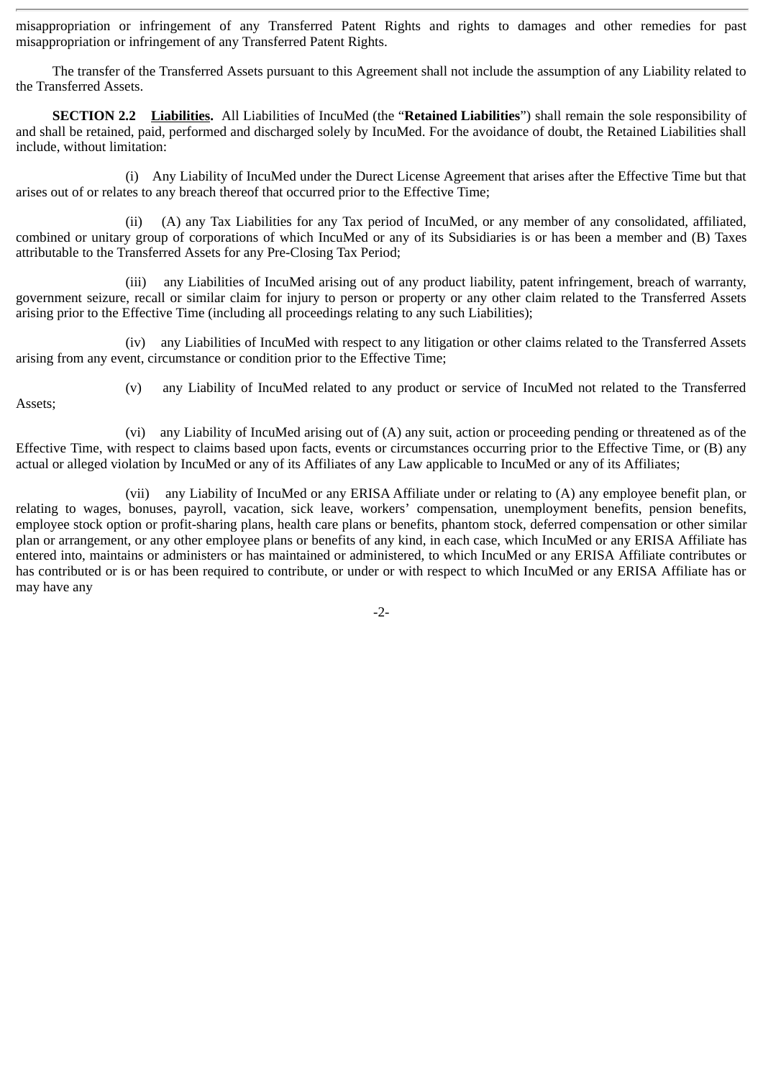misappropriation or infringement of any Transferred Patent Rights and rights to damages and other remedies for past misappropriation or infringement of any Transferred Patent Rights.

The transfer of the Transferred Assets pursuant to this Agreement shall not include the assumption of any Liability related to the Transferred Assets.

**SECTION 2.2 Liabilities.** All Liabilities of IncuMed (the "**Retained Liabilities**") shall remain the sole responsibility of and shall be retained, paid, performed and discharged solely by IncuMed. For the avoidance of doubt, the Retained Liabilities shall include, without limitation:

(i) Any Liability of IncuMed under the Durect License Agreement that arises after the Effective Time but that arises out of or relates to any breach thereof that occurred prior to the Effective Time;

(ii) (A) any Tax Liabilities for any Tax period of IncuMed, or any member of any consolidated, affiliated, combined or unitary group of corporations of which IncuMed or any of its Subsidiaries is or has been a member and (B) Taxes attributable to the Transferred Assets for any Pre-Closing Tax Period;

(iii) any Liabilities of IncuMed arising out of any product liability, patent infringement, breach of warranty, government seizure, recall or similar claim for injury to person or property or any other claim related to the Transferred Assets arising prior to the Effective Time (including all proceedings relating to any such Liabilities);

(iv) any Liabilities of IncuMed with respect to any litigation or other claims related to the Transferred Assets arising from any event, circumstance or condition prior to the Effective Time;

Assets;

(v) any Liability of IncuMed related to any product or service of IncuMed not related to the Transferred

(vi) any Liability of IncuMed arising out of (A) any suit, action or proceeding pending or threatened as of the Effective Time, with respect to claims based upon facts, events or circumstances occurring prior to the Effective Time, or (B) any actual or alleged violation by IncuMed or any of its Affiliates of any Law applicable to IncuMed or any of its Affiliates;

(vii) any Liability of IncuMed or any ERISA Affiliate under or relating to (A) any employee benefit plan, or relating to wages, bonuses, payroll, vacation, sick leave, workers' compensation, unemployment benefits, pension benefits, employee stock option or profit-sharing plans, health care plans or benefits, phantom stock, deferred compensation or other similar plan or arrangement, or any other employee plans or benefits of any kind, in each case, which IncuMed or any ERISA Affiliate has entered into, maintains or administers or has maintained or administered, to which IncuMed or any ERISA Affiliate contributes or has contributed or is or has been required to contribute, or under or with respect to which IncuMed or any ERISA Affiliate has or may have any

-2-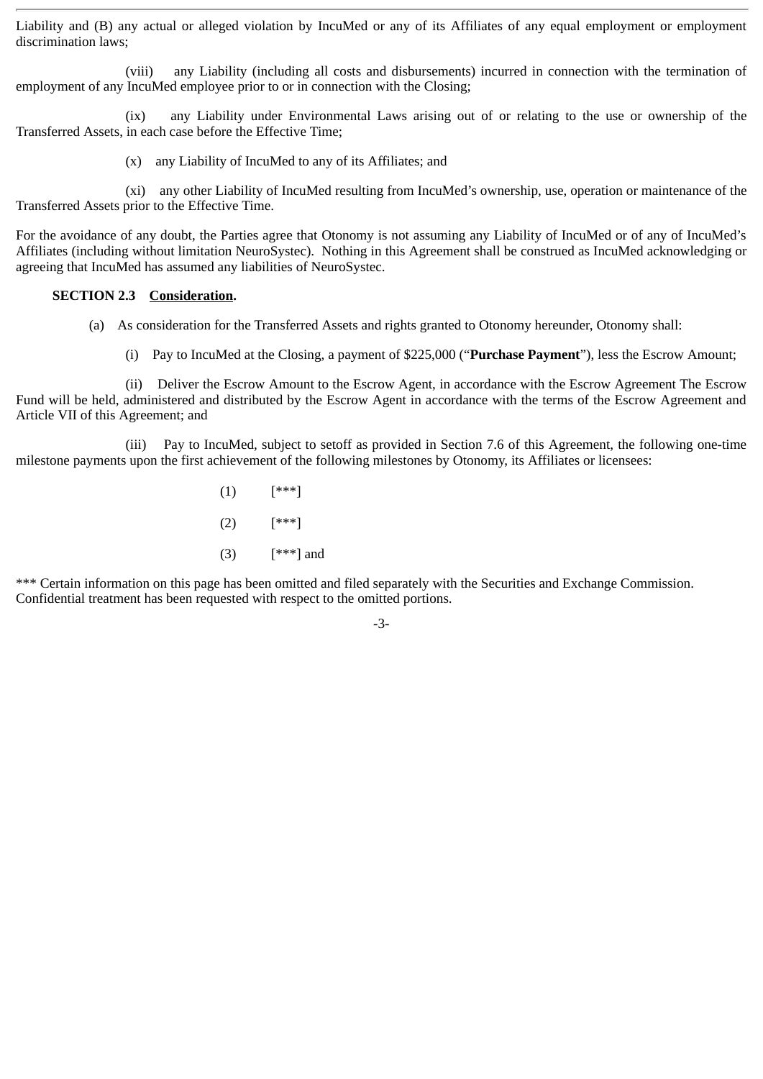Liability and (B) any actual or alleged violation by IncuMed or any of its Affiliates of any equal employment or employment discrimination laws;

(viii) any Liability (including all costs and disbursements) incurred in connection with the termination of employment of any IncuMed employee prior to or in connection with the Closing;

(ix) any Liability under Environmental Laws arising out of or relating to the use or ownership of the Transferred Assets, in each case before the Effective Time;

(x) any Liability of IncuMed to any of its Affiliates; and

(xi) any other Liability of IncuMed resulting from IncuMed's ownership, use, operation or maintenance of the Transferred Assets prior to the Effective Time.

For the avoidance of any doubt, the Parties agree that Otonomy is not assuming any Liability of IncuMed or of any of IncuMed's Affiliates (including without limitation NeuroSystec). Nothing in this Agreement shall be construed as IncuMed acknowledging or agreeing that IncuMed has assumed any liabilities of NeuroSystec.

# **SECTION 2.3 Consideration.**

- (a) As consideration for the Transferred Assets and rights granted to Otonomy hereunder, Otonomy shall:
	- (i) Pay to IncuMed at the Closing, a payment of \$225,000 ("**Purchase Payment**"), less the Escrow Amount;

(ii) Deliver the Escrow Amount to the Escrow Agent, in accordance with the Escrow Agreement The Escrow Fund will be held, administered and distributed by the Escrow Agent in accordance with the terms of the Escrow Agreement and Article VII of this Agreement; and

(iii) Pay to IncuMed, subject to setoff as provided in Section 7.6 of this Agreement, the following one-time milestone payments upon the first achievement of the following milestones by Otonomy, its Affiliates or licensees:

> (1) [\*\*\*] (2) [\*\*\*] (3) [\*\*\*] and

\*\*\* Certain information on this page has been omitted and filed separately with the Securities and Exchange Commission. Confidential treatment has been requested with respect to the omitted portions.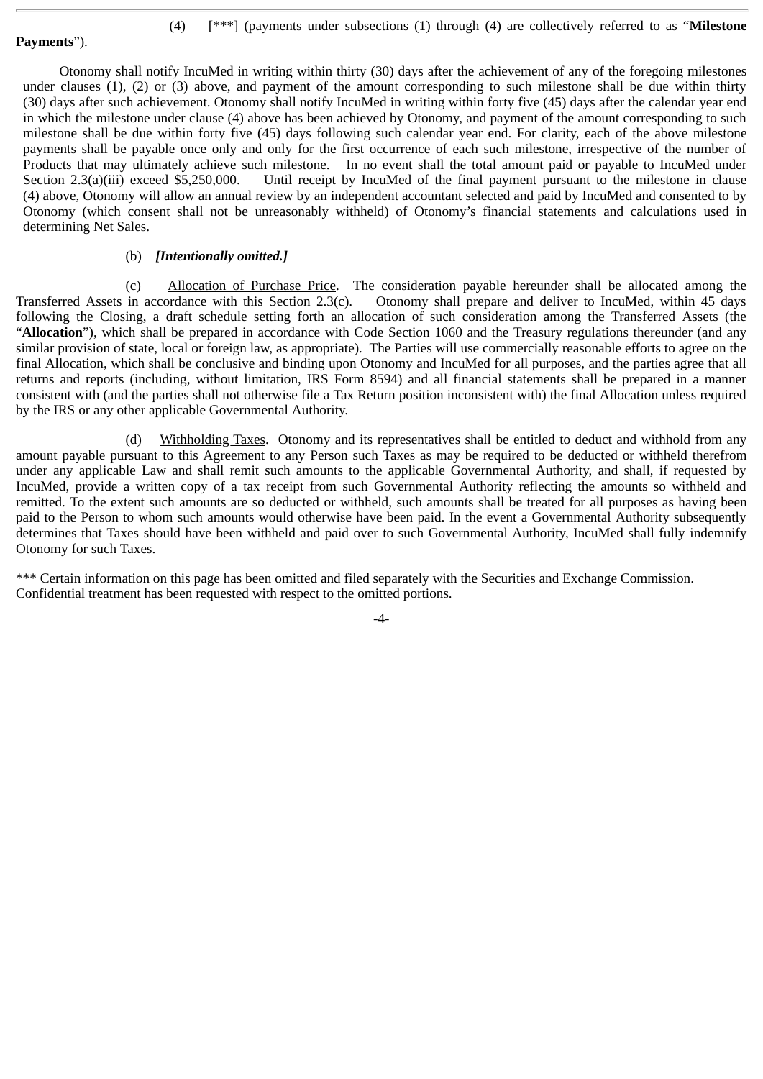**Payments**").

(4) [\*\*\*] (payments under subsections (1) through (4) are collectively referred to as "**Milestone**

Otonomy shall notify IncuMed in writing within thirty (30) days after the achievement of any of the foregoing milestones under clauses (1), (2) or (3) above, and payment of the amount corresponding to such milestone shall be due within thirty (30) days after such achievement. Otonomy shall notify IncuMed in writing within forty five (45) days after the calendar year end in which the milestone under clause (4) above has been achieved by Otonomy, and payment of the amount corresponding to such milestone shall be due within forty five (45) days following such calendar year end. For clarity, each of the above milestone payments shall be payable once only and only for the first occurrence of each such milestone, irrespective of the number of Products that may ultimately achieve such milestone. In no event shall the total amount paid or payable to IncuMed under Section 2.3(a)(iii) exceed \$5,250,000. Until receipt by IncuMed of the final payment pursuant to the milestone in clause (4) above, Otonomy will allow an annual review by an independent accountant selected and paid by IncuMed and consented to by Otonomy (which consent shall not be unreasonably withheld) of Otonomy's financial statements and calculations used in determining Net Sales.

# (b) *[Intentionally omitted.]*

(c) Allocation of Purchase Price. The consideration payable hereunder shall be allocated among the Transferred Assets in accordance with this Section 2.3(c). Otonomy shall prepare and deliver to IncuMed, within 45 days following the Closing, a draft schedule setting forth an allocation of such consideration among the Transferred Assets (the "**Allocation**"), which shall be prepared in accordance with Code Section 1060 and the Treasury regulations thereunder (and any similar provision of state, local or foreign law, as appropriate). The Parties will use commercially reasonable efforts to agree on the final Allocation, which shall be conclusive and binding upon Otonomy and IncuMed for all purposes, and the parties agree that all returns and reports (including, without limitation, IRS Form 8594) and all financial statements shall be prepared in a manner consistent with (and the parties shall not otherwise file a Tax Return position inconsistent with) the final Allocation unless required by the IRS or any other applicable Governmental Authority.

(d) Withholding Taxes. Otonomy and its representatives shall be entitled to deduct and withhold from any amount payable pursuant to this Agreement to any Person such Taxes as may be required to be deducted or withheld therefrom under any applicable Law and shall remit such amounts to the applicable Governmental Authority, and shall, if requested by IncuMed, provide a written copy of a tax receipt from such Governmental Authority reflecting the amounts so withheld and remitted. To the extent such amounts are so deducted or withheld, such amounts shall be treated for all purposes as having been paid to the Person to whom such amounts would otherwise have been paid. In the event a Governmental Authority subsequently determines that Taxes should have been withheld and paid over to such Governmental Authority, IncuMed shall fully indemnify Otonomy for such Taxes.

\*\*\* Certain information on this page has been omitted and filed separately with the Securities and Exchange Commission. Confidential treatment has been requested with respect to the omitted portions.

-4-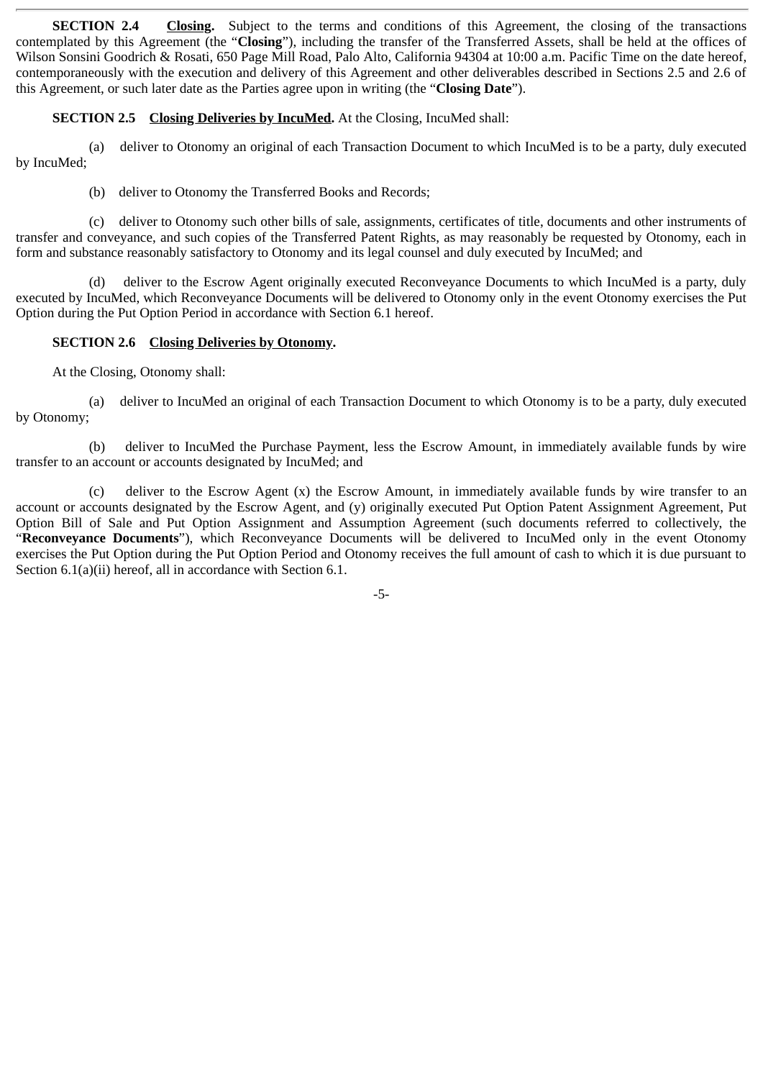**SECTION 2.4** Closing. Subject to the terms and conditions of this Agreement, the closing of the transactions contemplated by this Agreement (the "**Closing**"), including the transfer of the Transferred Assets, shall be held at the offices of Wilson Sonsini Goodrich & Rosati, 650 Page Mill Road, Palo Alto, California 94304 at 10:00 a.m. Pacific Time on the date hereof, contemporaneously with the execution and delivery of this Agreement and other deliverables described in Sections 2.5 and 2.6 of this Agreement, or such later date as the Parties agree upon in writing (the "**Closing Date**").

# **SECTION 2.5 Closing Deliveries by IncuMed.** At the Closing, IncuMed shall:

(a) deliver to Otonomy an original of each Transaction Document to which IncuMed is to be a party, duly executed by IncuMed;

(b) deliver to Otonomy the Transferred Books and Records;

(c) deliver to Otonomy such other bills of sale, assignments, certificates of title, documents and other instruments of transfer and conveyance, and such copies of the Transferred Patent Rights, as may reasonably be requested by Otonomy, each in form and substance reasonably satisfactory to Otonomy and its legal counsel and duly executed by IncuMed; and

(d) deliver to the Escrow Agent originally executed Reconveyance Documents to which IncuMed is a party, duly executed by IncuMed, which Reconveyance Documents will be delivered to Otonomy only in the event Otonomy exercises the Put Option during the Put Option Period in accordance with Section 6.1 hereof.

# **SECTION 2.6 Closing Deliveries by Otonomy.**

At the Closing, Otonomy shall:

(a) deliver to IncuMed an original of each Transaction Document to which Otonomy is to be a party, duly executed by Otonomy;

(b) deliver to IncuMed the Purchase Payment, less the Escrow Amount, in immediately available funds by wire transfer to an account or accounts designated by IncuMed; and

(c) deliver to the Escrow Agent (x) the Escrow Amount, in immediately available funds by wire transfer to an account or accounts designated by the Escrow Agent, and (y) originally executed Put Option Patent Assignment Agreement, Put Option Bill of Sale and Put Option Assignment and Assumption Agreement (such documents referred to collectively, the "**Reconveyance Documents**"), which Reconveyance Documents will be delivered to IncuMed only in the event Otonomy exercises the Put Option during the Put Option Period and Otonomy receives the full amount of cash to which it is due pursuant to Section 6.1(a)(ii) hereof, all in accordance with Section 6.1.

-5-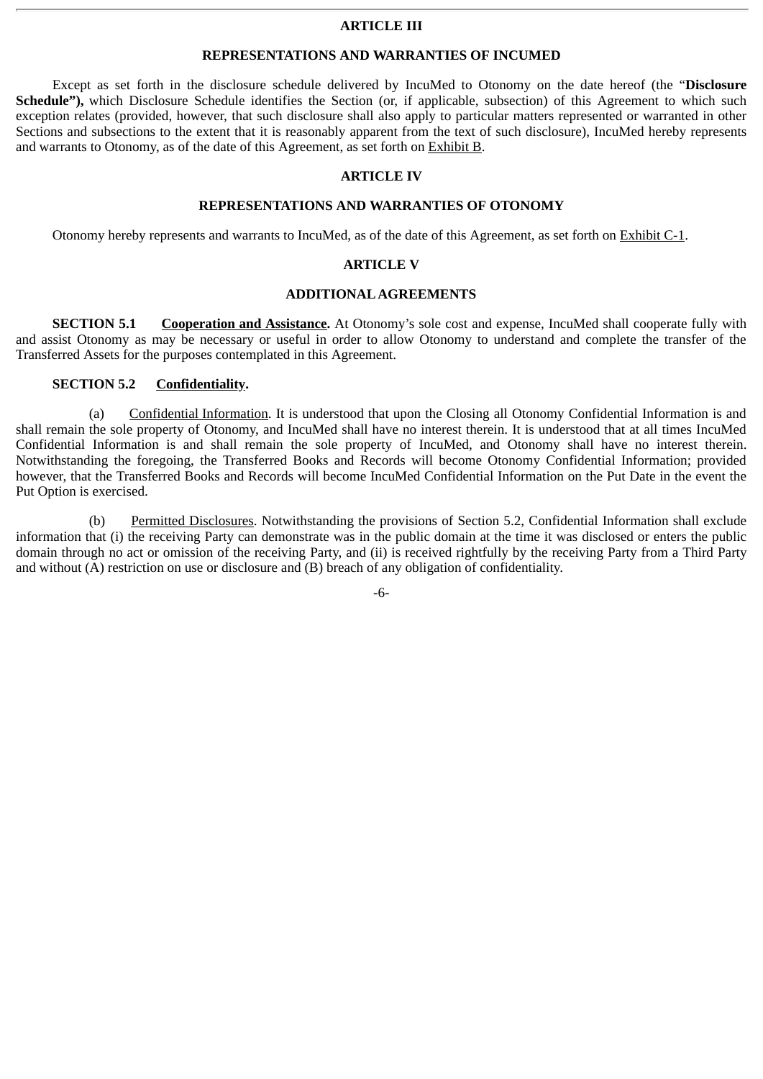#### **ARTICLE III**

#### **REPRESENTATIONS AND WARRANTIES OF INCUMED**

Except as set forth in the disclosure schedule delivered by IncuMed to Otonomy on the date hereof (the "**Disclosure** Schedule"), which Disclosure Schedule identifies the Section (or, if applicable, subsection) of this Agreement to which such exception relates (provided, however, that such disclosure shall also apply to particular matters represented or warranted in other Sections and subsections to the extent that it is reasonably apparent from the text of such disclosure), IncuMed hereby represents and warrants to Otonomy, as of the date of this Agreement, as set forth on Exhibit B.

#### **ARTICLE IV**

#### **REPRESENTATIONS AND WARRANTIES OF OTONOMY**

Otonomy hereby represents and warrants to IncuMed, as of the date of this Agreement, as set forth on Exhibit C-1.

#### **ARTICLE V**

#### **ADDITIONALAGREEMENTS**

**SECTION 5.1 Cooperation and Assistance.** At Otonomy's sole cost and expense, IncuMed shall cooperate fully with and assist Otonomy as may be necessary or useful in order to allow Otonomy to understand and complete the transfer of the Transferred Assets for the purposes contemplated in this Agreement.

## **SECTION 5.2 Confidentiality.**

(a) Confidential Information. It is understood that upon the Closing all Otonomy Confidential Information is and shall remain the sole property of Otonomy, and IncuMed shall have no interest therein. It is understood that at all times IncuMed Confidential Information is and shall remain the sole property of IncuMed, and Otonomy shall have no interest therein. Notwithstanding the foregoing, the Transferred Books and Records will become Otonomy Confidential Information; provided however, that the Transferred Books and Records will become IncuMed Confidential Information on the Put Date in the event the Put Option is exercised.

(b) Permitted Disclosures. Notwithstanding the provisions of Section 5.2, Confidential Information shall exclude information that (i) the receiving Party can demonstrate was in the public domain at the time it was disclosed or enters the public domain through no act or omission of the receiving Party, and (ii) is received rightfully by the receiving Party from a Third Party and without (A) restriction on use or disclosure and (B) breach of any obligation of confidentiality.

-6-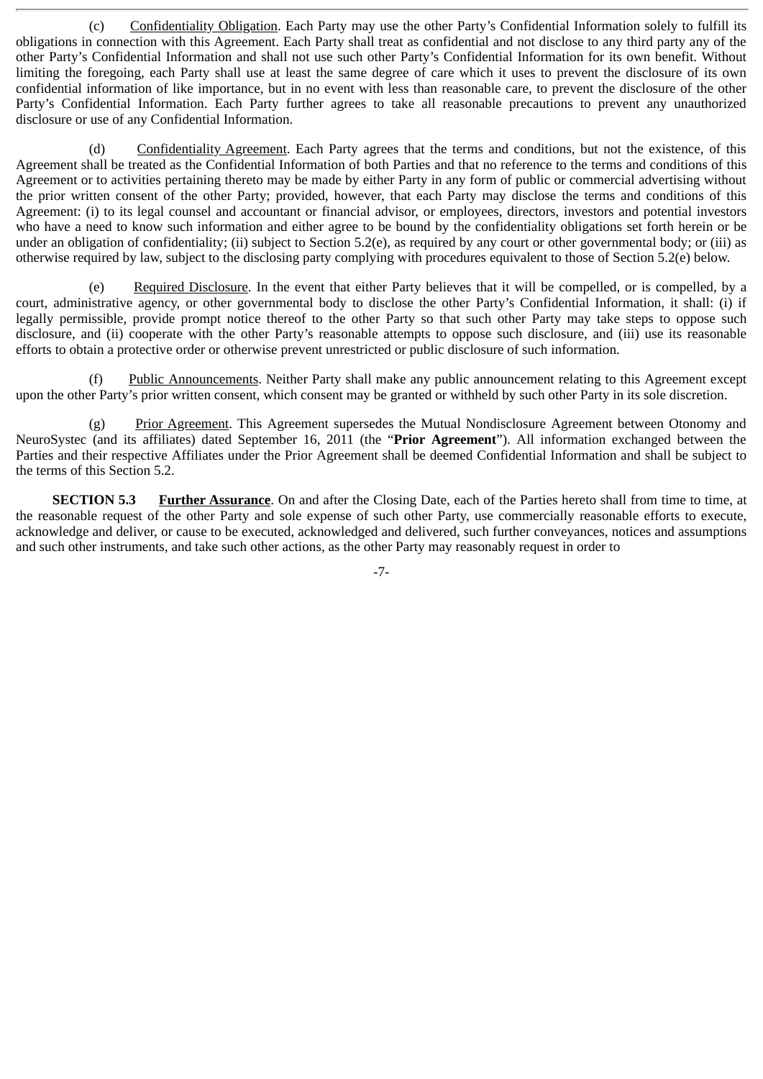(c) Confidentiality Obligation. Each Party may use the other Party's Confidential Information solely to fulfill its obligations in connection with this Agreement. Each Party shall treat as confidential and not disclose to any third party any of the other Party's Confidential Information and shall not use such other Party's Confidential Information for its own benefit. Without limiting the foregoing, each Party shall use at least the same degree of care which it uses to prevent the disclosure of its own confidential information of like importance, but in no event with less than reasonable care, to prevent the disclosure of the other Party's Confidential Information. Each Party further agrees to take all reasonable precautions to prevent any unauthorized disclosure or use of any Confidential Information.

(d) Confidentiality Agreement. Each Party agrees that the terms and conditions, but not the existence, of this Agreement shall be treated as the Confidential Information of both Parties and that no reference to the terms and conditions of this Agreement or to activities pertaining thereto may be made by either Party in any form of public or commercial advertising without the prior written consent of the other Party; provided, however, that each Party may disclose the terms and conditions of this Agreement: (i) to its legal counsel and accountant or financial advisor, or employees, directors, investors and potential investors who have a need to know such information and either agree to be bound by the confidentiality obligations set forth herein or be under an obligation of confidentiality; (ii) subject to Section 5.2(e), as required by any court or other governmental body; or (iii) as otherwise required by law, subject to the disclosing party complying with procedures equivalent to those of Section 5.2(e) below.

(e) Required Disclosure. In the event that either Party believes that it will be compelled, or is compelled, by a court, administrative agency, or other governmental body to disclose the other Party's Confidential Information, it shall: (i) if legally permissible, provide prompt notice thereof to the other Party so that such other Party may take steps to oppose such disclosure, and (ii) cooperate with the other Party's reasonable attempts to oppose such disclosure, and (iii) use its reasonable efforts to obtain a protective order or otherwise prevent unrestricted or public disclosure of such information.

(f) Public Announcements. Neither Party shall make any public announcement relating to this Agreement except upon the other Party's prior written consent, which consent may be granted or withheld by such other Party in its sole discretion.

(g) Prior Agreement. This Agreement supersedes the Mutual Nondisclosure Agreement between Otonomy and NeuroSystec (and its affiliates) dated September 16, 2011 (the "**Prior Agreement**"). All information exchanged between the Parties and their respective Affiliates under the Prior Agreement shall be deemed Confidential Information and shall be subject to the terms of this Section 5.2.

**SECTION 5.3 Further Assurance**. On and after the Closing Date, each of the Parties hereto shall from time to time, at the reasonable request of the other Party and sole expense of such other Party, use commercially reasonable efforts to execute, acknowledge and deliver, or cause to be executed, acknowledged and delivered, such further conveyances, notices and assumptions and such other instruments, and take such other actions, as the other Party may reasonably request in order to

-7-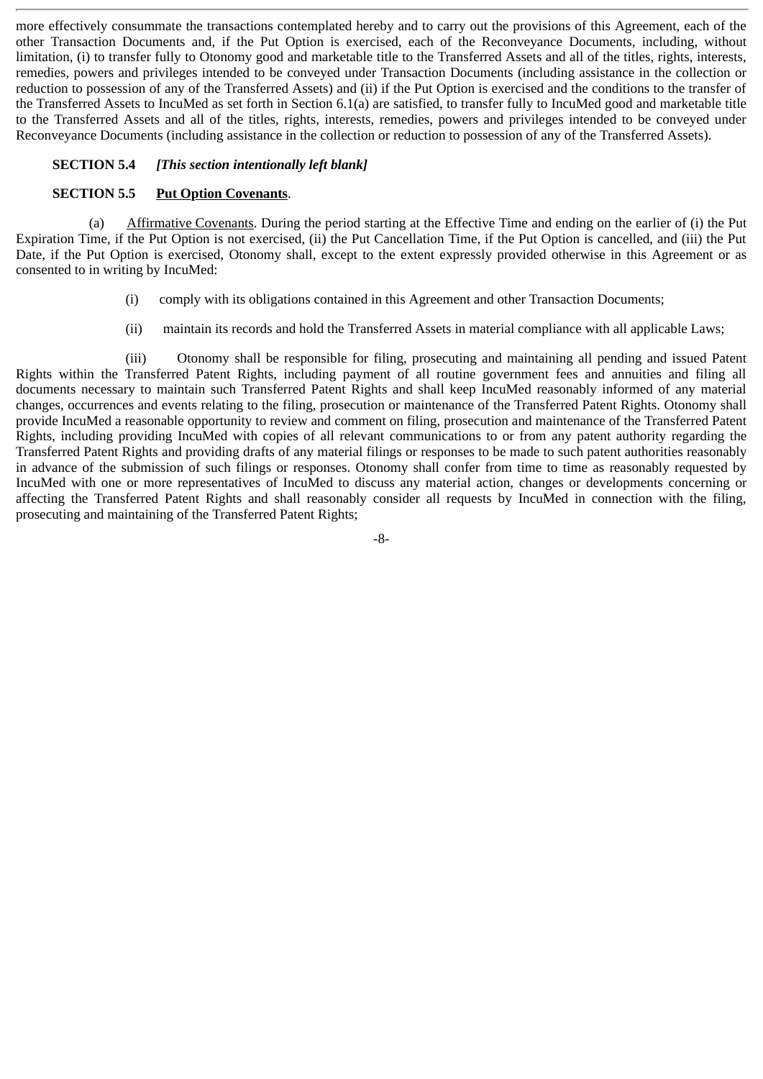more effectively consummate the transactions contemplated hereby and to carry out the provisions of this Agreement, each of the other Transaction Documents and, if the Put Option is exercised, each of the Reconveyance Documents, including, without limitation, (i) to transfer fully to Otonomy good and marketable title to the Transferred Assets and all of the titles, rights, interests, remedies, powers and privileges intended to be conveyed under Transaction Documents (including assistance in the collection or reduction to possession of any of the Transferred Assets) and (ii) if the Put Option is exercised and the conditions to the transfer of the Transferred Assets to IncuMed as set forth in Section 6.1(a) are satisfied, to transfer fully to IncuMed good and marketable title to the Transferred Assets and all of the titles, rights, interests, remedies, powers and privileges intended to be conveyed under Reconveyance Documents (including assistance in the collection or reduction to possession of any of the Transferred Assets).

# **SECTION 5.4** *[This section intentionally left blank]*

## **SECTION 5.5** Put Option Covenants.

(a) Affirmative Covenants. During the period starting at the Effective Time and ending on the earlier of (i) the Put Expiration Time, if the Put Option is not exercised, (ii) the Put Cancellation Time, if the Put Option is cancelled, and (iii) the Put Date, if the Put Option is exercised, Otonomy shall, except to the extent expressly provided otherwise in this Agreement or as consented to in writing by IncuMed:

- (i) comply with its obligations contained in this Agreement and other Transaction Documents;
- (ii) maintain its records and hold the Transferred Assets in material compliance with all applicable Laws;

(iii) Otonomy shall be responsible for filing, prosecuting and maintaining all pending and issued Patent Rights within the Transferred Patent Rights, including payment of all routine government fees and annuities and filing all documents necessary to maintain such Transferred Patent Rights and shall keep IncuMed reasonably informed of any material changes, occurrences and events relating to the filing, prosecution or maintenance of the Transferred Patent Rights. Otonomy shall provide IncuMed a reasonable opportunity to review and comment on filing, prosecution and maintenance of the Transferred Patent Rights, including providing IncuMed with copies of all relevant communications to or from any patent authority regarding the Transferred Patent Rights and providing drafts of any material filings or responses to be made to such patent authorities reasonably in advance of the submission of such filings or responses. Otonomy shall confer from time to time as reasonably requested by IncuMed with one or more representatives of IncuMed to discuss any material action, changes or developments concerning or affecting the Transferred Patent Rights and shall reasonably consider all requests by IncuMed in connection with the filing, prosecuting and maintaining of the Transferred Patent Rights;

-8-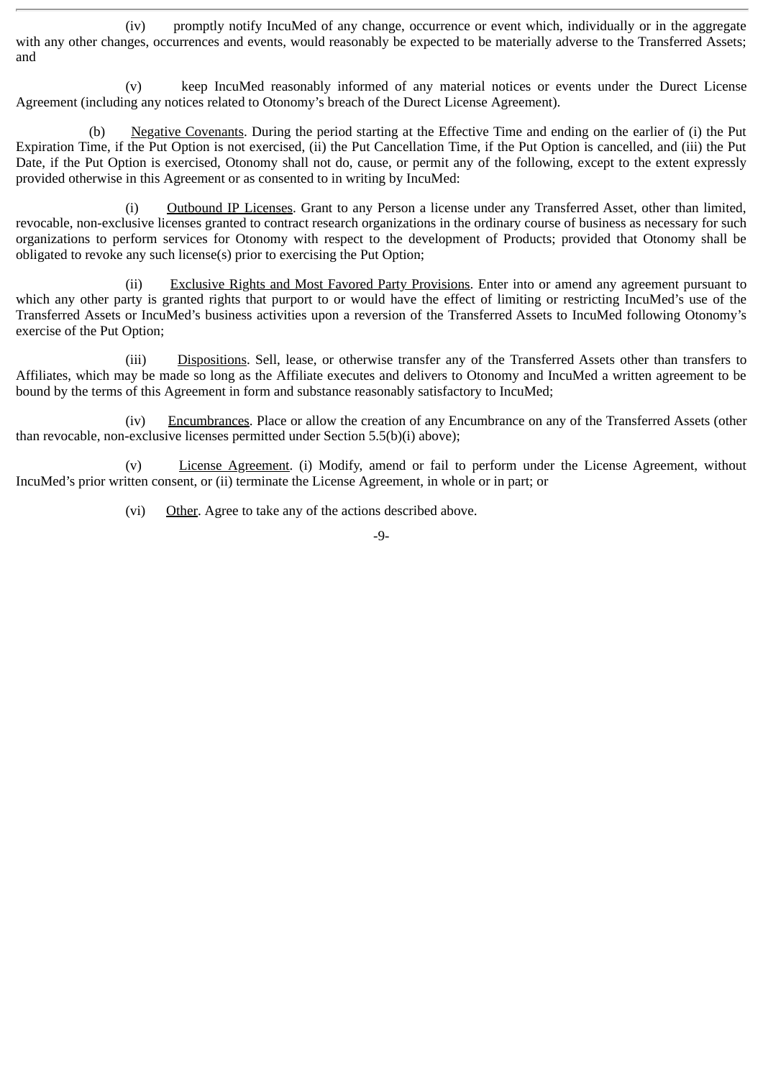(iv) promptly notify IncuMed of any change, occurrence or event which, individually or in the aggregate with any other changes, occurrences and events, would reasonably be expected to be materially adverse to the Transferred Assets; and

(v) keep IncuMed reasonably informed of any material notices or events under the Durect License Agreement (including any notices related to Otonomy's breach of the Durect License Agreement).

(b) Negative Covenants. During the period starting at the Effective Time and ending on the earlier of (i) the Put Expiration Time, if the Put Option is not exercised, (ii) the Put Cancellation Time, if the Put Option is cancelled, and (iii) the Put Date, if the Put Option is exercised, Otonomy shall not do, cause, or permit any of the following, except to the extent expressly provided otherwise in this Agreement or as consented to in writing by IncuMed:

(i) Outbound IP Licenses. Grant to any Person a license under any Transferred Asset, other than limited, revocable, non-exclusive licenses granted to contract research organizations in the ordinary course of business as necessary for such organizations to perform services for Otonomy with respect to the development of Products; provided that Otonomy shall be obligated to revoke any such license(s) prior to exercising the Put Option;

Exclusive Rights and Most Favored Party Provisions. Enter into or amend any agreement pursuant to which any other party is granted rights that purport to or would have the effect of limiting or restricting IncuMed's use of the Transferred Assets or IncuMed's business activities upon a reversion of the Transferred Assets to IncuMed following Otonomy's exercise of the Put Option;

(iii) Dispositions. Sell, lease, or otherwise transfer any of the Transferred Assets other than transfers to Affiliates, which may be made so long as the Affiliate executes and delivers to Otonomy and IncuMed a written agreement to be bound by the terms of this Agreement in form and substance reasonably satisfactory to IncuMed;

(iv) Encumbrances. Place or allow the creation of any Encumbrance on any of the Transferred Assets (other than revocable, non-exclusive licenses permitted under Section 5.5(b)(i) above);

(v) License Agreement. (i) Modify, amend or fail to perform under the License Agreement, without IncuMed's prior written consent, or (ii) terminate the License Agreement, in whole or in part; or

(vi) Other. Agree to take any of the actions described above.

-9-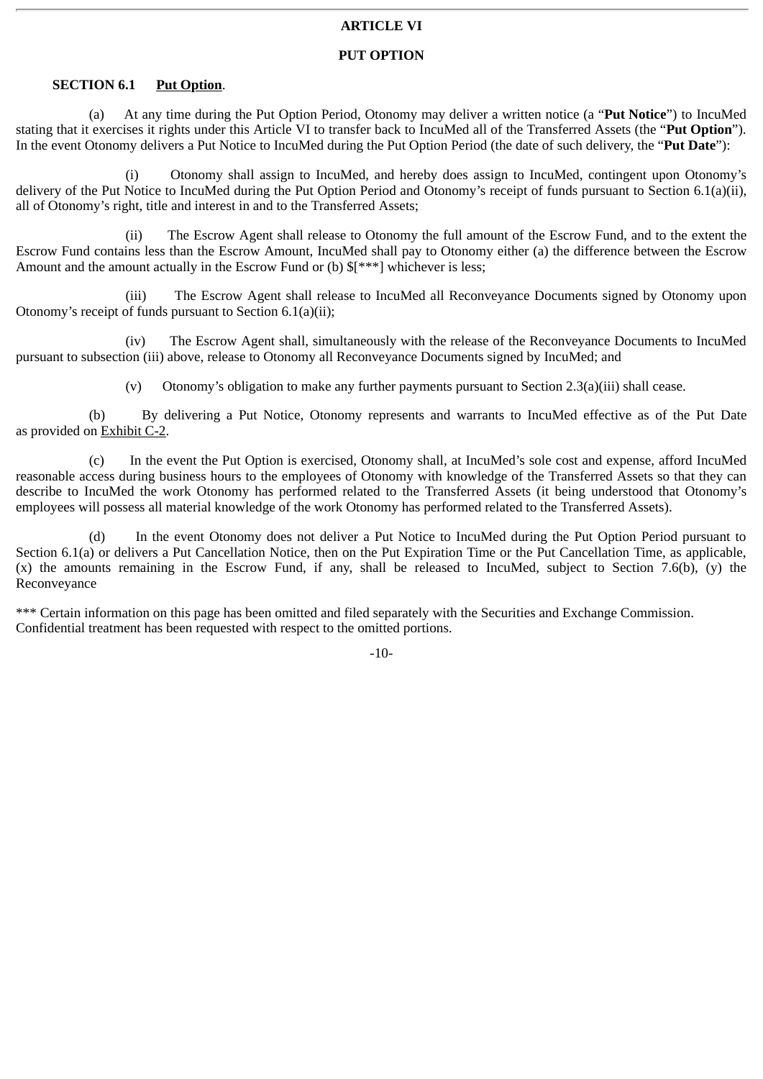## **ARTICLE VI**

## **PUT OPTION**

# **SECTION 6.1** Put Option.

(a) At any time during the Put Option Period, Otonomy may deliver a written notice (a "**Put Notice**") to IncuMed stating that it exercises it rights under this Article VI to transfer back to IncuMed all of the Transferred Assets (the "**Put Option**"). In the event Otonomy delivers a Put Notice to IncuMed during the Put Option Period (the date of such delivery, the "**Put Date**"):

(i) Otonomy shall assign to IncuMed, and hereby does assign to IncuMed, contingent upon Otonomy's delivery of the Put Notice to IncuMed during the Put Option Period and Otonomy's receipt of funds pursuant to Section 6.1(a)(ii), all of Otonomy's right, title and interest in and to the Transferred Assets;

(ii) The Escrow Agent shall release to Otonomy the full amount of the Escrow Fund, and to the extent the Escrow Fund contains less than the Escrow Amount, IncuMed shall pay to Otonomy either (a) the difference between the Escrow Amount and the amount actually in the Escrow Fund or (b) \$[\*\*\*] whichever is less;

(iii) The Escrow Agent shall release to IncuMed all Reconveyance Documents signed by Otonomy upon Otonomy's receipt of funds pursuant to Section 6.1(a)(ii);

(iv) The Escrow Agent shall, simultaneously with the release of the Reconveyance Documents to IncuMed pursuant to subsection (iii) above, release to Otonomy all Reconveyance Documents signed by IncuMed; and

(v) Otonomy's obligation to make any further payments pursuant to Section 2.3(a)(iii) shall cease.

(b) By delivering a Put Notice, Otonomy represents and warrants to IncuMed effective as of the Put Date as provided on Exhibit C-2.

(c) In the event the Put Option is exercised, Otonomy shall, at IncuMed's sole cost and expense, afford IncuMed reasonable access during business hours to the employees of Otonomy with knowledge of the Transferred Assets so that they can describe to IncuMed the work Otonomy has performed related to the Transferred Assets (it being understood that Otonomy's employees will possess all material knowledge of the work Otonomy has performed related to the Transferred Assets).

(d) In the event Otonomy does not deliver a Put Notice to IncuMed during the Put Option Period pursuant to Section 6.1(a) or delivers a Put Cancellation Notice, then on the Put Expiration Time or the Put Cancellation Time, as applicable, (x) the amounts remaining in the Escrow Fund, if any, shall be released to IncuMed, subject to Section 7.6(b), (y) the Reconveyance

\*\*\* Certain information on this page has been omitted and filed separately with the Securities and Exchange Commission. Confidential treatment has been requested with respect to the omitted portions.

-10-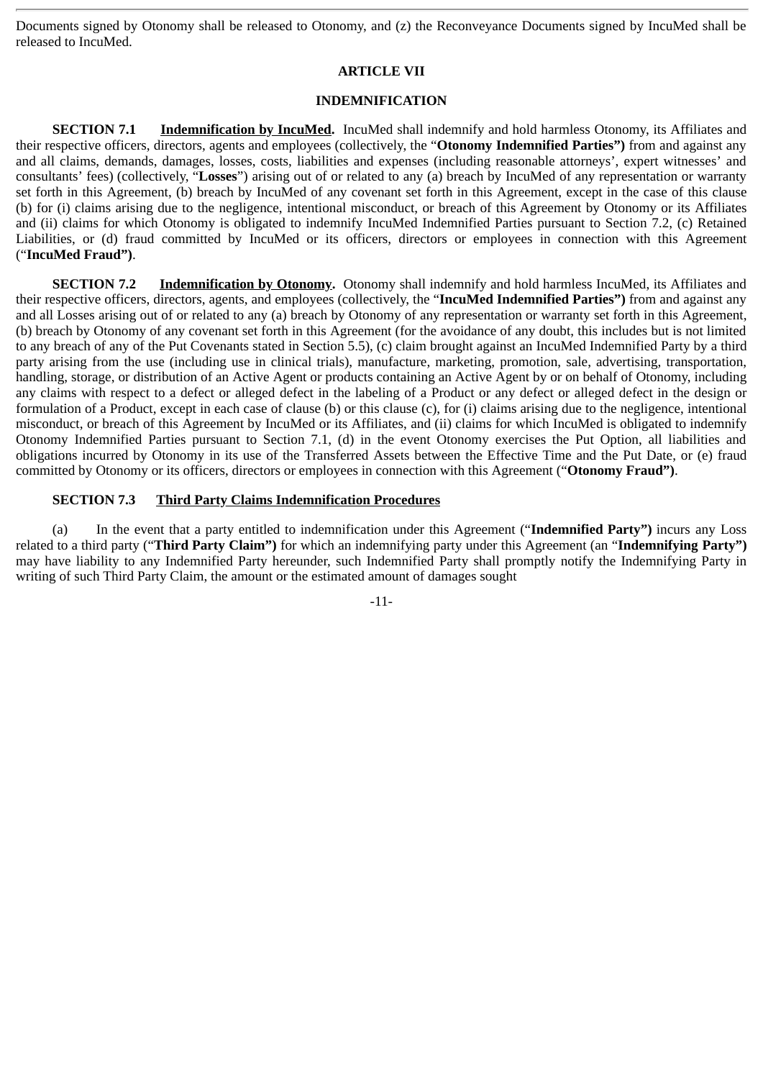Documents signed by Otonomy shall be released to Otonomy, and (z) the Reconveyance Documents signed by IncuMed shall be released to IncuMed.

# **ARTICLE VII**

# **INDEMNIFICATION**

**SECTION 7.1 Indemnification by IncuMed.** IncuMed shall indemnify and hold harmless Otonomy, its Affiliates and their respective officers, directors, agents and employees (collectively, the "**Otonomy Indemnified Parties")** from and against any and all claims, demands, damages, losses, costs, liabilities and expenses (including reasonable attorneys', expert witnesses' and consultants' fees) (collectively, "**Losses**") arising out of or related to any (a) breach by IncuMed of any representation or warranty set forth in this Agreement, (b) breach by IncuMed of any covenant set forth in this Agreement, except in the case of this clause (b) for (i) claims arising due to the negligence, intentional misconduct, or breach of this Agreement by Otonomy or its Affiliates and (ii) claims for which Otonomy is obligated to indemnify IncuMed Indemnified Parties pursuant to Section 7.2, (c) Retained Liabilities, or (d) fraud committed by IncuMed or its officers, directors or employees in connection with this Agreement ("**IncuMed Fraud")**.

**SECTION 7.2** Indemnification by Otonomy. Otonomy shall indemnify and hold harmless IncuMed, its Affiliates and their respective officers, directors, agents, and employees (collectively, the "**IncuMed Indemnified Parties")** from and against any and all Losses arising out of or related to any (a) breach by Otonomy of any representation or warranty set forth in this Agreement, (b) breach by Otonomy of any covenant set forth in this Agreement (for the avoidance of any doubt, this includes but is not limited to any breach of any of the Put Covenants stated in Section 5.5), (c) claim brought against an IncuMed Indemnified Party by a third party arising from the use (including use in clinical trials), manufacture, marketing, promotion, sale, advertising, transportation, handling, storage, or distribution of an Active Agent or products containing an Active Agent by or on behalf of Otonomy, including any claims with respect to a defect or alleged defect in the labeling of a Product or any defect or alleged defect in the design or formulation of a Product, except in each case of clause (b) or this clause (c), for (i) claims arising due to the negligence, intentional misconduct, or breach of this Agreement by IncuMed or its Affiliates, and (ii) claims for which IncuMed is obligated to indemnify Otonomy Indemnified Parties pursuant to Section 7.1, (d) in the event Otonomy exercises the Put Option, all liabilities and obligations incurred by Otonomy in its use of the Transferred Assets between the Effective Time and the Put Date, or (e) fraud committed by Otonomy or its officers, directors or employees in connection with this Agreement ("**Otonomy Fraud")**.

# **SECTION 7.3 Third Party Claims Indemnification Procedures**

(a) In the event that a party entitled to indemnification under this Agreement ("**Indemnified Party")** incurs any Loss related to a third party ("**Third Party Claim")** for which an indemnifying party under this Agreement (an "**Indemnifying Party")** may have liability to any Indemnified Party hereunder, such Indemnified Party shall promptly notify the Indemnifying Party in writing of such Third Party Claim, the amount or the estimated amount of damages sought

-11-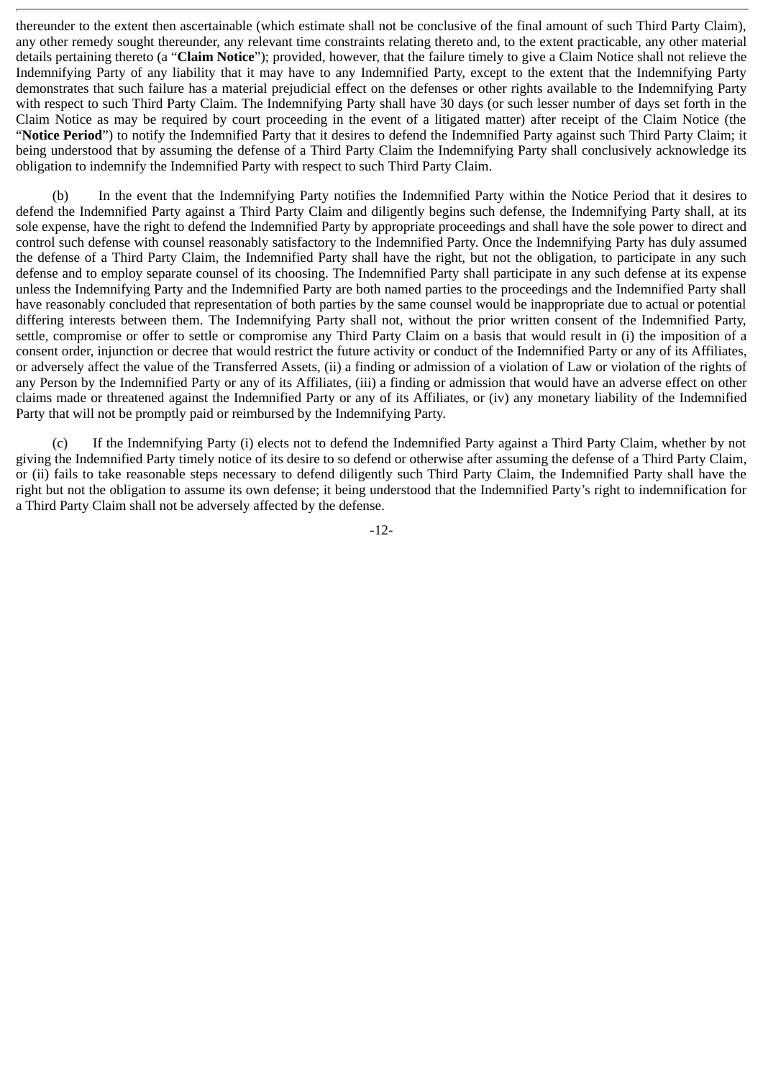thereunder to the extent then ascertainable (which estimate shall not be conclusive of the final amount of such Third Party Claim), any other remedy sought thereunder, any relevant time constraints relating thereto and, to the extent practicable, any other material details pertaining thereto (a "**Claim Notice**"); provided, however, that the failure timely to give a Claim Notice shall not relieve the Indemnifying Party of any liability that it may have to any Indemnified Party, except to the extent that the Indemnifying Party demonstrates that such failure has a material prejudicial effect on the defenses or other rights available to the Indemnifying Party with respect to such Third Party Claim. The Indemnifying Party shall have 30 days (or such lesser number of days set forth in the Claim Notice as may be required by court proceeding in the event of a litigated matter) after receipt of the Claim Notice (the "**Notice Period**") to notify the Indemnified Party that it desires to defend the Indemnified Party against such Third Party Claim; it being understood that by assuming the defense of a Third Party Claim the Indemnifying Party shall conclusively acknowledge its obligation to indemnify the Indemnified Party with respect to such Third Party Claim.

(b) In the event that the Indemnifying Party notifies the Indemnified Party within the Notice Period that it desires to defend the Indemnified Party against a Third Party Claim and diligently begins such defense, the Indemnifying Party shall, at its sole expense, have the right to defend the Indemnified Party by appropriate proceedings and shall have the sole power to direct and control such defense with counsel reasonably satisfactory to the Indemnified Party. Once the Indemnifying Party has duly assumed the defense of a Third Party Claim, the Indemnified Party shall have the right, but not the obligation, to participate in any such defense and to employ separate counsel of its choosing. The Indemnified Party shall participate in any such defense at its expense unless the Indemnifying Party and the Indemnified Party are both named parties to the proceedings and the Indemnified Party shall have reasonably concluded that representation of both parties by the same counsel would be inappropriate due to actual or potential differing interests between them. The Indemnifying Party shall not, without the prior written consent of the Indemnified Party, settle, compromise or offer to settle or compromise any Third Party Claim on a basis that would result in (i) the imposition of a consent order, injunction or decree that would restrict the future activity or conduct of the Indemnified Party or any of its Affiliates, or adversely affect the value of the Transferred Assets, (ii) a finding or admission of a violation of Law or violation of the rights of any Person by the Indemnified Party or any of its Affiliates, (iii) a finding or admission that would have an adverse effect on other claims made or threatened against the Indemnified Party or any of its Affiliates, or (iv) any monetary liability of the Indemnified Party that will not be promptly paid or reimbursed by the Indemnifying Party.

(c) If the Indemnifying Party (i) elects not to defend the Indemnified Party against a Third Party Claim, whether by not giving the Indemnified Party timely notice of its desire to so defend or otherwise after assuming the defense of a Third Party Claim, or (ii) fails to take reasonable steps necessary to defend diligently such Third Party Claim, the Indemnified Party shall have the right but not the obligation to assume its own defense; it being understood that the Indemnified Party's right to indemnification for a Third Party Claim shall not be adversely affected by the defense.

-12-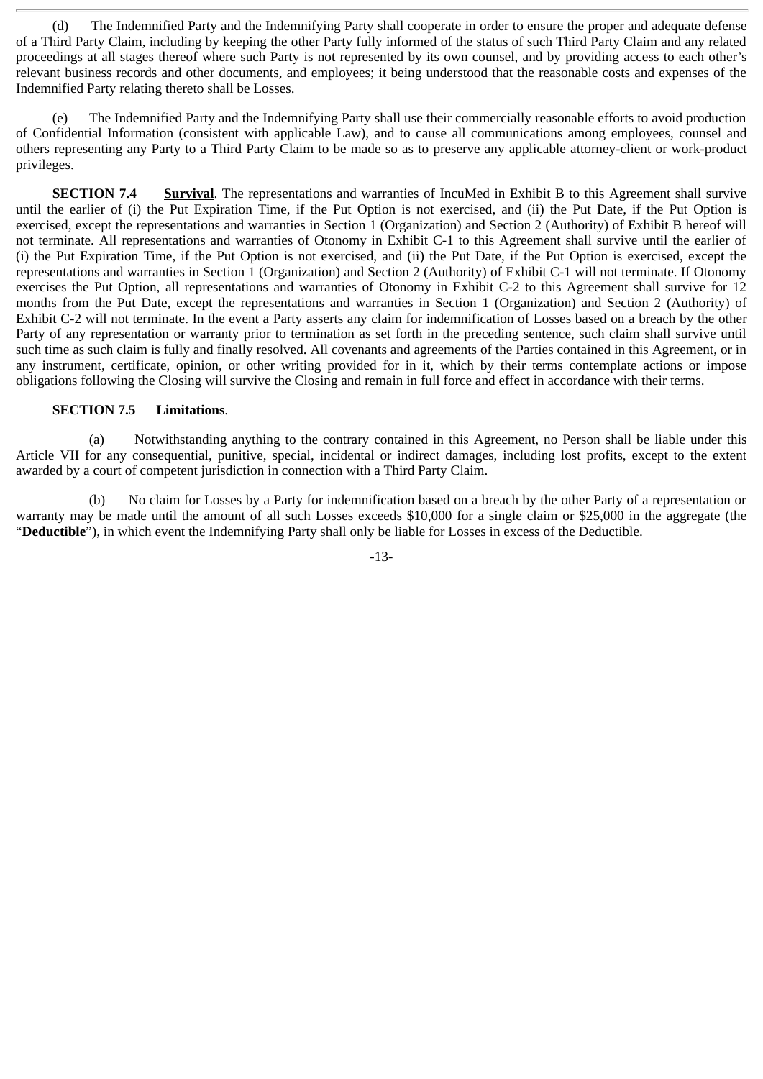(d) The Indemnified Party and the Indemnifying Party shall cooperate in order to ensure the proper and adequate defense of a Third Party Claim, including by keeping the other Party fully informed of the status of such Third Party Claim and any related proceedings at all stages thereof where such Party is not represented by its own counsel, and by providing access to each other's relevant business records and other documents, and employees; it being understood that the reasonable costs and expenses of the Indemnified Party relating thereto shall be Losses.

(e) The Indemnified Party and the Indemnifying Party shall use their commercially reasonable efforts to avoid production of Confidential Information (consistent with applicable Law), and to cause all communications among employees, counsel and others representing any Party to a Third Party Claim to be made so as to preserve any applicable attorney-client or work-product privileges.

**SECTION 7.4** Survival. The representations and warranties of IncuMed in Exhibit B to this Agreement shall survive until the earlier of (i) the Put Expiration Time, if the Put Option is not exercised, and (ii) the Put Date, if the Put Option is exercised, except the representations and warranties in Section 1 (Organization) and Section 2 (Authority) of Exhibit B hereof will not terminate. All representations and warranties of Otonomy in Exhibit C-1 to this Agreement shall survive until the earlier of (i) the Put Expiration Time, if the Put Option is not exercised, and (ii) the Put Date, if the Put Option is exercised, except the representations and warranties in Section 1 (Organization) and Section 2 (Authority) of Exhibit C-1 will not terminate. If Otonomy exercises the Put Option, all representations and warranties of Otonomy in Exhibit C-2 to this Agreement shall survive for 12 months from the Put Date, except the representations and warranties in Section 1 (Organization) and Section 2 (Authority) of Exhibit C-2 will not terminate. In the event a Party asserts any claim for indemnification of Losses based on a breach by the other Party of any representation or warranty prior to termination as set forth in the preceding sentence, such claim shall survive until such time as such claim is fully and finally resolved. All covenants and agreements of the Parties contained in this Agreement, or in any instrument, certificate, opinion, or other writing provided for in it, which by their terms contemplate actions or impose obligations following the Closing will survive the Closing and remain in full force and effect in accordance with their terms.

## **SECTION 7.5 Limitations**.

(a) Notwithstanding anything to the contrary contained in this Agreement, no Person shall be liable under this Article VII for any consequential, punitive, special, incidental or indirect damages, including lost profits, except to the extent awarded by a court of competent jurisdiction in connection with a Third Party Claim.

(b) No claim for Losses by a Party for indemnification based on a breach by the other Party of a representation or warranty may be made until the amount of all such Losses exceeds \$10,000 for a single claim or \$25,000 in the aggregate (the "**Deductible**"), in which event the Indemnifying Party shall only be liable for Losses in excess of the Deductible.

-13-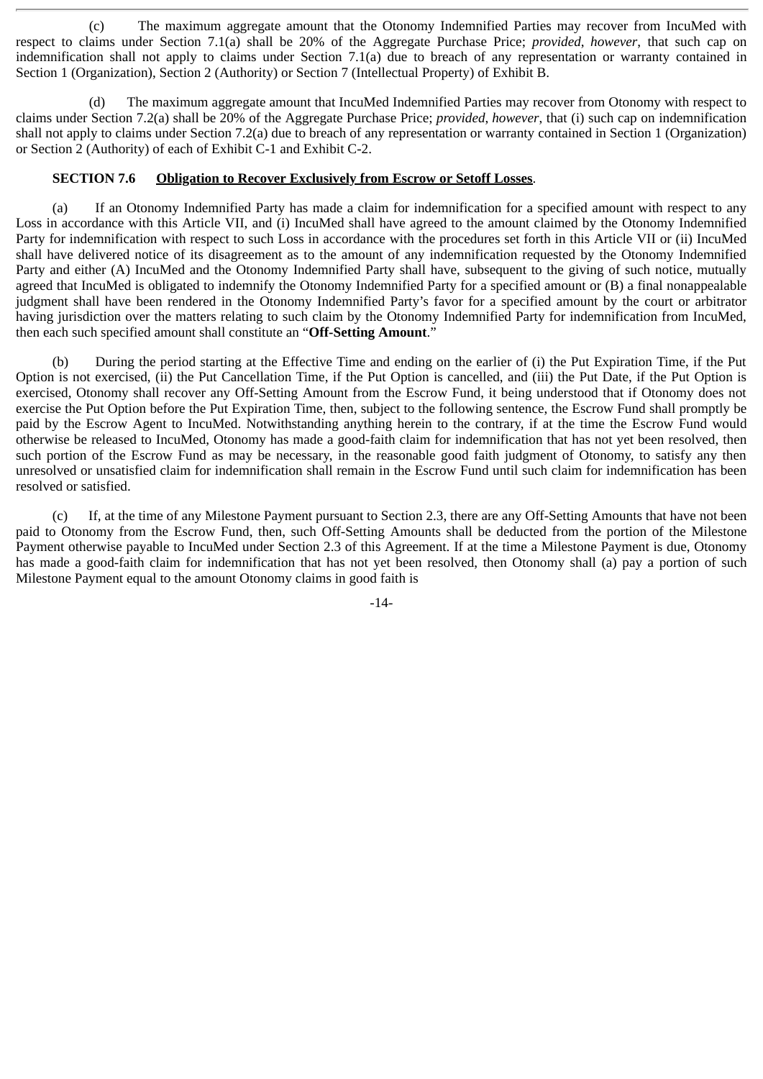(c) The maximum aggregate amount that the Otonomy Indemnified Parties may recover from IncuMed with respect to claims under Section 7.1(a) shall be 20% of the Aggregate Purchase Price; *provided*, *however*, that such cap on indemnification shall not apply to claims under Section 7.1(a) due to breach of any representation or warranty contained in Section 1 (Organization), Section 2 (Authority) or Section 7 (Intellectual Property) of Exhibit B.

(d) The maximum aggregate amount that IncuMed Indemnified Parties may recover from Otonomy with respect to claims under Section 7.2(a) shall be 20% of the Aggregate Purchase Price; *provided*, *however*, that (i) such cap on indemnification shall not apply to claims under Section 7.2(a) due to breach of any representation or warranty contained in Section 1 (Organization) or Section 2 (Authority) of each of Exhibit C-1 and Exhibit C-2.

# **SECTION 7.6 Obligation to Recover Exclusively from Escrow or Setoff Losses**.

(a) If an Otonomy Indemnified Party has made a claim for indemnification for a specified amount with respect to any Loss in accordance with this Article VII, and (i) IncuMed shall have agreed to the amount claimed by the Otonomy Indemnified Party for indemnification with respect to such Loss in accordance with the procedures set forth in this Article VII or (ii) IncuMed shall have delivered notice of its disagreement as to the amount of any indemnification requested by the Otonomy Indemnified Party and either (A) IncuMed and the Otonomy Indemnified Party shall have, subsequent to the giving of such notice, mutually agreed that IncuMed is obligated to indemnify the Otonomy Indemnified Party for a specified amount or (B) a final nonappealable judgment shall have been rendered in the Otonomy Indemnified Party's favor for a specified amount by the court or arbitrator having jurisdiction over the matters relating to such claim by the Otonomy Indemnified Party for indemnification from IncuMed, then each such specified amount shall constitute an "**Off-Setting Amount**."

(b) During the period starting at the Effective Time and ending on the earlier of (i) the Put Expiration Time, if the Put Option is not exercised, (ii) the Put Cancellation Time, if the Put Option is cancelled, and (iii) the Put Date, if the Put Option is exercised, Otonomy shall recover any Off-Setting Amount from the Escrow Fund, it being understood that if Otonomy does not exercise the Put Option before the Put Expiration Time, then, subject to the following sentence, the Escrow Fund shall promptly be paid by the Escrow Agent to IncuMed. Notwithstanding anything herein to the contrary, if at the time the Escrow Fund would otherwise be released to IncuMed, Otonomy has made a good-faith claim for indemnification that has not yet been resolved, then such portion of the Escrow Fund as may be necessary, in the reasonable good faith judgment of Otonomy, to satisfy any then unresolved or unsatisfied claim for indemnification shall remain in the Escrow Fund until such claim for indemnification has been resolved or satisfied.

(c) If, at the time of any Milestone Payment pursuant to Section 2.3, there are any Off-Setting Amounts that have not been paid to Otonomy from the Escrow Fund, then, such Off-Setting Amounts shall be deducted from the portion of the Milestone Payment otherwise payable to IncuMed under Section 2.3 of this Agreement. If at the time a Milestone Payment is due, Otonomy has made a good-faith claim for indemnification that has not yet been resolved, then Otonomy shall (a) pay a portion of such Milestone Payment equal to the amount Otonomy claims in good faith is

-14-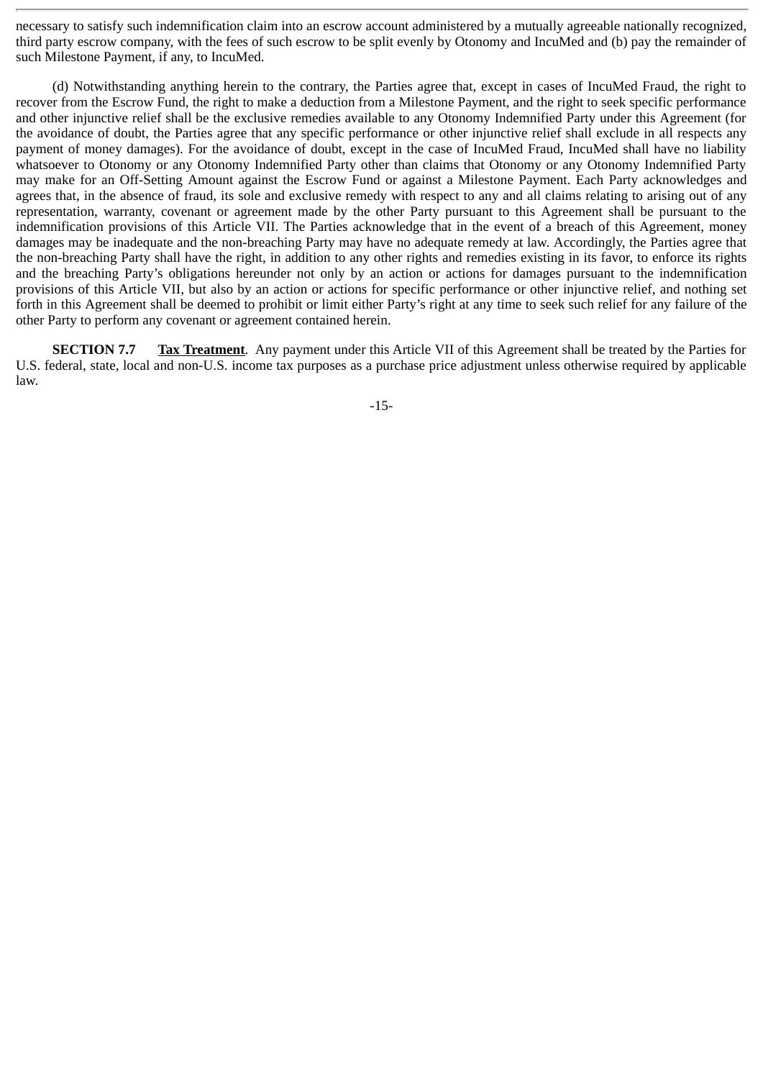necessary to satisfy such indemnification claim into an escrow account administered by a mutually agreeable nationally recognized, third party escrow company, with the fees of such escrow to be split evenly by Otonomy and IncuMed and (b) pay the remainder of such Milestone Payment, if any, to IncuMed.

(d) Notwithstanding anything herein to the contrary, the Parties agree that, except in cases of IncuMed Fraud, the right to recover from the Escrow Fund, the right to make a deduction from a Milestone Payment, and the right to seek specific performance and other injunctive relief shall be the exclusive remedies available to any Otonomy Indemnified Party under this Agreement (for the avoidance of doubt, the Parties agree that any specific performance or other injunctive relief shall exclude in all respects any payment of money damages). For the avoidance of doubt, except in the case of IncuMed Fraud, IncuMed shall have no liability whatsoever to Otonomy or any Otonomy Indemnified Party other than claims that Otonomy or any Otonomy Indemnified Party may make for an Off-Setting Amount against the Escrow Fund or against a Milestone Payment. Each Party acknowledges and agrees that, in the absence of fraud, its sole and exclusive remedy with respect to any and all claims relating to arising out of any representation, warranty, covenant or agreement made by the other Party pursuant to this Agreement shall be pursuant to the indemnification provisions of this Article VII. The Parties acknowledge that in the event of a breach of this Agreement, money damages may be inadequate and the non-breaching Party may have no adequate remedy at law. Accordingly, the Parties agree that the non-breaching Party shall have the right, in addition to any other rights and remedies existing in its favor, to enforce its rights and the breaching Party's obligations hereunder not only by an action or actions for damages pursuant to the indemnification provisions of this Article VII, but also by an action or actions for specific performance or other injunctive relief, and nothing set forth in this Agreement shall be deemed to prohibit or limit either Party's right at any time to seek such relief for any failure of the other Party to perform any covenant or agreement contained herein.

**SECTION 7.7** Tax Treatment. Any payment under this Article VII of this Agreement shall be treated by the Parties for U.S. federal, state, local and non-U.S. income tax purposes as a purchase price adjustment unless otherwise required by applicable law.

-15-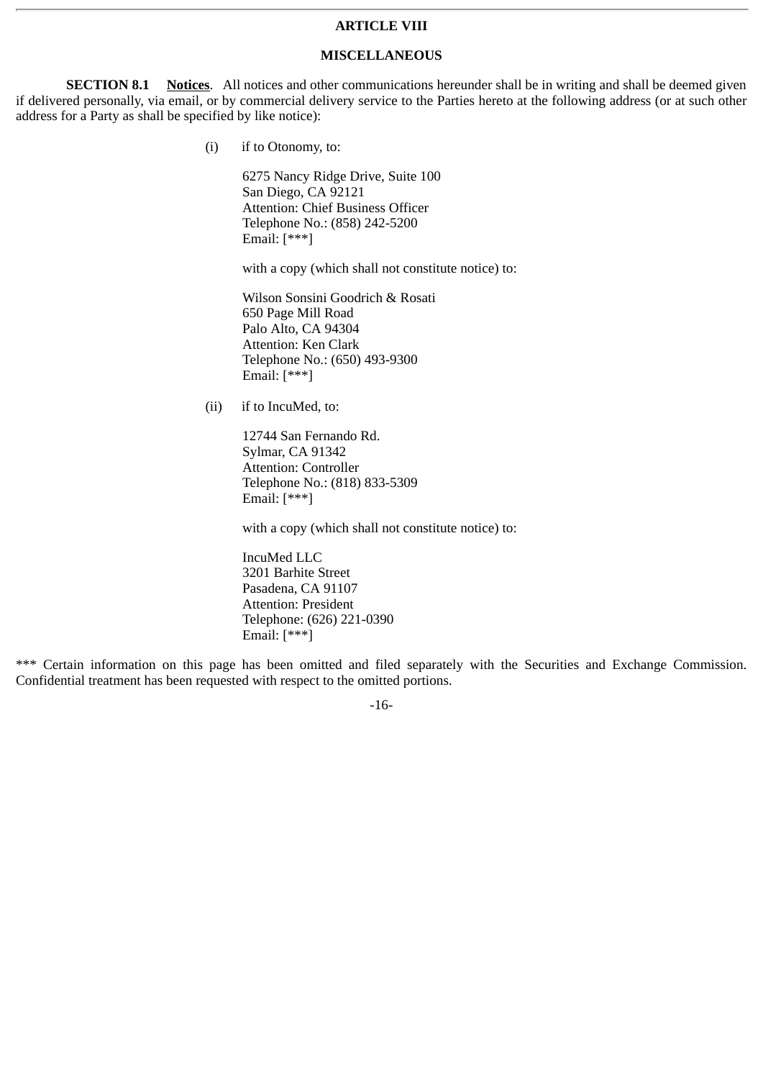#### **ARTICLE VIII**

## **MISCELLANEOUS**

**SECTION 8.1** Notices. All notices and other communications hereunder shall be in writing and shall be deemed given if delivered personally, via email, or by commercial delivery service to the Parties hereto at the following address (or at such other address for a Party as shall be specified by like notice):

(i) if to Otonomy, to:

6275 Nancy Ridge Drive, Suite 100 San Diego, CA 92121 Attention: Chief Business Officer Telephone No.: (858) 242-5200 Email: [\*\*\*]

with a copy (which shall not constitute notice) to:

Wilson Sonsini Goodrich & Rosati 650 Page Mill Road Palo Alto, CA 94304 Attention: Ken Clark Telephone No.: (650) 493-9300 Email: [\*\*\*]

(ii) if to IncuMed, to:

12744 San Fernando Rd. Sylmar, CA 91342 Attention: Controller Telephone No.: (818) 833-5309 Email:  $[***]$ 

with a copy (which shall not constitute notice) to:

IncuMed LLC 3201 Barhite Street Pasadena, CA 91107 Attention: President Telephone: (626) 221-0390 Email: [\*\*\*]

\*\*\* Certain information on this page has been omitted and filed separately with the Securities and Exchange Commission. Confidential treatment has been requested with respect to the omitted portions.

-16-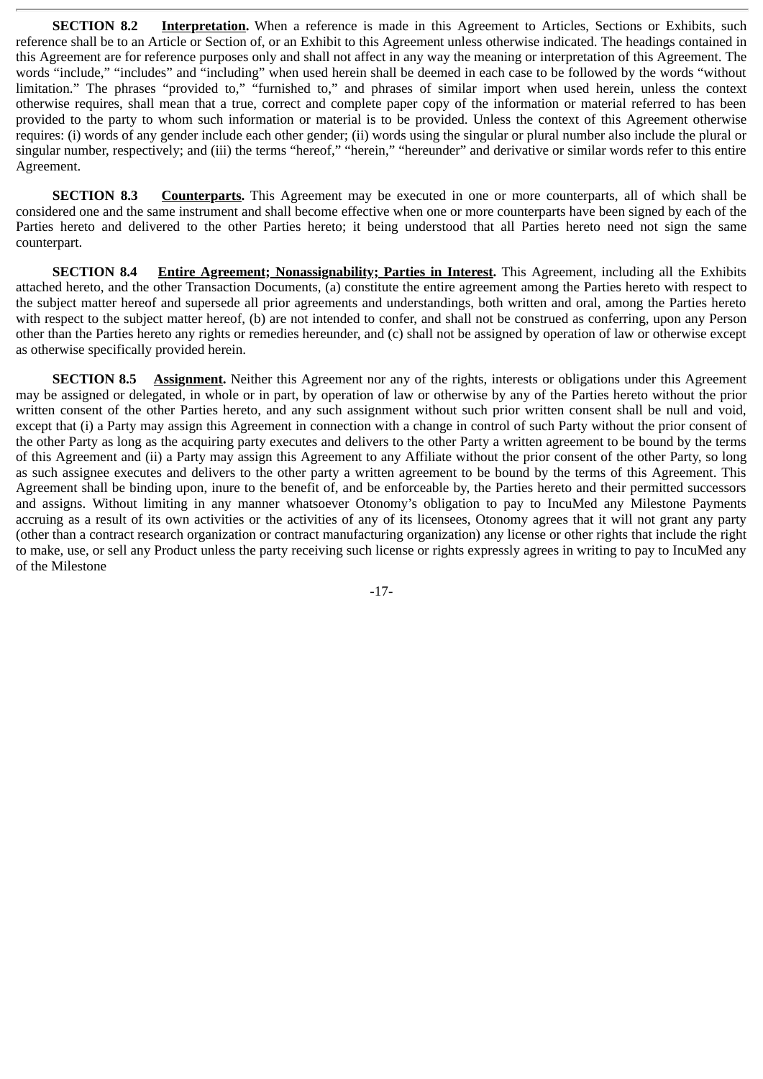**SECTION 8.2** Interpretation. When a reference is made in this Agreement to Articles, Sections or Exhibits, such reference shall be to an Article or Section of, or an Exhibit to this Agreement unless otherwise indicated. The headings contained in this Agreement are for reference purposes only and shall not affect in any way the meaning or interpretation of this Agreement. The words "include," "includes" and "including" when used herein shall be deemed in each case to be followed by the words "without limitation." The phrases "provided to," "furnished to," and phrases of similar import when used herein, unless the context otherwise requires, shall mean that a true, correct and complete paper copy of the information or material referred to has been provided to the party to whom such information or material is to be provided. Unless the context of this Agreement otherwise requires: (i) words of any gender include each other gender; (ii) words using the singular or plural number also include the plural or singular number, respectively; and (iii) the terms "hereof," "herein," "hereunder" and derivative or similar words refer to this entire Agreement.

**SECTION 8.3 Counterparts.** This Agreement may be executed in one or more counterparts, all of which shall be considered one and the same instrument and shall become effective when one or more counterparts have been signed by each of the Parties hereto and delivered to the other Parties hereto; it being understood that all Parties hereto need not sign the same counterpart.

**SECTION 8.4** Entire Agreement; Nonassignability; Parties in Interest. This Agreement, including all the Exhibits attached hereto, and the other Transaction Documents, (a) constitute the entire agreement among the Parties hereto with respect to the subject matter hereof and supersede all prior agreements and understandings, both written and oral, among the Parties hereto with respect to the subject matter hereof, (b) are not intended to confer, and shall not be construed as conferring, upon any Person other than the Parties hereto any rights or remedies hereunder, and (c) shall not be assigned by operation of law or otherwise except as otherwise specifically provided herein.

**SECTION 8.5 Assignment.** Neither this Agreement nor any of the rights, interests or obligations under this Agreement may be assigned or delegated, in whole or in part, by operation of law or otherwise by any of the Parties hereto without the prior written consent of the other Parties hereto, and any such assignment without such prior written consent shall be null and void, except that (i) a Party may assign this Agreement in connection with a change in control of such Party without the prior consent of the other Party as long as the acquiring party executes and delivers to the other Party a written agreement to be bound by the terms of this Agreement and (ii) a Party may assign this Agreement to any Affiliate without the prior consent of the other Party, so long as such assignee executes and delivers to the other party a written agreement to be bound by the terms of this Agreement. This Agreement shall be binding upon, inure to the benefit of, and be enforceable by, the Parties hereto and their permitted successors and assigns. Without limiting in any manner whatsoever Otonomy's obligation to pay to IncuMed any Milestone Payments accruing as a result of its own activities or the activities of any of its licensees, Otonomy agrees that it will not grant any party (other than a contract research organization or contract manufacturing organization) any license or other rights that include the right to make, use, or sell any Product unless the party receiving such license or rights expressly agrees in writing to pay to IncuMed any of the Milestone

-17-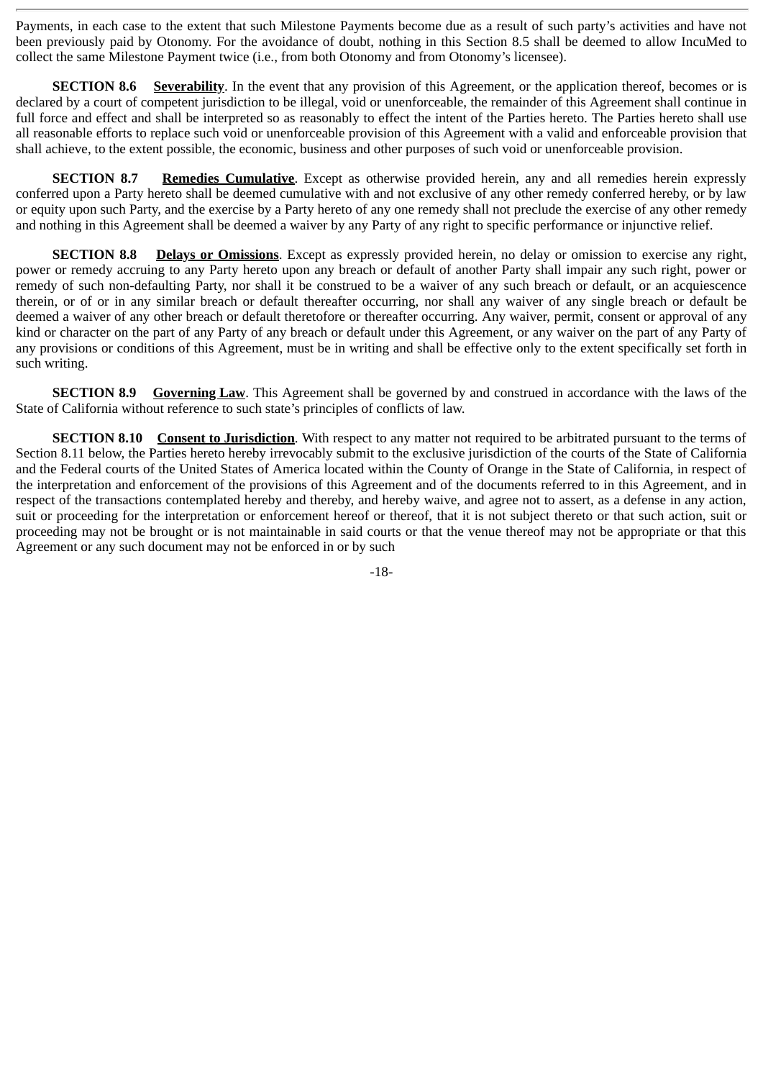Payments, in each case to the extent that such Milestone Payments become due as a result of such party's activities and have not been previously paid by Otonomy. For the avoidance of doubt, nothing in this Section 8.5 shall be deemed to allow IncuMed to collect the same Milestone Payment twice (i.e., from both Otonomy and from Otonomy's licensee).

**SECTION 8.6** Severability. In the event that any provision of this Agreement, or the application thereof, becomes or is declared by a court of competent jurisdiction to be illegal, void or unenforceable, the remainder of this Agreement shall continue in full force and effect and shall be interpreted so as reasonably to effect the intent of the Parties hereto. The Parties hereto shall use all reasonable efforts to replace such void or unenforceable provision of this Agreement with a valid and enforceable provision that shall achieve, to the extent possible, the economic, business and other purposes of such void or unenforceable provision.

**SECTION 8.7 Remedies Cumulative**. Except as otherwise provided herein, any and all remedies herein expressly conferred upon a Party hereto shall be deemed cumulative with and not exclusive of any other remedy conferred hereby, or by law or equity upon such Party, and the exercise by a Party hereto of any one remedy shall not preclude the exercise of any other remedy and nothing in this Agreement shall be deemed a waiver by any Party of any right to specific performance or injunctive relief.

**SECTION 8.8 Delays or Omissions**. Except as expressly provided herein, no delay or omission to exercise any right, power or remedy accruing to any Party hereto upon any breach or default of another Party shall impair any such right, power or remedy of such non-defaulting Party, nor shall it be construed to be a waiver of any such breach or default, or an acquiescence therein, or of or in any similar breach or default thereafter occurring, nor shall any waiver of any single breach or default be deemed a waiver of any other breach or default theretofore or thereafter occurring. Any waiver, permit, consent or approval of any kind or character on the part of any Party of any breach or default under this Agreement, or any waiver on the part of any Party of any provisions or conditions of this Agreement, must be in writing and shall be effective only to the extent specifically set forth in such writing.

**SECTION 8.9** Governing Law. This Agreement shall be governed by and construed in accordance with the laws of the State of California without reference to such state's principles of conflicts of law.

**SECTION 8.10 Consent to Jurisdiction**. With respect to any matter not required to be arbitrated pursuant to the terms of Section 8.11 below, the Parties hereto hereby irrevocably submit to the exclusive jurisdiction of the courts of the State of California and the Federal courts of the United States of America located within the County of Orange in the State of California, in respect of the interpretation and enforcement of the provisions of this Agreement and of the documents referred to in this Agreement, and in respect of the transactions contemplated hereby and thereby, and hereby waive, and agree not to assert, as a defense in any action, suit or proceeding for the interpretation or enforcement hereof or thereof, that it is not subject thereto or that such action, suit or proceeding may not be brought or is not maintainable in said courts or that the venue thereof may not be appropriate or that this Agreement or any such document may not be enforced in or by such

-18-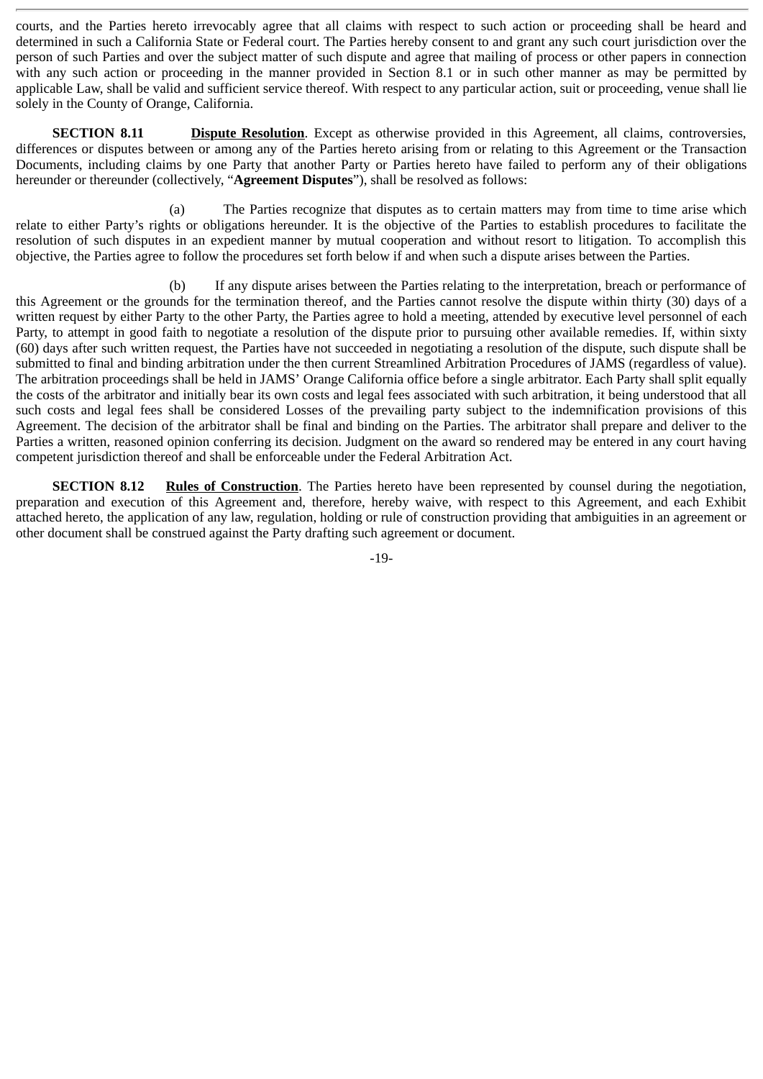courts, and the Parties hereto irrevocably agree that all claims with respect to such action or proceeding shall be heard and determined in such a California State or Federal court. The Parties hereby consent to and grant any such court jurisdiction over the person of such Parties and over the subject matter of such dispute and agree that mailing of process or other papers in connection with any such action or proceeding in the manner provided in Section 8.1 or in such other manner as may be permitted by applicable Law, shall be valid and sufficient service thereof. With respect to any particular action, suit or proceeding, venue shall lie solely in the County of Orange, California.

**SECTION 8.11 Dispute Resolution**. Except as otherwise provided in this Agreement, all claims, controversies, differences or disputes between or among any of the Parties hereto arising from or relating to this Agreement or the Transaction Documents, including claims by one Party that another Party or Parties hereto have failed to perform any of their obligations hereunder or thereunder (collectively, "**Agreement Disputes**"), shall be resolved as follows:

(a) The Parties recognize that disputes as to certain matters may from time to time arise which relate to either Party's rights or obligations hereunder. It is the objective of the Parties to establish procedures to facilitate the resolution of such disputes in an expedient manner by mutual cooperation and without resort to litigation. To accomplish this objective, the Parties agree to follow the procedures set forth below if and when such a dispute arises between the Parties.

(b) If any dispute arises between the Parties relating to the interpretation, breach or performance of this Agreement or the grounds for the termination thereof, and the Parties cannot resolve the dispute within thirty (30) days of a written request by either Party to the other Party, the Parties agree to hold a meeting, attended by executive level personnel of each Party, to attempt in good faith to negotiate a resolution of the dispute prior to pursuing other available remedies. If, within sixty (60) days after such written request, the Parties have not succeeded in negotiating a resolution of the dispute, such dispute shall be submitted to final and binding arbitration under the then current Streamlined Arbitration Procedures of JAMS (regardless of value). The arbitration proceedings shall be held in JAMS' Orange California office before a single arbitrator. Each Party shall split equally the costs of the arbitrator and initially bear its own costs and legal fees associated with such arbitration, it being understood that all such costs and legal fees shall be considered Losses of the prevailing party subject to the indemnification provisions of this Agreement. The decision of the arbitrator shall be final and binding on the Parties. The arbitrator shall prepare and deliver to the Parties a written, reasoned opinion conferring its decision. Judgment on the award so rendered may be entered in any court having competent jurisdiction thereof and shall be enforceable under the Federal Arbitration Act.

**SECTION 8.12** Rules of Construction. The Parties hereto have been represented by counsel during the negotiation, preparation and execution of this Agreement and, therefore, hereby waive, with respect to this Agreement, and each Exhibit attached hereto, the application of any law, regulation, holding or rule of construction providing that ambiguities in an agreement or other document shall be construed against the Party drafting such agreement or document.

-19-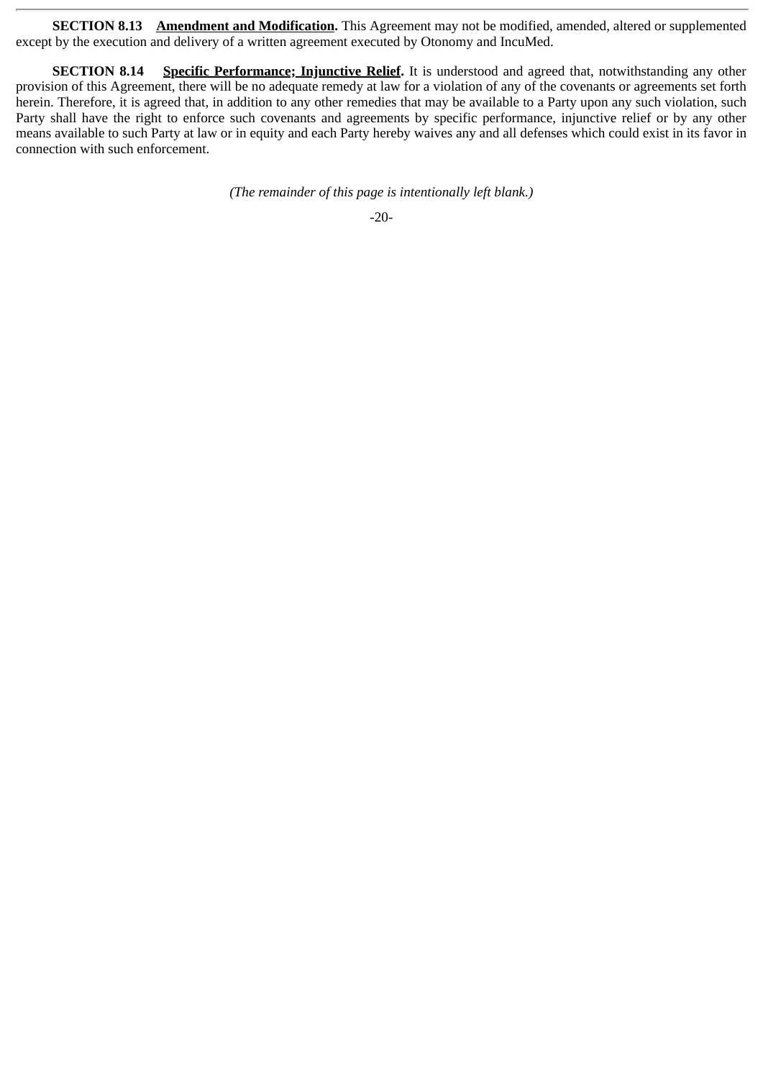**SECTION 8.13** Amendment and Modification. This Agreement may not be modified, amended, altered or supplemented except by the execution and delivery of a written agreement executed by Otonomy and IncuMed.

**SECTION 8.14** Specific Performance; Injunctive Relief. It is understood and agreed that, notwithstanding any other provision of this Agreement, there will be no adequate remedy at law for a violation of any of the covenants or agreements set forth herein. Therefore, it is agreed that, in addition to any other remedies that may be available to a Party upon any such violation, such Party shall have the right to enforce such covenants and agreements by specific performance, injunctive relief or by any other means available to such Party at law or in equity and each Party hereby waives any and all defenses which could exist in its favor in connection with such enforcement.

*(The remainder of this page is intentionally left blank.)*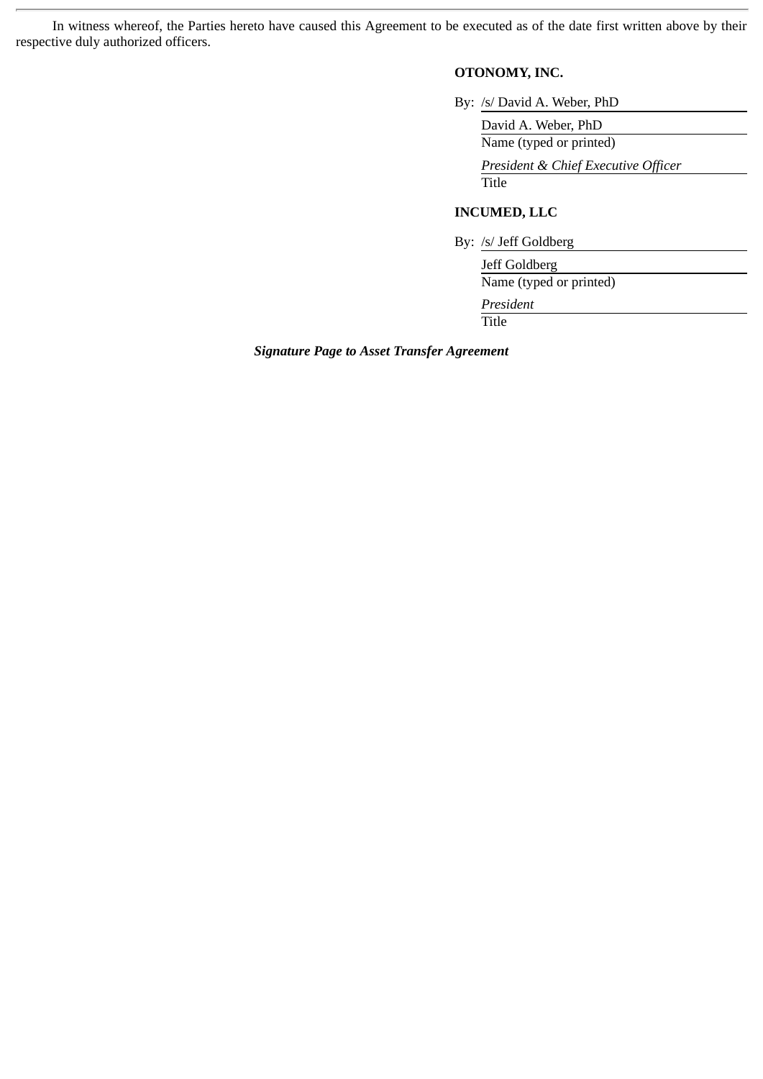In witness whereof, the Parties hereto have caused this Agreement to be executed as of the date first written above by their respective duly authorized officers.

# **OTONOMY, INC.**

By: /s/ David A. Weber, PhD

David A. Weber, PhD Name (typed or printed)

*President & Chief Executive Officer* Title

# **INCUMED, LLC**

By: /s/ Jeff Goldberg

Jeff Goldberg Name (typed or printed)

*President*

Title

*Signature Page to Asset Transfer Agreement*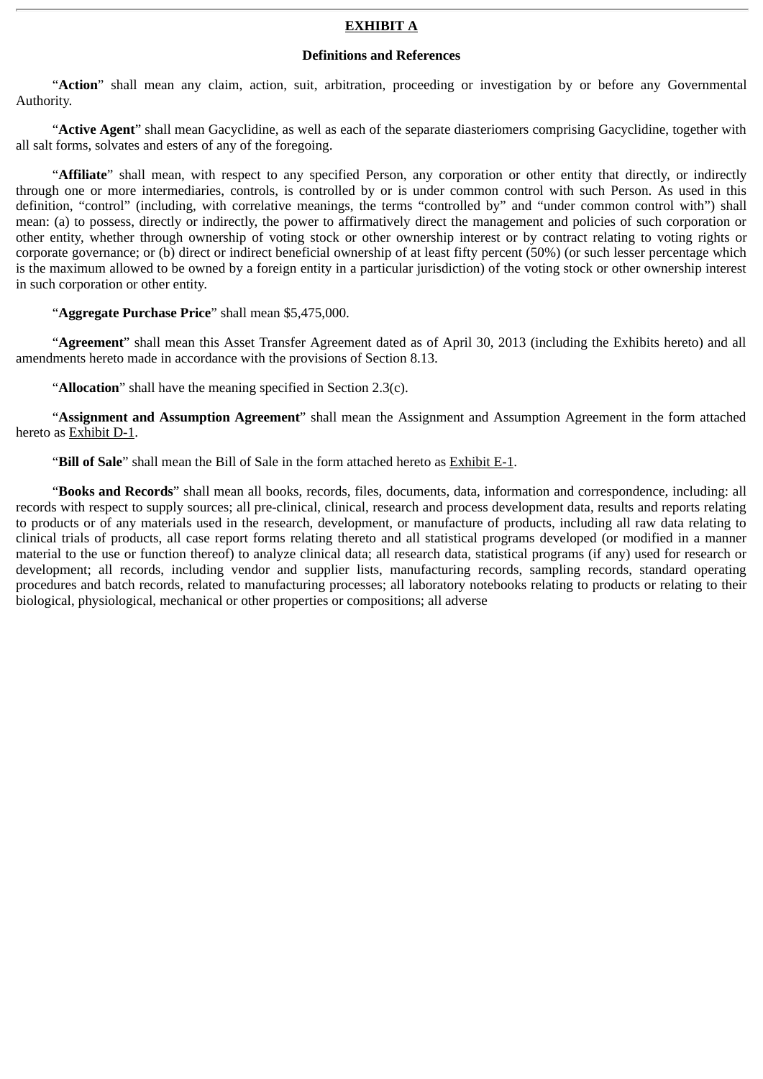## **EXHIBIT A**

## **Definitions and References**

"**Action**" shall mean any claim, action, suit, arbitration, proceeding or investigation by or before any Governmental Authority.

"**Active Agent**" shall mean Gacyclidine, as well as each of the separate diasteriomers comprising Gacyclidine, together with all salt forms, solvates and esters of any of the foregoing.

"**Affiliate**" shall mean, with respect to any specified Person, any corporation or other entity that directly, or indirectly through one or more intermediaries, controls, is controlled by or is under common control with such Person. As used in this definition, "control" (including, with correlative meanings, the terms "controlled by" and "under common control with") shall mean: (a) to possess, directly or indirectly, the power to affirmatively direct the management and policies of such corporation or other entity, whether through ownership of voting stock or other ownership interest or by contract relating to voting rights or corporate governance; or (b) direct or indirect beneficial ownership of at least fifty percent (50%) (or such lesser percentage which is the maximum allowed to be owned by a foreign entity in a particular jurisdiction) of the voting stock or other ownership interest in such corporation or other entity.

"**Aggregate Purchase Price**" shall mean \$5,475,000.

"**Agreement**" shall mean this Asset Transfer Agreement dated as of April 30, 2013 (including the Exhibits hereto) and all amendments hereto made in accordance with the provisions of Section 8.13.

"**Allocation**" shall have the meaning specified in Section 2.3(c).

"**Assignment and Assumption Agreement**" shall mean the Assignment and Assumption Agreement in the form attached hereto as Exhibit D-1.

"**Bill of Sale**" shall mean the Bill of Sale in the form attached hereto as Exhibit E-1.

"**Books and Records**" shall mean all books, records, files, documents, data, information and correspondence, including: all records with respect to supply sources; all pre-clinical, clinical, research and process development data, results and reports relating to products or of any materials used in the research, development, or manufacture of products, including all raw data relating to clinical trials of products, all case report forms relating thereto and all statistical programs developed (or modified in a manner material to the use or function thereof) to analyze clinical data; all research data, statistical programs (if any) used for research or development; all records, including vendor and supplier lists, manufacturing records, sampling records, standard operating procedures and batch records, related to manufacturing processes; all laboratory notebooks relating to products or relating to their biological, physiological, mechanical or other properties or compositions; all adverse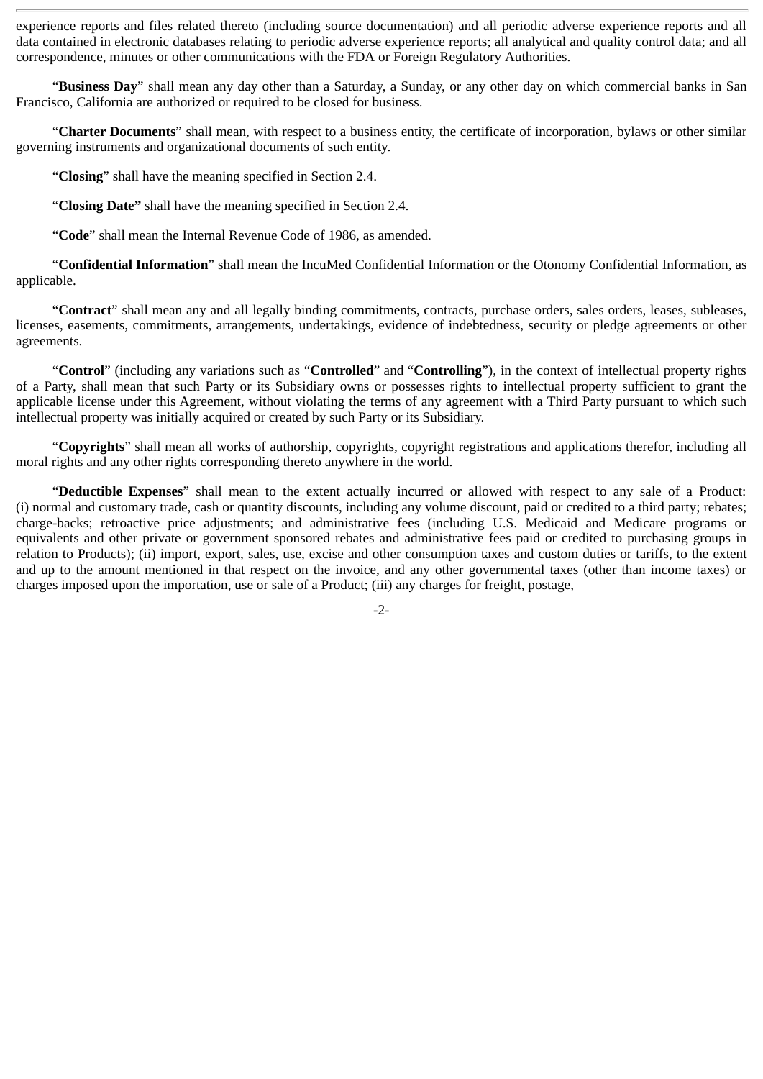experience reports and files related thereto (including source documentation) and all periodic adverse experience reports and all data contained in electronic databases relating to periodic adverse experience reports; all analytical and quality control data; and all correspondence, minutes or other communications with the FDA or Foreign Regulatory Authorities.

"**Business Day**" shall mean any day other than a Saturday, a Sunday, or any other day on which commercial banks in San Francisco, California are authorized or required to be closed for business.

"**Charter Documents**" shall mean, with respect to a business entity, the certificate of incorporation, bylaws or other similar governing instruments and organizational documents of such entity.

"**Closing**" shall have the meaning specified in Section 2.4.

"**Closing Date"** shall have the meaning specified in Section 2.4.

"**Code**" shall mean the Internal Revenue Code of 1986, as amended.

"**Confidential Information**" shall mean the IncuMed Confidential Information or the Otonomy Confidential Information, as applicable.

"**Contract**" shall mean any and all legally binding commitments, contracts, purchase orders, sales orders, leases, subleases, licenses, easements, commitments, arrangements, undertakings, evidence of indebtedness, security or pledge agreements or other agreements.

"**Control**" (including any variations such as "**Controlled**" and "**Controlling**"), in the context of intellectual property rights of a Party, shall mean that such Party or its Subsidiary owns or possesses rights to intellectual property sufficient to grant the applicable license under this Agreement, without violating the terms of any agreement with a Third Party pursuant to which such intellectual property was initially acquired or created by such Party or its Subsidiary.

"Copyrights" shall mean all works of authorship, copyrights, copyright registrations and applications therefor, including all moral rights and any other rights corresponding thereto anywhere in the world.

"**Deductible Expenses**" shall mean to the extent actually incurred or allowed with respect to any sale of a Product: (i) normal and customary trade, cash or quantity discounts, including any volume discount, paid or credited to a third party; rebates; charge-backs; retroactive price adjustments; and administrative fees (including U.S. Medicaid and Medicare programs or equivalents and other private or government sponsored rebates and administrative fees paid or credited to purchasing groups in relation to Products); (ii) import, export, sales, use, excise and other consumption taxes and custom duties or tariffs, to the extent and up to the amount mentioned in that respect on the invoice, and any other governmental taxes (other than income taxes) or charges imposed upon the importation, use or sale of a Product; (iii) any charges for freight, postage,

-2-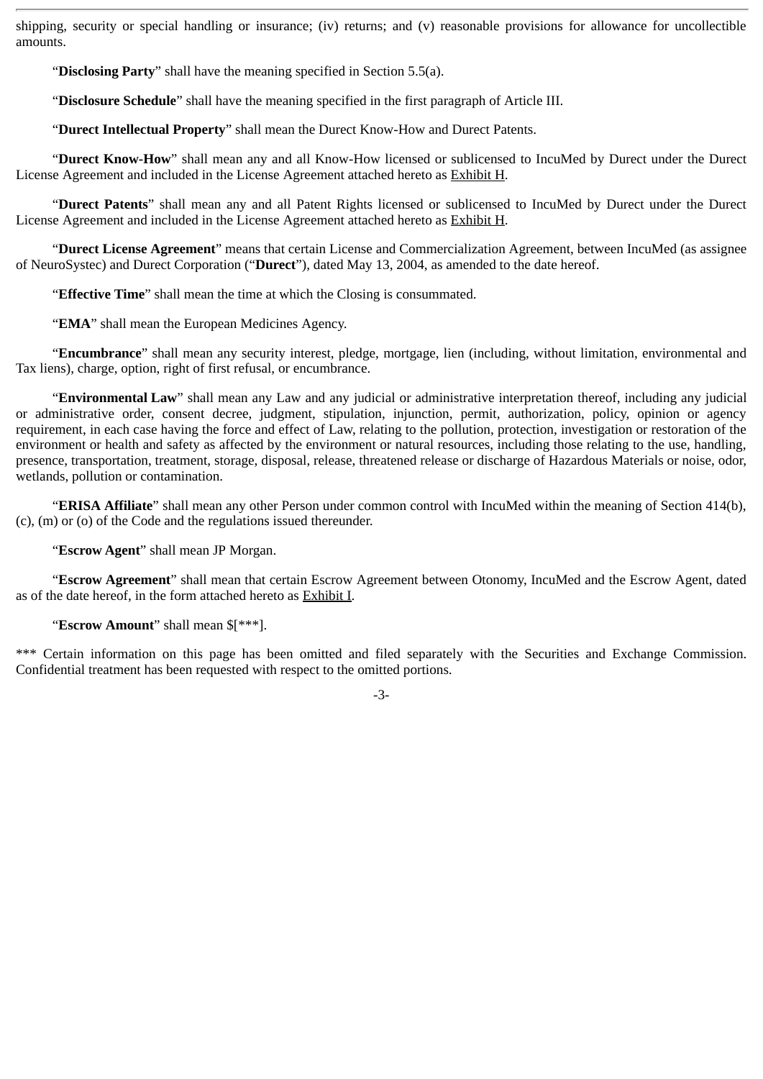shipping, security or special handling or insurance; (iv) returns; and (v) reasonable provisions for allowance for uncollectible amounts.

"**Disclosing Party**" shall have the meaning specified in Section 5.5(a).

"**Disclosure Schedule**" shall have the meaning specified in the first paragraph of Article III.

"**Durect Intellectual Property**" shall mean the Durect Know-How and Durect Patents.

"**Durect Know-How**" shall mean any and all Know-How licensed or sublicensed to IncuMed by Durect under the Durect License Agreement and included in the License Agreement attached hereto as Exhibit H.

"**Durect Patents**" shall mean any and all Patent Rights licensed or sublicensed to IncuMed by Durect under the Durect License Agreement and included in the License Agreement attached hereto as Exhibit H.

"**Durect License Agreement**" means that certain License and Commercialization Agreement, between IncuMed (as assignee of NeuroSystec) and Durect Corporation ("**Durect**"), dated May 13, 2004, as amended to the date hereof.

"**Effective Time**" shall mean the time at which the Closing is consummated.

"**EMA**" shall mean the European Medicines Agency.

"**Encumbrance**" shall mean any security interest, pledge, mortgage, lien (including, without limitation, environmental and Tax liens), charge, option, right of first refusal, or encumbrance.

"**Environmental Law**" shall mean any Law and any judicial or administrative interpretation thereof, including any judicial or administrative order, consent decree, judgment, stipulation, injunction, permit, authorization, policy, opinion or agency requirement, in each case having the force and effect of Law, relating to the pollution, protection, investigation or restoration of the environment or health and safety as affected by the environment or natural resources, including those relating to the use, handling, presence, transportation, treatment, storage, disposal, release, threatened release or discharge of Hazardous Materials or noise, odor, wetlands, pollution or contamination.

"**ERISA Affiliate**" shall mean any other Person under common control with IncuMed within the meaning of Section 414(b), (c), (m) or (o) of the Code and the regulations issued thereunder.

"**Escrow Agent**" shall mean JP Morgan.

"**Escrow Agreement**" shall mean that certain Escrow Agreement between Otonomy, IncuMed and the Escrow Agent, dated as of the date hereof, in the form attached hereto as Exhibit I.

"**Escrow Amount**" shall mean \$[\*\*\*].

\*\*\* Certain information on this page has been omitted and filed separately with the Securities and Exchange Commission. Confidential treatment has been requested with respect to the omitted portions.

-3-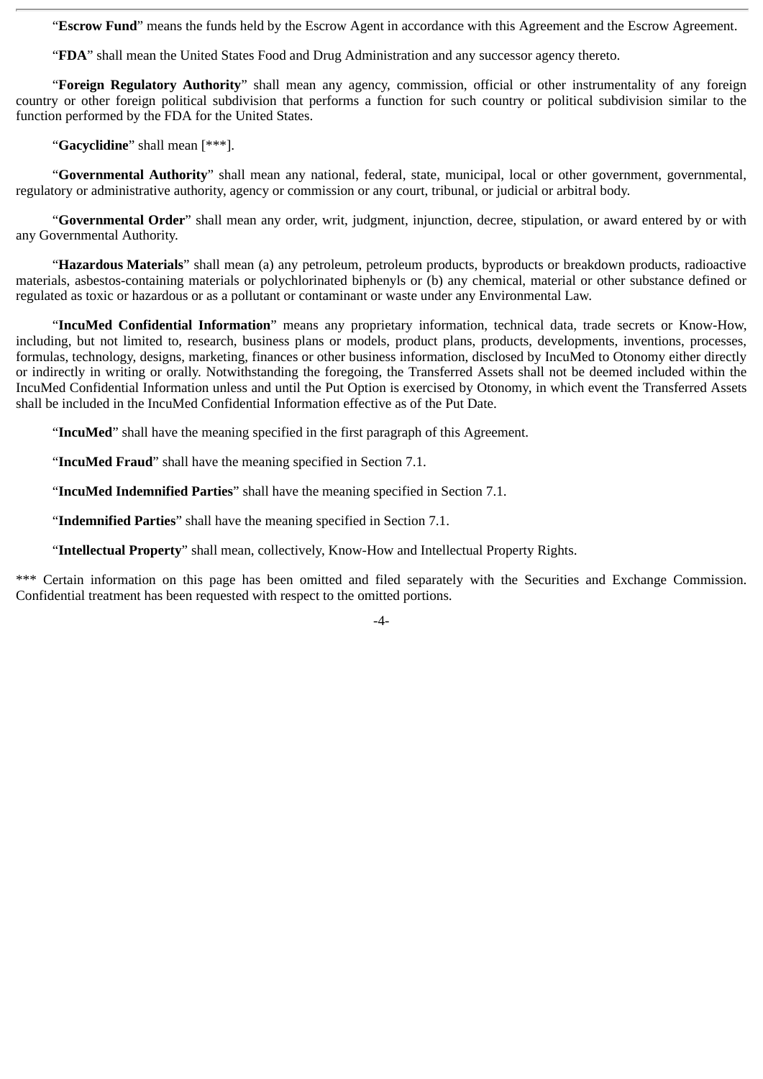"**Escrow Fund**" means the funds held by the Escrow Agent in accordance with this Agreement and the Escrow Agreement.

"**FDA**" shall mean the United States Food and Drug Administration and any successor agency thereto.

"**Foreign Regulatory Authority**" shall mean any agency, commission, official or other instrumentality of any foreign country or other foreign political subdivision that performs a function for such country or political subdivision similar to the function performed by the FDA for the United States.

"**Gacyclidine**" shall mean [\*\*\*].

"**Governmental Authority**" shall mean any national, federal, state, municipal, local or other government, governmental, regulatory or administrative authority, agency or commission or any court, tribunal, or judicial or arbitral body.

"**Governmental Order**" shall mean any order, writ, judgment, injunction, decree, stipulation, or award entered by or with any Governmental Authority.

"**Hazardous Materials**" shall mean (a) any petroleum, petroleum products, byproducts or breakdown products, radioactive materials, asbestos-containing materials or polychlorinated biphenyls or (b) any chemical, material or other substance defined or regulated as toxic or hazardous or as a pollutant or contaminant or waste under any Environmental Law.

"**IncuMed Confidential Information**" means any proprietary information, technical data, trade secrets or Know-How, including, but not limited to, research, business plans or models, product plans, products, developments, inventions, processes, formulas, technology, designs, marketing, finances or other business information, disclosed by IncuMed to Otonomy either directly or indirectly in writing or orally. Notwithstanding the foregoing, the Transferred Assets shall not be deemed included within the IncuMed Confidential Information unless and until the Put Option is exercised by Otonomy, in which event the Transferred Assets shall be included in the IncuMed Confidential Information effective as of the Put Date.

"**IncuMed**" shall have the meaning specified in the first paragraph of this Agreement.

"**IncuMed Fraud**" shall have the meaning specified in Section 7.1.

"**IncuMed Indemnified Parties**" shall have the meaning specified in Section 7.1.

"**Indemnified Parties**" shall have the meaning specified in Section 7.1.

"**Intellectual Property**" shall mean, collectively, Know-How and Intellectual Property Rights.

\*\*\* Certain information on this page has been omitted and filed separately with the Securities and Exchange Commission. Confidential treatment has been requested with respect to the omitted portions.

-4-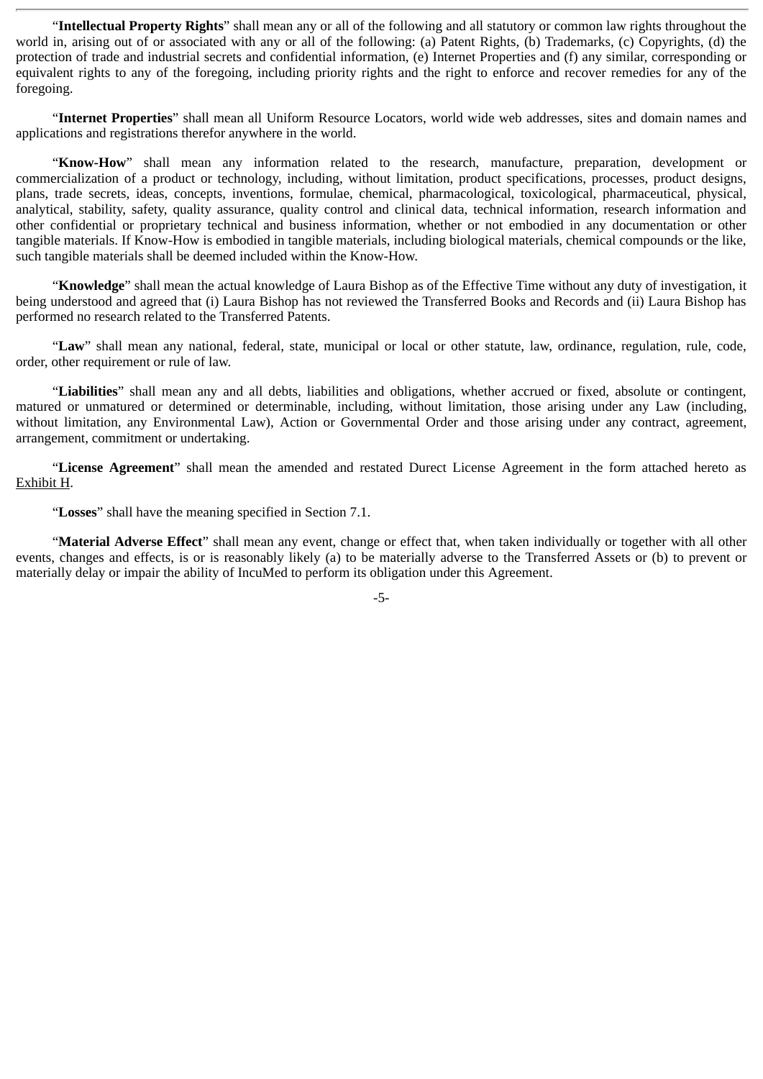"**Intellectual Property Rights**" shall mean any or all of the following and all statutory or common law rights throughout the world in, arising out of or associated with any or all of the following: (a) Patent Rights, (b) Trademarks, (c) Copyrights, (d) the protection of trade and industrial secrets and confidential information, (e) Internet Properties and (f) any similar, corresponding or equivalent rights to any of the foregoing, including priority rights and the right to enforce and recover remedies for any of the foregoing.

"**Internet Properties**" shall mean all Uniform Resource Locators, world wide web addresses, sites and domain names and applications and registrations therefor anywhere in the world.

"**Know-How**" shall mean any information related to the research, manufacture, preparation, development or commercialization of a product or technology, including, without limitation, product specifications, processes, product designs, plans, trade secrets, ideas, concepts, inventions, formulae, chemical, pharmacological, toxicological, pharmaceutical, physical, analytical, stability, safety, quality assurance, quality control and clinical data, technical information, research information and other confidential or proprietary technical and business information, whether or not embodied in any documentation or other tangible materials. If Know-How is embodied in tangible materials, including biological materials, chemical compounds or the like, such tangible materials shall be deemed included within the Know-How.

"**Knowledge**" shall mean the actual knowledge of Laura Bishop as of the Effective Time without any duty of investigation, it being understood and agreed that (i) Laura Bishop has not reviewed the Transferred Books and Records and (ii) Laura Bishop has performed no research related to the Transferred Patents.

"**Law**" shall mean any national, federal, state, municipal or local or other statute, law, ordinance, regulation, rule, code, order, other requirement or rule of law.

"**Liabilities**" shall mean any and all debts, liabilities and obligations, whether accrued or fixed, absolute or contingent, matured or unmatured or determined or determinable, including, without limitation, those arising under any Law (including, without limitation, any Environmental Law), Action or Governmental Order and those arising under any contract, agreement, arrangement, commitment or undertaking.

"**License Agreement**" shall mean the amended and restated Durect License Agreement in the form attached hereto as Exhibit H.

"**Losses**" shall have the meaning specified in Section 7.1.

"**Material Adverse Effect**" shall mean any event, change or effect that, when taken individually or together with all other events, changes and effects, is or is reasonably likely (a) to be materially adverse to the Transferred Assets or (b) to prevent or materially delay or impair the ability of IncuMed to perform its obligation under this Agreement.

-5-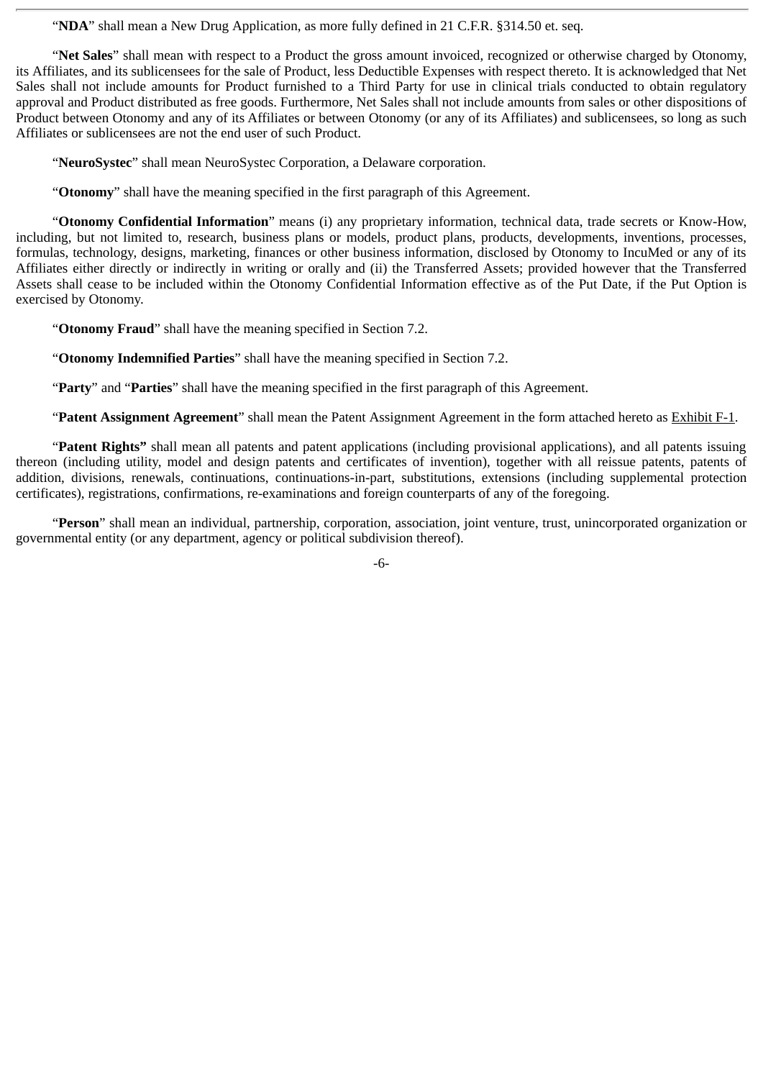"**NDA**" shall mean a New Drug Application, as more fully defined in 21 C.F.R. §314.50 et. seq.

"**Net Sales**" shall mean with respect to a Product the gross amount invoiced, recognized or otherwise charged by Otonomy, its Affiliates, and its sublicensees for the sale of Product, less Deductible Expenses with respect thereto. It is acknowledged that Net Sales shall not include amounts for Product furnished to a Third Party for use in clinical trials conducted to obtain regulatory approval and Product distributed as free goods. Furthermore, Net Sales shall not include amounts from sales or other dispositions of Product between Otonomy and any of its Affiliates or between Otonomy (or any of its Affiliates) and sublicensees, so long as such Affiliates or sublicensees are not the end user of such Product.

"**NeuroSystec**" shall mean NeuroSystec Corporation, a Delaware corporation.

"**Otonomy**" shall have the meaning specified in the first paragraph of this Agreement.

"**Otonomy Confidential Information**" means (i) any proprietary information, technical data, trade secrets or Know-How, including, but not limited to, research, business plans or models, product plans, products, developments, inventions, processes, formulas, technology, designs, marketing, finances or other business information, disclosed by Otonomy to IncuMed or any of its Affiliates either directly or indirectly in writing or orally and (ii) the Transferred Assets; provided however that the Transferred Assets shall cease to be included within the Otonomy Confidential Information effective as of the Put Date, if the Put Option is exercised by Otonomy.

"**Otonomy Fraud**" shall have the meaning specified in Section 7.2.

"**Otonomy Indemnified Parties**" shall have the meaning specified in Section 7.2.

"**Party**" and "**Parties**" shall have the meaning specified in the first paragraph of this Agreement.

"**Patent Assignment Agreement**" shall mean the Patent Assignment Agreement in the form attached hereto as Exhibit F-1.

"**Patent Rights"** shall mean all patents and patent applications (including provisional applications), and all patents issuing thereon (including utility, model and design patents and certificates of invention), together with all reissue patents, patents of addition, divisions, renewals, continuations, continuations-in-part, substitutions, extensions (including supplemental protection certificates), registrations, confirmations, re-examinations and foreign counterparts of any of the foregoing.

"**Person**" shall mean an individual, partnership, corporation, association, joint venture, trust, unincorporated organization or governmental entity (or any department, agency or political subdivision thereof).

-6-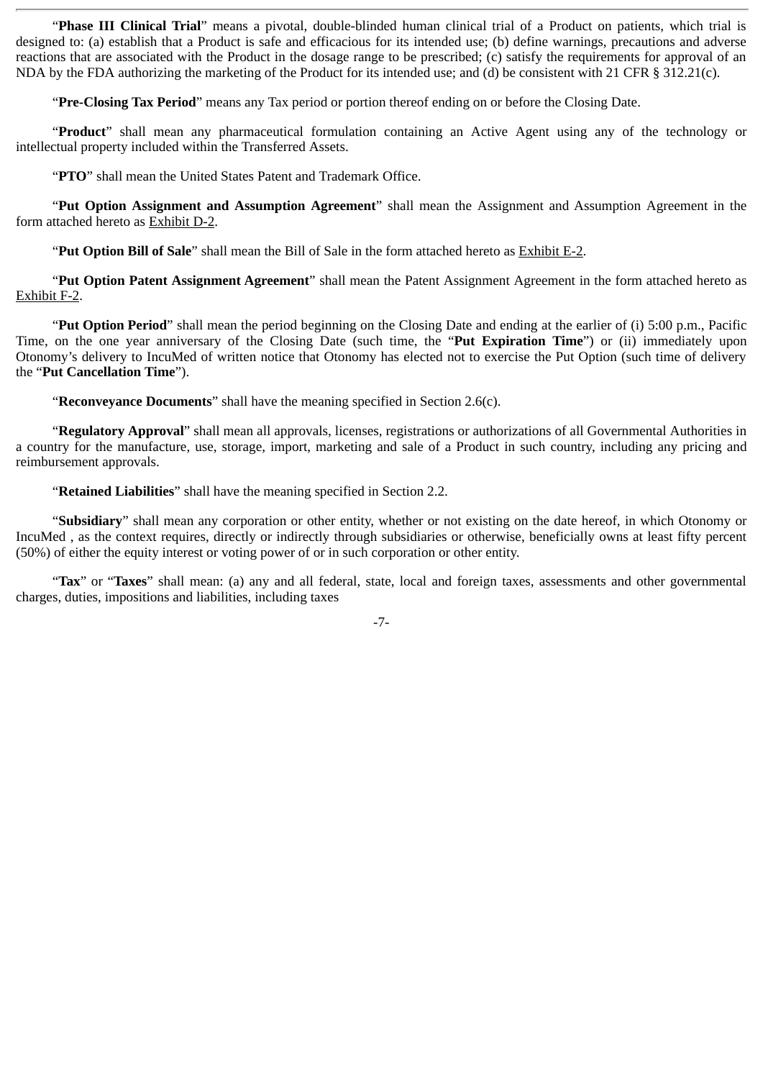"**Phase III Clinical Trial**" means a pivotal, double-blinded human clinical trial of a Product on patients, which trial is designed to: (a) establish that a Product is safe and efficacious for its intended use; (b) define warnings, precautions and adverse reactions that are associated with the Product in the dosage range to be prescribed; (c) satisfy the requirements for approval of an NDA by the FDA authorizing the marketing of the Product for its intended use; and (d) be consistent with 21 CFR § 312.21(c).

"**Pre-Closing Tax Period**" means any Tax period or portion thereof ending on or before the Closing Date.

"**Product**" shall mean any pharmaceutical formulation containing an Active Agent using any of the technology or intellectual property included within the Transferred Assets.

"**PTO**" shall mean the United States Patent and Trademark Office.

"**Put Option Assignment and Assumption Agreement**" shall mean the Assignment and Assumption Agreement in the form attached hereto as Exhibit D-2.

"**Put Option Bill of Sale**" shall mean the Bill of Sale in the form attached hereto as Exhibit E-2.

"**Put Option Patent Assignment Agreement**" shall mean the Patent Assignment Agreement in the form attached hereto as Exhibit F-2.

"**Put Option Period**" shall mean the period beginning on the Closing Date and ending at the earlier of (i) 5:00 p.m., Pacific Time, on the one year anniversary of the Closing Date (such time, the "**Put Expiration Time**") or (ii) immediately upon Otonomy's delivery to IncuMed of written notice that Otonomy has elected not to exercise the Put Option (such time of delivery the "**Put Cancellation Time**").

"**Reconveyance Documents**" shall have the meaning specified in Section 2.6(c).

"**Regulatory Approval**" shall mean all approvals, licenses, registrations or authorizations of all Governmental Authorities in a country for the manufacture, use, storage, import, marketing and sale of a Product in such country, including any pricing and reimbursement approvals.

"**Retained Liabilities**" shall have the meaning specified in Section 2.2.

"**Subsidiary**" shall mean any corporation or other entity, whether or not existing on the date hereof, in which Otonomy or IncuMed , as the context requires, directly or indirectly through subsidiaries or otherwise, beneficially owns at least fifty percent (50%) of either the equity interest or voting power of or in such corporation or other entity.

"**Tax**" or "**Taxes**" shall mean: (a) any and all federal, state, local and foreign taxes, assessments and other governmental charges, duties, impositions and liabilities, including taxes

-7-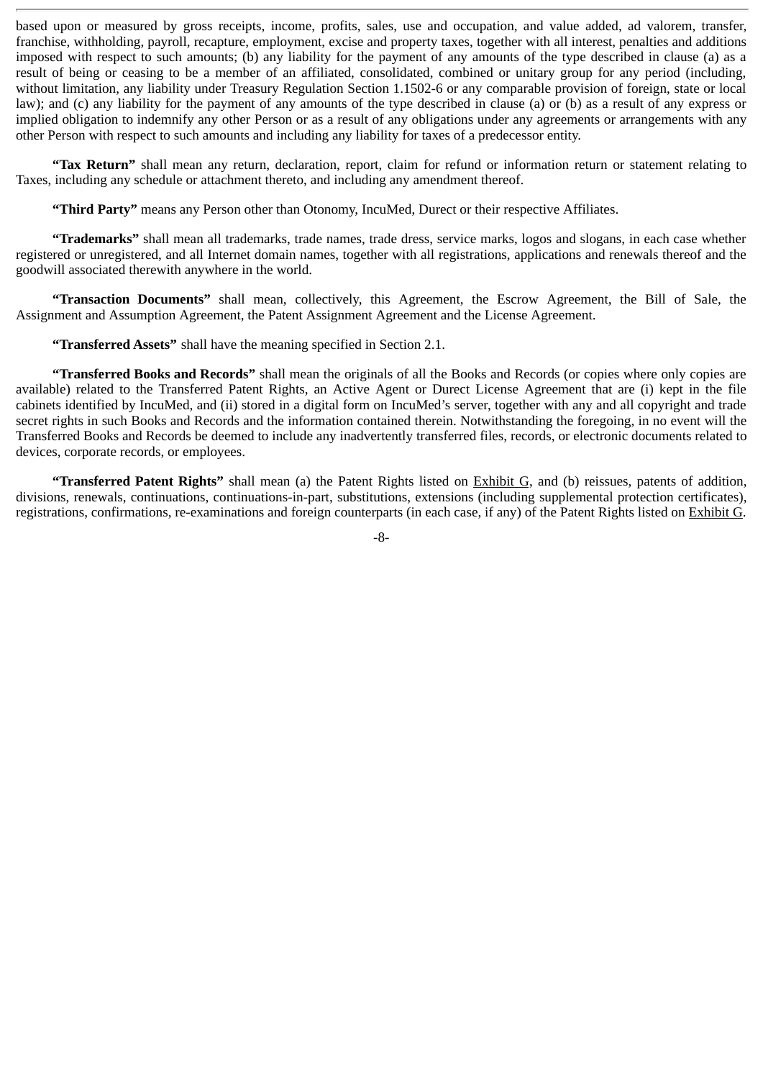based upon or measured by gross receipts, income, profits, sales, use and occupation, and value added, ad valorem, transfer, franchise, withholding, payroll, recapture, employment, excise and property taxes, together with all interest, penalties and additions imposed with respect to such amounts; (b) any liability for the payment of any amounts of the type described in clause (a) as a result of being or ceasing to be a member of an affiliated, consolidated, combined or unitary group for any period (including, without limitation, any liability under Treasury Regulation Section 1.1502-6 or any comparable provision of foreign, state or local law); and (c) any liability for the payment of any amounts of the type described in clause (a) or (b) as a result of any express or implied obligation to indemnify any other Person or as a result of any obligations under any agreements or arrangements with any other Person with respect to such amounts and including any liability for taxes of a predecessor entity.

**"Tax Return"** shall mean any return, declaration, report, claim for refund or information return or statement relating to Taxes, including any schedule or attachment thereto, and including any amendment thereof.

**"Third Party"** means any Person other than Otonomy, IncuMed, Durect or their respective Affiliates.

**"Trademarks"** shall mean all trademarks, trade names, trade dress, service marks, logos and slogans, in each case whether registered or unregistered, and all Internet domain names, together with all registrations, applications and renewals thereof and the goodwill associated therewith anywhere in the world.

**"Transaction Documents"** shall mean, collectively, this Agreement, the Escrow Agreement, the Bill of Sale, the Assignment and Assumption Agreement, the Patent Assignment Agreement and the License Agreement.

**"Transferred Assets"** shall have the meaning specified in Section 2.1.

**"Transferred Books and Records"** shall mean the originals of all the Books and Records (or copies where only copies are available) related to the Transferred Patent Rights, an Active Agent or Durect License Agreement that are (i) kept in the file cabinets identified by IncuMed, and (ii) stored in a digital form on IncuMed's server, together with any and all copyright and trade secret rights in such Books and Records and the information contained therein. Notwithstanding the foregoing, in no event will the Transferred Books and Records be deemed to include any inadvertently transferred files, records, or electronic documents related to devices, corporate records, or employees.

**"Transferred Patent Rights"** shall mean (a) the Patent Rights listed on Exhibit G, and (b) reissues, patents of addition, divisions, renewals, continuations, continuations-in-part, substitutions, extensions (including supplemental protection certificates), registrations, confirmations, re-examinations and foreign counterparts (in each case, if any) of the Patent Rights listed on Exhibit G.

-8-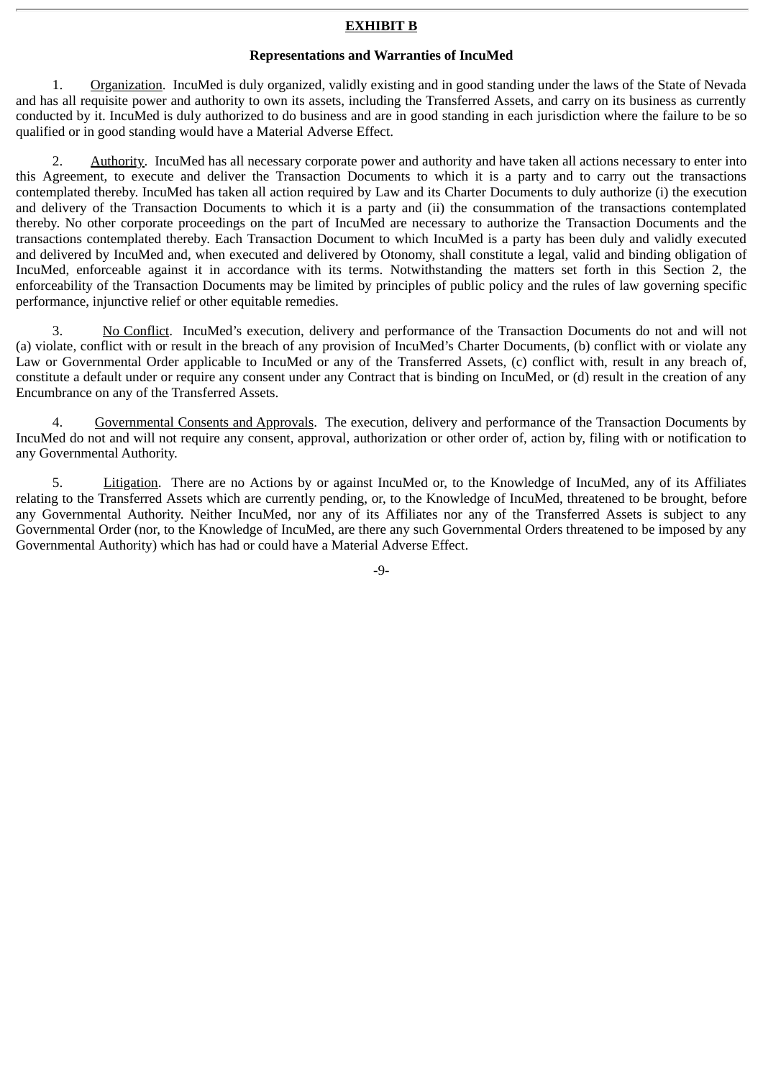#### **EXHIBIT B**

#### **Representations and Warranties of IncuMed**

1. Organization. IncuMed is duly organized, validly existing and in good standing under the laws of the State of Nevada and has all requisite power and authority to own its assets, including the Transferred Assets, and carry on its business as currently conducted by it. IncuMed is duly authorized to do business and are in good standing in each jurisdiction where the failure to be so qualified or in good standing would have a Material Adverse Effect.

2. Authority. IncuMed has all necessary corporate power and authority and have taken all actions necessary to enter into this Agreement, to execute and deliver the Transaction Documents to which it is a party and to carry out the transactions contemplated thereby. IncuMed has taken all action required by Law and its Charter Documents to duly authorize (i) the execution and delivery of the Transaction Documents to which it is a party and (ii) the consummation of the transactions contemplated thereby. No other corporate proceedings on the part of IncuMed are necessary to authorize the Transaction Documents and the transactions contemplated thereby. Each Transaction Document to which IncuMed is a party has been duly and validly executed and delivered by IncuMed and, when executed and delivered by Otonomy, shall constitute a legal, valid and binding obligation of IncuMed, enforceable against it in accordance with its terms. Notwithstanding the matters set forth in this Section 2, the enforceability of the Transaction Documents may be limited by principles of public policy and the rules of law governing specific performance, injunctive relief or other equitable remedies.

3. No Conflict. IncuMed's execution, delivery and performance of the Transaction Documents do not and will not (a) violate, conflict with or result in the breach of any provision of IncuMed's Charter Documents, (b) conflict with or violate any Law or Governmental Order applicable to IncuMed or any of the Transferred Assets, (c) conflict with, result in any breach of, constitute a default under or require any consent under any Contract that is binding on IncuMed, or (d) result in the creation of any Encumbrance on any of the Transferred Assets.

4. Governmental Consents and Approvals. The execution, delivery and performance of the Transaction Documents by IncuMed do not and will not require any consent, approval, authorization or other order of, action by, filing with or notification to any Governmental Authority.

5. Litigation. There are no Actions by or against IncuMed or, to the Knowledge of IncuMed, any of its Affiliates relating to the Transferred Assets which are currently pending, or, to the Knowledge of IncuMed, threatened to be brought, before any Governmental Authority. Neither IncuMed, nor any of its Affiliates nor any of the Transferred Assets is subject to any Governmental Order (nor, to the Knowledge of IncuMed, are there any such Governmental Orders threatened to be imposed by any Governmental Authority) which has had or could have a Material Adverse Effect.

-9-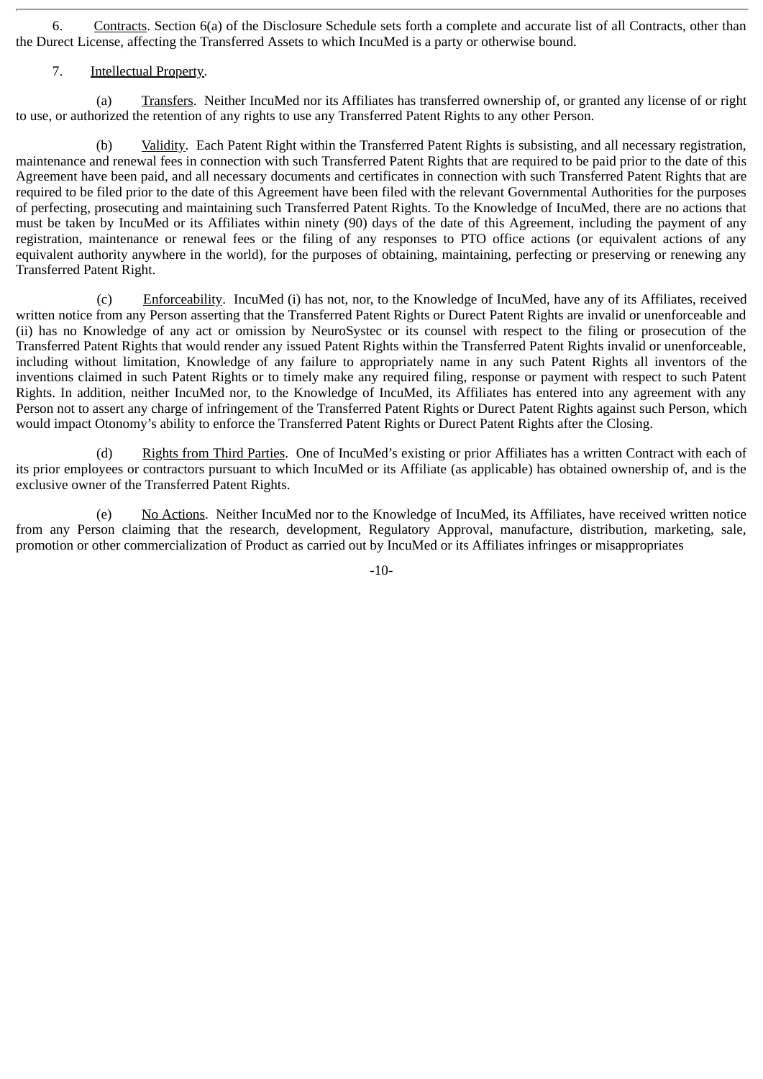6. Contracts. Section 6(a) of the Disclosure Schedule sets forth a complete and accurate list of all Contracts, other than the Durect License, affecting the Transferred Assets to which IncuMed is a party or otherwise bound.

7. Intellectual Property.

(a) Transfers. Neither IncuMed nor its Affiliates has transferred ownership of, or granted any license of or right to use, or authorized the retention of any rights to use any Transferred Patent Rights to any other Person.

(b) Validity. Each Patent Right within the Transferred Patent Rights is subsisting, and all necessary registration, maintenance and renewal fees in connection with such Transferred Patent Rights that are required to be paid prior to the date of this Agreement have been paid, and all necessary documents and certificates in connection with such Transferred Patent Rights that are required to be filed prior to the date of this Agreement have been filed with the relevant Governmental Authorities for the purposes of perfecting, prosecuting and maintaining such Transferred Patent Rights. To the Knowledge of IncuMed, there are no actions that must be taken by IncuMed or its Affiliates within ninety (90) days of the date of this Agreement, including the payment of any registration, maintenance or renewal fees or the filing of any responses to PTO office actions (or equivalent actions of any equivalent authority anywhere in the world), for the purposes of obtaining, maintaining, perfecting or preserving or renewing any Transferred Patent Right.

(c) Enforceability. IncuMed (i) has not, nor, to the Knowledge of IncuMed, have any of its Affiliates, received written notice from any Person asserting that the Transferred Patent Rights or Durect Patent Rights are invalid or unenforceable and (ii) has no Knowledge of any act or omission by NeuroSystec or its counsel with respect to the filing or prosecution of the Transferred Patent Rights that would render any issued Patent Rights within the Transferred Patent Rights invalid or unenforceable, including without limitation, Knowledge of any failure to appropriately name in any such Patent Rights all inventors of the inventions claimed in such Patent Rights or to timely make any required filing, response or payment with respect to such Patent Rights. In addition, neither IncuMed nor, to the Knowledge of IncuMed, its Affiliates has entered into any agreement with any Person not to assert any charge of infringement of the Transferred Patent Rights or Durect Patent Rights against such Person, which would impact Otonomy's ability to enforce the Transferred Patent Rights or Durect Patent Rights after the Closing.

(d) Rights from Third Parties. One of IncuMed's existing or prior Affiliates has a written Contract with each of its prior employees or contractors pursuant to which IncuMed or its Affiliate (as applicable) has obtained ownership of, and is the exclusive owner of the Transferred Patent Rights.

(e) No Actions. Neither IncuMed nor to the Knowledge of IncuMed, its Affiliates, have received written notice from any Person claiming that the research, development, Regulatory Approval, manufacture, distribution, marketing, sale, promotion or other commercialization of Product as carried out by IncuMed or its Affiliates infringes or misappropriates

-10-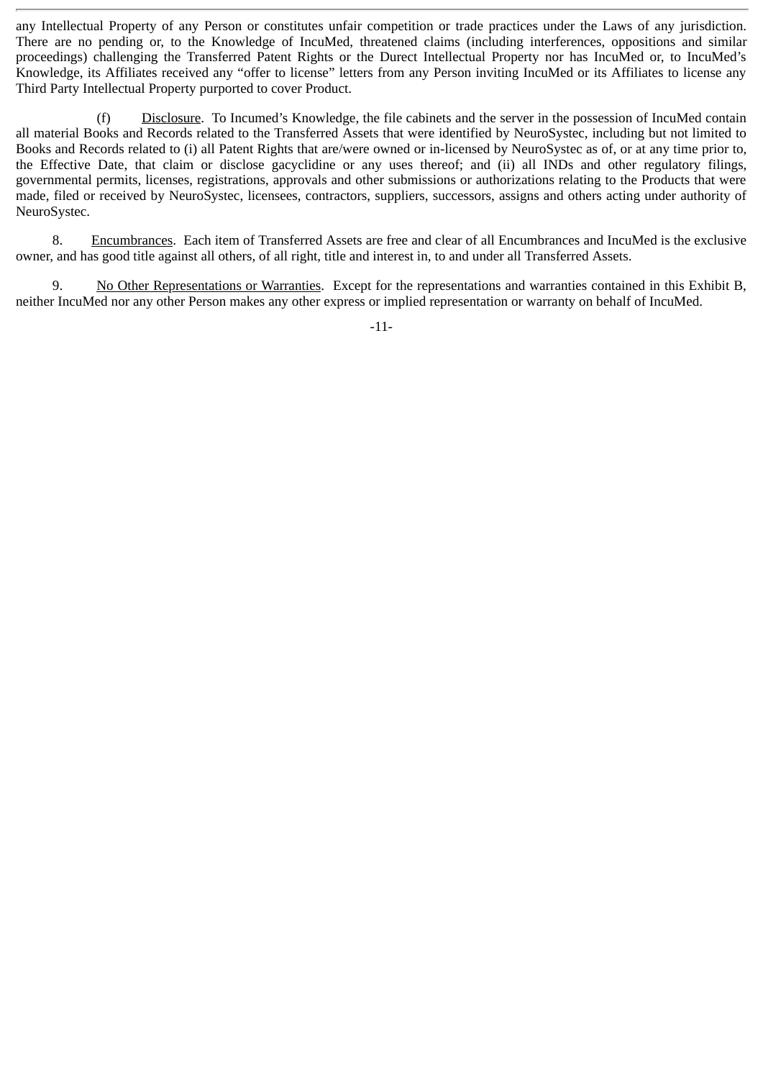any Intellectual Property of any Person or constitutes unfair competition or trade practices under the Laws of any jurisdiction. There are no pending or, to the Knowledge of IncuMed, threatened claims (including interferences, oppositions and similar proceedings) challenging the Transferred Patent Rights or the Durect Intellectual Property nor has IncuMed or, to IncuMed's Knowledge, its Affiliates received any "offer to license" letters from any Person inviting IncuMed or its Affiliates to license any Third Party Intellectual Property purported to cover Product.

(f) Disclosure. To Incumed's Knowledge, the file cabinets and the server in the possession of IncuMed contain all material Books and Records related to the Transferred Assets that were identified by NeuroSystec, including but not limited to Books and Records related to (i) all Patent Rights that are/were owned or in-licensed by NeuroSystec as of, or at any time prior to, the Effective Date, that claim or disclose gacyclidine or any uses thereof; and (ii) all INDs and other regulatory filings, governmental permits, licenses, registrations, approvals and other submissions or authorizations relating to the Products that were made, filed or received by NeuroSystec, licensees, contractors, suppliers, successors, assigns and others acting under authority of NeuroSystec.

8. Encumbrances. Each item of Transferred Assets are free and clear of all Encumbrances and IncuMed is the exclusive owner, and has good title against all others, of all right, title and interest in, to and under all Transferred Assets.

9. No Other Representations or Warranties. Except for the representations and warranties contained in this Exhibit B, neither IncuMed nor any other Person makes any other express or implied representation or warranty on behalf of IncuMed.

-11-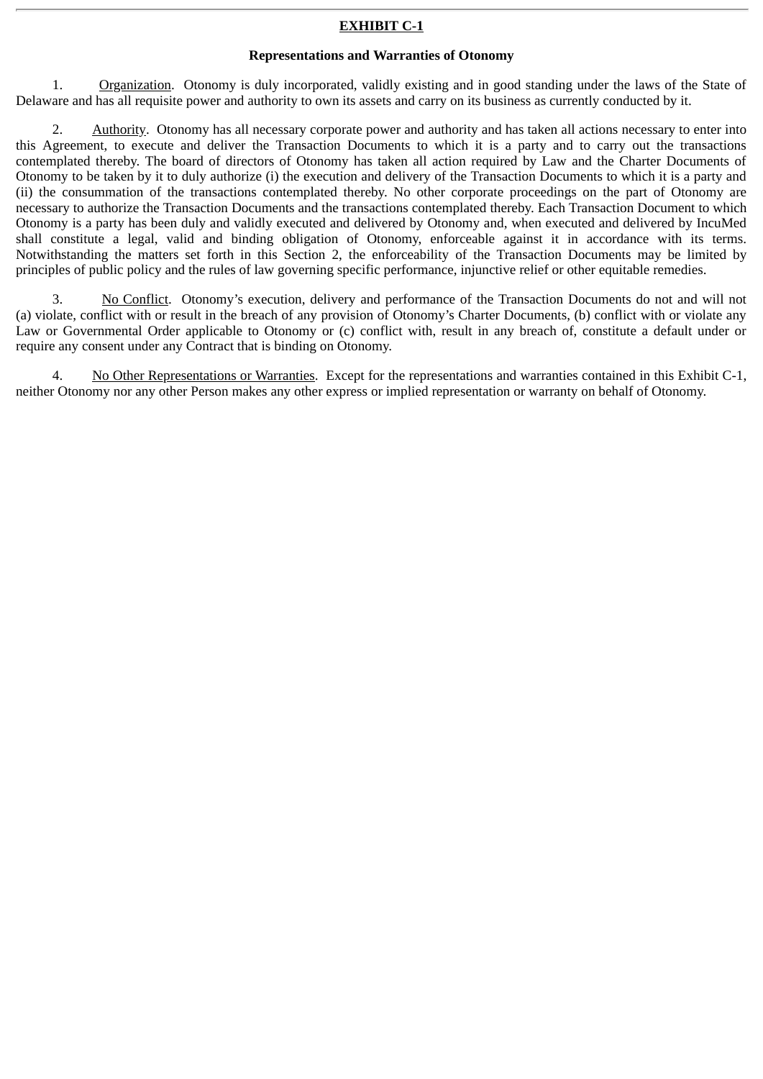#### **EXHIBIT C-1**

#### **Representations and Warranties of Otonomy**

1. Organization. Otonomy is duly incorporated, validly existing and in good standing under the laws of the State of Delaware and has all requisite power and authority to own its assets and carry on its business as currently conducted by it.

2. Authority. Otonomy has all necessary corporate power and authority and has taken all actions necessary to enter into this Agreement, to execute and deliver the Transaction Documents to which it is a party and to carry out the transactions contemplated thereby. The board of directors of Otonomy has taken all action required by Law and the Charter Documents of Otonomy to be taken by it to duly authorize (i) the execution and delivery of the Transaction Documents to which it is a party and (ii) the consummation of the transactions contemplated thereby. No other corporate proceedings on the part of Otonomy are necessary to authorize the Transaction Documents and the transactions contemplated thereby. Each Transaction Document to which Otonomy is a party has been duly and validly executed and delivered by Otonomy and, when executed and delivered by IncuMed shall constitute a legal, valid and binding obligation of Otonomy, enforceable against it in accordance with its terms. Notwithstanding the matters set forth in this Section 2, the enforceability of the Transaction Documents may be limited by principles of public policy and the rules of law governing specific performance, injunctive relief or other equitable remedies.

3. No Conflict. Otonomy's execution, delivery and performance of the Transaction Documents do not and will not (a) violate, conflict with or result in the breach of any provision of Otonomy's Charter Documents, (b) conflict with or violate any Law or Governmental Order applicable to Otonomy or (c) conflict with, result in any breach of, constitute a default under or require any consent under any Contract that is binding on Otonomy.

4. No Other Representations or Warranties. Except for the representations and warranties contained in this Exhibit C-1, neither Otonomy nor any other Person makes any other express or implied representation or warranty on behalf of Otonomy.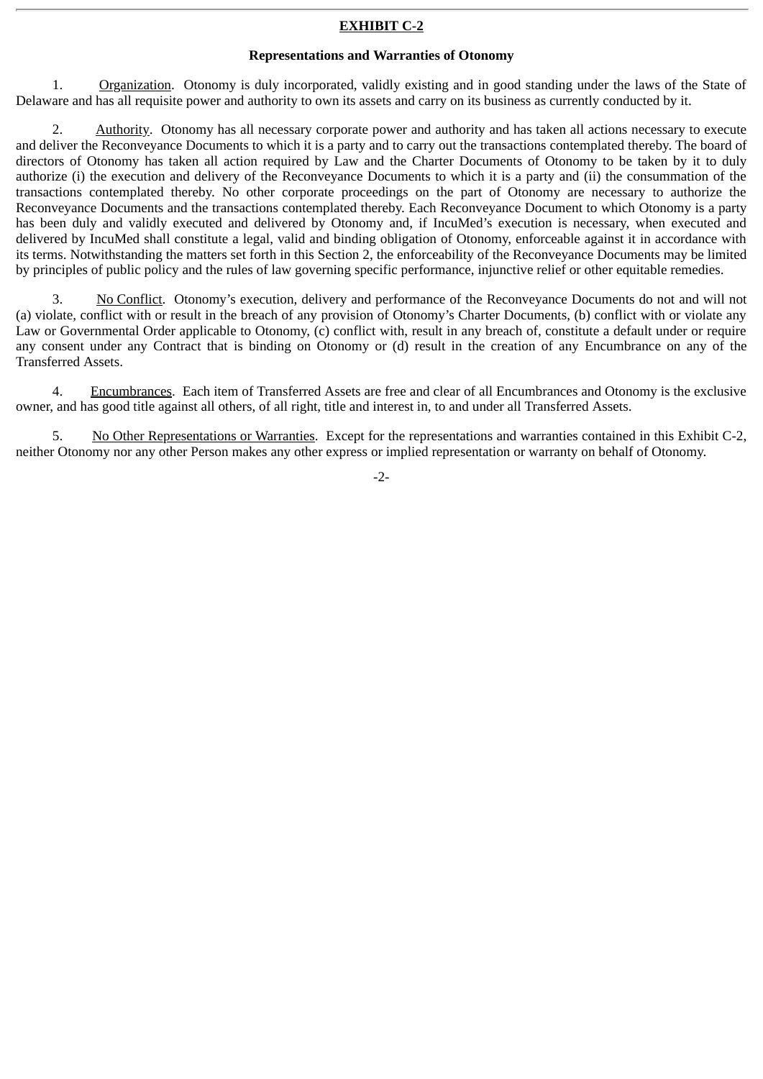#### **EXHIBIT C-2**

#### **Representations and Warranties of Otonomy**

1. Organization. Otonomy is duly incorporated, validly existing and in good standing under the laws of the State of Delaware and has all requisite power and authority to own its assets and carry on its business as currently conducted by it.

2. Authority. Otonomy has all necessary corporate power and authority and has taken all actions necessary to execute and deliver the Reconveyance Documents to which it is a party and to carry out the transactions contemplated thereby. The board of directors of Otonomy has taken all action required by Law and the Charter Documents of Otonomy to be taken by it to duly authorize (i) the execution and delivery of the Reconveyance Documents to which it is a party and (ii) the consummation of the transactions contemplated thereby. No other corporate proceedings on the part of Otonomy are necessary to authorize the Reconveyance Documents and the transactions contemplated thereby. Each Reconveyance Document to which Otonomy is a party has been duly and validly executed and delivered by Otonomy and, if IncuMed's execution is necessary, when executed and delivered by IncuMed shall constitute a legal, valid and binding obligation of Otonomy, enforceable against it in accordance with its terms. Notwithstanding the matters set forth in this Section 2, the enforceability of the Reconveyance Documents may be limited by principles of public policy and the rules of law governing specific performance, injunctive relief or other equitable remedies.

3. No Conflict. Otonomy's execution, delivery and performance of the Reconveyance Documents do not and will not (a) violate, conflict with or result in the breach of any provision of Otonomy's Charter Documents, (b) conflict with or violate any Law or Governmental Order applicable to Otonomy, (c) conflict with, result in any breach of, constitute a default under or require any consent under any Contract that is binding on Otonomy or (d) result in the creation of any Encumbrance on any of the Transferred Assets.

4. Encumbrances. Each item of Transferred Assets are free and clear of all Encumbrances and Otonomy is the exclusive owner, and has good title against all others, of all right, title and interest in, to and under all Transferred Assets.

5. No Other Representations or Warranties. Except for the representations and warranties contained in this Exhibit C-2, neither Otonomy nor any other Person makes any other express or implied representation or warranty on behalf of Otonomy.

-2-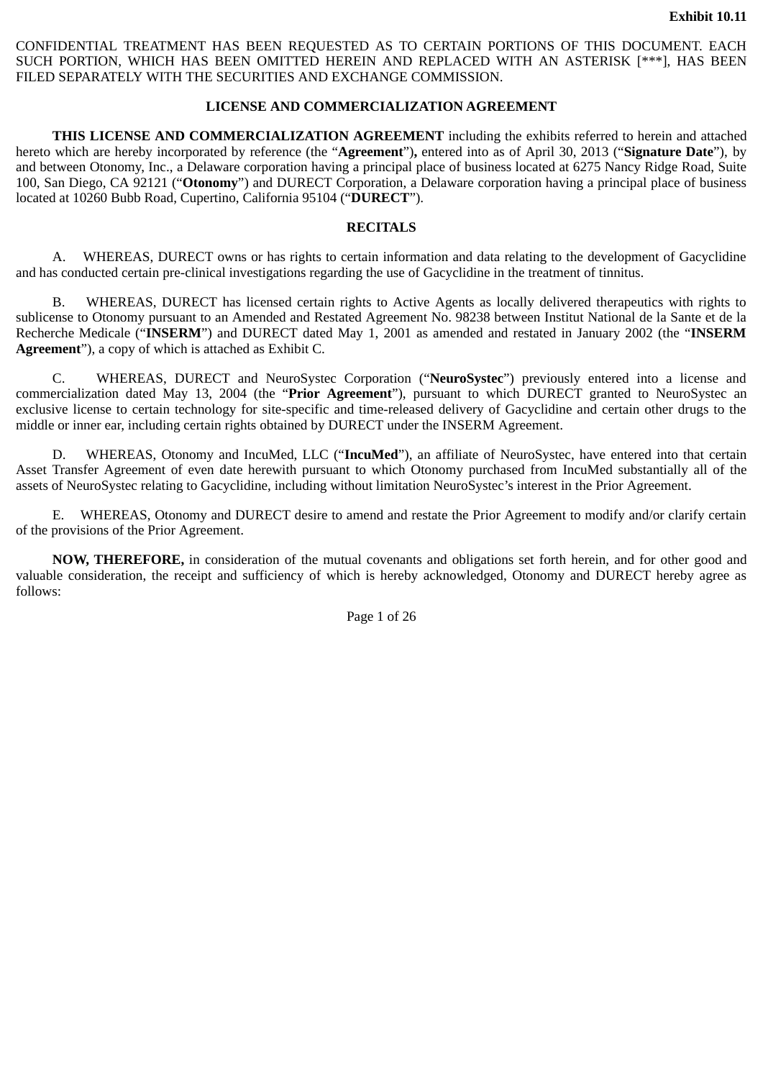CONFIDENTIAL TREATMENT HAS BEEN REQUESTED AS TO CERTAIN PORTIONS OF THIS DOCUMENT. EACH SUCH PORTION, WHICH HAS BEEN OMITTED HEREIN AND REPLACED WITH AN ASTERISK [\*\*\*], HAS BEEN FILED SEPARATELY WITH THE SECURITIES AND EXCHANGE COMMISSION.

#### **LICENSE AND COMMERCIALIZATION AGREEMENT**

**THIS LICENSE AND COMMERCIALIZATION AGREEMENT** including the exhibits referred to herein and attached hereto which are hereby incorporated by reference (the "**Agreement**")**,** entered into as of April 30, 2013 ("**Signature Date**"), by and between Otonomy, Inc., a Delaware corporation having a principal place of business located at 6275 Nancy Ridge Road, Suite 100, San Diego, CA 92121 ("**Otonomy**") and DURECT Corporation, a Delaware corporation having a principal place of business located at 10260 Bubb Road, Cupertino, California 95104 ("**DURECT**").

## **RECITALS**

A. WHEREAS, DURECT owns or has rights to certain information and data relating to the development of Gacyclidine and has conducted certain pre-clinical investigations regarding the use of Gacyclidine in the treatment of tinnitus.

B. WHEREAS, DURECT has licensed certain rights to Active Agents as locally delivered therapeutics with rights to sublicense to Otonomy pursuant to an Amended and Restated Agreement No. 98238 between Institut National de la Sante et de la Recherche Medicale ("**INSERM**") and DURECT dated May 1, 2001 as amended and restated in January 2002 (the "**INSERM Agreement**"), a copy of which is attached as Exhibit C.

C. WHEREAS, DURECT and NeuroSystec Corporation ("**NeuroSystec**") previously entered into a license and commercialization dated May 13, 2004 (the "**Prior Agreement**"), pursuant to which DURECT granted to NeuroSystec an exclusive license to certain technology for site-specific and time-released delivery of Gacyclidine and certain other drugs to the middle or inner ear, including certain rights obtained by DURECT under the INSERM Agreement.

D. WHEREAS, Otonomy and IncuMed, LLC ("**IncuMed**"), an affiliate of NeuroSystec, have entered into that certain Asset Transfer Agreement of even date herewith pursuant to which Otonomy purchased from IncuMed substantially all of the assets of NeuroSystec relating to Gacyclidine, including without limitation NeuroSystec's interest in the Prior Agreement.

E. WHEREAS, Otonomy and DURECT desire to amend and restate the Prior Agreement to modify and/or clarify certain of the provisions of the Prior Agreement.

**NOW, THEREFORE,** in consideration of the mutual covenants and obligations set forth herein, and for other good and valuable consideration, the receipt and sufficiency of which is hereby acknowledged, Otonomy and DURECT hereby agree as follows:

Page 1 of 26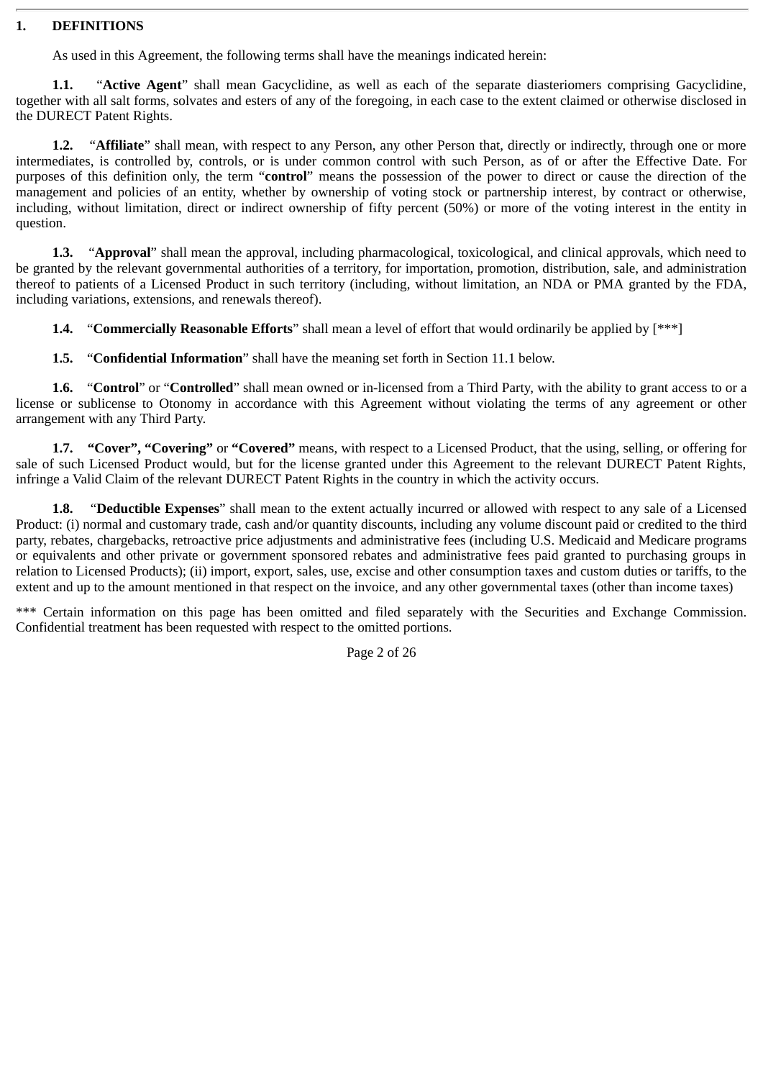#### **1. DEFINITIONS**

As used in this Agreement, the following terms shall have the meanings indicated herein:

**1.1.** "**Active Agent**" shall mean Gacyclidine, as well as each of the separate diasteriomers comprising Gacyclidine, together with all salt forms, solvates and esters of any of the foregoing, in each case to the extent claimed or otherwise disclosed in the DURECT Patent Rights.

**1.2.** "**Affiliate**" shall mean, with respect to any Person, any other Person that, directly or indirectly, through one or more intermediates, is controlled by, controls, or is under common control with such Person, as of or after the Effective Date. For purposes of this definition only, the term "**control**" means the possession of the power to direct or cause the direction of the management and policies of an entity, whether by ownership of voting stock or partnership interest, by contract or otherwise, including, without limitation, direct or indirect ownership of fifty percent (50%) or more of the voting interest in the entity in question.

**1.3.** "**Approval**" shall mean the approval, including pharmacological, toxicological, and clinical approvals, which need to be granted by the relevant governmental authorities of a territory, for importation, promotion, distribution, sale, and administration thereof to patients of a Licensed Product in such territory (including, without limitation, an NDA or PMA granted by the FDA, including variations, extensions, and renewals thereof).

**1.4.** "**Commercially Reasonable Efforts**" shall mean a level of effort that would ordinarily be applied by [\*\*\*]

**1.5.** "**Confidential Information**" shall have the meaning set forth in Section 11.1 below.

**1.6.** "**Control**" or "**Controlled**" shall mean owned or in-licensed from a Third Party, with the ability to grant access to or a license or sublicense to Otonomy in accordance with this Agreement without violating the terms of any agreement or other arrangement with any Third Party.

**1.7. "Cover", "Covering"** or **"Covered"** means, with respect to a Licensed Product, that the using, selling, or offering for sale of such Licensed Product would, but for the license granted under this Agreement to the relevant DURECT Patent Rights, infringe a Valid Claim of the relevant DURECT Patent Rights in the country in which the activity occurs.

**1.8.** "**Deductible Expenses**" shall mean to the extent actually incurred or allowed with respect to any sale of a Licensed Product: (i) normal and customary trade, cash and/or quantity discounts, including any volume discount paid or credited to the third party, rebates, chargebacks, retroactive price adjustments and administrative fees (including U.S. Medicaid and Medicare programs or equivalents and other private or government sponsored rebates and administrative fees paid granted to purchasing groups in relation to Licensed Products); (ii) import, export, sales, use, excise and other consumption taxes and custom duties or tariffs, to the extent and up to the amount mentioned in that respect on the invoice, and any other governmental taxes (other than income taxes)

\*\*\* Certain information on this page has been omitted and filed separately with the Securities and Exchange Commission. Confidential treatment has been requested with respect to the omitted portions.

Page 2 of 26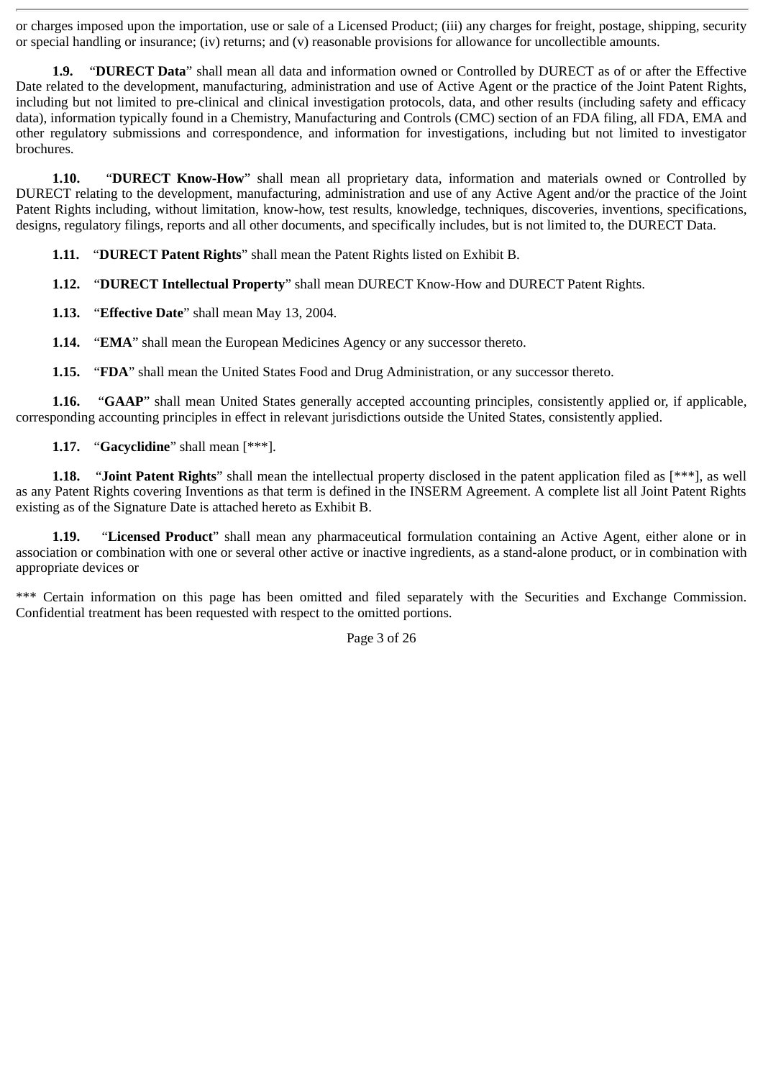or charges imposed upon the importation, use or sale of a Licensed Product; (iii) any charges for freight, postage, shipping, security or special handling or insurance; (iv) returns; and (v) reasonable provisions for allowance for uncollectible amounts.

**1.9.** "**DURECT Data**" shall mean all data and information owned or Controlled by DURECT as of or after the Effective Date related to the development, manufacturing, administration and use of Active Agent or the practice of the Joint Patent Rights, including but not limited to pre-clinical and clinical investigation protocols, data, and other results (including safety and efficacy data), information typically found in a Chemistry, Manufacturing and Controls (CMC) section of an FDA filing, all FDA, EMA and other regulatory submissions and correspondence, and information for investigations, including but not limited to investigator brochures.

**1.10.** "**DURECT Know-How**" shall mean all proprietary data, information and materials owned or Controlled by DURECT relating to the development, manufacturing, administration and use of any Active Agent and/or the practice of the Joint Patent Rights including, without limitation, know-how, test results, knowledge, techniques, discoveries, inventions, specifications, designs, regulatory filings, reports and all other documents, and specifically includes, but is not limited to, the DURECT Data.

**1.11.** "**DURECT Patent Rights**" shall mean the Patent Rights listed on Exhibit B.

**1.12.** "**DURECT Intellectual Property**" shall mean DURECT Know-How and DURECT Patent Rights.

**1.13.** "**Effective Date**" shall mean May 13, 2004.

**1.14.** "**EMA**" shall mean the European Medicines Agency or any successor thereto.

**1.15.** "**FDA**" shall mean the United States Food and Drug Administration, or any successor thereto.

**1.16.** "**GAAP**" shall mean United States generally accepted accounting principles, consistently applied or, if applicable, corresponding accounting principles in effect in relevant jurisdictions outside the United States, consistently applied.

**1.17.** "**Gacyclidine**" shall mean [\*\*\*].

**1.18.** "**Joint Patent Rights**" shall mean the intellectual property disclosed in the patent application filed as [\*\*\*], as well as any Patent Rights covering Inventions as that term is defined in the INSERM Agreement. A complete list all Joint Patent Rights existing as of the Signature Date is attached hereto as Exhibit B.

**1.19.** "**Licensed Product**" shall mean any pharmaceutical formulation containing an Active Agent, either alone or in association or combination with one or several other active or inactive ingredients, as a stand-alone product, or in combination with appropriate devices or

\*\*\* Certain information on this page has been omitted and filed separately with the Securities and Exchange Commission. Confidential treatment has been requested with respect to the omitted portions.

Page 3 of 26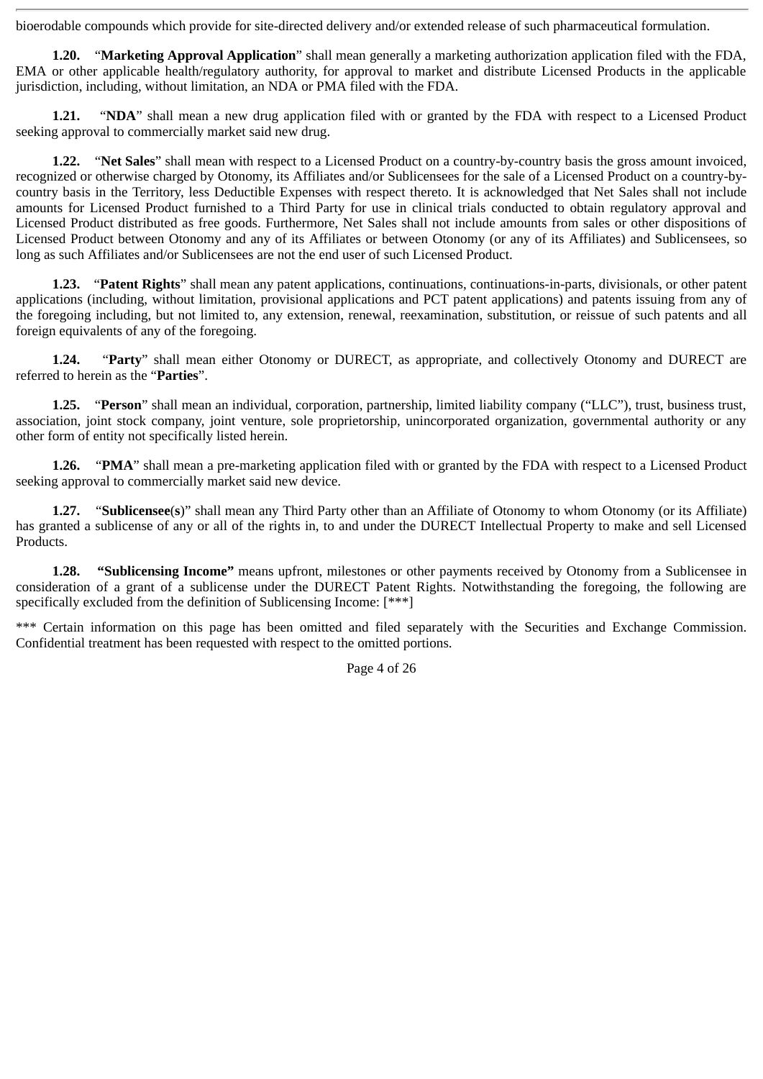bioerodable compounds which provide for site-directed delivery and/or extended release of such pharmaceutical formulation.

**1.20.** "**Marketing Approval Application**" shall mean generally a marketing authorization application filed with the FDA, EMA or other applicable health/regulatory authority, for approval to market and distribute Licensed Products in the applicable jurisdiction, including, without limitation, an NDA or PMA filed with the FDA.

**1.21.** "**NDA**" shall mean a new drug application filed with or granted by the FDA with respect to a Licensed Product seeking approval to commercially market said new drug.

**1.22.** "**Net Sales**" shall mean with respect to a Licensed Product on a country-by-country basis the gross amount invoiced, recognized or otherwise charged by Otonomy, its Affiliates and/or Sublicensees for the sale of a Licensed Product on a country-bycountry basis in the Territory, less Deductible Expenses with respect thereto. It is acknowledged that Net Sales shall not include amounts for Licensed Product furnished to a Third Party for use in clinical trials conducted to obtain regulatory approval and Licensed Product distributed as free goods. Furthermore, Net Sales shall not include amounts from sales or other dispositions of Licensed Product between Otonomy and any of its Affiliates or between Otonomy (or any of its Affiliates) and Sublicensees, so long as such Affiliates and/or Sublicensees are not the end user of such Licensed Product.

**1.23.** "**Patent Rights**" shall mean any patent applications, continuations, continuations-in-parts, divisionals, or other patent applications (including, without limitation, provisional applications and PCT patent applications) and patents issuing from any of the foregoing including, but not limited to, any extension, renewal, reexamination, substitution, or reissue of such patents and all foreign equivalents of any of the foregoing.

**1.24.** "**Party**" shall mean either Otonomy or DURECT, as appropriate, and collectively Otonomy and DURECT are referred to herein as the "**Parties**".

**1.25.** "**Person**" shall mean an individual, corporation, partnership, limited liability company ("LLC"), trust, business trust, association, joint stock company, joint venture, sole proprietorship, unincorporated organization, governmental authority or any other form of entity not specifically listed herein.

**1.26.** "**PMA**" shall mean a pre-marketing application filed with or granted by the FDA with respect to a Licensed Product seeking approval to commercially market said new device.

**1.27.** "**Sublicensee**(**s**)" shall mean any Third Party other than an Affiliate of Otonomy to whom Otonomy (or its Affiliate) has granted a sublicense of any or all of the rights in, to and under the DURECT Intellectual Property to make and sell Licensed Products.

**1.28. "Sublicensing Income"** means upfront, milestones or other payments received by Otonomy from a Sublicensee in consideration of a grant of a sublicense under the DURECT Patent Rights. Notwithstanding the foregoing, the following are specifically excluded from the definition of Sublicensing Income: [\*\*\*]

\*\*\* Certain information on this page has been omitted and filed separately with the Securities and Exchange Commission. Confidential treatment has been requested with respect to the omitted portions.

Page 4 of 26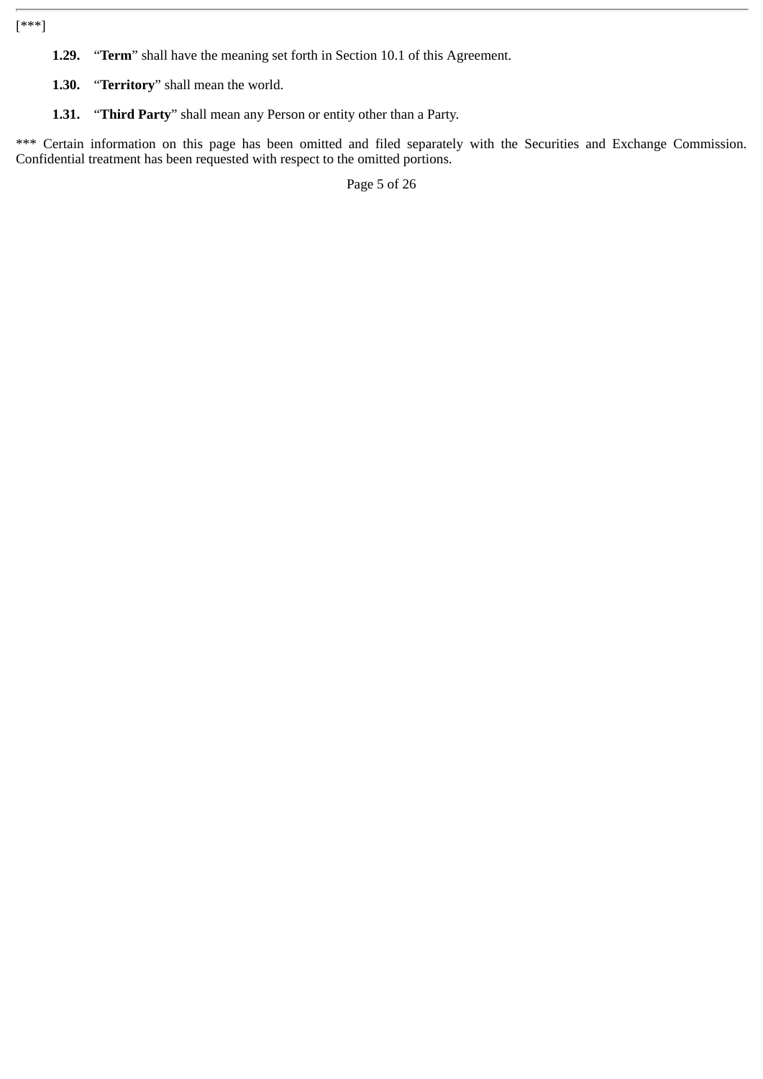[\*\*\*]

- **1.29.** "**Term**" shall have the meaning set forth in Section 10.1 of this Agreement.
- **1.30.** "**Territory**" shall mean the world.
- **1.31.** "**Third Party**" shall mean any Person or entity other than a Party.

\*\*\* Certain information on this page has been omitted and filed separately with the Securities and Exchange Commission. Confidential treatment has been requested with respect to the omitted portions.

Page 5 of 26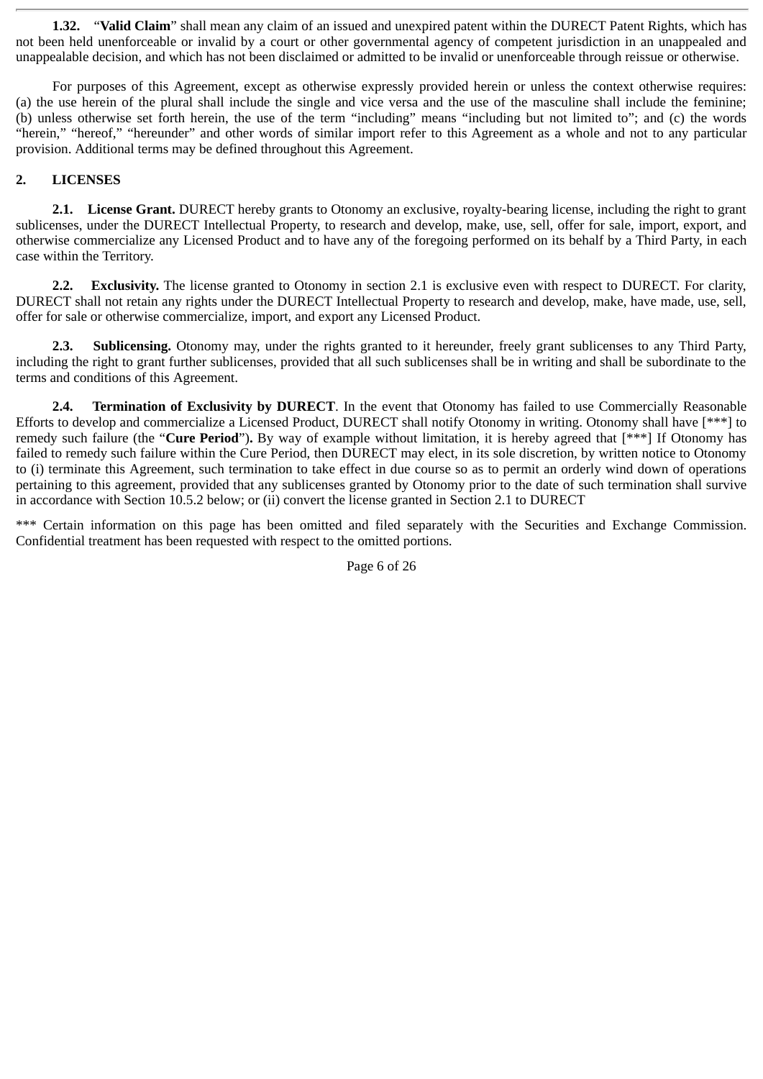**1.32.** "**Valid Claim**" shall mean any claim of an issued and unexpired patent within the DURECT Patent Rights, which has not been held unenforceable or invalid by a court or other governmental agency of competent jurisdiction in an unappealed and unappealable decision, and which has not been disclaimed or admitted to be invalid or unenforceable through reissue or otherwise.

For purposes of this Agreement, except as otherwise expressly provided herein or unless the context otherwise requires: (a) the use herein of the plural shall include the single and vice versa and the use of the masculine shall include the feminine; (b) unless otherwise set forth herein, the use of the term "including" means "including but not limited to"; and (c) the words "herein," "hereof," "hereunder" and other words of similar import refer to this Agreement as a whole and not to any particular provision. Additional terms may be defined throughout this Agreement.

# **2. LICENSES**

**2.1. License Grant.** DURECT hereby grants to Otonomy an exclusive, royalty-bearing license, including the right to grant sublicenses, under the DURECT Intellectual Property, to research and develop, make, use, sell, offer for sale, import, export, and otherwise commercialize any Licensed Product and to have any of the foregoing performed on its behalf by a Third Party, in each case within the Territory.

**2.2. Exclusivity.** The license granted to Otonomy in section 2.1 is exclusive even with respect to DURECT. For clarity, DURECT shall not retain any rights under the DURECT Intellectual Property to research and develop, make, have made, use, sell, offer for sale or otherwise commercialize, import, and export any Licensed Product.

**2.3. Sublicensing.** Otonomy may, under the rights granted to it hereunder, freely grant sublicenses to any Third Party, including the right to grant further sublicenses, provided that all such sublicenses shall be in writing and shall be subordinate to the terms and conditions of this Agreement.

**2.4. Termination of Exclusivity by DURECT**. In the event that Otonomy has failed to use Commercially Reasonable Efforts to develop and commercialize a Licensed Product, DURECT shall notify Otonomy in writing. Otonomy shall have [\*\*\*] to remedy such failure (the "**Cure Period**")**.** By way of example without limitation, it is hereby agreed that [\*\*\*] If Otonomy has failed to remedy such failure within the Cure Period, then DURECT may elect, in its sole discretion, by written notice to Otonomy to (i) terminate this Agreement, such termination to take effect in due course so as to permit an orderly wind down of operations pertaining to this agreement, provided that any sublicenses granted by Otonomy prior to the date of such termination shall survive in accordance with Section 10.5.2 below; or (ii) convert the license granted in Section 2.1 to DURECT

\*\*\* Certain information on this page has been omitted and filed separately with the Securities and Exchange Commission. Confidential treatment has been requested with respect to the omitted portions.

Page 6 of 26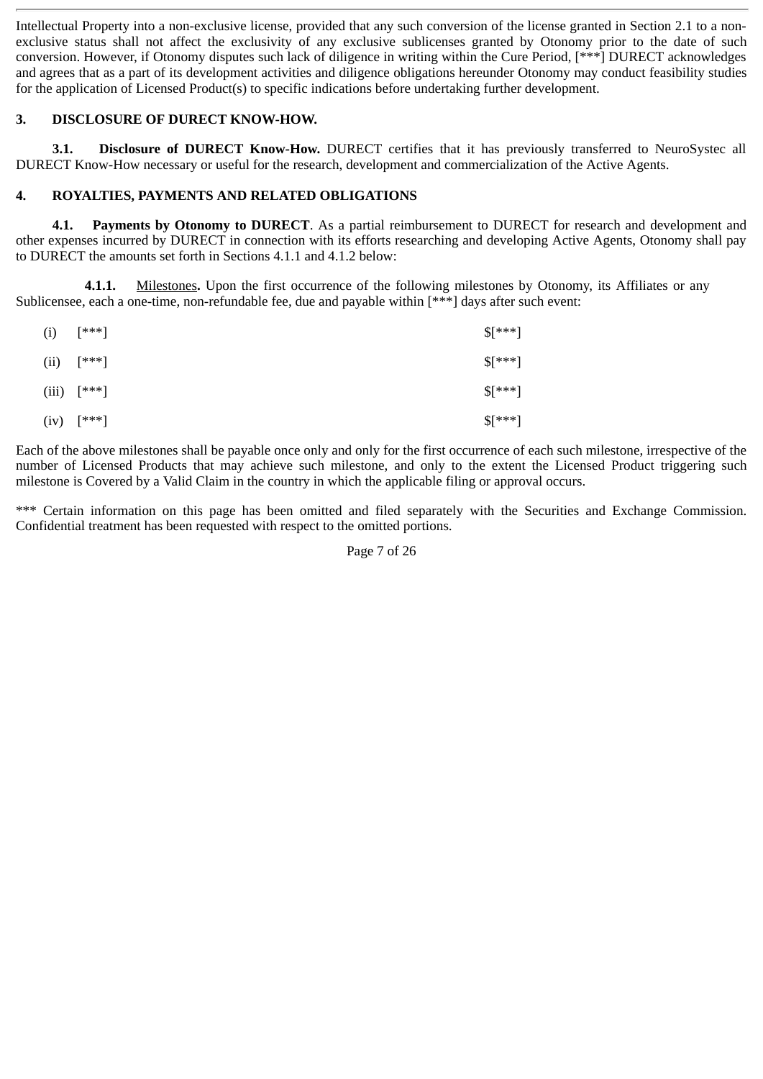Intellectual Property into a non-exclusive license, provided that any such conversion of the license granted in Section 2.1 to a nonexclusive status shall not affect the exclusivity of any exclusive sublicenses granted by Otonomy prior to the date of such conversion. However, if Otonomy disputes such lack of diligence in writing within the Cure Period, [\*\*\*] DURECT acknowledges and agrees that as a part of its development activities and diligence obligations hereunder Otonomy may conduct feasibility studies for the application of Licensed Product(s) to specific indications before undertaking further development.

# **3. DISCLOSURE OF DURECT KNOW-HOW.**

**3.1. Disclosure of DURECT Know-How.** DURECT certifies that it has previously transferred to NeuroSystec all DURECT Know-How necessary or useful for the research, development and commercialization of the Active Agents.

# **4. ROYALTIES, PAYMENTS AND RELATED OBLIGATIONS**

**4.1. Payments by Otonomy to DURECT**. As a partial reimbursement to DURECT for research and development and other expenses incurred by DURECT in connection with its efforts researching and developing Active Agents, Otonomy shall pay to DURECT the amounts set forth in Sections 4.1.1 and 4.1.2 below:

**4.1.1.** Milestones**.** Upon the first occurrence of the following milestones by Otonomy, its Affiliates or any Sublicensee, each a one-time, non-refundable fee, due and payable within [\*\*\*] days after such event:

| (i)   | [***]              | $$[***]$ |
|-------|--------------------|----------|
| (ii)  | $[\ast \ast \ast]$ | $$[***]$ |
| (iii) | $[\ast\ast\ast]$   | $$[***]$ |
| (iv)  | $[\ast \ast \ast]$ | $$[***]$ |

Each of the above milestones shall be payable once only and only for the first occurrence of each such milestone, irrespective of the number of Licensed Products that may achieve such milestone, and only to the extent the Licensed Product triggering such milestone is Covered by a Valid Claim in the country in which the applicable filing or approval occurs.

\*\*\* Certain information on this page has been omitted and filed separately with the Securities and Exchange Commission. Confidential treatment has been requested with respect to the omitted portions.

Page 7 of 26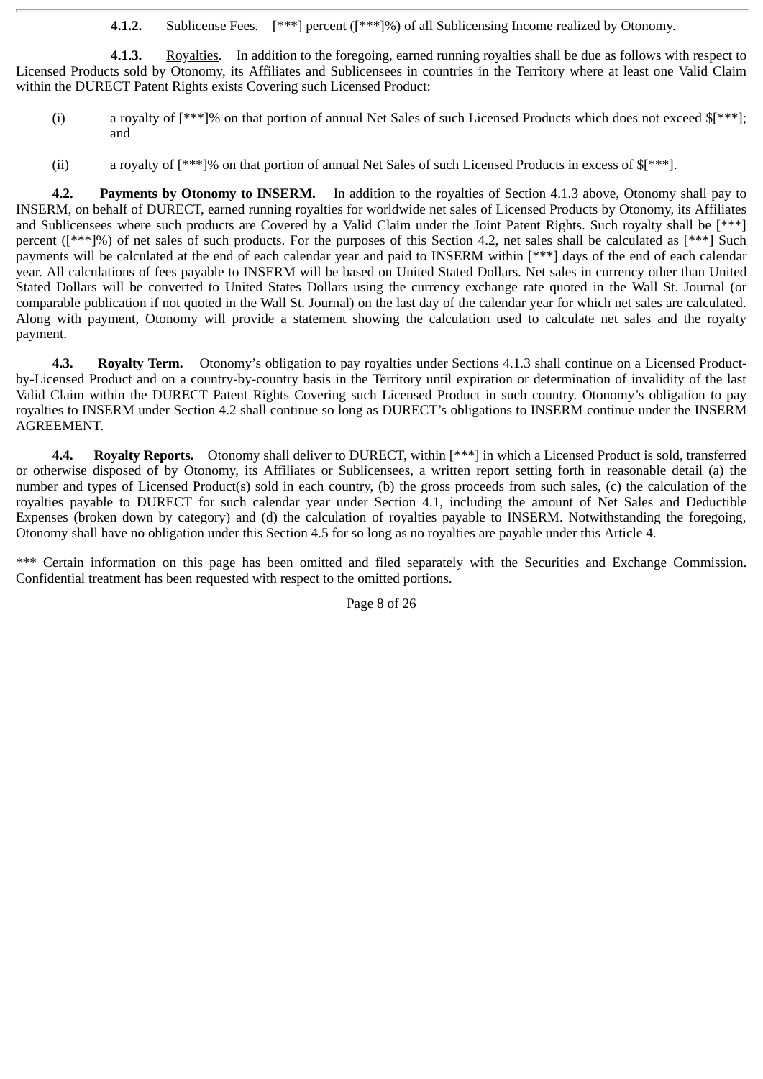**4.1.2.** Sublicense Fees. [\*\*\*] percent ([\*\*\*]%) of all Sublicensing Income realized by Otonomy.

**4.1.3.** Royalties. In addition to the foregoing, earned running royalties shall be due as follows with respect to Licensed Products sold by Otonomy, its Affiliates and Sublicensees in countries in the Territory where at least one Valid Claim within the DURECT Patent Rights exists Covering such Licensed Product:

- (i) a royalty of [\*\*\*]% on that portion of annual Net Sales of such Licensed Products which does not exceed \$[\*\*\*]; and
- (ii) a royalty of [\*\*\*]% on that portion of annual Net Sales of such Licensed Products in excess of \$[\*\*\*].

**4.2. Payments by Otonomy to INSERM.** In addition to the royalties of Section 4.1.3 above, Otonomy shall pay to INSERM, on behalf of DURECT, earned running royalties for worldwide net sales of Licensed Products by Otonomy, its Affiliates and Sublicensees where such products are Covered by a Valid Claim under the Joint Patent Rights. Such royalty shall be [\*\*\*] percent ([\*\*\*]%) of net sales of such products. For the purposes of this Section 4.2, net sales shall be calculated as [\*\*\*] Such payments will be calculated at the end of each calendar year and paid to INSERM within [\*\*\*] days of the end of each calendar year. All calculations of fees payable to INSERM will be based on United Stated Dollars. Net sales in currency other than United Stated Dollars will be converted to United States Dollars using the currency exchange rate quoted in the Wall St. Journal (or comparable publication if not quoted in the Wall St. Journal) on the last day of the calendar year for which net sales are calculated. Along with payment, Otonomy will provide a statement showing the calculation used to calculate net sales and the royalty payment.

**4.3. Royalty Term.** Otonomy's obligation to pay royalties under Sections 4.1.3 shall continue on a Licensed Productby-Licensed Product and on a country-by-country basis in the Territory until expiration or determination of invalidity of the last Valid Claim within the DURECT Patent Rights Covering such Licensed Product in such country. Otonomy's obligation to pay royalties to INSERM under Section 4.2 shall continue so long as DURECT's obligations to INSERM continue under the INSERM AGREEMENT.

**4.4. Royalty Reports.** Otonomy shall deliver to DURECT, within [\*\*\*] in which a Licensed Product is sold, transferred or otherwise disposed of by Otonomy, its Affiliates or Sublicensees, a written report setting forth in reasonable detail (a) the number and types of Licensed Product(s) sold in each country, (b) the gross proceeds from such sales, (c) the calculation of the royalties payable to DURECT for such calendar year under Section 4.1, including the amount of Net Sales and Deductible Expenses (broken down by category) and (d) the calculation of royalties payable to INSERM. Notwithstanding the foregoing, Otonomy shall have no obligation under this Section 4.5 for so long as no royalties are payable under this Article 4.

\*\*\* Certain information on this page has been omitted and filed separately with the Securities and Exchange Commission. Confidential treatment has been requested with respect to the omitted portions.

Page 8 of 26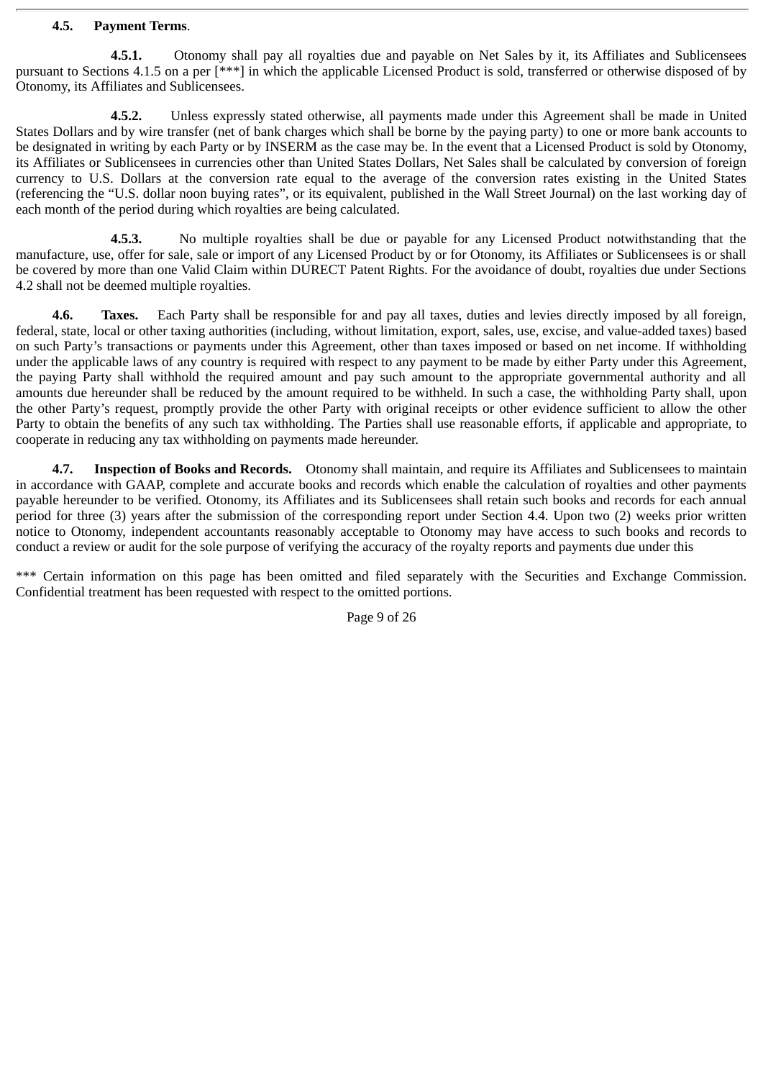#### **4.5. Payment Terms**.

**4.5.1.** Otonomy shall pay all royalties due and payable on Net Sales by it, its Affiliates and Sublicensees pursuant to Sections 4.1.5 on a per [\*\*\*] in which the applicable Licensed Product is sold, transferred or otherwise disposed of by Otonomy, its Affiliates and Sublicensees.

**4.5.2.** Unless expressly stated otherwise, all payments made under this Agreement shall be made in United States Dollars and by wire transfer (net of bank charges which shall be borne by the paying party) to one or more bank accounts to be designated in writing by each Party or by INSERM as the case may be. In the event that a Licensed Product is sold by Otonomy, its Affiliates or Sublicensees in currencies other than United States Dollars, Net Sales shall be calculated by conversion of foreign currency to U.S. Dollars at the conversion rate equal to the average of the conversion rates existing in the United States (referencing the "U.S. dollar noon buying rates", or its equivalent, published in the Wall Street Journal) on the last working day of each month of the period during which royalties are being calculated.

**4.5.3.** No multiple royalties shall be due or payable for any Licensed Product notwithstanding that the manufacture, use, offer for sale, sale or import of any Licensed Product by or for Otonomy, its Affiliates or Sublicensees is or shall be covered by more than one Valid Claim within DURECT Patent Rights. For the avoidance of doubt, royalties due under Sections 4.2 shall not be deemed multiple royalties.

**4.6. Taxes.** Each Party shall be responsible for and pay all taxes, duties and levies directly imposed by all foreign, federal, state, local or other taxing authorities (including, without limitation, export, sales, use, excise, and value-added taxes) based on such Party's transactions or payments under this Agreement, other than taxes imposed or based on net income. If withholding under the applicable laws of any country is required with respect to any payment to be made by either Party under this Agreement, the paying Party shall withhold the required amount and pay such amount to the appropriate governmental authority and all amounts due hereunder shall be reduced by the amount required to be withheld. In such a case, the withholding Party shall, upon the other Party's request, promptly provide the other Party with original receipts or other evidence sufficient to allow the other Party to obtain the benefits of any such tax withholding. The Parties shall use reasonable efforts, if applicable and appropriate, to cooperate in reducing any tax withholding on payments made hereunder.

**4.7. Inspection of Books and Records.** Otonomy shall maintain, and require its Affiliates and Sublicensees to maintain in accordance with GAAP, complete and accurate books and records which enable the calculation of royalties and other payments payable hereunder to be verified. Otonomy, its Affiliates and its Sublicensees shall retain such books and records for each annual period for three (3) years after the submission of the corresponding report under Section 4.4. Upon two (2) weeks prior written notice to Otonomy, independent accountants reasonably acceptable to Otonomy may have access to such books and records to conduct a review or audit for the sole purpose of verifying the accuracy of the royalty reports and payments due under this

\*\*\* Certain information on this page has been omitted and filed separately with the Securities and Exchange Commission. Confidential treatment has been requested with respect to the omitted portions.

Page 9 of 26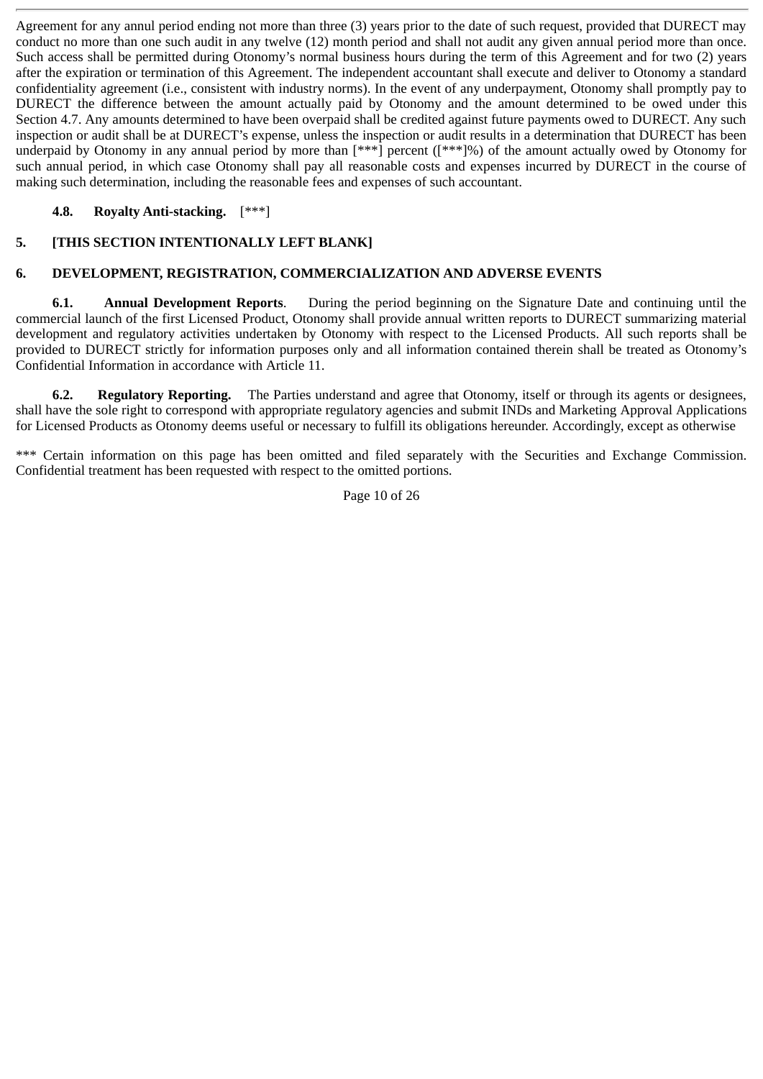Agreement for any annul period ending not more than three (3) years prior to the date of such request, provided that DURECT may conduct no more than one such audit in any twelve (12) month period and shall not audit any given annual period more than once. Such access shall be permitted during Otonomy's normal business hours during the term of this Agreement and for two (2) years after the expiration or termination of this Agreement. The independent accountant shall execute and deliver to Otonomy a standard confidentiality agreement (i.e., consistent with industry norms). In the event of any underpayment, Otonomy shall promptly pay to DURECT the difference between the amount actually paid by Otonomy and the amount determined to be owed under this Section 4.7. Any amounts determined to have been overpaid shall be credited against future payments owed to DURECT. Any such inspection or audit shall be at DURECT's expense, unless the inspection or audit results in a determination that DURECT has been underpaid by Otonomy in any annual period by more than  $[***]$  percent ( $[***]$ %) of the amount actually owed by Otonomy for such annual period, in which case Otonomy shall pay all reasonable costs and expenses incurred by DURECT in the course of making such determination, including the reasonable fees and expenses of such accountant.

# **4.8. Royalty Anti-stacking.** [\*\*\*]

# **5. [THIS SECTION INTENTIONALLY LEFT BLANK]**

# **6. DEVELOPMENT, REGISTRATION, COMMERCIALIZATION AND ADVERSE EVENTS**

**6.1. Annual Development Reports**. During the period beginning on the Signature Date and continuing until the commercial launch of the first Licensed Product, Otonomy shall provide annual written reports to DURECT summarizing material development and regulatory activities undertaken by Otonomy with respect to the Licensed Products. All such reports shall be provided to DURECT strictly for information purposes only and all information contained therein shall be treated as Otonomy's Confidential Information in accordance with Article 11.

**6.2. Regulatory Reporting.** The Parties understand and agree that Otonomy, itself or through its agents or designees, shall have the sole right to correspond with appropriate regulatory agencies and submit INDs and Marketing Approval Applications for Licensed Products as Otonomy deems useful or necessary to fulfill its obligations hereunder. Accordingly, except as otherwise

\*\*\* Certain information on this page has been omitted and filed separately with the Securities and Exchange Commission. Confidential treatment has been requested with respect to the omitted portions.

Page 10 of 26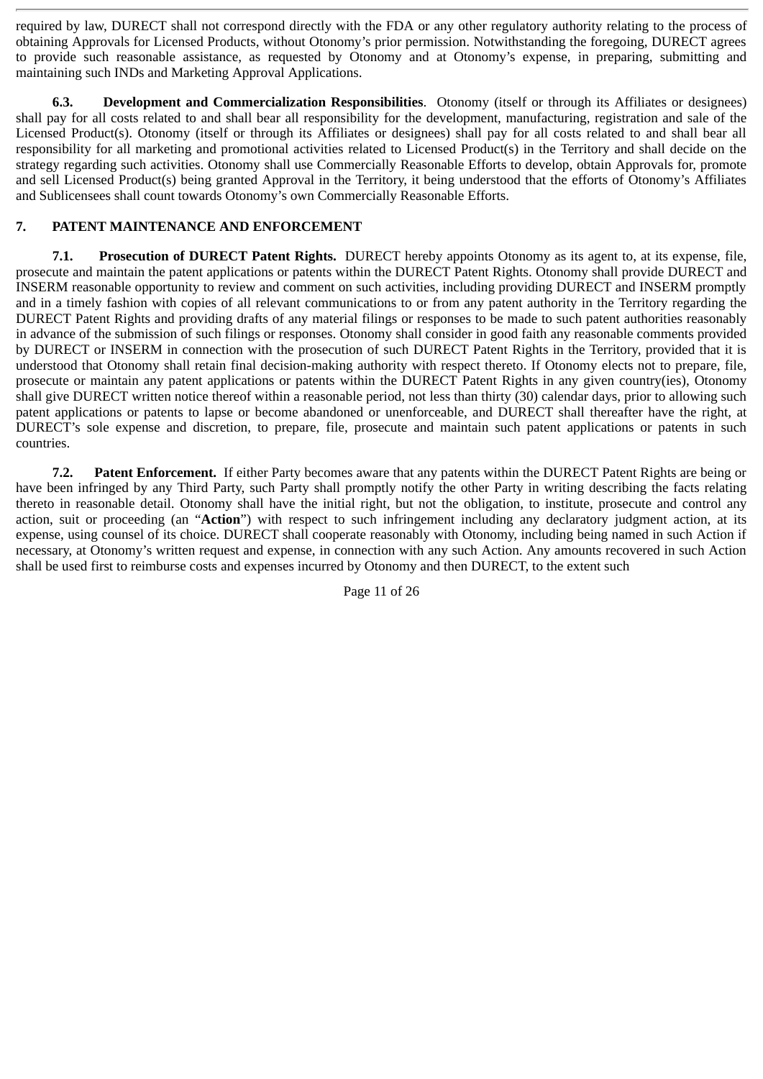required by law, DURECT shall not correspond directly with the FDA or any other regulatory authority relating to the process of obtaining Approvals for Licensed Products, without Otonomy's prior permission. Notwithstanding the foregoing, DURECT agrees to provide such reasonable assistance, as requested by Otonomy and at Otonomy's expense, in preparing, submitting and maintaining such INDs and Marketing Approval Applications.

**6.3. Development and Commercialization Responsibilities**. Otonomy (itself or through its Affiliates or designees) shall pay for all costs related to and shall bear all responsibility for the development, manufacturing, registration and sale of the Licensed Product(s). Otonomy (itself or through its Affiliates or designees) shall pay for all costs related to and shall bear all responsibility for all marketing and promotional activities related to Licensed Product(s) in the Territory and shall decide on the strategy regarding such activities. Otonomy shall use Commercially Reasonable Efforts to develop, obtain Approvals for, promote and sell Licensed Product(s) being granted Approval in the Territory, it being understood that the efforts of Otonomy's Affiliates and Sublicensees shall count towards Otonomy's own Commercially Reasonable Efforts.

# **7. PATENT MAINTENANCE AND ENFORCEMENT**

**7.1. Prosecution of DURECT Patent Rights.** DURECT hereby appoints Otonomy as its agent to, at its expense, file, prosecute and maintain the patent applications or patents within the DURECT Patent Rights. Otonomy shall provide DURECT and INSERM reasonable opportunity to review and comment on such activities, including providing DURECT and INSERM promptly and in a timely fashion with copies of all relevant communications to or from any patent authority in the Territory regarding the DURECT Patent Rights and providing drafts of any material filings or responses to be made to such patent authorities reasonably in advance of the submission of such filings or responses. Otonomy shall consider in good faith any reasonable comments provided by DURECT or INSERM in connection with the prosecution of such DURECT Patent Rights in the Territory, provided that it is understood that Otonomy shall retain final decision-making authority with respect thereto. If Otonomy elects not to prepare, file, prosecute or maintain any patent applications or patents within the DURECT Patent Rights in any given country(ies), Otonomy shall give DURECT written notice thereof within a reasonable period, not less than thirty (30) calendar days, prior to allowing such patent applications or patents to lapse or become abandoned or unenforceable, and DURECT shall thereafter have the right, at DURECT's sole expense and discretion, to prepare, file, prosecute and maintain such patent applications or patents in such countries.

**7.2. Patent Enforcement.** If either Party becomes aware that any patents within the DURECT Patent Rights are being or have been infringed by any Third Party, such Party shall promptly notify the other Party in writing describing the facts relating thereto in reasonable detail. Otonomy shall have the initial right, but not the obligation, to institute, prosecute and control any action, suit or proceeding (an "**Action**") with respect to such infringement including any declaratory judgment action, at its expense, using counsel of its choice. DURECT shall cooperate reasonably with Otonomy, including being named in such Action if necessary, at Otonomy's written request and expense, in connection with any such Action. Any amounts recovered in such Action shall be used first to reimburse costs and expenses incurred by Otonomy and then DURECT, to the extent such

Page 11 of 26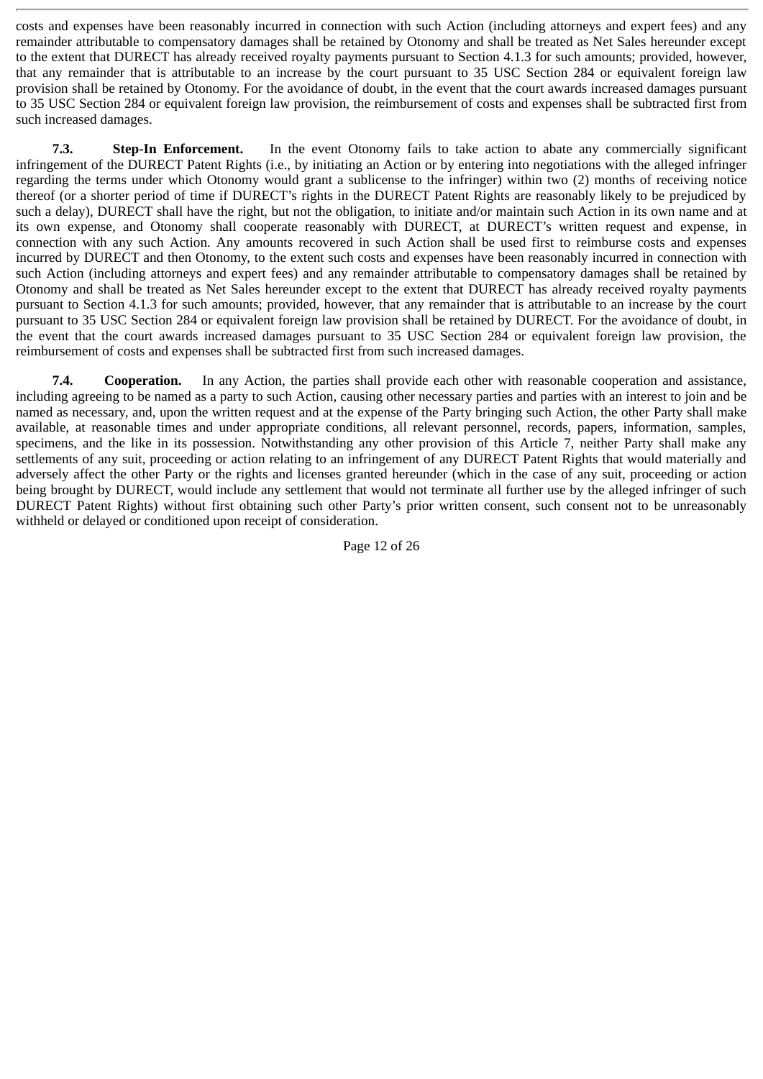costs and expenses have been reasonably incurred in connection with such Action (including attorneys and expert fees) and any remainder attributable to compensatory damages shall be retained by Otonomy and shall be treated as Net Sales hereunder except to the extent that DURECT has already received royalty payments pursuant to Section 4.1.3 for such amounts; provided, however, that any remainder that is attributable to an increase by the court pursuant to 35 USC Section 284 or equivalent foreign law provision shall be retained by Otonomy. For the avoidance of doubt, in the event that the court awards increased damages pursuant to 35 USC Section 284 or equivalent foreign law provision, the reimbursement of costs and expenses shall be subtracted first from such increased damages.

**7.3. Step-In Enforcement.** In the event Otonomy fails to take action to abate any commercially significant infringement of the DURECT Patent Rights (i.e., by initiating an Action or by entering into negotiations with the alleged infringer regarding the terms under which Otonomy would grant a sublicense to the infringer) within two (2) months of receiving notice thereof (or a shorter period of time if DURECT's rights in the DURECT Patent Rights are reasonably likely to be prejudiced by such a delay), DURECT shall have the right, but not the obligation, to initiate and/or maintain such Action in its own name and at its own expense, and Otonomy shall cooperate reasonably with DURECT, at DURECT's written request and expense, in connection with any such Action. Any amounts recovered in such Action shall be used first to reimburse costs and expenses incurred by DURECT and then Otonomy, to the extent such costs and expenses have been reasonably incurred in connection with such Action (including attorneys and expert fees) and any remainder attributable to compensatory damages shall be retained by Otonomy and shall be treated as Net Sales hereunder except to the extent that DURECT has already received royalty payments pursuant to Section 4.1.3 for such amounts; provided, however, that any remainder that is attributable to an increase by the court pursuant to 35 USC Section 284 or equivalent foreign law provision shall be retained by DURECT. For the avoidance of doubt, in the event that the court awards increased damages pursuant to 35 USC Section 284 or equivalent foreign law provision, the reimbursement of costs and expenses shall be subtracted first from such increased damages.

**7.4. Cooperation.** In any Action, the parties shall provide each other with reasonable cooperation and assistance, including agreeing to be named as a party to such Action, causing other necessary parties and parties with an interest to join and be named as necessary, and, upon the written request and at the expense of the Party bringing such Action, the other Party shall make available, at reasonable times and under appropriate conditions, all relevant personnel, records, papers, information, samples, specimens, and the like in its possession. Notwithstanding any other provision of this Article 7, neither Party shall make any settlements of any suit, proceeding or action relating to an infringement of any DURECT Patent Rights that would materially and adversely affect the other Party or the rights and licenses granted hereunder (which in the case of any suit, proceeding or action being brought by DURECT, would include any settlement that would not terminate all further use by the alleged infringer of such DURECT Patent Rights) without first obtaining such other Party's prior written consent, such consent not to be unreasonably withheld or delayed or conditioned upon receipt of consideration.

Page 12 of 26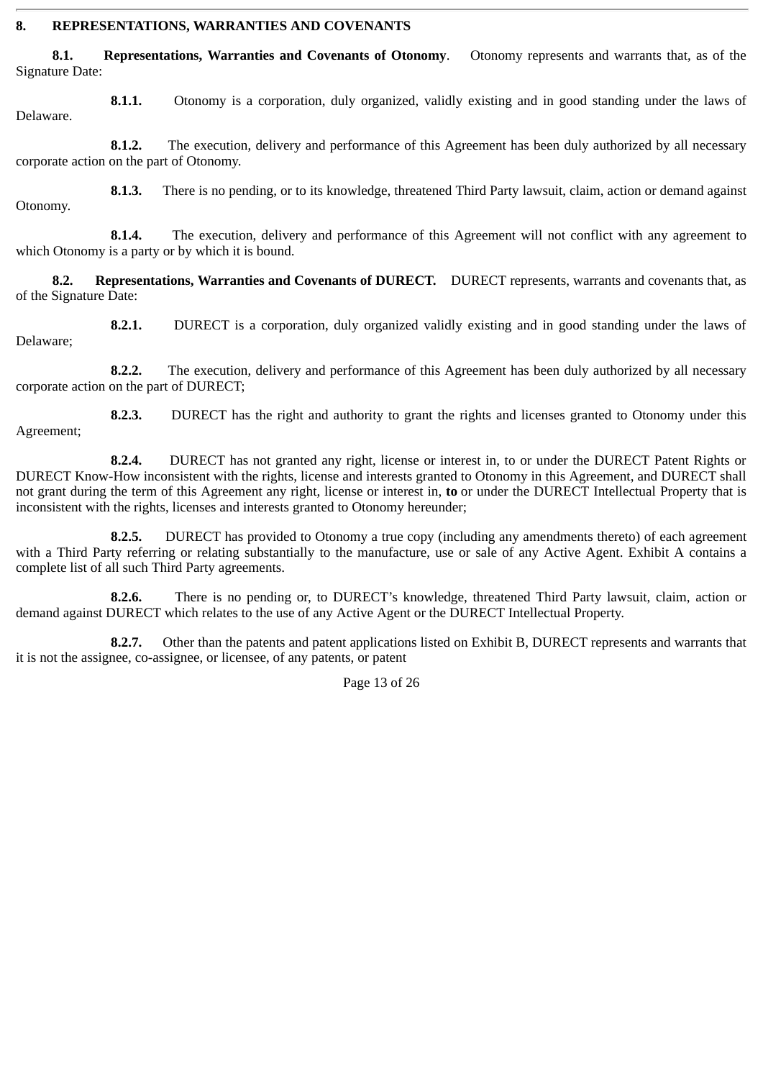#### **8. REPRESENTATIONS, WARRANTIES AND COVENANTS**

**8.1. Representations, Warranties and Covenants of Otonomy**. Otonomy represents and warrants that, as of the Signature Date:

**8.1.1.** Otonomy is a corporation, duly organized, validly existing and in good standing under the laws of Delaware.

**8.1.2.** The execution, delivery and performance of this Agreement has been duly authorized by all necessary corporate action on the part of Otonomy.

**8.1.3.** There is no pending, or to its knowledge, threatened Third Party lawsuit, claim, action or demand against Otonomy.

**8.1.4.** The execution, delivery and performance of this Agreement will not conflict with any agreement to which Otonomy is a party or by which it is bound.

**8.2. Representations, Warranties and Covenants of DURECT.** DURECT represents, warrants and covenants that, as of the Signature Date:

**8.2.1.** DURECT is a corporation, duly organized validly existing and in good standing under the laws of Delaware;

**8.2.2.** The execution, delivery and performance of this Agreement has been duly authorized by all necessary corporate action on the part of DURECT;

**8.2.3.** DURECT has the right and authority to grant the rights and licenses granted to Otonomy under this Agreement;

**8.2.4.** DURECT has not granted any right, license or interest in, to or under the DURECT Patent Rights or DURECT Know-How inconsistent with the rights, license and interests granted to Otonomy in this Agreement, and DURECT shall not grant during the term of this Agreement any right, license or interest in, **to** or under the DURECT Intellectual Property that is inconsistent with the rights, licenses and interests granted to Otonomy hereunder;

**8.2.5.** DURECT has provided to Otonomy a true copy (including any amendments thereto) of each agreement with a Third Party referring or relating substantially to the manufacture, use or sale of any Active Agent. Exhibit A contains a complete list of all such Third Party agreements.

**8.2.6.** There is no pending or, to DURECT's knowledge, threatened Third Party lawsuit, claim, action or demand against DURECT which relates to the use of any Active Agent or the DURECT Intellectual Property.

**8.2.7.** Other than the patents and patent applications listed on Exhibit B, DURECT represents and warrants that it is not the assignee, co-assignee, or licensee, of any patents, or patent

Page 13 of 26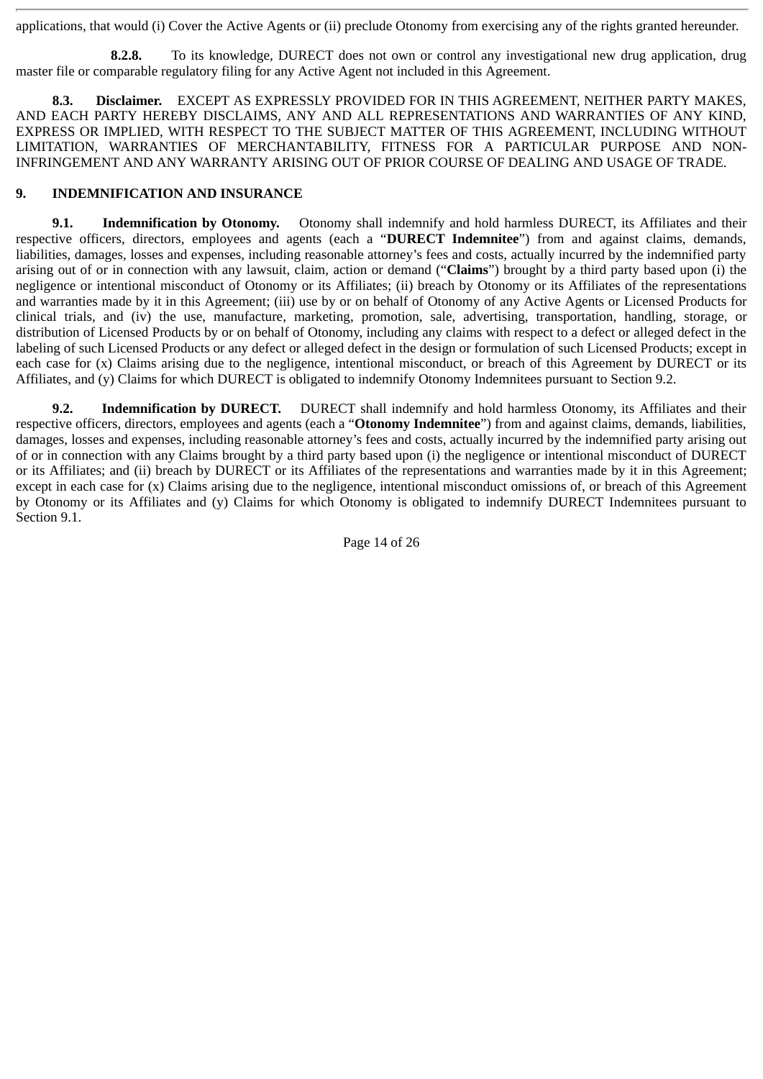applications, that would (i) Cover the Active Agents or (ii) preclude Otonomy from exercising any of the rights granted hereunder.

**8.2.8.** To its knowledge, DURECT does not own or control any investigational new drug application, drug master file or comparable regulatory filing for any Active Agent not included in this Agreement.

**8.3. Disclaimer.** EXCEPT AS EXPRESSLY PROVIDED FOR IN THIS AGREEMENT, NEITHER PARTY MAKES, AND EACH PARTY HEREBY DISCLAIMS, ANY AND ALL REPRESENTATIONS AND WARRANTIES OF ANY KIND, EXPRESS OR IMPLIED, WITH RESPECT TO THE SUBJECT MATTER OF THIS AGREEMENT, INCLUDING WITHOUT LIMITATION, WARRANTIES OF MERCHANTABILITY, FITNESS FOR A PARTICULAR PURPOSE AND NON-INFRINGEMENT AND ANY WARRANTY ARISING OUT OF PRIOR COURSE OF DEALING AND USAGE OF TRADE.

## **9. INDEMNIFICATION AND INSURANCE**

**9.1. Indemnification by Otonomy.** Otonomy shall indemnify and hold harmless DURECT, its Affiliates and their respective officers, directors, employees and agents (each a "**DURECT Indemnitee**") from and against claims, demands, liabilities, damages, losses and expenses, including reasonable attorney's fees and costs, actually incurred by the indemnified party arising out of or in connection with any lawsuit, claim, action or demand ("**Claims**") brought by a third party based upon (i) the negligence or intentional misconduct of Otonomy or its Affiliates; (ii) breach by Otonomy or its Affiliates of the representations and warranties made by it in this Agreement; (iii) use by or on behalf of Otonomy of any Active Agents or Licensed Products for clinical trials, and (iv) the use, manufacture, marketing, promotion, sale, advertising, transportation, handling, storage, or distribution of Licensed Products by or on behalf of Otonomy, including any claims with respect to a defect or alleged defect in the labeling of such Licensed Products or any defect or alleged defect in the design or formulation of such Licensed Products; except in each case for (x) Claims arising due to the negligence, intentional misconduct, or breach of this Agreement by DURECT or its Affiliates, and (y) Claims for which DURECT is obligated to indemnify Otonomy Indemnitees pursuant to Section 9.2.

**9.2. Indemnification by DURECT.** DURECT shall indemnify and hold harmless Otonomy, its Affiliates and their respective officers, directors, employees and agents (each a "**Otonomy Indemnitee**") from and against claims, demands, liabilities, damages, losses and expenses, including reasonable attorney's fees and costs, actually incurred by the indemnified party arising out of or in connection with any Claims brought by a third party based upon (i) the negligence or intentional misconduct of DURECT or its Affiliates; and (ii) breach by DURECT or its Affiliates of the representations and warranties made by it in this Agreement; except in each case for (x) Claims arising due to the negligence, intentional misconduct omissions of, or breach of this Agreement by Otonomy or its Affiliates and (y) Claims for which Otonomy is obligated to indemnify DURECT Indemnitees pursuant to Section 9.1.

Page 14 of 26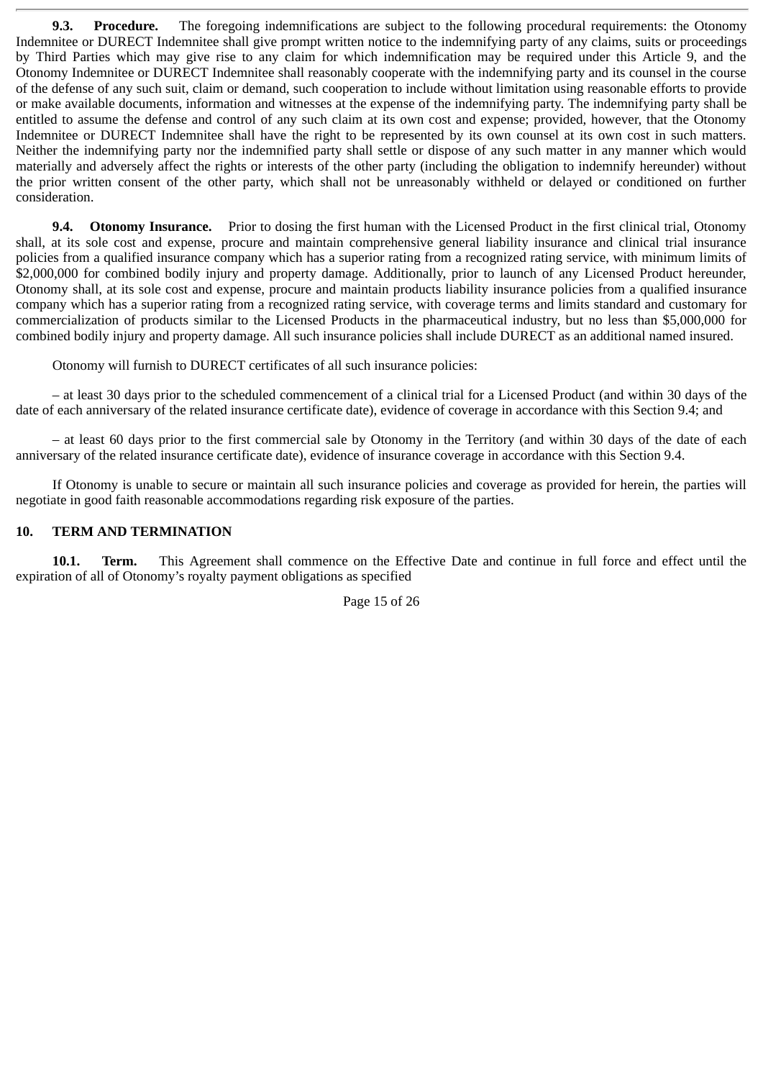**9.3. Procedure.** The foregoing indemnifications are subject to the following procedural requirements: the Otonomy Indemnitee or DURECT Indemnitee shall give prompt written notice to the indemnifying party of any claims, suits or proceedings by Third Parties which may give rise to any claim for which indemnification may be required under this Article 9, and the Otonomy Indemnitee or DURECT Indemnitee shall reasonably cooperate with the indemnifying party and its counsel in the course of the defense of any such suit, claim or demand, such cooperation to include without limitation using reasonable efforts to provide or make available documents, information and witnesses at the expense of the indemnifying party. The indemnifying party shall be entitled to assume the defense and control of any such claim at its own cost and expense; provided, however, that the Otonomy Indemnitee or DURECT Indemnitee shall have the right to be represented by its own counsel at its own cost in such matters. Neither the indemnifying party nor the indemnified party shall settle or dispose of any such matter in any manner which would materially and adversely affect the rights or interests of the other party (including the obligation to indemnify hereunder) without the prior written consent of the other party, which shall not be unreasonably withheld or delayed or conditioned on further consideration.

**9.4. Otonomy Insurance.** Prior to dosing the first human with the Licensed Product in the first clinical trial, Otonomy shall, at its sole cost and expense, procure and maintain comprehensive general liability insurance and clinical trial insurance policies from a qualified insurance company which has a superior rating from a recognized rating service, with minimum limits of \$2,000,000 for combined bodily injury and property damage. Additionally, prior to launch of any Licensed Product hereunder, Otonomy shall, at its sole cost and expense, procure and maintain products liability insurance policies from a qualified insurance company which has a superior rating from a recognized rating service, with coverage terms and limits standard and customary for commercialization of products similar to the Licensed Products in the pharmaceutical industry, but no less than \$5,000,000 for combined bodily injury and property damage. All such insurance policies shall include DURECT as an additional named insured.

Otonomy will furnish to DURECT certificates of all such insurance policies:

– at least 30 days prior to the scheduled commencement of a clinical trial for a Licensed Product (and within 30 days of the date of each anniversary of the related insurance certificate date), evidence of coverage in accordance with this Section 9.4; and

– at least 60 days prior to the first commercial sale by Otonomy in the Territory (and within 30 days of the date of each anniversary of the related insurance certificate date), evidence of insurance coverage in accordance with this Section 9.4.

If Otonomy is unable to secure or maintain all such insurance policies and coverage as provided for herein, the parties will negotiate in good faith reasonable accommodations regarding risk exposure of the parties.

#### **10. TERM AND TERMINATION**

**10.1. Term.** This Agreement shall commence on the Effective Date and continue in full force and effect until the expiration of all of Otonomy's royalty payment obligations as specified

Page 15 of 26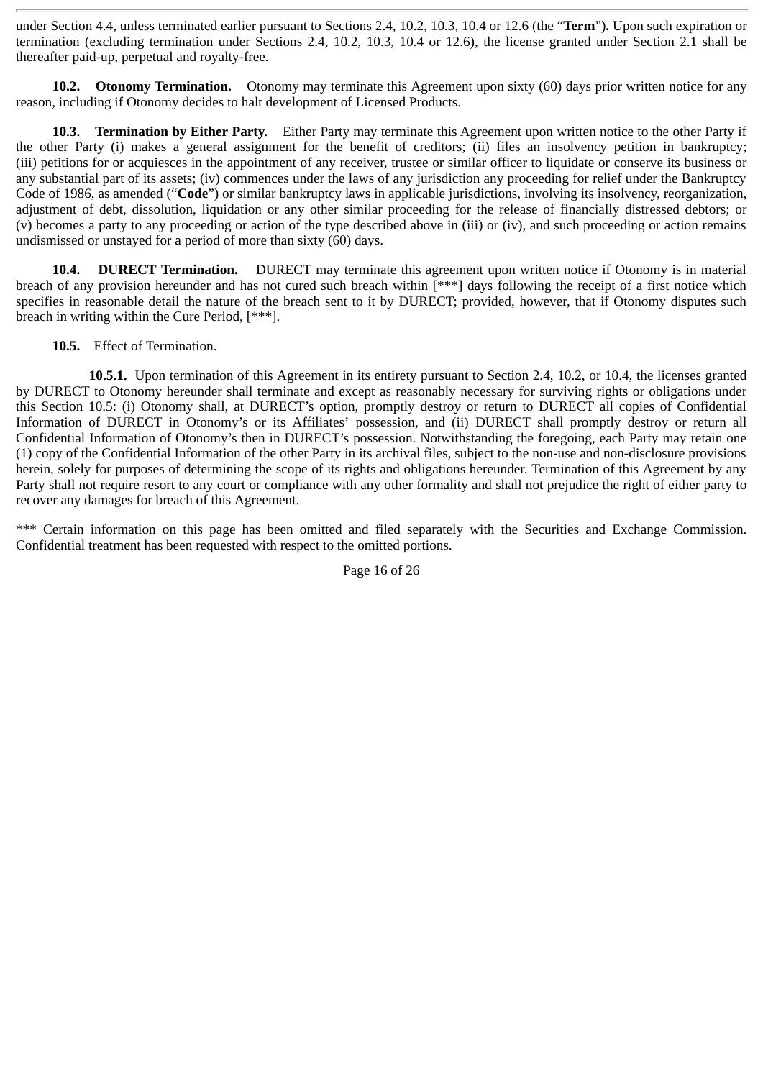under Section 4.4, unless terminated earlier pursuant to Sections 2.4, 10.2, 10.3, 10.4 or 12.6 (the "**Term**")**.** Upon such expiration or termination (excluding termination under Sections 2.4, 10.2, 10.3, 10.4 or 12.6), the license granted under Section 2.1 shall be thereafter paid-up, perpetual and royalty-free.

**10.2. Otonomy Termination.** Otonomy may terminate this Agreement upon sixty (60) days prior written notice for any reason, including if Otonomy decides to halt development of Licensed Products.

**10.3. Termination by Either Party.** Either Party may terminate this Agreement upon written notice to the other Party if the other Party (i) makes a general assignment for the benefit of creditors; (ii) files an insolvency petition in bankruptcy; (iii) petitions for or acquiesces in the appointment of any receiver, trustee or similar officer to liquidate or conserve its business or any substantial part of its assets; (iv) commences under the laws of any jurisdiction any proceeding for relief under the Bankruptcy Code of 1986, as amended ("**Code**") or similar bankruptcy laws in applicable jurisdictions, involving its insolvency, reorganization, adjustment of debt, dissolution, liquidation or any other similar proceeding for the release of financially distressed debtors; or (v) becomes a party to any proceeding or action of the type described above in (iii) or (iv), and such proceeding or action remains undismissed or unstayed for a period of more than sixty (60) days.

**10.4. DURECT Termination.** DURECT may terminate this agreement upon written notice if Otonomy is in material breach of any provision hereunder and has not cured such breach within [\*\*\*] days following the receipt of a first notice which specifies in reasonable detail the nature of the breach sent to it by DURECT; provided, however, that if Otonomy disputes such breach in writing within the Cure Period, [\*\*\*].

**10.5.** Effect of Termination.

**10.5.1.** Upon termination of this Agreement in its entirety pursuant to Section 2.4, 10.2, or 10.4, the licenses granted by DURECT to Otonomy hereunder shall terminate and except as reasonably necessary for surviving rights or obligations under this Section 10.5: (i) Otonomy shall, at DURECT's option, promptly destroy or return to DURECT all copies of Confidential Information of DURECT in Otonomy's or its Affiliates' possession, and (ii) DURECT shall promptly destroy or return all Confidential Information of Otonomy's then in DURECT's possession. Notwithstanding the foregoing, each Party may retain one (1) copy of the Confidential Information of the other Party in its archival files, subject to the non-use and non-disclosure provisions herein, solely for purposes of determining the scope of its rights and obligations hereunder. Termination of this Agreement by any Party shall not require resort to any court or compliance with any other formality and shall not prejudice the right of either party to recover any damages for breach of this Agreement.

\*\*\* Certain information on this page has been omitted and filed separately with the Securities and Exchange Commission. Confidential treatment has been requested with respect to the omitted portions.

Page 16 of 26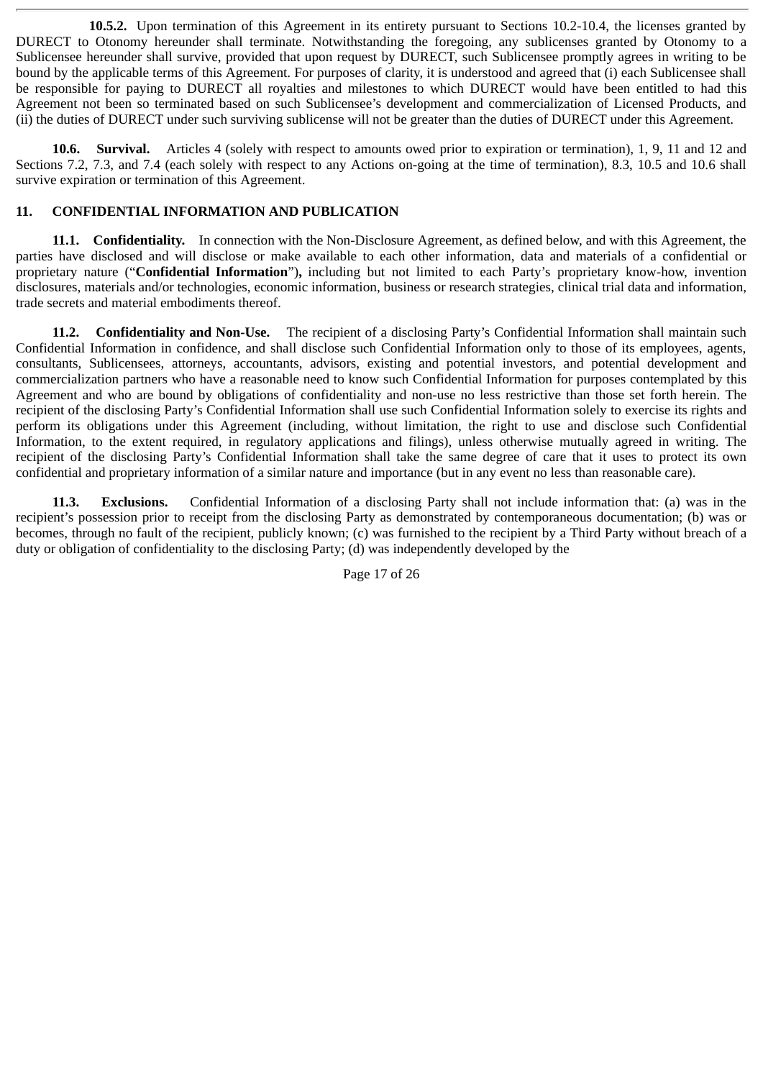**10.5.2.** Upon termination of this Agreement in its entirety pursuant to Sections 10.2-10.4, the licenses granted by DURECT to Otonomy hereunder shall terminate. Notwithstanding the foregoing, any sublicenses granted by Otonomy to a Sublicensee hereunder shall survive, provided that upon request by DURECT, such Sublicensee promptly agrees in writing to be bound by the applicable terms of this Agreement. For purposes of clarity, it is understood and agreed that (i) each Sublicensee shall be responsible for paying to DURECT all royalties and milestones to which DURECT would have been entitled to had this Agreement not been so terminated based on such Sublicensee's development and commercialization of Licensed Products, and (ii) the duties of DURECT under such surviving sublicense will not be greater than the duties of DURECT under this Agreement.

**10.6. Survival.** Articles 4 (solely with respect to amounts owed prior to expiration or termination), 1, 9, 11 and 12 and Sections 7.2, 7.3, and 7.4 (each solely with respect to any Actions on-going at the time of termination), 8.3, 10.5 and 10.6 shall survive expiration or termination of this Agreement.

# **11. CONFIDENTIAL INFORMATION AND PUBLICATION**

**11.1. Confidentiality.** In connection with the Non-Disclosure Agreement, as defined below, and with this Agreement, the parties have disclosed and will disclose or make available to each other information, data and materials of a confidential or proprietary nature ("**Confidential Information**")**,** including but not limited to each Party's proprietary know-how, invention disclosures, materials and/or technologies, economic information, business or research strategies, clinical trial data and information, trade secrets and material embodiments thereof.

**11.2. Confidentiality and Non-Use.** The recipient of a disclosing Party's Confidential Information shall maintain such Confidential Information in confidence, and shall disclose such Confidential Information only to those of its employees, agents, consultants, Sublicensees, attorneys, accountants, advisors, existing and potential investors, and potential development and commercialization partners who have a reasonable need to know such Confidential Information for purposes contemplated by this Agreement and who are bound by obligations of confidentiality and non-use no less restrictive than those set forth herein. The recipient of the disclosing Party's Confidential Information shall use such Confidential Information solely to exercise its rights and perform its obligations under this Agreement (including, without limitation, the right to use and disclose such Confidential Information, to the extent required, in regulatory applications and filings), unless otherwise mutually agreed in writing. The recipient of the disclosing Party's Confidential Information shall take the same degree of care that it uses to protect its own confidential and proprietary information of a similar nature and importance (but in any event no less than reasonable care).

**11.3. Exclusions.** Confidential Information of a disclosing Party shall not include information that: (a) was in the recipient's possession prior to receipt from the disclosing Party as demonstrated by contemporaneous documentation; (b) was or becomes, through no fault of the recipient, publicly known; (c) was furnished to the recipient by a Third Party without breach of a duty or obligation of confidentiality to the disclosing Party; (d) was independently developed by the

Page 17 of 26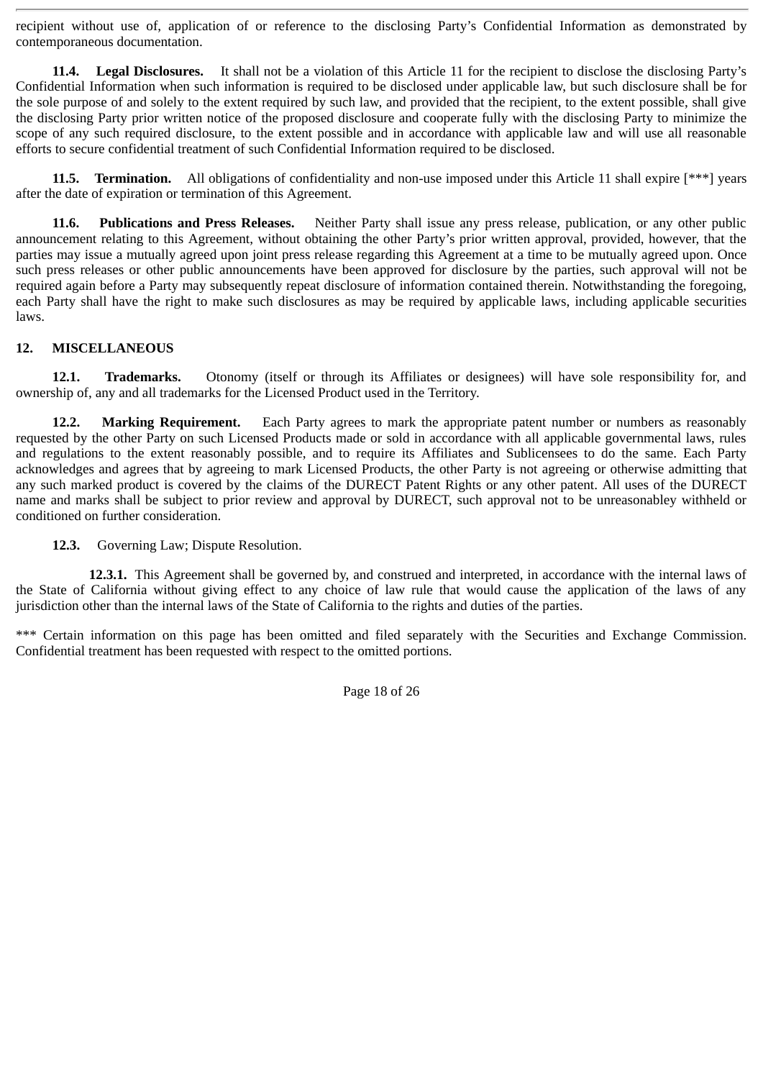recipient without use of, application of or reference to the disclosing Party's Confidential Information as demonstrated by contemporaneous documentation.

**11.4.** Legal Disclosures. It shall not be a violation of this Article 11 for the recipient to disclose the disclosing Party's Confidential Information when such information is required to be disclosed under applicable law, but such disclosure shall be for the sole purpose of and solely to the extent required by such law, and provided that the recipient, to the extent possible, shall give the disclosing Party prior written notice of the proposed disclosure and cooperate fully with the disclosing Party to minimize the scope of any such required disclosure, to the extent possible and in accordance with applicable law and will use all reasonable efforts to secure confidential treatment of such Confidential Information required to be disclosed.

**11.5. Termination.** All obligations of confidentiality and non-use imposed under this Article 11 shall expire [\*\*\*] years after the date of expiration or termination of this Agreement.

**11.6. Publications and Press Releases.** Neither Party shall issue any press release, publication, or any other public announcement relating to this Agreement, without obtaining the other Party's prior written approval, provided, however, that the parties may issue a mutually agreed upon joint press release regarding this Agreement at a time to be mutually agreed upon. Once such press releases or other public announcements have been approved for disclosure by the parties, such approval will not be required again before a Party may subsequently repeat disclosure of information contained therein. Notwithstanding the foregoing, each Party shall have the right to make such disclosures as may be required by applicable laws, including applicable securities laws.

### **12. MISCELLANEOUS**

**12.1. Trademarks.** Otonomy (itself or through its Affiliates or designees) will have sole responsibility for, and ownership of, any and all trademarks for the Licensed Product used in the Territory.

**12.2. Marking Requirement.** Each Party agrees to mark the appropriate patent number or numbers as reasonably requested by the other Party on such Licensed Products made or sold in accordance with all applicable governmental laws, rules and regulations to the extent reasonably possible, and to require its Affiliates and Sublicensees to do the same. Each Party acknowledges and agrees that by agreeing to mark Licensed Products, the other Party is not agreeing or otherwise admitting that any such marked product is covered by the claims of the DURECT Patent Rights or any other patent. All uses of the DURECT name and marks shall be subject to prior review and approval by DURECT, such approval not to be unreasonabley withheld or conditioned on further consideration.

**12.3.** Governing Law; Dispute Resolution.

**12.3.1.** This Agreement shall be governed by, and construed and interpreted, in accordance with the internal laws of the State of California without giving effect to any choice of law rule that would cause the application of the laws of any jurisdiction other than the internal laws of the State of California to the rights and duties of the parties.

\*\*\* Certain information on this page has been omitted and filed separately with the Securities and Exchange Commission. Confidential treatment has been requested with respect to the omitted portions.

Page 18 of 26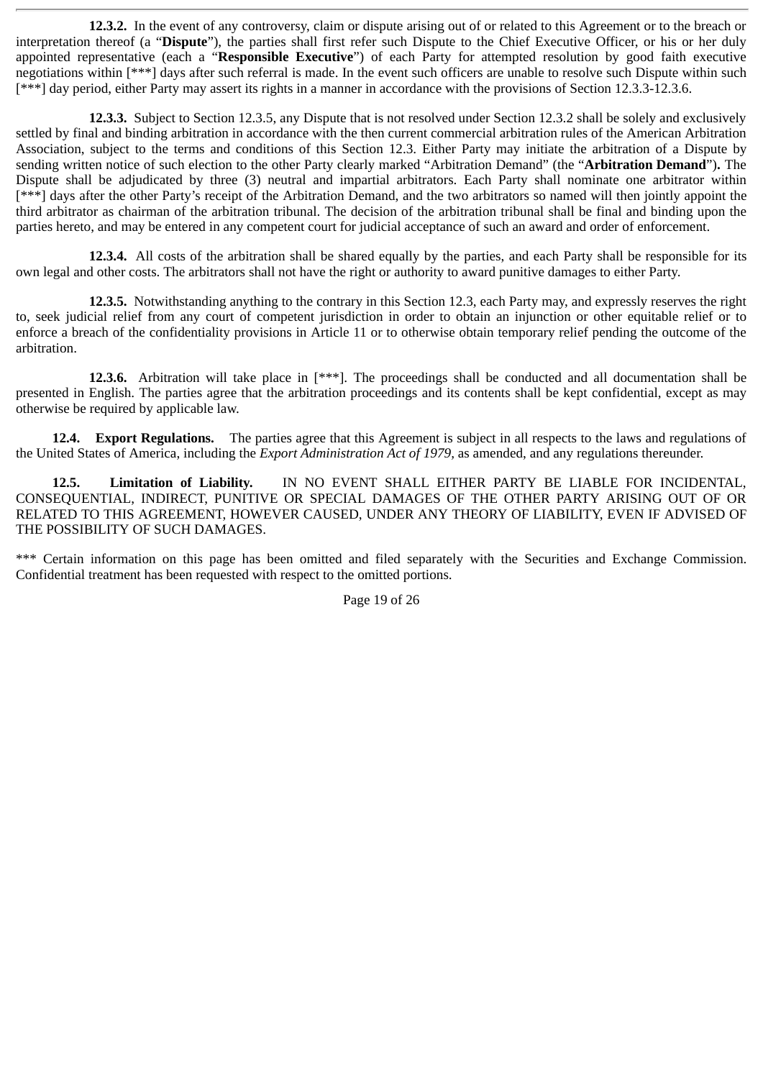**12.3.2.** In the event of any controversy, claim or dispute arising out of or related to this Agreement or to the breach or interpretation thereof (a "**Dispute**"), the parties shall first refer such Dispute to the Chief Executive Officer, or his or her duly appointed representative (each a "**Responsible Executive**") of each Party for attempted resolution by good faith executive negotiations within [\*\*\*] days after such referral is made. In the event such officers are unable to resolve such Dispute within such [\*\*\*] day period, either Party may assert its rights in a manner in accordance with the provisions of Section 12.3.3-12.3.6.

**12.3.3.** Subject to Section 12.3.5, any Dispute that is not resolved under Section 12.3.2 shall be solely and exclusively settled by final and binding arbitration in accordance with the then current commercial arbitration rules of the American Arbitration Association, subject to the terms and conditions of this Section 12.3. Either Party may initiate the arbitration of a Dispute by sending written notice of such election to the other Party clearly marked "Arbitration Demand" (the "**Arbitration Demand**")**.** The Dispute shall be adjudicated by three (3) neutral and impartial arbitrators. Each Party shall nominate one arbitrator within [\*\*\*] days after the other Party's receipt of the Arbitration Demand, and the two arbitrators so named will then jointly appoint the third arbitrator as chairman of the arbitration tribunal. The decision of the arbitration tribunal shall be final and binding upon the parties hereto, and may be entered in any competent court for judicial acceptance of such an award and order of enforcement.

**12.3.4.** All costs of the arbitration shall be shared equally by the parties, and each Party shall be responsible for its own legal and other costs. The arbitrators shall not have the right or authority to award punitive damages to either Party.

**12.3.5.** Notwithstanding anything to the contrary in this Section 12.3, each Party may, and expressly reserves the right to, seek judicial relief from any court of competent jurisdiction in order to obtain an injunction or other equitable relief or to enforce a breach of the confidentiality provisions in Article 11 or to otherwise obtain temporary relief pending the outcome of the arbitration.

**12.3.6.** Arbitration will take place in [\*\*\*]. The proceedings shall be conducted and all documentation shall be presented in English. The parties agree that the arbitration proceedings and its contents shall be kept confidential, except as may otherwise be required by applicable law.

**12.4. Export Regulations.** The parties agree that this Agreement is subject in all respects to the laws and regulations of the United States of America, including the *Export Administration Act of 1979,* as amended, and any regulations thereunder.

**12.5. Limitation of Liability.** IN NO EVENT SHALL EITHER PARTY BE LIABLE FOR INCIDENTAL, CONSEQUENTIAL, INDIRECT, PUNITIVE OR SPECIAL DAMAGES OF THE OTHER PARTY ARISING OUT OF OR RELATED TO THIS AGREEMENT, HOWEVER CAUSED, UNDER ANY THEORY OF LIABILITY, EVEN IF ADVISED OF THE POSSIBILITY OF SUCH DAMAGES.

\*\*\* Certain information on this page has been omitted and filed separately with the Securities and Exchange Commission. Confidential treatment has been requested with respect to the omitted portions.

Page 19 of 26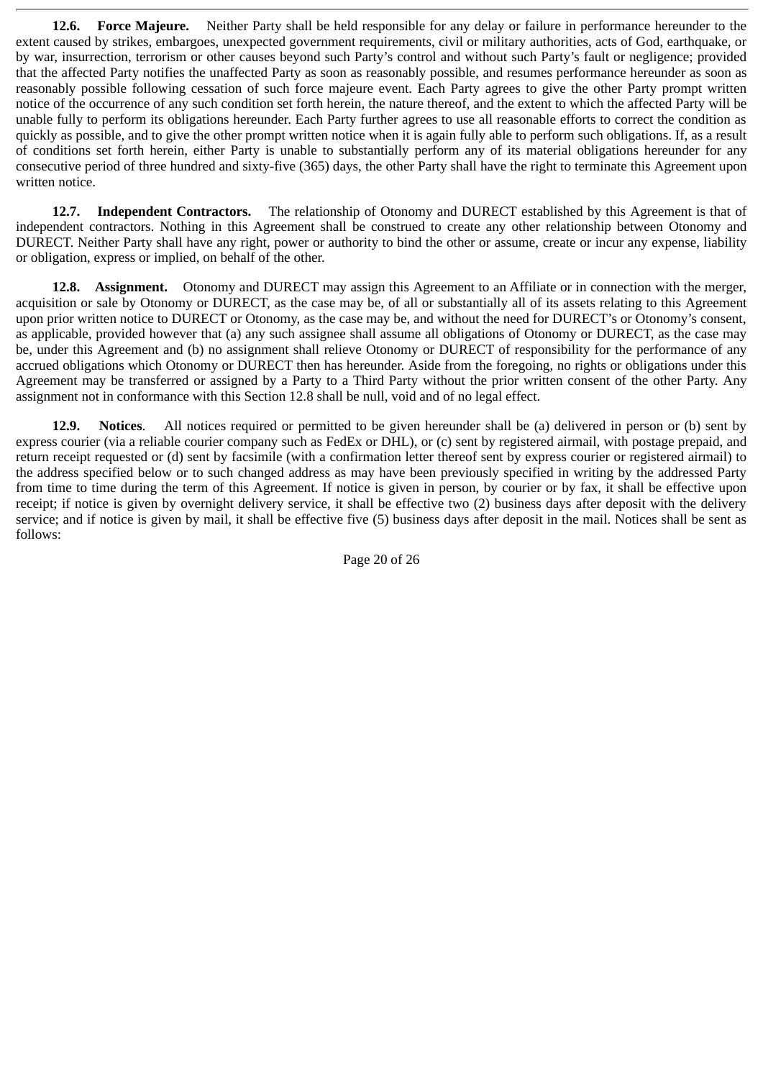**12.6. Force Majeure.** Neither Party shall be held responsible for any delay or failure in performance hereunder to the extent caused by strikes, embargoes, unexpected government requirements, civil or military authorities, acts of God, earthquake, or by war, insurrection, terrorism or other causes beyond such Party's control and without such Party's fault or negligence; provided that the affected Party notifies the unaffected Party as soon as reasonably possible, and resumes performance hereunder as soon as reasonably possible following cessation of such force majeure event. Each Party agrees to give the other Party prompt written notice of the occurrence of any such condition set forth herein, the nature thereof, and the extent to which the affected Party will be unable fully to perform its obligations hereunder. Each Party further agrees to use all reasonable efforts to correct the condition as quickly as possible, and to give the other prompt written notice when it is again fully able to perform such obligations. If, as a result of conditions set forth herein, either Party is unable to substantially perform any of its material obligations hereunder for any consecutive period of three hundred and sixty-five (365) days, the other Party shall have the right to terminate this Agreement upon written notice.

**12.7. Independent Contractors.** The relationship of Otonomy and DURECT established by this Agreement is that of independent contractors. Nothing in this Agreement shall be construed to create any other relationship between Otonomy and DURECT. Neither Party shall have any right, power or authority to bind the other or assume, create or incur any expense, liability or obligation, express or implied, on behalf of the other.

**12.8. Assignment.** Otonomy and DURECT may assign this Agreement to an Affiliate or in connection with the merger, acquisition or sale by Otonomy or DURECT, as the case may be, of all or substantially all of its assets relating to this Agreement upon prior written notice to DURECT or Otonomy, as the case may be, and without the need for DURECT's or Otonomy's consent, as applicable, provided however that (a) any such assignee shall assume all obligations of Otonomy or DURECT, as the case may be, under this Agreement and (b) no assignment shall relieve Otonomy or DURECT of responsibility for the performance of any accrued obligations which Otonomy or DURECT then has hereunder. Aside from the foregoing, no rights or obligations under this Agreement may be transferred or assigned by a Party to a Third Party without the prior written consent of the other Party. Any assignment not in conformance with this Section 12.8 shall be null, void and of no legal effect.

**12.9. Notices**. All notices required or permitted to be given hereunder shall be (a) delivered in person or (b) sent by express courier (via a reliable courier company such as FedEx or DHL), or (c) sent by registered airmail, with postage prepaid, and return receipt requested or (d) sent by facsimile (with a confirmation letter thereof sent by express courier or registered airmail) to the address specified below or to such changed address as may have been previously specified in writing by the addressed Party from time to time during the term of this Agreement. If notice is given in person, by courier or by fax, it shall be effective upon receipt; if notice is given by overnight delivery service, it shall be effective two (2) business days after deposit with the delivery service; and if notice is given by mail, it shall be effective five (5) business days after deposit in the mail. Notices shall be sent as follows:

Page 20 of 26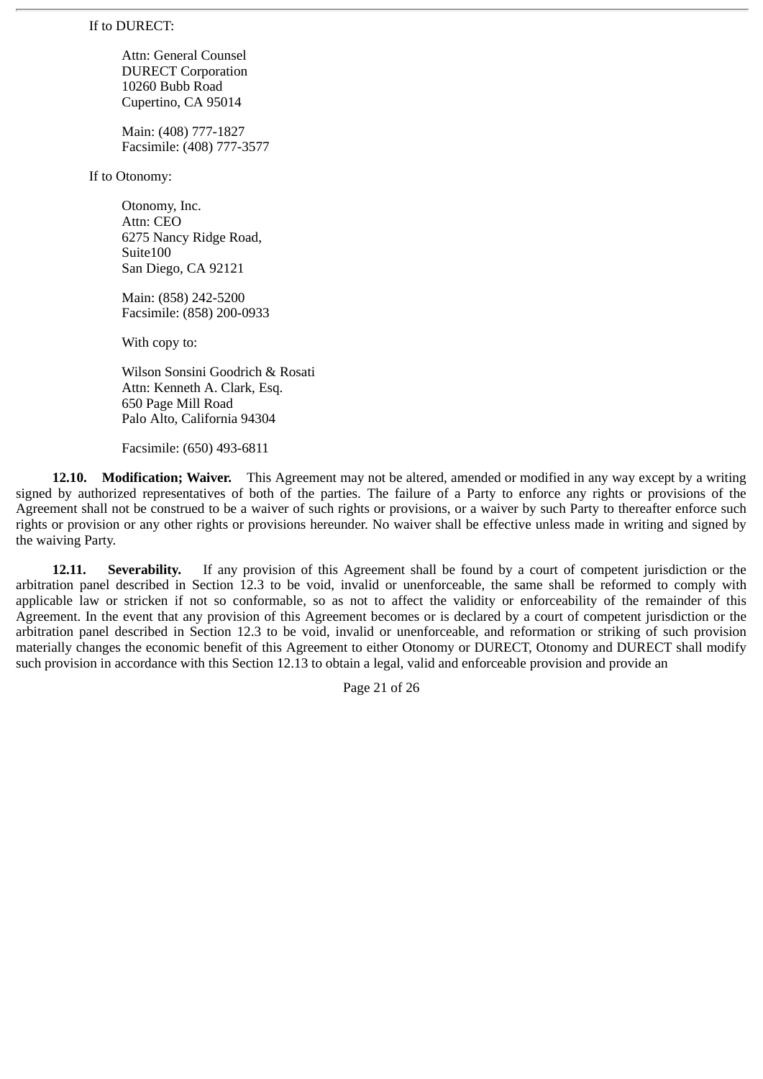If to DURECT:

Attn: General Counsel DURECT Corporation 10260 Bubb Road Cupertino, CA 95014

Main: (408) 777-1827 Facsimile: (408) 777-3577

If to Otonomy:

Otonomy, Inc. Attn: CEO 6275 Nancy Ridge Road, Suite100 San Diego, CA 92121

Main: (858) 242-5200 Facsimile: (858) 200-0933

With copy to:

Wilson Sonsini Goodrich & Rosati Attn: Kenneth A. Clark, Esq. 650 Page Mill Road Palo Alto, California 94304

Facsimile: (650) 493-6811

**12.10. Modification; Waiver.** This Agreement may not be altered, amended or modified in any way except by a writing signed by authorized representatives of both of the parties. The failure of a Party to enforce any rights or provisions of the Agreement shall not be construed to be a waiver of such rights or provisions, or a waiver by such Party to thereafter enforce such rights or provision or any other rights or provisions hereunder. No waiver shall be effective unless made in writing and signed by the waiving Party.

**12.11. Severability.** If any provision of this Agreement shall be found by a court of competent jurisdiction or the arbitration panel described in Section 12.3 to be void, invalid or unenforceable, the same shall be reformed to comply with applicable law or stricken if not so conformable, so as not to affect the validity or enforceability of the remainder of this Agreement. In the event that any provision of this Agreement becomes or is declared by a court of competent jurisdiction or the arbitration panel described in Section 12.3 to be void, invalid or unenforceable, and reformation or striking of such provision materially changes the economic benefit of this Agreement to either Otonomy or DURECT, Otonomy and DURECT shall modify such provision in accordance with this Section 12.13 to obtain a legal, valid and enforceable provision and provide an

Page 21 of 26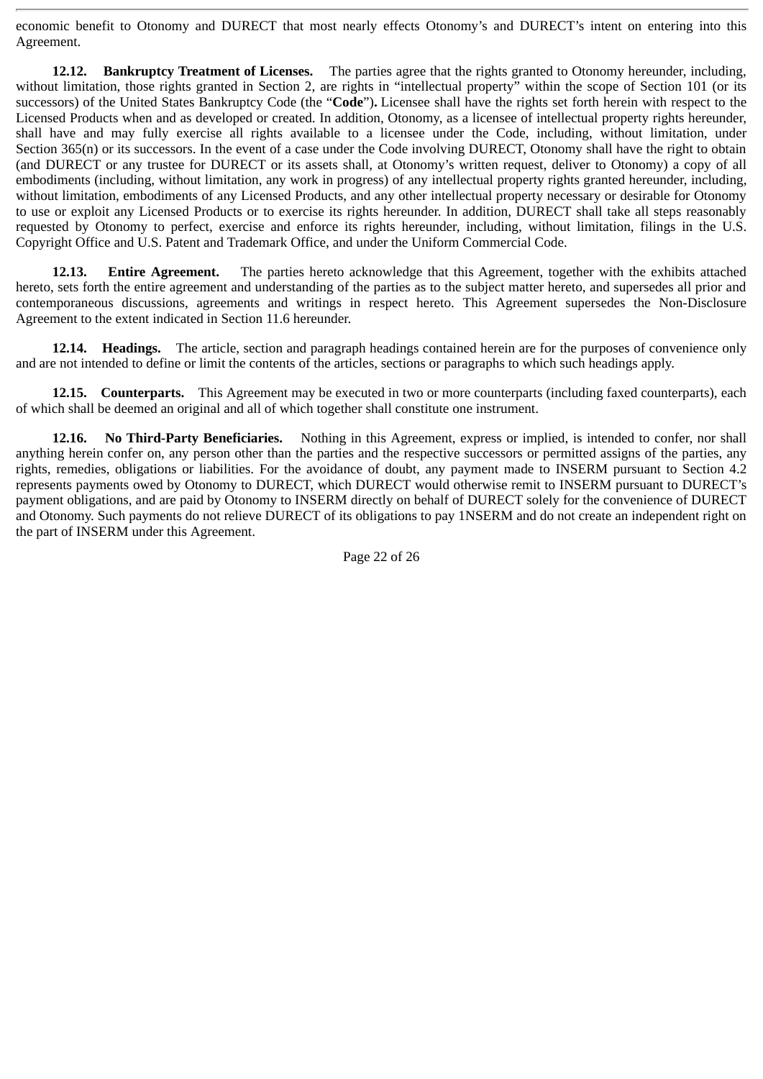economic benefit to Otonomy and DURECT that most nearly effects Otonomy's and DURECT's intent on entering into this Agreement.

**12.12. Bankruptcy Treatment of Licenses.** The parties agree that the rights granted to Otonomy hereunder, including, without limitation, those rights granted in Section 2, are rights in "intellectual property" within the scope of Section 101 (or its successors) of the United States Bankruptcy Code (the "**Code**")**.** Licensee shall have the rights set forth herein with respect to the Licensed Products when and as developed or created. In addition, Otonomy, as a licensee of intellectual property rights hereunder, shall have and may fully exercise all rights available to a licensee under the Code, including, without limitation, under Section 365(n) or its successors. In the event of a case under the Code involving DURECT, Otonomy shall have the right to obtain (and DURECT or any trustee for DURECT or its assets shall, at Otonomy's written request, deliver to Otonomy) a copy of all embodiments (including, without limitation, any work in progress) of any intellectual property rights granted hereunder, including, without limitation, embodiments of any Licensed Products, and any other intellectual property necessary or desirable for Otonomy to use or exploit any Licensed Products or to exercise its rights hereunder. In addition, DURECT shall take all steps reasonably requested by Otonomy to perfect, exercise and enforce its rights hereunder, including, without limitation, filings in the U.S. Copyright Office and U.S. Patent and Trademark Office, and under the Uniform Commercial Code.

**12.13. Entire Agreement.** The parties hereto acknowledge that this Agreement, together with the exhibits attached hereto, sets forth the entire agreement and understanding of the parties as to the subject matter hereto, and supersedes all prior and contemporaneous discussions, agreements and writings in respect hereto. This Agreement supersedes the Non-Disclosure Agreement to the extent indicated in Section 11.6 hereunder.

**12.14. Headings.** The article, section and paragraph headings contained herein are for the purposes of convenience only and are not intended to define or limit the contents of the articles, sections or paragraphs to which such headings apply.

**12.15. Counterparts.** This Agreement may be executed in two or more counterparts (including faxed counterparts), each of which shall be deemed an original and all of which together shall constitute one instrument.

**12.16. No Third-Party Beneficiaries.** Nothing in this Agreement, express or implied, is intended to confer, nor shall anything herein confer on, any person other than the parties and the respective successors or permitted assigns of the parties, any rights, remedies, obligations or liabilities. For the avoidance of doubt, any payment made to INSERM pursuant to Section 4.2 represents payments owed by Otonomy to DURECT, which DURECT would otherwise remit to INSERM pursuant to DURECT's payment obligations, and are paid by Otonomy to INSERM directly on behalf of DURECT solely for the convenience of DURECT and Otonomy. Such payments do not relieve DURECT of its obligations to pay 1NSERM and do not create an independent right on the part of INSERM under this Agreement.

Page 22 of 26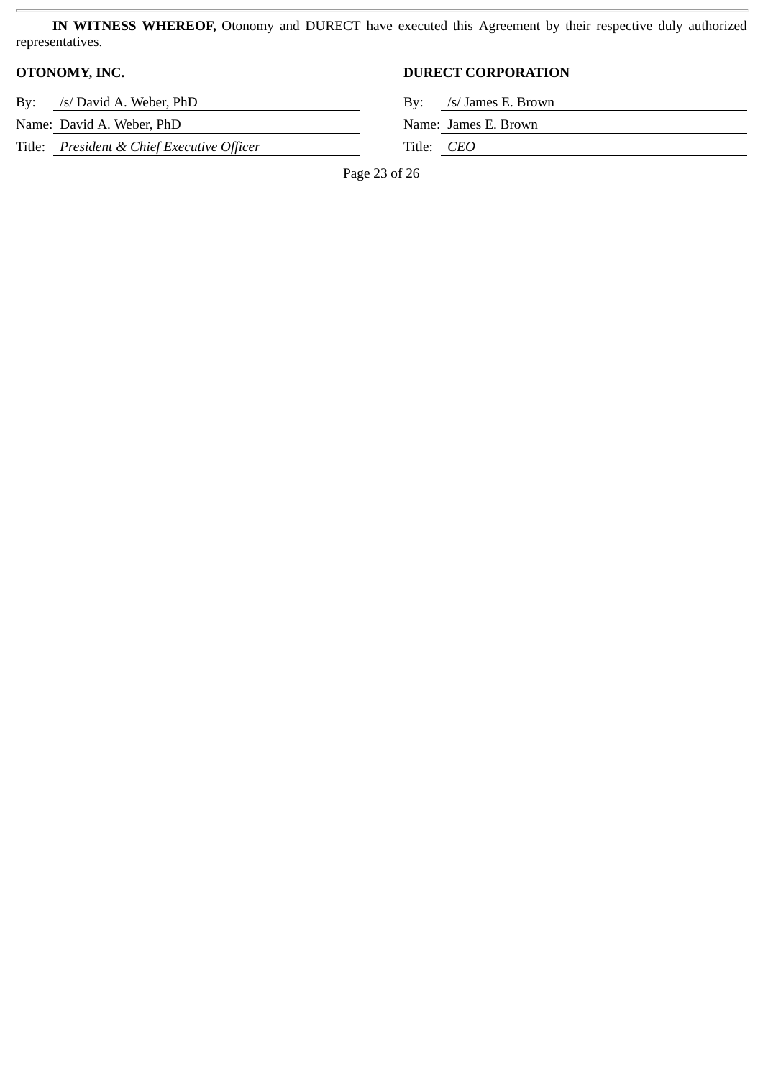**IN WITNESS WHEREOF,** Otonomy and DURECT have executed this Agreement by their respective duly authorized representatives.

By: /s/ David A. Weber, PhD

Name: David A. Weber, PhD

Title: *President & Chief Executive Officer* 

# **OTONOMY, INC. DURECT CORPORATION**

|              | By: /s/ James E. Brown |
|--------------|------------------------|
|              | Name: James E. Brown   |
| Title: $CEO$ |                        |

Page 23 of 26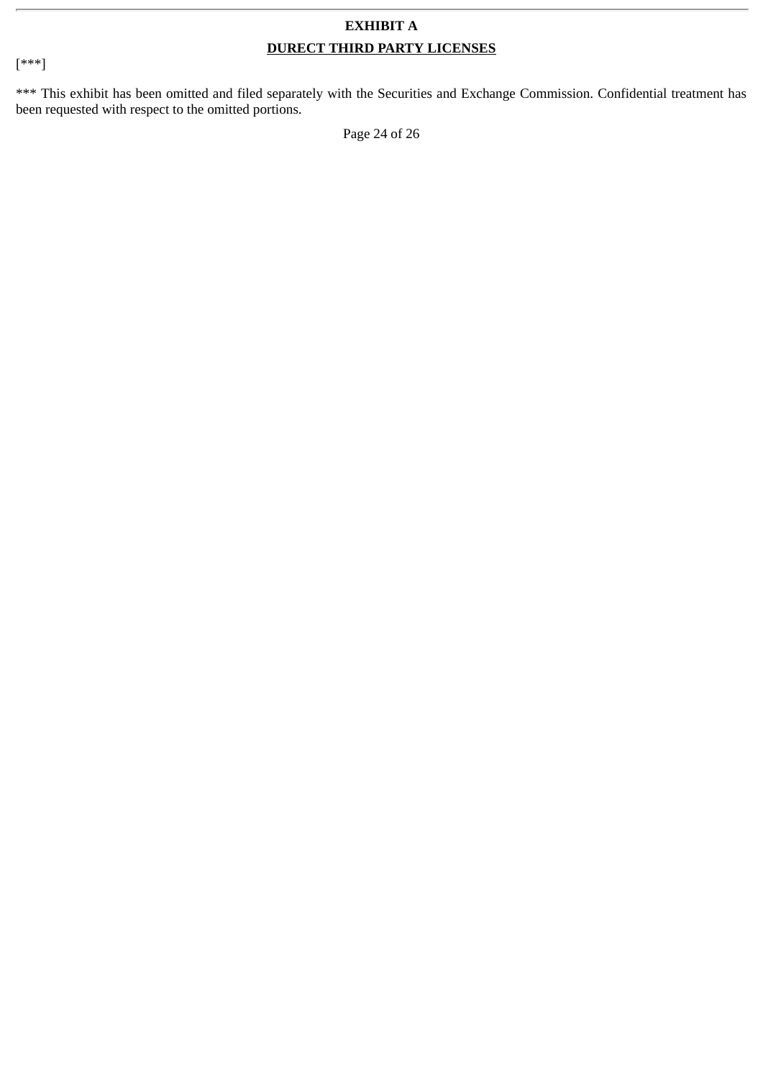# **EXHIBIT A DURECT THIRD PARTY LICENSES**

[\*\*\*]

\*\*\* This exhibit has been omitted and filed separately with the Securities and Exchange Commission. Confidential treatment has been requested with respect to the omitted portions.

Page 24 of 26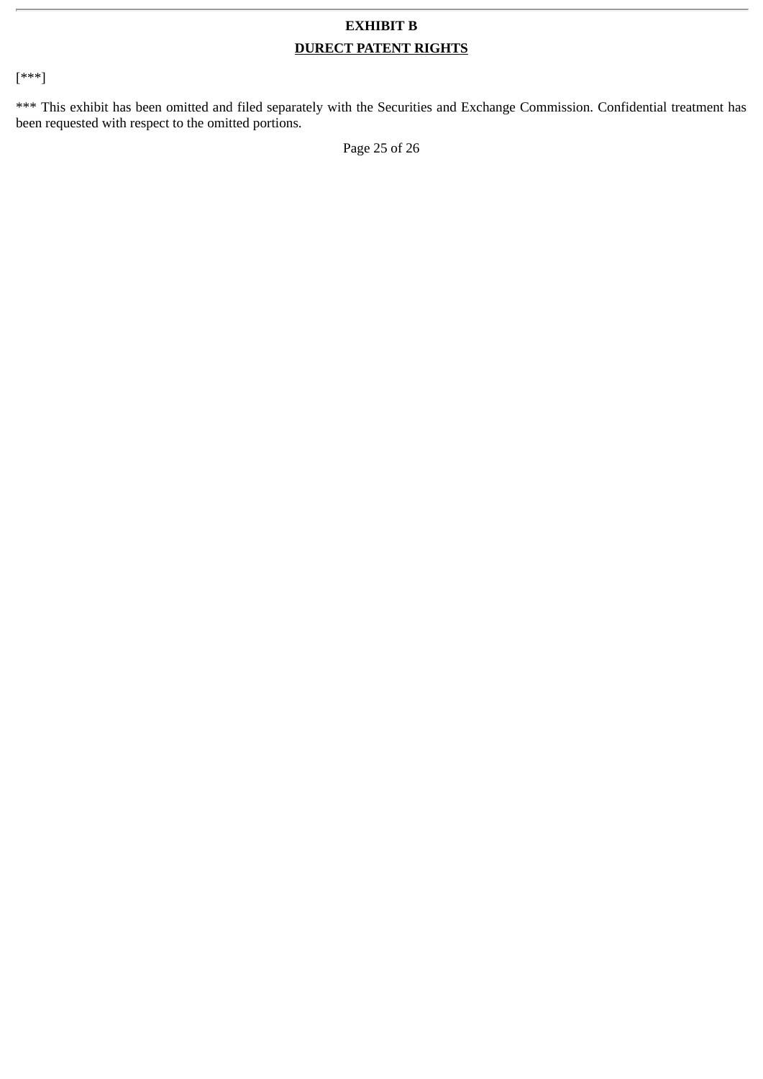# **EXHIBIT B DURECT PATENT RIGHTS**

[\*\*\*]

\*\*\* This exhibit has been omitted and filed separately with the Securities and Exchange Commission. Confidential treatment has been requested with respect to the omitted portions.

Page 25 of 26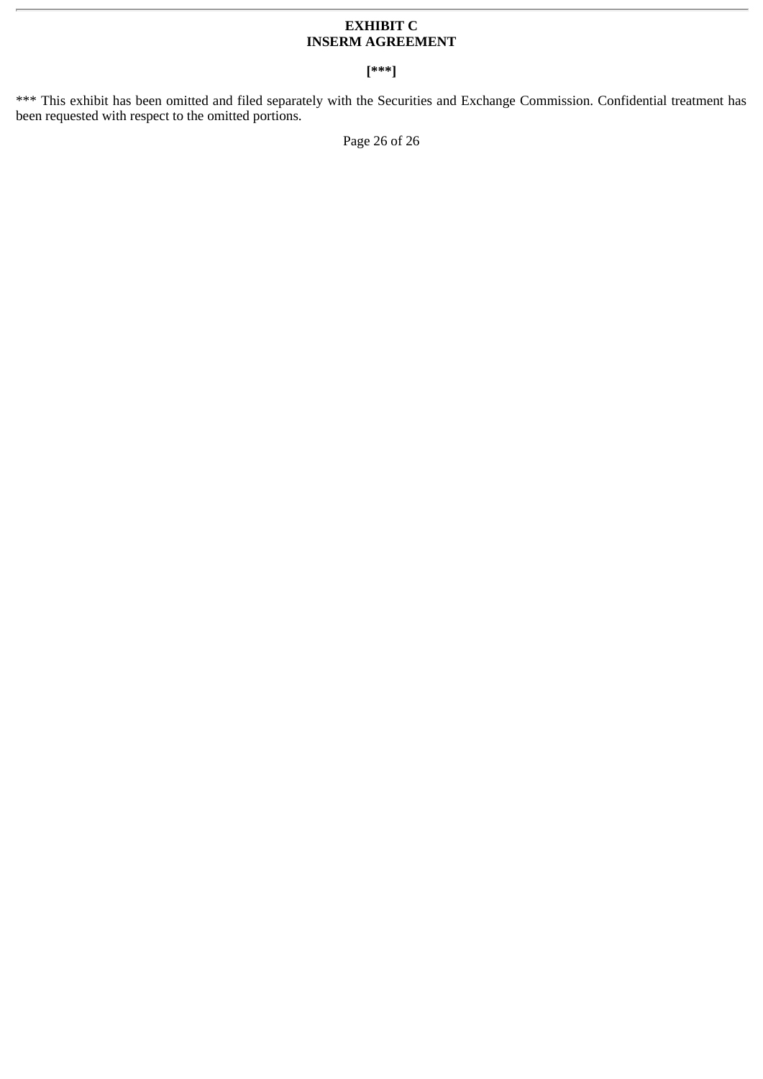# **EXHIBIT C INSERM AGREEMENT**

# **[\*\*\*]**

\*\*\* This exhibit has been omitted and filed separately with the Securities and Exchange Commission. Confidential treatment has been requested with respect to the omitted portions.

Page 26 of 26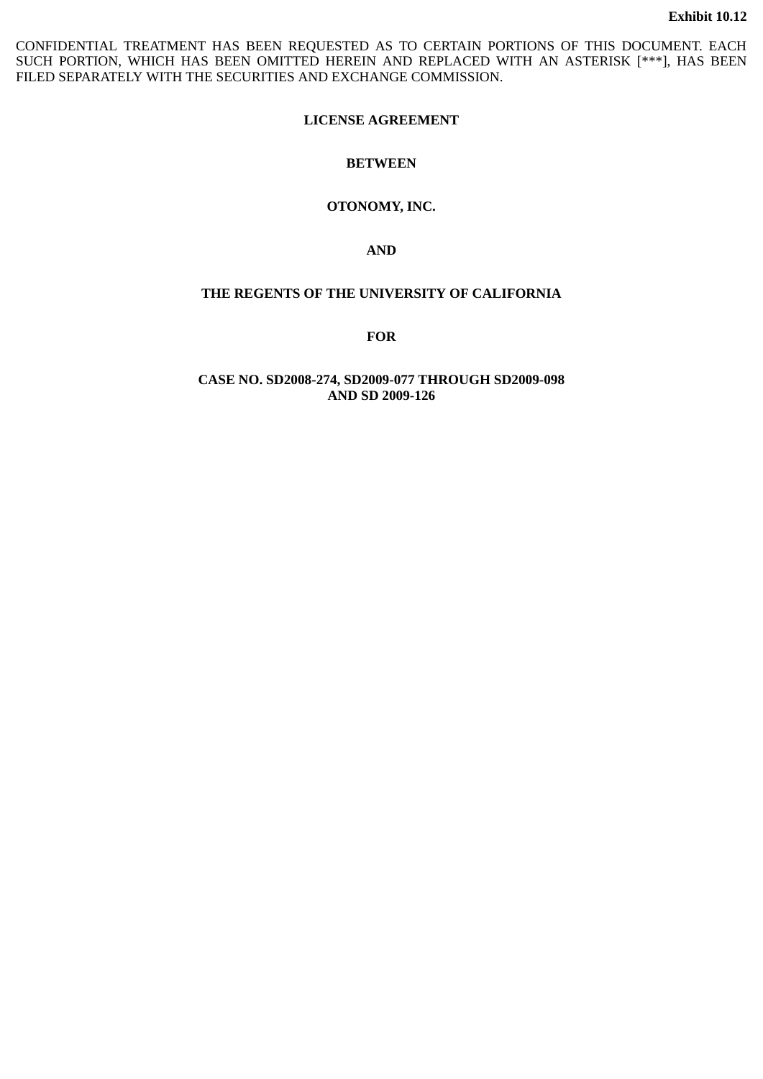CONFIDENTIAL TREATMENT HAS BEEN REQUESTED AS TO CERTAIN PORTIONS OF THIS DOCUMENT. EACH SUCH PORTION, WHICH HAS BEEN OMITTED HEREIN AND REPLACED WITH AN ASTERISK [\*\*\*], HAS BEEN FILED SEPARATELY WITH THE SECURITIES AND EXCHANGE COMMISSION.

# **LICENSE AGREEMENT**

# **BETWEEN**

# **OTONOMY, INC.**

**AND**

# **THE REGENTS OF THE UNIVERSITY OF CALIFORNIA**

**FOR**

**CASE NO. SD2008-274, SD2009-077 THROUGH SD2009-098 AND SD 2009-126**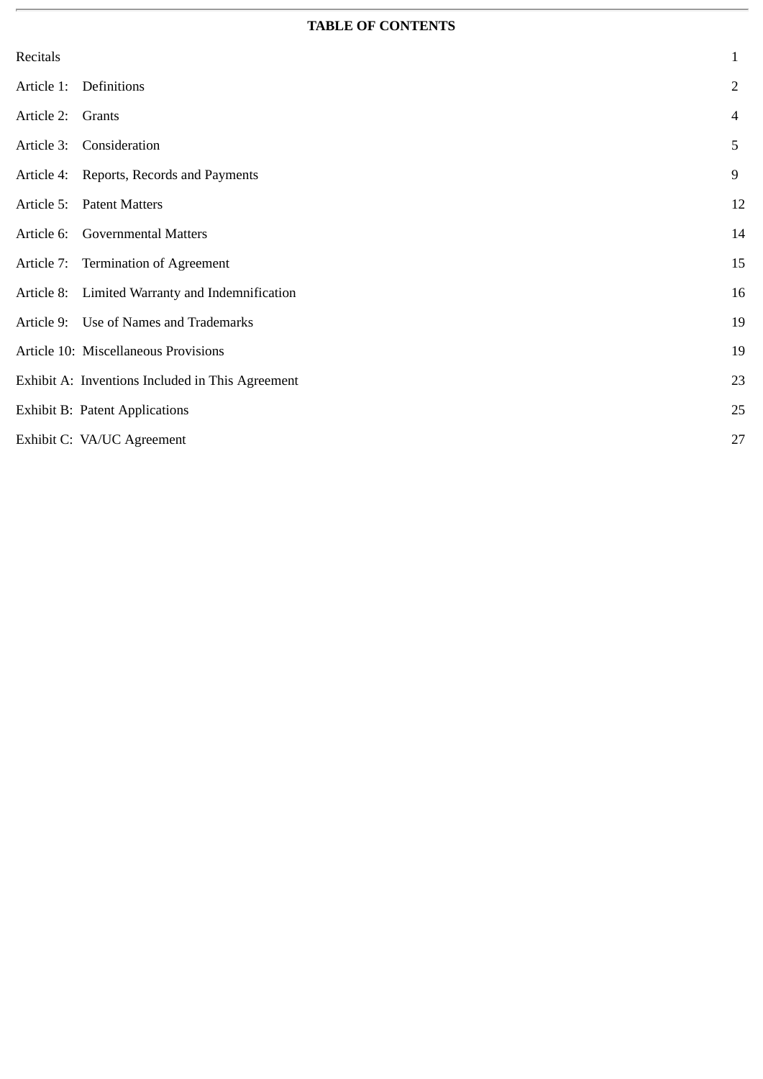# **TABLE OF CONTENTS**

| Recitals   |                                                  | 1              |
|------------|--------------------------------------------------|----------------|
| Article 1: | Definitions                                      | $\overline{2}$ |
| Article 2: | Grants                                           | 4              |
| Article 3: | Consideration                                    | 5              |
|            | Article 4: Reports, Records and Payments         | $9\,$          |
| Article 5: | <b>Patent Matters</b>                            | 12             |
|            | Article 6: Governmental Matters                  | 14             |
|            | Article 7: Termination of Agreement              | 15             |
|            | Article 8: Limited Warranty and Indemnification  | 16             |
|            | Article 9: Use of Names and Trademarks           | 19             |
|            | Article 10: Miscellaneous Provisions             | 19             |
|            | Exhibit A: Inventions Included in This Agreement | 23             |
|            | <b>Exhibit B: Patent Applications</b>            | 25             |
|            | Exhibit C: VA/UC Agreement                       | 27             |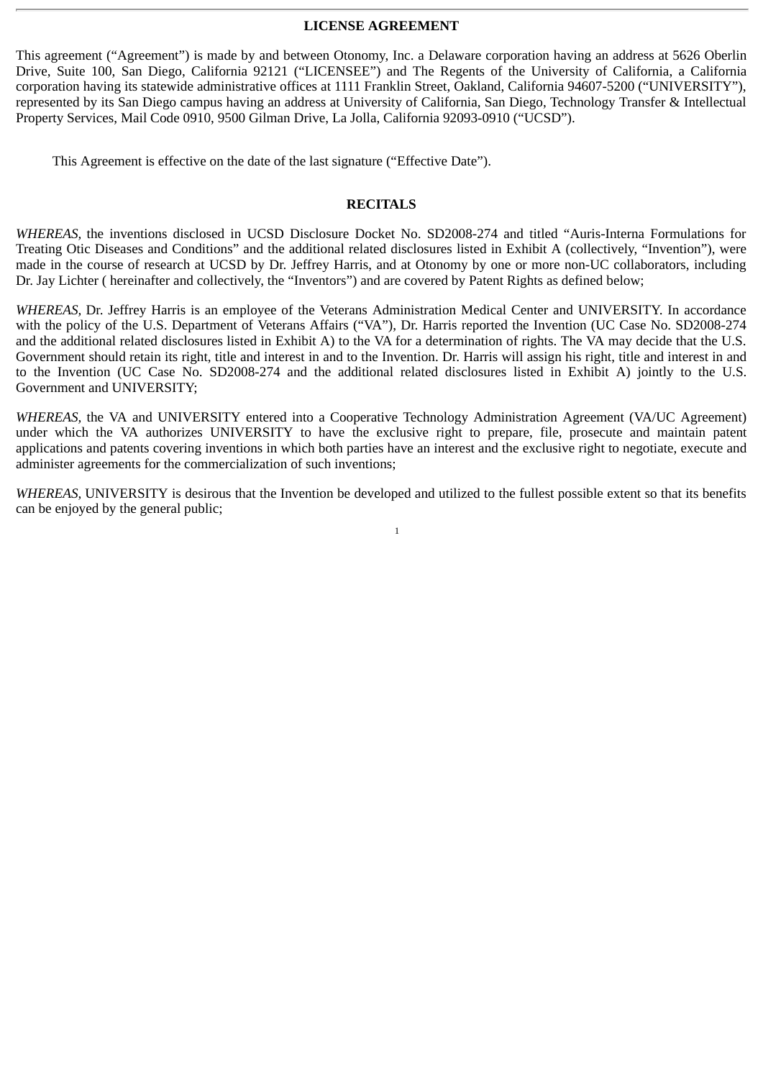#### **LICENSE AGREEMENT**

This agreement ("Agreement") is made by and between Otonomy, Inc. a Delaware corporation having an address at 5626 Oberlin Drive, Suite 100, San Diego, California 92121 ("LICENSEE") and The Regents of the University of California, a California corporation having its statewide administrative offices at 1111 Franklin Street, Oakland, California 94607-5200 ("UNIVERSITY"), represented by its San Diego campus having an address at University of California, San Diego, Technology Transfer & Intellectual Property Services, Mail Code 0910, 9500 Gilman Drive, La Jolla, California 92093-0910 ("UCSD").

This Agreement is effective on the date of the last signature ("Effective Date").

#### **RECITALS**

*WHEREAS,* the inventions disclosed in UCSD Disclosure Docket No. SD2008-274 and titled "Auris-Interna Formulations for Treating Otic Diseases and Conditions" and the additional related disclosures listed in Exhibit A (collectively, "Invention"), were made in the course of research at UCSD by Dr. Jeffrey Harris, and at Otonomy by one or more non-UC collaborators, including Dr. Jay Lichter ( hereinafter and collectively, the "Inventors") and are covered by Patent Rights as defined below;

*WHEREAS,* Dr. Jeffrey Harris is an employee of the Veterans Administration Medical Center and UNIVERSITY. In accordance with the policy of the U.S. Department of Veterans Affairs ("VA"), Dr. Harris reported the Invention (UC Case No. SD2008-274 and the additional related disclosures listed in Exhibit A) to the VA for a determination of rights. The VA may decide that the U.S. Government should retain its right, title and interest in and to the Invention. Dr. Harris will assign his right, title and interest in and to the Invention (UC Case No. SD2008-274 and the additional related disclosures listed in Exhibit A) jointly to the U.S. Government and UNIVERSITY;

*WHEREAS*, the VA and UNIVERSITY entered into a Cooperative Technology Administration Agreement (VA/UC Agreement) under which the VA authorizes UNIVERSITY to have the exclusive right to prepare, file, prosecute and maintain patent applications and patents covering inventions in which both parties have an interest and the exclusive right to negotiate, execute and administer agreements for the commercialization of such inventions;

*WHEREAS,* UNIVERSITY is desirous that the Invention be developed and utilized to the fullest possible extent so that its benefits can be enjoyed by the general public;

1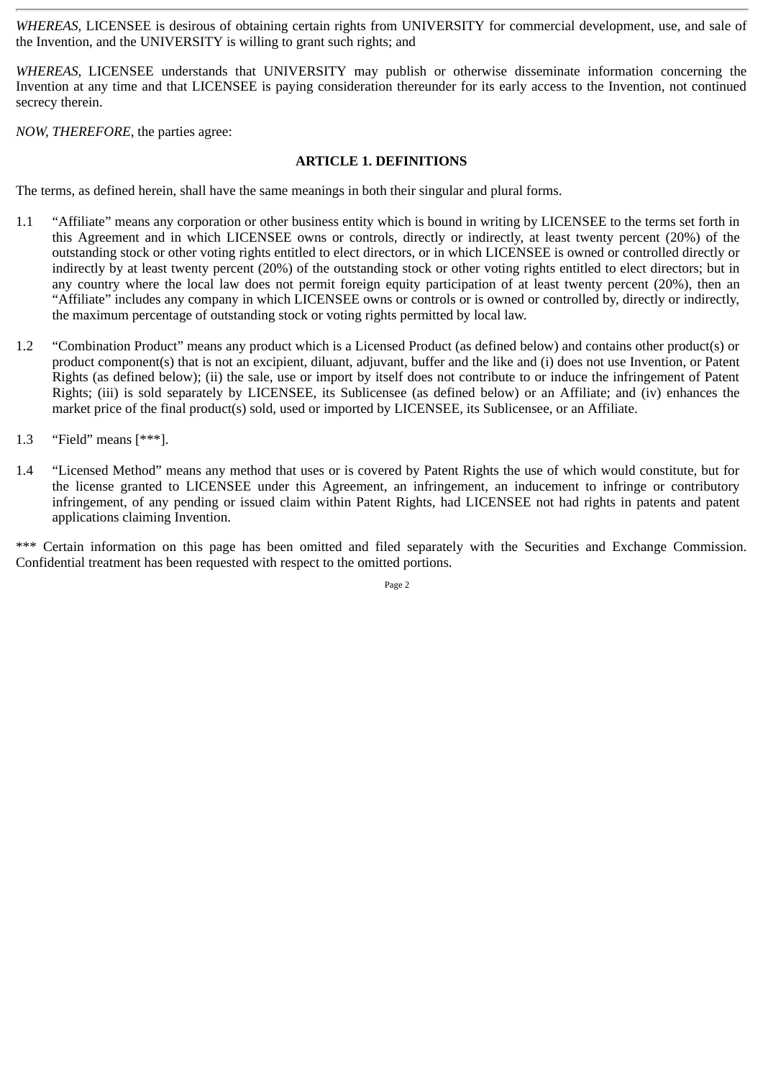*WHEREAS,* LICENSEE is desirous of obtaining certain rights from UNIVERSITY for commercial development, use, and sale of the Invention, and the UNIVERSITY is willing to grant such rights; and

*WHEREAS,* LICENSEE understands that UNIVERSITY may publish or otherwise disseminate information concerning the Invention at any time and that LICENSEE is paying consideration thereunder for its early access to the Invention, not continued secrecy therein.

*NOW, THEREFORE,* the parties agree:

# **ARTICLE 1. DEFINITIONS**

The terms, as defined herein, shall have the same meanings in both their singular and plural forms.

- 1.1 "Affiliate" means any corporation or other business entity which is bound in writing by LICENSEE to the terms set forth in this Agreement and in which LICENSEE owns or controls, directly or indirectly, at least twenty percent (20%) of the outstanding stock or other voting rights entitled to elect directors, or in which LICENSEE is owned or controlled directly or indirectly by at least twenty percent (20%) of the outstanding stock or other voting rights entitled to elect directors; but in any country where the local law does not permit foreign equity participation of at least twenty percent (20%), then an "Affiliate" includes any company in which LICENSEE owns or controls or is owned or controlled by, directly or indirectly, the maximum percentage of outstanding stock or voting rights permitted by local law.
- 1.2 "Combination Product" means any product which is a Licensed Product (as defined below) and contains other product(s) or product component(s) that is not an excipient, diluant, adjuvant, buffer and the like and (i) does not use Invention, or Patent Rights (as defined below); (ii) the sale, use or import by itself does not contribute to or induce the infringement of Patent Rights; (iii) is sold separately by LICENSEE, its Sublicensee (as defined below) or an Affiliate; and (iv) enhances the market price of the final product(s) sold, used or imported by LICENSEE, its Sublicensee, or an Affiliate.
- 1.3 "Field" means [\*\*\*].
- 1.4 "Licensed Method" means any method that uses or is covered by Patent Rights the use of which would constitute, but for the license granted to LICENSEE under this Agreement, an infringement, an inducement to infringe or contributory infringement, of any pending or issued claim within Patent Rights, had LICENSEE not had rights in patents and patent applications claiming Invention.

\*\*\* Certain information on this page has been omitted and filed separately with the Securities and Exchange Commission. Confidential treatment has been requested with respect to the omitted portions.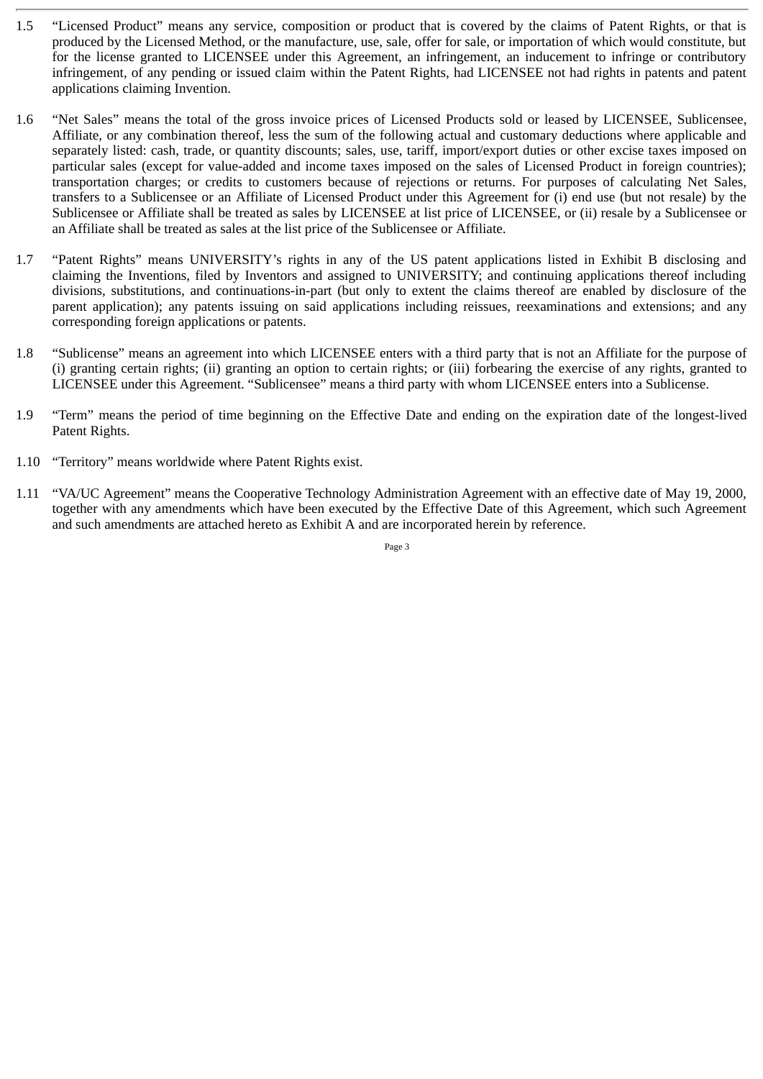- 1.5 "Licensed Product" means any service, composition or product that is covered by the claims of Patent Rights, or that is produced by the Licensed Method, or the manufacture, use, sale, offer for sale, or importation of which would constitute, but for the license granted to LICENSEE under this Agreement, an infringement, an inducement to infringe or contributory infringement, of any pending or issued claim within the Patent Rights, had LICENSEE not had rights in patents and patent applications claiming Invention.
- 1.6 "Net Sales" means the total of the gross invoice prices of Licensed Products sold or leased by LICENSEE, Sublicensee, Affiliate, or any combination thereof, less the sum of the following actual and customary deductions where applicable and separately listed: cash, trade, or quantity discounts; sales, use, tariff, import/export duties or other excise taxes imposed on particular sales (except for value-added and income taxes imposed on the sales of Licensed Product in foreign countries); transportation charges; or credits to customers because of rejections or returns. For purposes of calculating Net Sales, transfers to a Sublicensee or an Affiliate of Licensed Product under this Agreement for (i) end use (but not resale) by the Sublicensee or Affiliate shall be treated as sales by LICENSEE at list price of LICENSEE, or (ii) resale by a Sublicensee or an Affiliate shall be treated as sales at the list price of the Sublicensee or Affiliate.
- 1.7 "Patent Rights" means UNIVERSITY's rights in any of the US patent applications listed in Exhibit B disclosing and claiming the Inventions, filed by Inventors and assigned to UNIVERSITY; and continuing applications thereof including divisions, substitutions, and continuations-in-part (but only to extent the claims thereof are enabled by disclosure of the parent application); any patents issuing on said applications including reissues, reexaminations and extensions; and any corresponding foreign applications or patents.
- 1.8 "Sublicense" means an agreement into which LICENSEE enters with a third party that is not an Affiliate for the purpose of (i) granting certain rights; (ii) granting an option to certain rights; or (iii) forbearing the exercise of any rights, granted to LICENSEE under this Agreement. "Sublicensee" means a third party with whom LICENSEE enters into a Sublicense.
- 1.9 "Term" means the period of time beginning on the Effective Date and ending on the expiration date of the longest-lived Patent Rights.
- 1.10 "Territory" means worldwide where Patent Rights exist.
- 1.11 "VA/UC Agreement" means the Cooperative Technology Administration Agreement with an effective date of May 19, 2000, together with any amendments which have been executed by the Effective Date of this Agreement, which such Agreement and such amendments are attached hereto as Exhibit A and are incorporated herein by reference.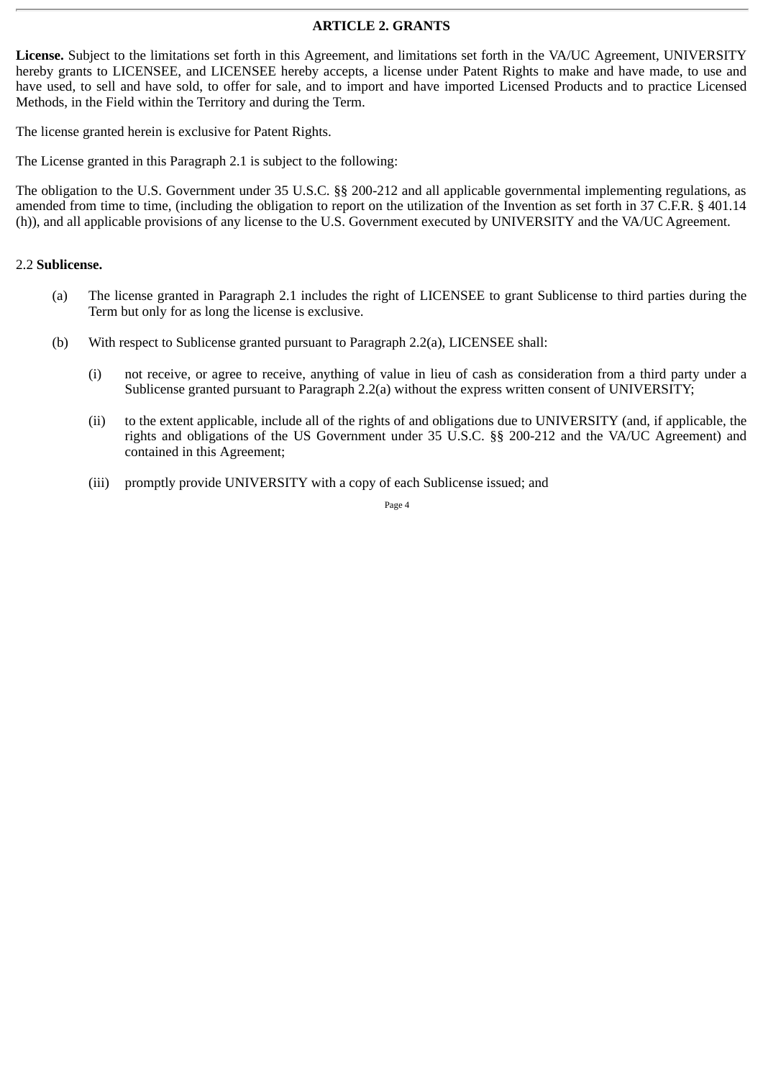# **ARTICLE 2. GRANTS**

**License.** Subject to the limitations set forth in this Agreement, and limitations set forth in the VA/UC Agreement, UNIVERSITY hereby grants to LICENSEE, and LICENSEE hereby accepts, a license under Patent Rights to make and have made, to use and have used, to sell and have sold, to offer for sale, and to import and have imported Licensed Products and to practice Licensed Methods, in the Field within the Territory and during the Term.

The license granted herein is exclusive for Patent Rights.

The License granted in this Paragraph 2.1 is subject to the following:

The obligation to the U.S. Government under 35 U.S.C. §§ 200-212 and all applicable governmental implementing regulations, as amended from time to time, (including the obligation to report on the utilization of the Invention as set forth in 37 C.F.R. § 401.14 (h)), and all applicable provisions of any license to the U.S. Government executed by UNIVERSITY and the VA/UC Agreement.

#### 2.2 **Sublicense.**

- (a) The license granted in Paragraph 2.1 includes the right of LICENSEE to grant Sublicense to third parties during the Term but only for as long the license is exclusive.
- (b) With respect to Sublicense granted pursuant to Paragraph 2.2(a), LICENSEE shall:
	- (i) not receive, or agree to receive, anything of value in lieu of cash as consideration from a third party under a Sublicense granted pursuant to Paragraph 2.2(a) without the express written consent of UNIVERSITY;
	- (ii) to the extent applicable, include all of the rights of and obligations due to UNIVERSITY (and, if applicable, the rights and obligations of the US Government under 35 U.S.C. §§ 200-212 and the VA/UC Agreement) and contained in this Agreement;
	- (iii) promptly provide UNIVERSITY with a copy of each Sublicense issued; and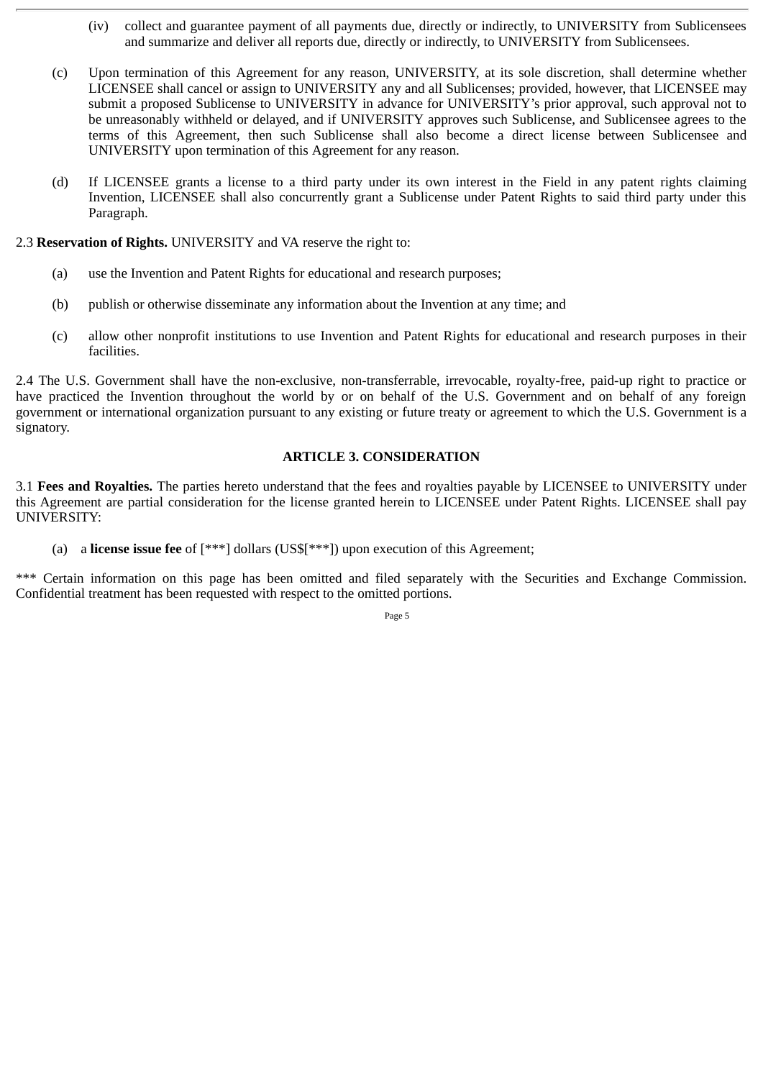- (iv) collect and guarantee payment of all payments due, directly or indirectly, to UNIVERSITY from Sublicensees and summarize and deliver all reports due, directly or indirectly, to UNIVERSITY from Sublicensees.
- (c) Upon termination of this Agreement for any reason, UNIVERSITY, at its sole discretion, shall determine whether LICENSEE shall cancel or assign to UNIVERSITY any and all Sublicenses; provided, however, that LICENSEE may submit a proposed Sublicense to UNIVERSITY in advance for UNIVERSITY's prior approval, such approval not to be unreasonably withheld or delayed, and if UNIVERSITY approves such Sublicense, and Sublicensee agrees to the terms of this Agreement, then such Sublicense shall also become a direct license between Sublicensee and UNIVERSITY upon termination of this Agreement for any reason.
- (d) If LICENSEE grants a license to a third party under its own interest in the Field in any patent rights claiming Invention, LICENSEE shall also concurrently grant a Sublicense under Patent Rights to said third party under this Paragraph.

## 2.3 **Reservation of Rights.** UNIVERSITY and VA reserve the right to:

- (a) use the Invention and Patent Rights for educational and research purposes;
- (b) publish or otherwise disseminate any information about the Invention at any time; and
- (c) allow other nonprofit institutions to use Invention and Patent Rights for educational and research purposes in their facilities.

2.4 The U.S. Government shall have the non-exclusive, non-transferrable, irrevocable, royalty-free, paid-up right to practice or have practiced the Invention throughout the world by or on behalf of the U.S. Government and on behalf of any foreign government or international organization pursuant to any existing or future treaty or agreement to which the U.S. Government is a signatory.

## **ARTICLE 3. CONSIDERATION**

3.1 **Fees and Royalties.** The parties hereto understand that the fees and royalties payable by LICENSEE to UNIVERSITY under this Agreement are partial consideration for the license granted herein to LICENSEE under Patent Rights. LICENSEE shall pay UNIVERSITY:

(a) a **license issue fee** of [\*\*\*] dollars (US\$[\*\*\*]) upon execution of this Agreement;

\*\*\* Certain information on this page has been omitted and filed separately with the Securities and Exchange Commission. Confidential treatment has been requested with respect to the omitted portions.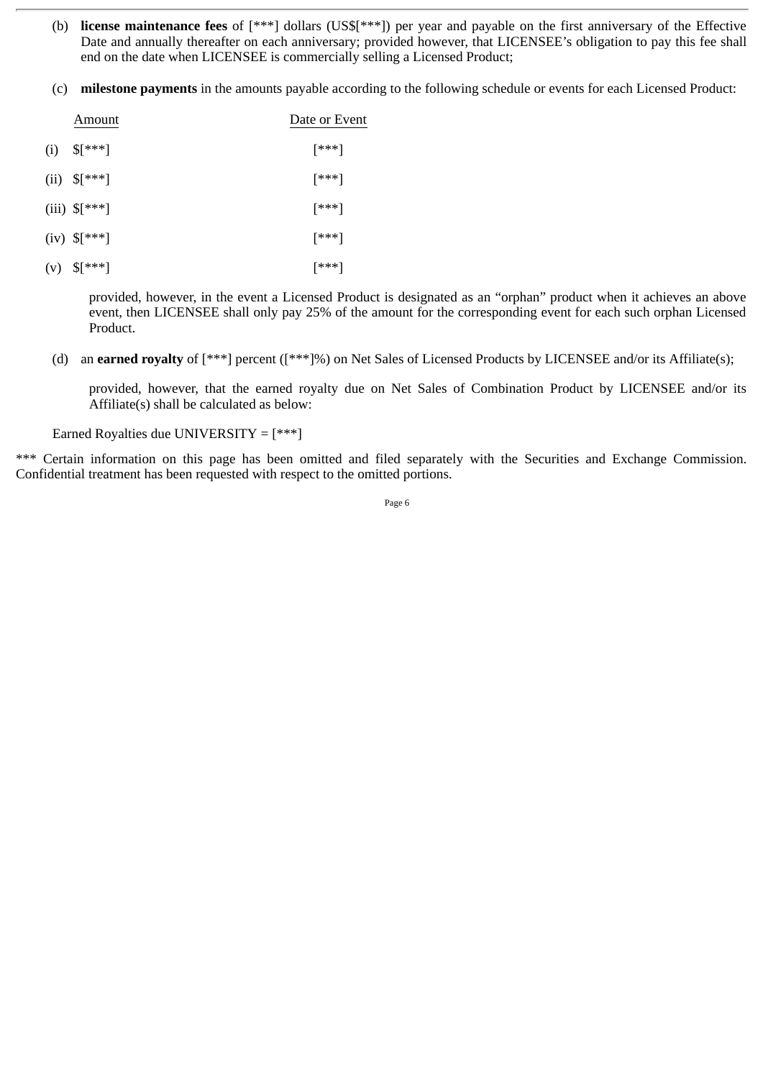- (b) **license maintenance fees** of [\*\*\*] dollars (US\$[\*\*\*]) per year and payable on the first anniversary of the Effective Date and annually thereafter on each anniversary; provided however, that LICENSEE's obligation to pay this fee shall end on the date when LICENSEE is commercially selling a Licensed Product;
- (c) **milestone payments** in the amounts payable according to the following schedule or events for each Licensed Product:

|     | Amount                   | Date or Event |
|-----|--------------------------|---------------|
| (i) | $\S$ [***]               | [***]         |
|     | (ii) $\{$ \} ***]        | [***]         |
|     | (iii) $\{\ast\ast\ast\}$ | [***]         |
|     | $(iv)$ \$[***]           | [***]         |
|     |                          |               |

(v) \$[\*\*\*] [\*\*\*]

provided, however, in the event a Licensed Product is designated as an "orphan" product when it achieves an above event, then LICENSEE shall only pay 25% of the amount for the corresponding event for each such orphan Licensed Product.

(d) an **earned royalty** of [\*\*\*] percent ([\*\*\*]%) on Net Sales of Licensed Products by LICENSEE and/or its Affiliate(s);

provided, however, that the earned royalty due on Net Sales of Combination Product by LICENSEE and/or its Affiliate(s) shall be calculated as below:

Earned Royalties due UNIVERSITY =  $[***]$ 

\*\*\* Certain information on this page has been omitted and filed separately with the Securities and Exchange Commission. Confidential treatment has been requested with respect to the omitted portions.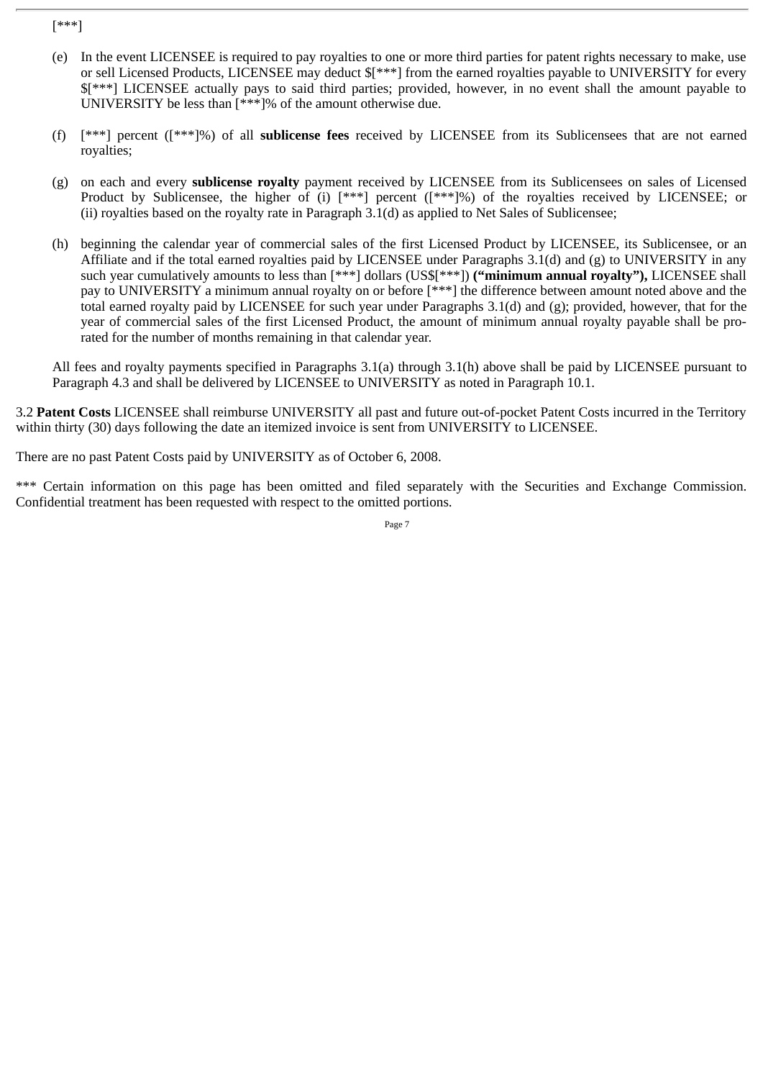[\*\*\*]

- (e) In the event LICENSEE is required to pay royalties to one or more third parties for patent rights necessary to make, use or sell Licensed Products, LICENSEE may deduct \$[\*\*\*] from the earned royalties payable to UNIVERSITY for every \$[\*\*\*] LICENSEE actually pays to said third parties; provided, however, in no event shall the amount payable to UNIVERSITY be less than [\*\*\*]% of the amount otherwise due.
- (f) [\*\*\*] percent ([\*\*\*]%) of all **sublicense fees** received by LICENSEE from its Sublicensees that are not earned royalties;
- (g) on each and every **sublicense royalty** payment received by LICENSEE from its Sublicensees on sales of Licensed Product by Sublicensee, the higher of (i) [\*\*\*] percent ([\*\*\*]%) of the royalties received by LICENSEE; or (ii) royalties based on the royalty rate in Paragraph 3.1(d) as applied to Net Sales of Sublicensee;
- (h) beginning the calendar year of commercial sales of the first Licensed Product by LICENSEE, its Sublicensee, or an Affiliate and if the total earned royalties paid by LICENSEE under Paragraphs 3.1(d) and (g) to UNIVERSITY in any such year cumulatively amounts to less than [\*\*\*] dollars (US\$[\*\*\*]) **("minimum annual royalty"),** LICENSEE shall pay to UNIVERSITY a minimum annual royalty on or before [\*\*\*] the difference between amount noted above and the total earned royalty paid by LICENSEE for such year under Paragraphs 3.1(d) and (g); provided, however, that for the year of commercial sales of the first Licensed Product, the amount of minimum annual royalty payable shall be prorated for the number of months remaining in that calendar year.

All fees and royalty payments specified in Paragraphs 3.1(a) through 3.1(h) above shall be paid by LICENSEE pursuant to Paragraph 4.3 and shall be delivered by LICENSEE to UNIVERSITY as noted in Paragraph 10.1.

3.2 **Patent Costs** LICENSEE shall reimburse UNIVERSITY all past and future out-of-pocket Patent Costs incurred in the Territory within thirty (30) days following the date an itemized invoice is sent from UNIVERSITY to LICENSEE.

There are no past Patent Costs paid by UNIVERSITY as of October 6, 2008.

\*\*\* Certain information on this page has been omitted and filed separately with the Securities and Exchange Commission. Confidential treatment has been requested with respect to the omitted portions.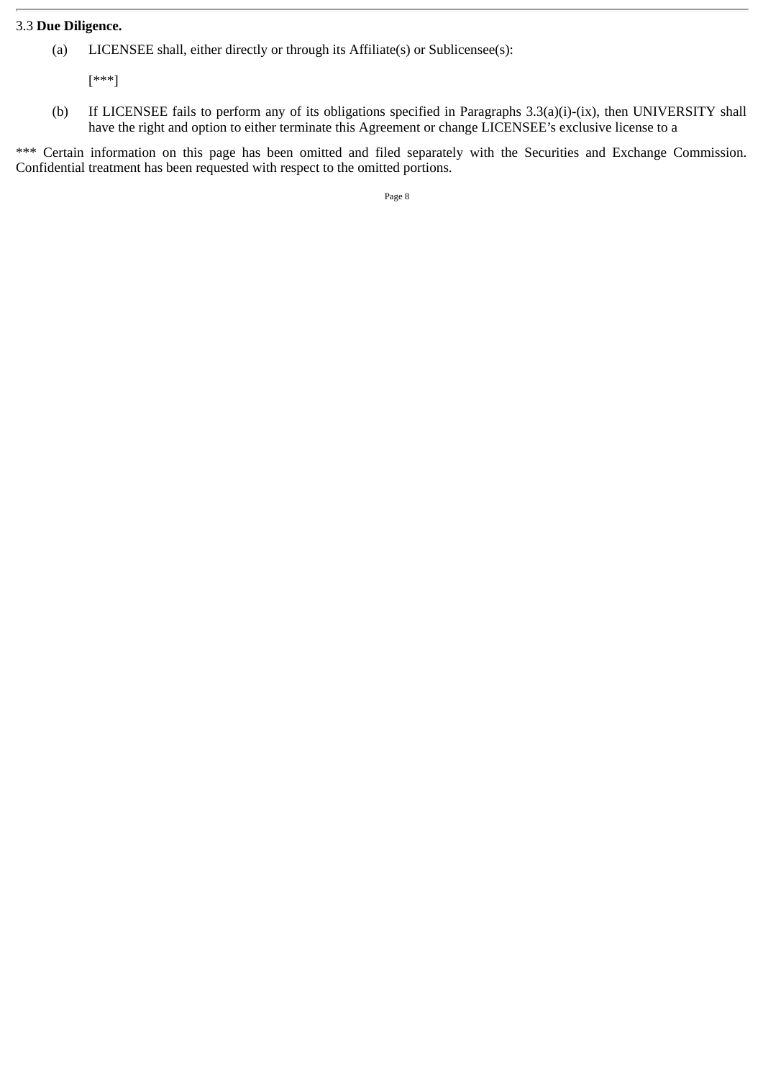# 3.3 **Due Diligence.**

(a) LICENSEE shall, either directly or through its Affiliate(s) or Sublicensee(s):

[\*\*\*]

(b) If LICENSEE fails to perform any of its obligations specified in Paragraphs 3.3(a)(i)-(ix), then UNIVERSITY shall have the right and option to either terminate this Agreement or change LICENSEE's exclusive license to a

\*\*\* Certain information on this page has been omitted and filed separately with the Securities and Exchange Commission. Confidential treatment has been requested with respect to the omitted portions.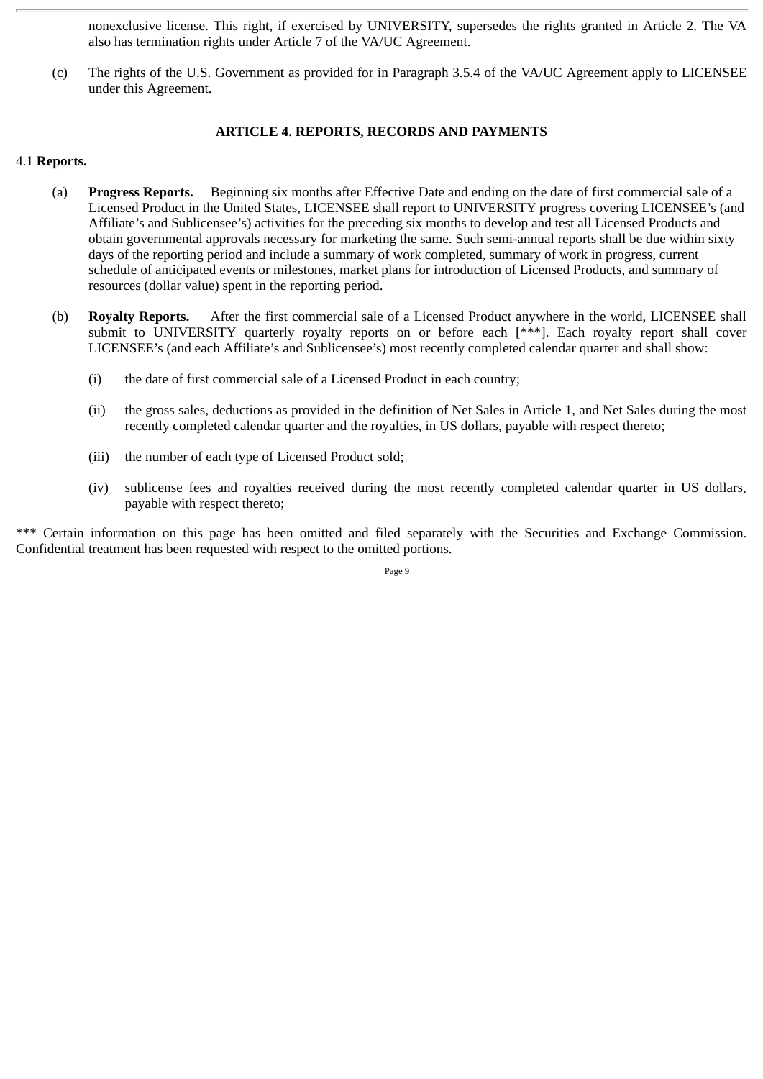nonexclusive license. This right, if exercised by UNIVERSITY, supersedes the rights granted in Article 2. The VA also has termination rights under Article 7 of the VA/UC Agreement.

(c) The rights of the U.S. Government as provided for in Paragraph 3.5.4 of the VA/UC Agreement apply to LICENSEE under this Agreement.

# **ARTICLE 4. REPORTS, RECORDS AND PAYMENTS**

# 4.1 **Reports.**

- (a) **Progress Reports.** Beginning six months after Effective Date and ending on the date of first commercial sale of a Licensed Product in the United States, LICENSEE shall report to UNIVERSITY progress covering LICENSEE's (and Affiliate's and Sublicensee's) activities for the preceding six months to develop and test all Licensed Products and obtain governmental approvals necessary for marketing the same. Such semi-annual reports shall be due within sixty days of the reporting period and include a summary of work completed, summary of work in progress, current schedule of anticipated events or milestones, market plans for introduction of Licensed Products, and summary of resources (dollar value) spent in the reporting period.
- (b) **Royalty Reports.** After the first commercial sale of a Licensed Product anywhere in the world, LICENSEE shall submit to UNIVERSITY quarterly royalty reports on or before each [\*\*\*]. Each royalty report shall cover LICENSEE's (and each Affiliate's and Sublicensee's) most recently completed calendar quarter and shall show:
	- (i) the date of first commercial sale of a Licensed Product in each country;
	- (ii) the gross sales, deductions as provided in the definition of Net Sales in Article 1, and Net Sales during the most recently completed calendar quarter and the royalties, in US dollars, payable with respect thereto;
	- (iii) the number of each type of Licensed Product sold;
	- (iv) sublicense fees and royalties received during the most recently completed calendar quarter in US dollars, payable with respect thereto;

\*\*\* Certain information on this page has been omitted and filed separately with the Securities and Exchange Commission. Confidential treatment has been requested with respect to the omitted portions.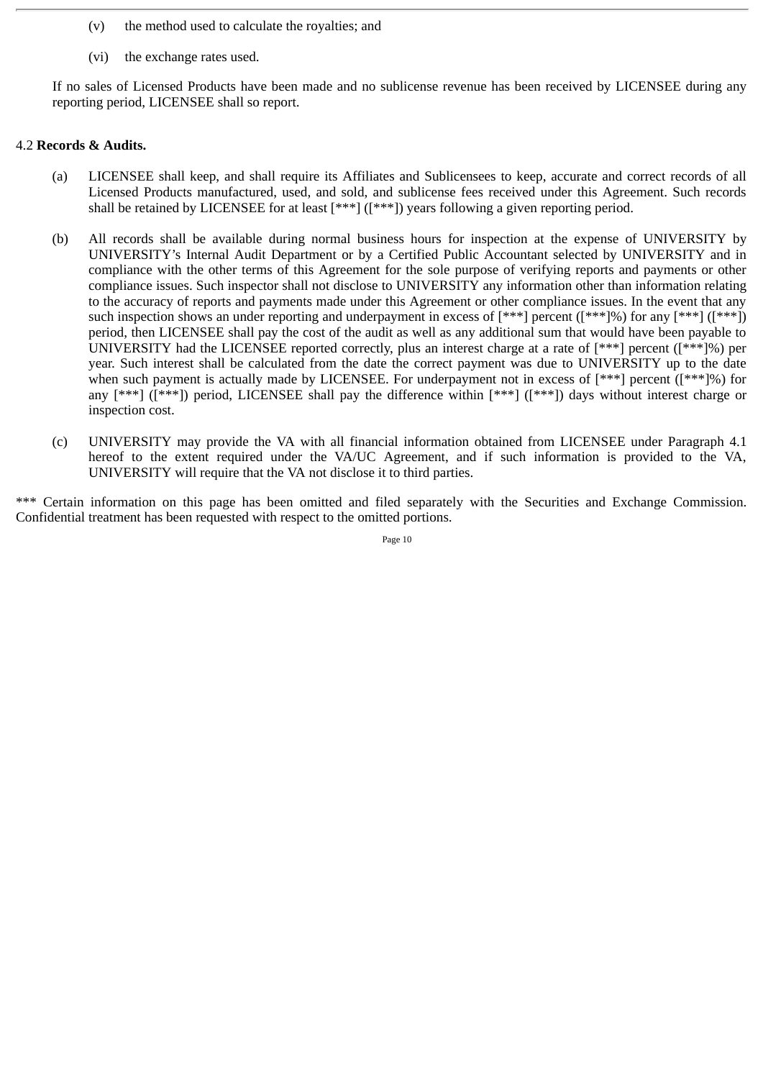- (v) the method used to calculate the royalties; and
- (vi) the exchange rates used.

If no sales of Licensed Products have been made and no sublicense revenue has been received by LICENSEE during any reporting period, LICENSEE shall so report.

## 4.2 **Records & Audits.**

- (a) LICENSEE shall keep, and shall require its Affiliates and Sublicensees to keep, accurate and correct records of all Licensed Products manufactured, used, and sold, and sublicense fees received under this Agreement. Such records shall be retained by LICENSEE for at least [\*\*\*] ([\*\*\*]) years following a given reporting period.
- (b) All records shall be available during normal business hours for inspection at the expense of UNIVERSITY by UNIVERSITY's Internal Audit Department or by a Certified Public Accountant selected by UNIVERSITY and in compliance with the other terms of this Agreement for the sole purpose of verifying reports and payments or other compliance issues. Such inspector shall not disclose to UNIVERSITY any information other than information relating to the accuracy of reports and payments made under this Agreement or other compliance issues. In the event that any such inspection shows an under reporting and underpayment in excess of [\*\*\*] percent ([\*\*\*]%) for any [\*\*\*] ([\*\*\*]) period, then LICENSEE shall pay the cost of the audit as well as any additional sum that would have been payable to UNIVERSITY had the LICENSEE reported correctly, plus an interest charge at a rate of [\*\*\*] percent ([\*\*\*]%) per year. Such interest shall be calculated from the date the correct payment was due to UNIVERSITY up to the date when such payment is actually made by LICENSEE. For underpayment not in excess of  $[***]$  percent  $([***]$ %) for any [\*\*\*] ([\*\*\*]) period, LICENSEE shall pay the difference within [\*\*\*] ([\*\*\*]) days without interest charge or inspection cost.
- (c) UNIVERSITY may provide the VA with all financial information obtained from LICENSEE under Paragraph 4.1 hereof to the extent required under the VA/UC Agreement, and if such information is provided to the VA, UNIVERSITY will require that the VA not disclose it to third parties.

\*\*\* Certain information on this page has been omitted and filed separately with the Securities and Exchange Commission. Confidential treatment has been requested with respect to the omitted portions.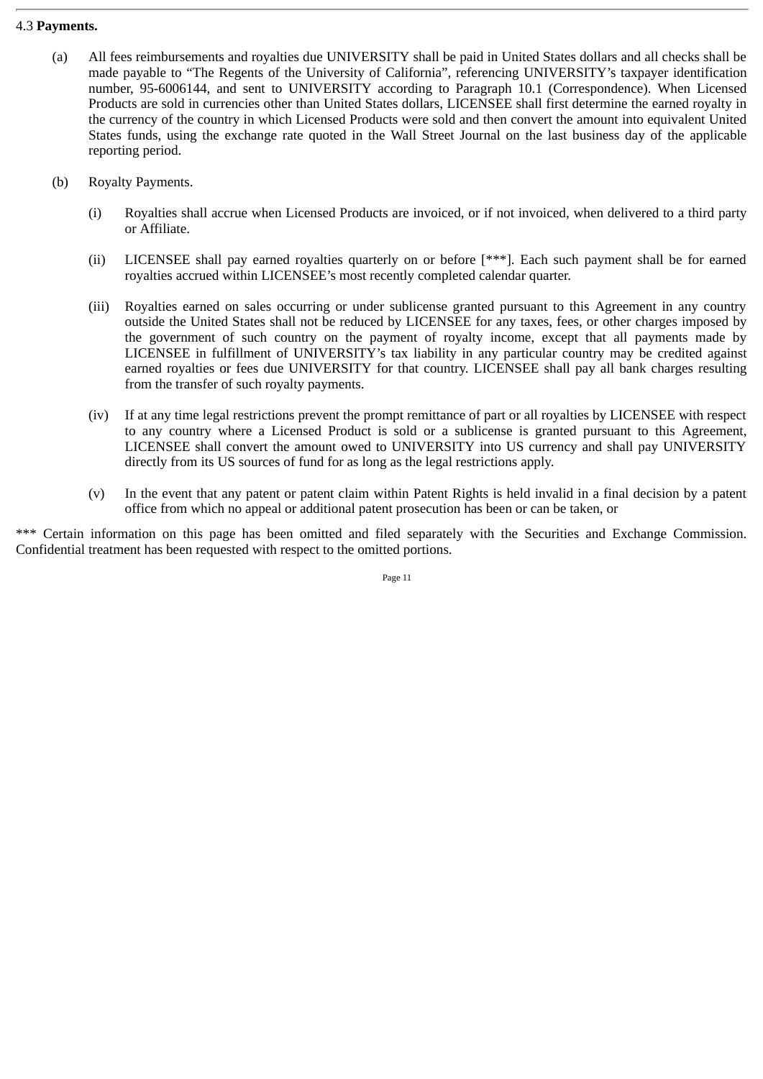## 4.3 **Payments.**

- (a) All fees reimbursements and royalties due UNIVERSITY shall be paid in United States dollars and all checks shall be made payable to "The Regents of the University of California", referencing UNIVERSITY's taxpayer identification number, 95-6006144, and sent to UNIVERSITY according to Paragraph 10.1 (Correspondence). When Licensed Products are sold in currencies other than United States dollars, LICENSEE shall first determine the earned royalty in the currency of the country in which Licensed Products were sold and then convert the amount into equivalent United States funds, using the exchange rate quoted in the Wall Street Journal on the last business day of the applicable reporting period.
- (b) Royalty Payments.
	- (i) Royalties shall accrue when Licensed Products are invoiced, or if not invoiced, when delivered to a third party or Affiliate.
	- (ii) LICENSEE shall pay earned royalties quarterly on or before [\*\*\*]. Each such payment shall be for earned royalties accrued within LICENSEE's most recently completed calendar quarter.
	- (iii) Royalties earned on sales occurring or under sublicense granted pursuant to this Agreement in any country outside the United States shall not be reduced by LICENSEE for any taxes, fees, or other charges imposed by the government of such country on the payment of royalty income, except that all payments made by LICENSEE in fulfillment of UNIVERSITY's tax liability in any particular country may be credited against earned royalties or fees due UNIVERSITY for that country. LICENSEE shall pay all bank charges resulting from the transfer of such royalty payments.
	- (iv) If at any time legal restrictions prevent the prompt remittance of part or all royalties by LICENSEE with respect to any country where a Licensed Product is sold or a sublicense is granted pursuant to this Agreement, LICENSEE shall convert the amount owed to UNIVERSITY into US currency and shall pay UNIVERSITY directly from its US sources of fund for as long as the legal restrictions apply.
	- (v) In the event that any patent or patent claim within Patent Rights is held invalid in a final decision by a patent office from which no appeal or additional patent prosecution has been or can be taken, or

\*\*\* Certain information on this page has been omitted and filed separately with the Securities and Exchange Commission. Confidential treatment has been requested with respect to the omitted portions.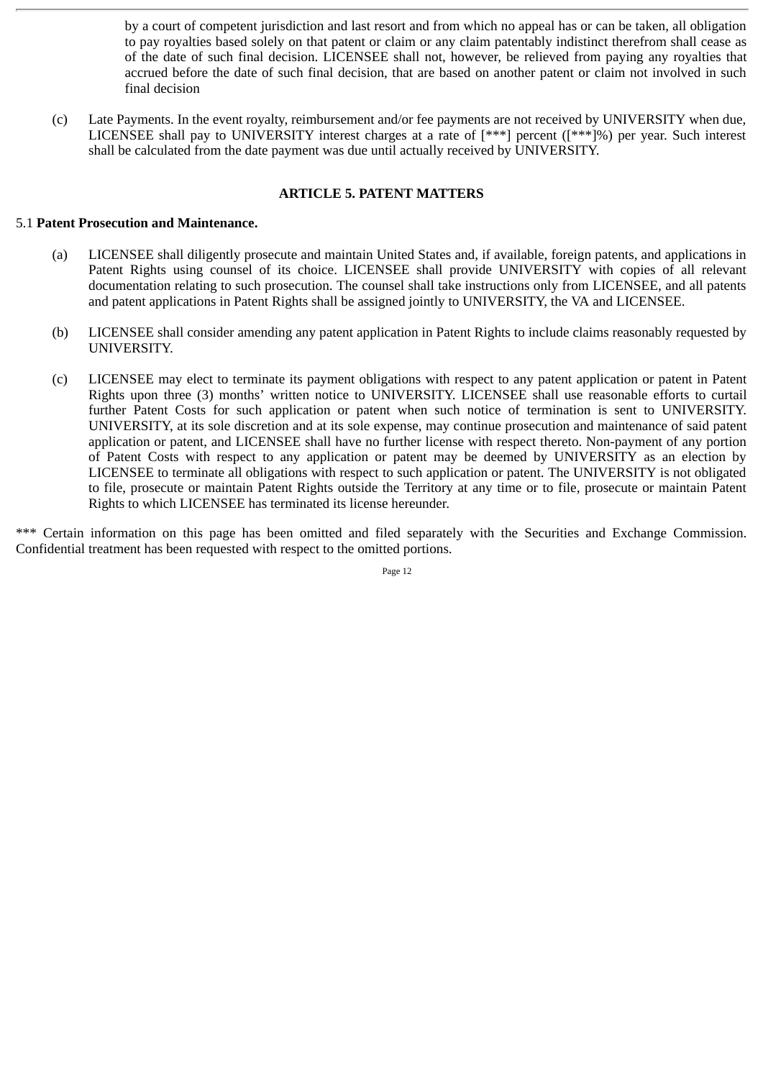by a court of competent jurisdiction and last resort and from which no appeal has or can be taken, all obligation to pay royalties based solely on that patent or claim or any claim patentably indistinct therefrom shall cease as of the date of such final decision. LICENSEE shall not, however, be relieved from paying any royalties that accrued before the date of such final decision, that are based on another patent or claim not involved in such final decision

(c) Late Payments. In the event royalty, reimbursement and/or fee payments are not received by UNIVERSITY when due, LICENSEE shall pay to UNIVERSITY interest charges at a rate of [\*\*\*] percent ([\*\*\*]%) per year. Such interest shall be calculated from the date payment was due until actually received by UNIVERSITY.

# **ARTICLE 5. PATENT MATTERS**

## 5.1 **Patent Prosecution and Maintenance.**

- (a) LICENSEE shall diligently prosecute and maintain United States and, if available, foreign patents, and applications in Patent Rights using counsel of its choice. LICENSEE shall provide UNIVERSITY with copies of all relevant documentation relating to such prosecution. The counsel shall take instructions only from LICENSEE, and all patents and patent applications in Patent Rights shall be assigned jointly to UNIVERSITY, the VA and LICENSEE.
- (b) LICENSEE shall consider amending any patent application in Patent Rights to include claims reasonably requested by UNIVERSITY.
- (c) LICENSEE may elect to terminate its payment obligations with respect to any patent application or patent in Patent Rights upon three (3) months' written notice to UNIVERSITY. LICENSEE shall use reasonable efforts to curtail further Patent Costs for such application or patent when such notice of termination is sent to UNIVERSITY. UNIVERSITY, at its sole discretion and at its sole expense, may continue prosecution and maintenance of said patent application or patent, and LICENSEE shall have no further license with respect thereto. Non-payment of any portion of Patent Costs with respect to any application or patent may be deemed by UNIVERSITY as an election by LICENSEE to terminate all obligations with respect to such application or patent. The UNIVERSITY is not obligated to file, prosecute or maintain Patent Rights outside the Territory at any time or to file, prosecute or maintain Patent Rights to which LICENSEE has terminated its license hereunder.

\*\*\* Certain information on this page has been omitted and filed separately with the Securities and Exchange Commission. Confidential treatment has been requested with respect to the omitted portions.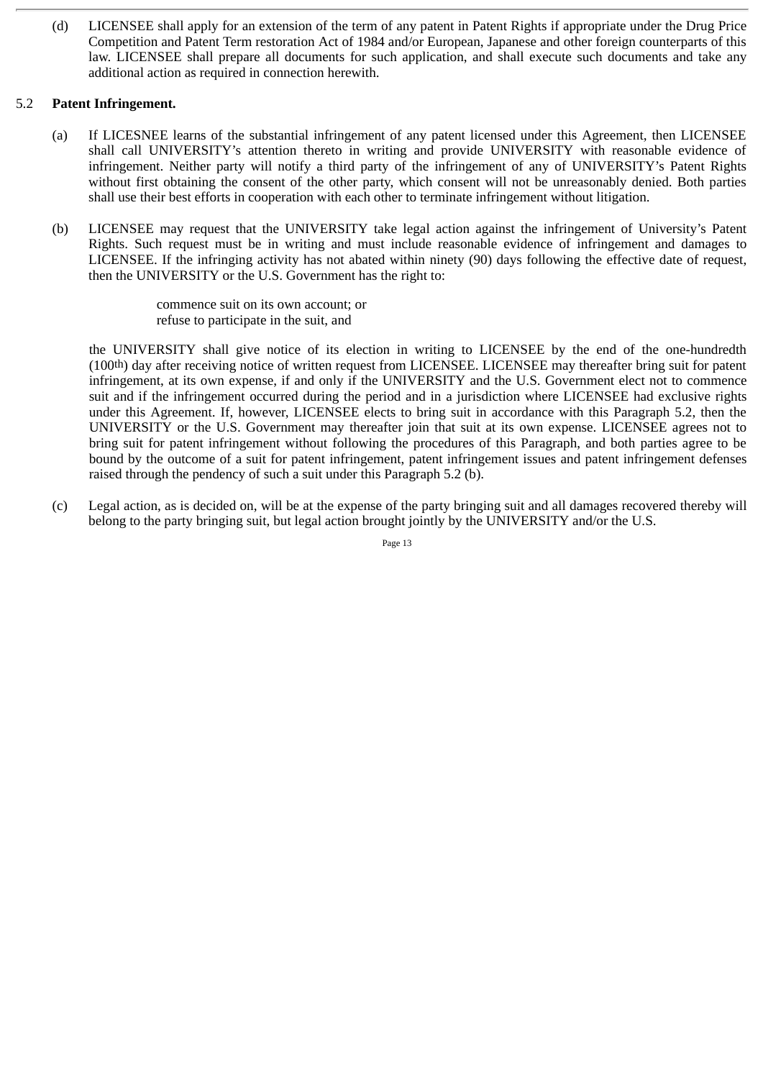(d) LICENSEE shall apply for an extension of the term of any patent in Patent Rights if appropriate under the Drug Price Competition and Patent Term restoration Act of 1984 and/or European, Japanese and other foreign counterparts of this law. LICENSEE shall prepare all documents for such application, and shall execute such documents and take any additional action as required in connection herewith.

## 5.2 **Patent Infringement.**

- (a) If LICESNEE learns of the substantial infringement of any patent licensed under this Agreement, then LICENSEE shall call UNIVERSITY's attention thereto in writing and provide UNIVERSITY with reasonable evidence of infringement. Neither party will notify a third party of the infringement of any of UNIVERSITY's Patent Rights without first obtaining the consent of the other party, which consent will not be unreasonably denied. Both parties shall use their best efforts in cooperation with each other to terminate infringement without litigation.
- (b) LICENSEE may request that the UNIVERSITY take legal action against the infringement of University's Patent Rights. Such request must be in writing and must include reasonable evidence of infringement and damages to LICENSEE. If the infringing activity has not abated within ninety (90) days following the effective date of request, then the UNIVERSITY or the U.S. Government has the right to:

commence suit on its own account; or refuse to participate in the suit, and

the UNIVERSITY shall give notice of its election in writing to LICENSEE by the end of the one-hundredth (100th) day after receiving notice of written request from LICENSEE. LICENSEE may thereafter bring suit for patent infringement, at its own expense, if and only if the UNIVERSITY and the U.S. Government elect not to commence suit and if the infringement occurred during the period and in a jurisdiction where LICENSEE had exclusive rights under this Agreement. If, however, LICENSEE elects to bring suit in accordance with this Paragraph 5.2, then the UNIVERSITY or the U.S. Government may thereafter join that suit at its own expense. LICENSEE agrees not to bring suit for patent infringement without following the procedures of this Paragraph, and both parties agree to be bound by the outcome of a suit for patent infringement, patent infringement issues and patent infringement defenses raised through the pendency of such a suit under this Paragraph 5.2 (b).

(c) Legal action, as is decided on, will be at the expense of the party bringing suit and all damages recovered thereby will belong to the party bringing suit, but legal action brought jointly by the UNIVERSITY and/or the U.S.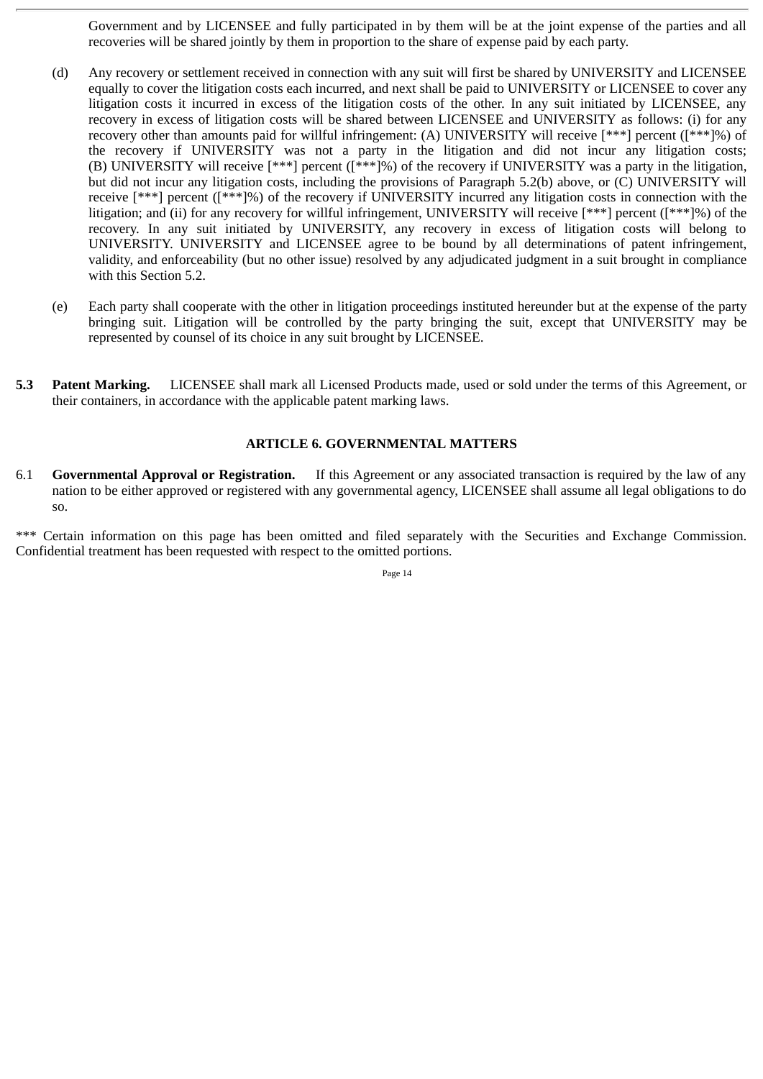Government and by LICENSEE and fully participated in by them will be at the joint expense of the parties and all recoveries will be shared jointly by them in proportion to the share of expense paid by each party.

- (d) Any recovery or settlement received in connection with any suit will first be shared by UNIVERSITY and LICENSEE equally to cover the litigation costs each incurred, and next shall be paid to UNIVERSITY or LICENSEE to cover any litigation costs it incurred in excess of the litigation costs of the other. In any suit initiated by LICENSEE, any recovery in excess of litigation costs will be shared between LICENSEE and UNIVERSITY as follows: (i) for any recovery other than amounts paid for willful infringement: (A) UNIVERSITY will receive [\*\*\*] percent ([\*\*\*]%) of the recovery if UNIVERSITY was not a party in the litigation and did not incur any litigation costs; (B) UNIVERSITY will receive [\*\*\*] percent ([\*\*\*]%) of the recovery if UNIVERSITY was a party in the litigation, but did not incur any litigation costs, including the provisions of Paragraph 5.2(b) above, or (C) UNIVERSITY will receive [\*\*\*] percent ([\*\*\*]%) of the recovery if UNIVERSITY incurred any litigation costs in connection with the litigation; and (ii) for any recovery for willful infringement, UNIVERSITY will receive [\*\*\*] percent ([\*\*\*]%) of the recovery. In any suit initiated by UNIVERSITY, any recovery in excess of litigation costs will belong to UNIVERSITY. UNIVERSITY and LICENSEE agree to be bound by all determinations of patent infringement, validity, and enforceability (but no other issue) resolved by any adjudicated judgment in a suit brought in compliance with this Section 5.2.
- (e) Each party shall cooperate with the other in litigation proceedings instituted hereunder but at the expense of the party bringing suit. Litigation will be controlled by the party bringing the suit, except that UNIVERSITY may be represented by counsel of its choice in any suit brought by LICENSEE.
- **5.3 Patent Marking.** LICENSEE shall mark all Licensed Products made, used or sold under the terms of this Agreement, or their containers, in accordance with the applicable patent marking laws.

# **ARTICLE 6. GOVERNMENTAL MATTERS**

6.1 **Governmental Approval or Registration.** If this Agreement or any associated transaction is required by the law of any nation to be either approved or registered with any governmental agency, LICENSEE shall assume all legal obligations to do so.

\*\*\* Certain information on this page has been omitted and filed separately with the Securities and Exchange Commission. Confidential treatment has been requested with respect to the omitted portions.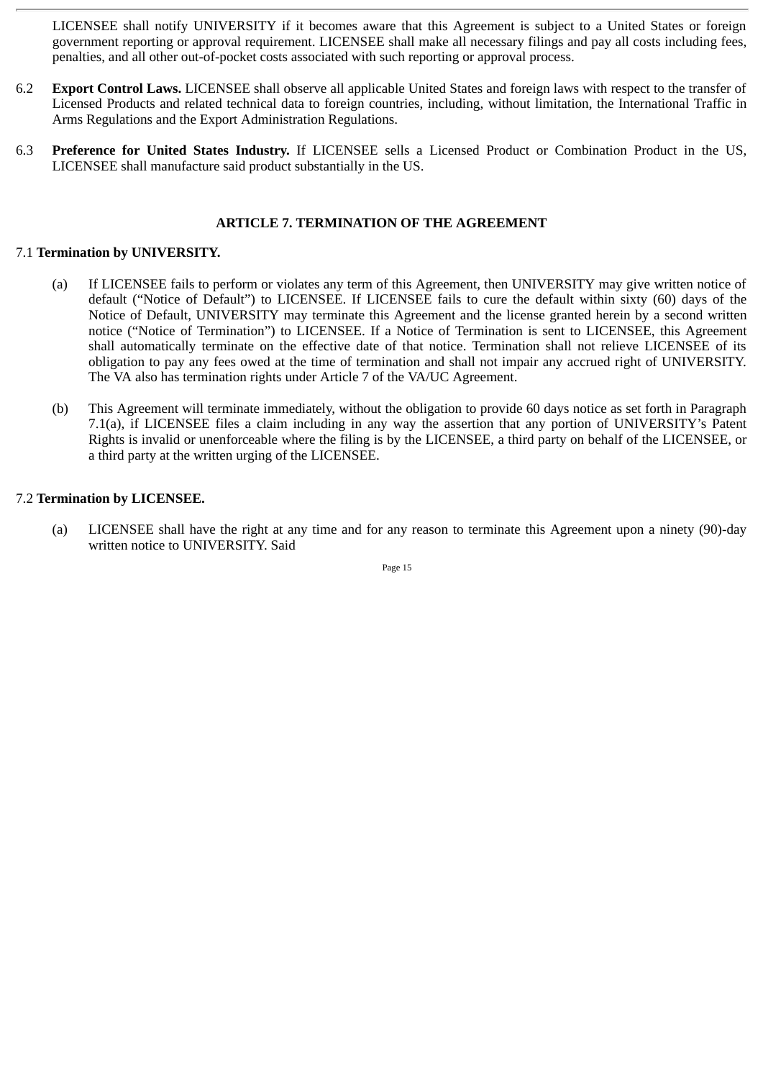LICENSEE shall notify UNIVERSITY if it becomes aware that this Agreement is subject to a United States or foreign government reporting or approval requirement. LICENSEE shall make all necessary filings and pay all costs including fees, penalties, and all other out-of-pocket costs associated with such reporting or approval process.

- 6.2 **Export Control Laws.** LICENSEE shall observe all applicable United States and foreign laws with respect to the transfer of Licensed Products and related technical data to foreign countries, including, without limitation, the International Traffic in Arms Regulations and the Export Administration Regulations.
- 6.3 **Preference for United States Industry.** If LICENSEE sells a Licensed Product or Combination Product in the US, LICENSEE shall manufacture said product substantially in the US.

# **ARTICLE 7. TERMINATION OF THE AGREEMENT**

# 7.1 **Termination by UNIVERSITY.**

- (a) If LICENSEE fails to perform or violates any term of this Agreement, then UNIVERSITY may give written notice of default ("Notice of Default") to LICENSEE. If LICENSEE fails to cure the default within sixty (60) days of the Notice of Default, UNIVERSITY may terminate this Agreement and the license granted herein by a second written notice ("Notice of Termination") to LICENSEE. If a Notice of Termination is sent to LICENSEE, this Agreement shall automatically terminate on the effective date of that notice. Termination shall not relieve LICENSEE of its obligation to pay any fees owed at the time of termination and shall not impair any accrued right of UNIVERSITY. The VA also has termination rights under Article 7 of the VA/UC Agreement.
- (b) This Agreement will terminate immediately, without the obligation to provide 60 days notice as set forth in Paragraph 7.1(a), if LICENSEE files a claim including in any way the assertion that any portion of UNIVERSITY's Patent Rights is invalid or unenforceable where the filing is by the LICENSEE, a third party on behalf of the LICENSEE, or a third party at the written urging of the LICENSEE.

# 7.2 **Termination by LICENSEE.**

(a) LICENSEE shall have the right at any time and for any reason to terminate this Agreement upon a ninety (90)-day written notice to UNIVERSITY. Said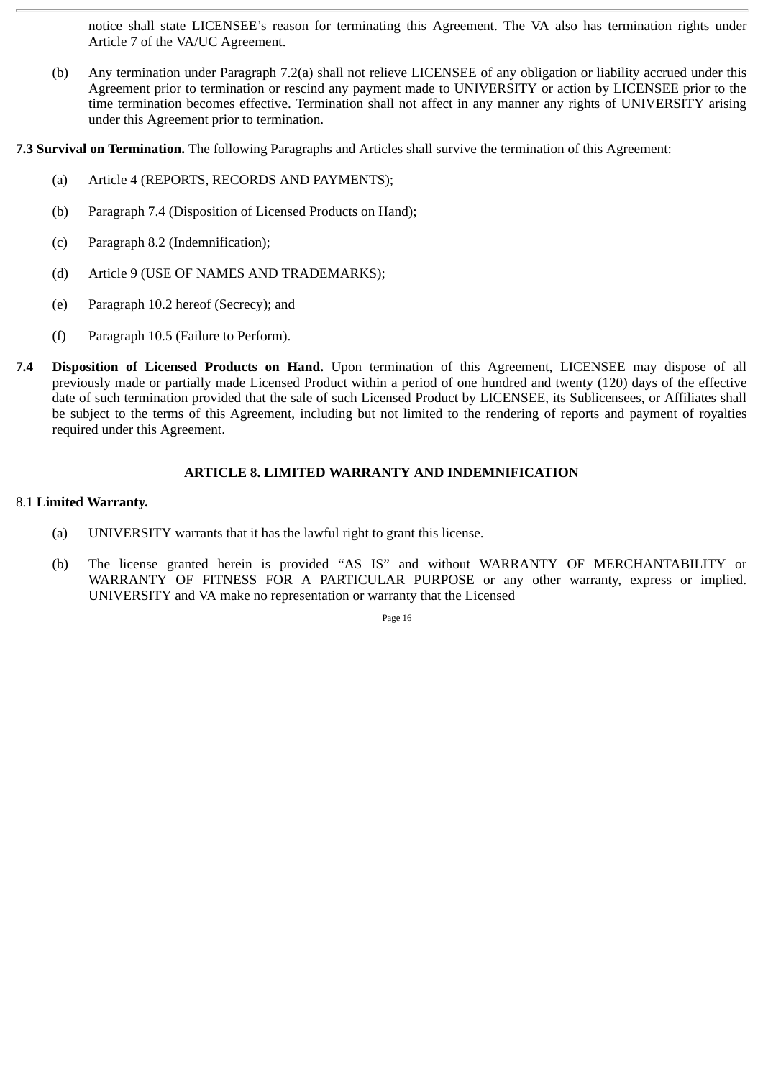notice shall state LICENSEE's reason for terminating this Agreement. The VA also has termination rights under Article 7 of the VA/UC Agreement.

(b) Any termination under Paragraph 7.2(a) shall not relieve LICENSEE of any obligation or liability accrued under this Agreement prior to termination or rescind any payment made to UNIVERSITY or action by LICENSEE prior to the time termination becomes effective. Termination shall not affect in any manner any rights of UNIVERSITY arising under this Agreement prior to termination.

**7.3 Survival on Termination.** The following Paragraphs and Articles shall survive the termination of this Agreement:

- (a) Article 4 (REPORTS, RECORDS AND PAYMENTS);
- (b) Paragraph 7.4 (Disposition of Licensed Products on Hand);
- (c) Paragraph 8.2 (Indemnification);
- (d) Article 9 (USE OF NAMES AND TRADEMARKS);
- (e) Paragraph 10.2 hereof (Secrecy); and
- (f) Paragraph 10.5 (Failure to Perform).
- **7.4 Disposition of Licensed Products on Hand.** Upon termination of this Agreement, LICENSEE may dispose of all previously made or partially made Licensed Product within a period of one hundred and twenty (120) days of the effective date of such termination provided that the sale of such Licensed Product by LICENSEE, its Sublicensees, or Affiliates shall be subject to the terms of this Agreement, including but not limited to the rendering of reports and payment of royalties required under this Agreement.

## **ARTICLE 8. LIMITED WARRANTY AND INDEMNIFICATION**

#### 8.1 **Limited Warranty.**

- (a) UNIVERSITY warrants that it has the lawful right to grant this license.
- (b) The license granted herein is provided "AS IS" and without WARRANTY OF MERCHANTABILITY or WARRANTY OF FITNESS FOR A PARTICULAR PURPOSE or any other warranty, express or implied. UNIVERSITY and VA make no representation or warranty that the Licensed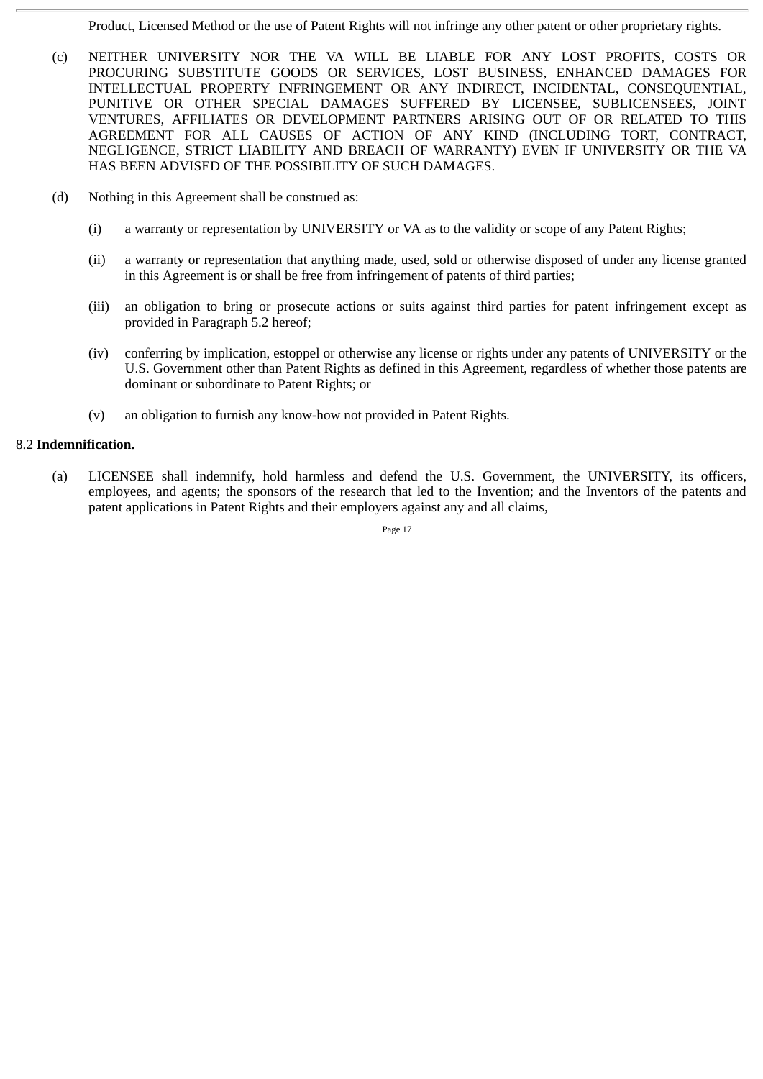Product, Licensed Method or the use of Patent Rights will not infringe any other patent or other proprietary rights.

- (c) NEITHER UNIVERSITY NOR THE VA WILL BE LIABLE FOR ANY LOST PROFITS, COSTS OR PROCURING SUBSTITUTE GOODS OR SERVICES, LOST BUSINESS, ENHANCED DAMAGES FOR INTELLECTUAL PROPERTY INFRINGEMENT OR ANY INDIRECT, INCIDENTAL, CONSEQUENTIAL, PUNITIVE OR OTHER SPECIAL DAMAGES SUFFERED BY LICENSEE, SUBLICENSEES, JOINT VENTURES, AFFILIATES OR DEVELOPMENT PARTNERS ARISING OUT OF OR RELATED TO THIS AGREEMENT FOR ALL CAUSES OF ACTION OF ANY KIND (INCLUDING TORT, CONTRACT, NEGLIGENCE, STRICT LIABILITY AND BREACH OF WARRANTY) EVEN IF UNIVERSITY OR THE VA HAS BEEN ADVISED OF THE POSSIBILITY OF SUCH DAMAGES.
- (d) Nothing in this Agreement shall be construed as:
	- (i) a warranty or representation by UNIVERSITY or VA as to the validity or scope of any Patent Rights;
	- (ii) a warranty or representation that anything made, used, sold or otherwise disposed of under any license granted in this Agreement is or shall be free from infringement of patents of third parties;
	- (iii) an obligation to bring or prosecute actions or suits against third parties for patent infringement except as provided in Paragraph 5.2 hereof;
	- (iv) conferring by implication, estoppel or otherwise any license or rights under any patents of UNIVERSITY or the U.S. Government other than Patent Rights as defined in this Agreement, regardless of whether those patents are dominant or subordinate to Patent Rights; or
	- (v) an obligation to furnish any know-how not provided in Patent Rights.

# 8.2 **Indemnification.**

(a) LICENSEE shall indemnify, hold harmless and defend the U.S. Government, the UNIVERSITY, its officers, employees, and agents; the sponsors of the research that led to the Invention; and the Inventors of the patents and patent applications in Patent Rights and their employers against any and all claims,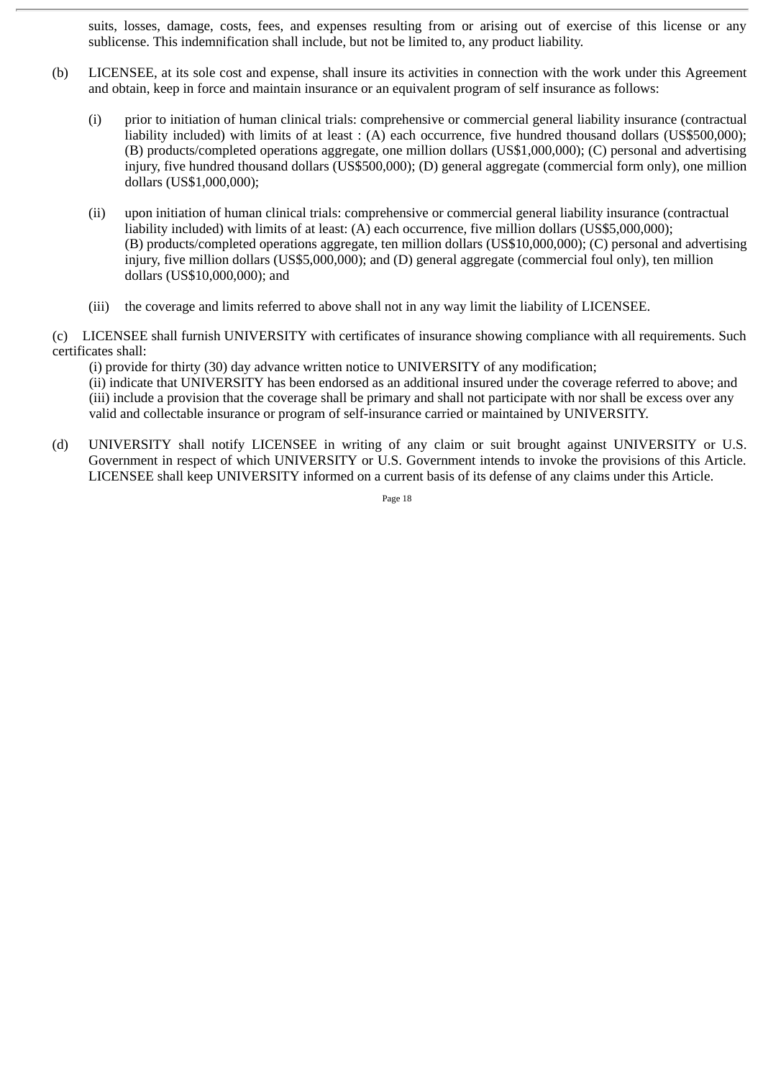suits, losses, damage, costs, fees, and expenses resulting from or arising out of exercise of this license or any sublicense. This indemnification shall include, but not be limited to, any product liability.

- (b) LICENSEE, at its sole cost and expense, shall insure its activities in connection with the work under this Agreement and obtain, keep in force and maintain insurance or an equivalent program of self insurance as follows:
	- (i) prior to initiation of human clinical trials: comprehensive or commercial general liability insurance (contractual liability included) with limits of at least : (A) each occurrence, five hundred thousand dollars (US\$500,000); (B) products/completed operations aggregate, one million dollars (US\$1,000,000); (C) personal and advertising injury, five hundred thousand dollars (US\$500,000); (D) general aggregate (commercial form only), one million dollars (US\$1,000,000);
	- (ii) upon initiation of human clinical trials: comprehensive or commercial general liability insurance (contractual liability included) with limits of at least: (A) each occurrence, five million dollars (US\$5,000,000); (B) products/completed operations aggregate, ten million dollars (US\$10,000,000); (C) personal and advertising injury, five million dollars (US\$5,000,000); and (D) general aggregate (commercial foul only), ten million dollars (US\$10,000,000); and
	- (iii) the coverage and limits referred to above shall not in any way limit the liability of LICENSEE.

(c) LICENSEE shall furnish UNIVERSITY with certificates of insurance showing compliance with all requirements. Such certificates shall:

(i) provide for thirty (30) day advance written notice to UNIVERSITY of any modification; (ii) indicate that UNIVERSITY has been endorsed as an additional insured under the coverage referred to above; and (iii) include a provision that the coverage shall be primary and shall not participate with nor shall be excess over any valid and collectable insurance or program of self-insurance carried or maintained by UNIVERSITY.

(d) UNIVERSITY shall notify LICENSEE in writing of any claim or suit brought against UNIVERSITY or U.S. Government in respect of which UNIVERSITY or U.S. Government intends to invoke the provisions of this Article. LICENSEE shall keep UNIVERSITY informed on a current basis of its defense of any claims under this Article.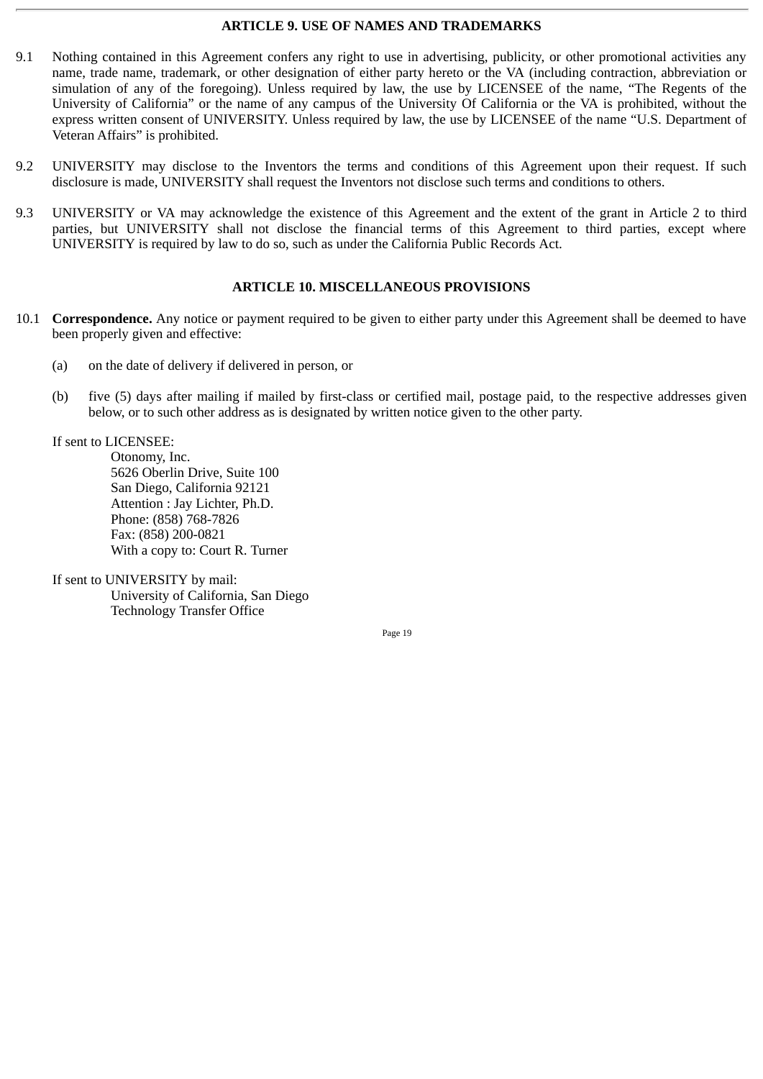## **ARTICLE 9. USE OF NAMES AND TRADEMARKS**

- 9.1 Nothing contained in this Agreement confers any right to use in advertising, publicity, or other promotional activities any name, trade name, trademark, or other designation of either party hereto or the VA (including contraction, abbreviation or simulation of any of the foregoing). Unless required by law, the use by LICENSEE of the name, "The Regents of the University of California" or the name of any campus of the University Of California or the VA is prohibited, without the express written consent of UNIVERSITY. Unless required by law, the use by LICENSEE of the name "U.S. Department of Veteran Affairs" is prohibited.
- 9.2 UNIVERSITY may disclose to the Inventors the terms and conditions of this Agreement upon their request. If such disclosure is made, UNIVERSITY shall request the Inventors not disclose such terms and conditions to others.
- 9.3 UNIVERSITY or VA may acknowledge the existence of this Agreement and the extent of the grant in Article 2 to third parties, but UNIVERSITY shall not disclose the financial terms of this Agreement to third parties, except where UNIVERSITY is required by law to do so, such as under the California Public Records Act.

## **ARTICLE 10. MISCELLANEOUS PROVISIONS**

- 10.1 **Correspondence.** Any notice or payment required to be given to either party under this Agreement shall be deemed to have been properly given and effective:
	- (a) on the date of delivery if delivered in person, or
	- (b) five (5) days after mailing if mailed by first-class or certified mail, postage paid, to the respective addresses given below, or to such other address as is designated by written notice given to the other party.

If sent to LICENSEE:

Otonomy, Inc. 5626 Oberlin Drive, Suite 100 San Diego, California 92121 Attention : Jay Lichter, Ph.D. Phone: (858) 768-7826 Fax: (858) 200-0821 With a copy to: Court R. Turner

If sent to UNIVERSITY by mail: University of California, San Diego Technology Transfer Office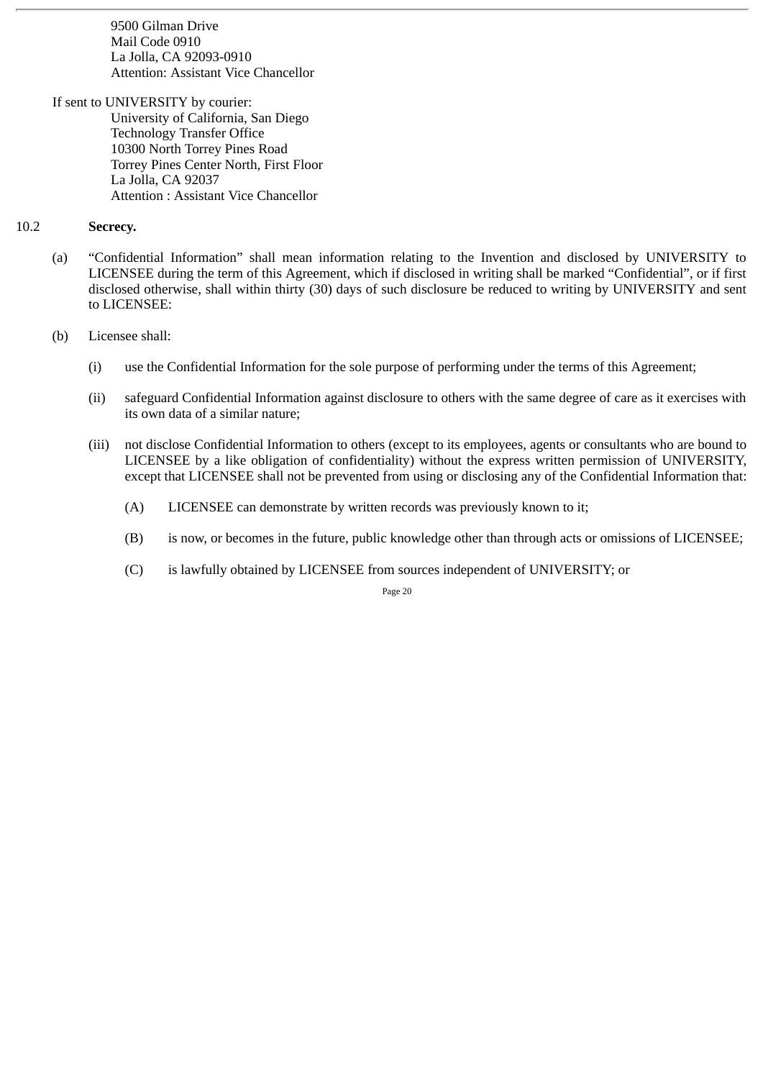9500 Gilman Drive Mail Code 0910 La Jolla, CA 92093-0910 Attention: Assistant Vice Chancellor

If sent to UNIVERSITY by courier: University of California, San Diego Technology Transfer Office 10300 North Torrey Pines Road Torrey Pines Center North, First Floor La Jolla, CA 92037 Attention : Assistant Vice Chancellor

#### 10.2 **Secrecy.**

- (a) "Confidential Information" shall mean information relating to the Invention and disclosed by UNIVERSITY to LICENSEE during the term of this Agreement, which if disclosed in writing shall be marked "Confidential", or if first disclosed otherwise, shall within thirty (30) days of such disclosure be reduced to writing by UNIVERSITY and sent to LICENSEE:
- (b) Licensee shall:
	- (i) use the Confidential Information for the sole purpose of performing under the terms of this Agreement;
	- (ii) safeguard Confidential Information against disclosure to others with the same degree of care as it exercises with its own data of a similar nature;
	- (iii) not disclose Confidential Information to others (except to its employees, agents or consultants who are bound to LICENSEE by a like obligation of confidentiality) without the express written permission of UNIVERSITY, except that LICENSEE shall not be prevented from using or disclosing any of the Confidential Information that:
		- (A) LICENSEE can demonstrate by written records was previously known to it;
		- (B) is now, or becomes in the future, public knowledge other than through acts or omissions of LICENSEE;
		- (C) is lawfully obtained by LICENSEE from sources independent of UNIVERSITY; or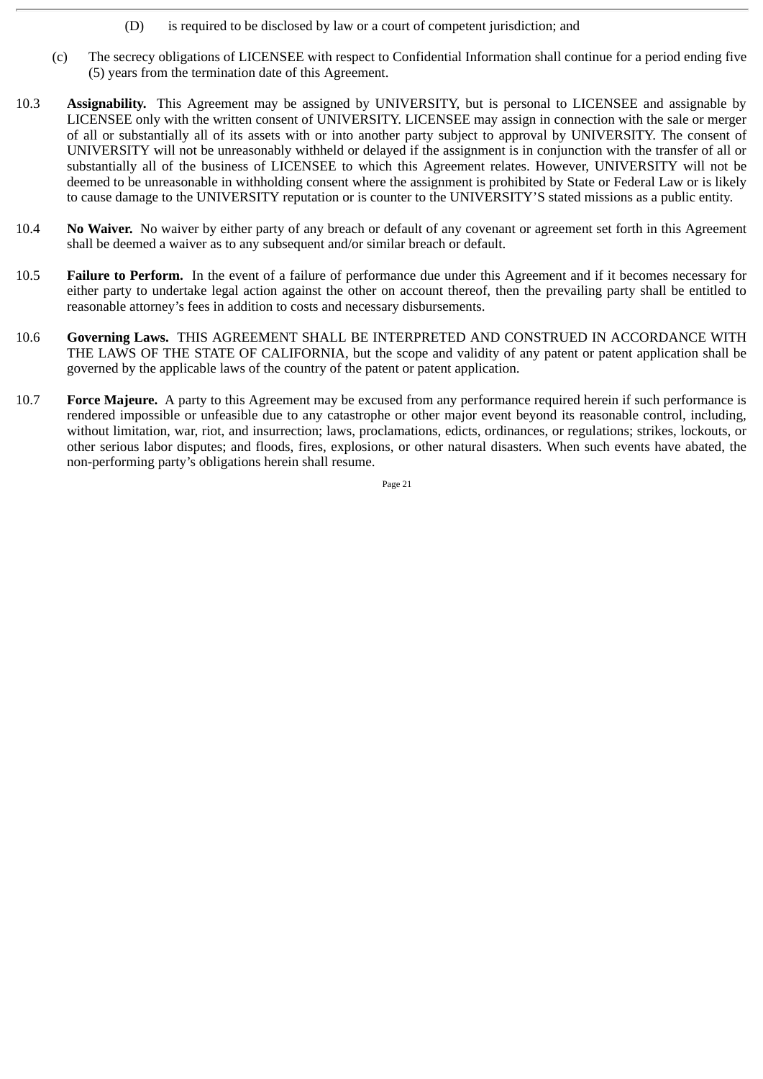- (D) is required to be disclosed by law or a court of competent jurisdiction; and
- (c) The secrecy obligations of LICENSEE with respect to Confidential Information shall continue for a period ending five (5) years from the termination date of this Agreement.
- 10.3 **Assignability.** This Agreement may be assigned by UNIVERSITY, but is personal to LICENSEE and assignable by LICENSEE only with the written consent of UNIVERSITY. LICENSEE may assign in connection with the sale or merger of all or substantially all of its assets with or into another party subject to approval by UNIVERSITY. The consent of UNIVERSITY will not be unreasonably withheld or delayed if the assignment is in conjunction with the transfer of all or substantially all of the business of LICENSEE to which this Agreement relates. However, UNIVERSITY will not be deemed to be unreasonable in withholding consent where the assignment is prohibited by State or Federal Law or is likely to cause damage to the UNIVERSITY reputation or is counter to the UNIVERSITY'S stated missions as a public entity.
- 10.4 **No Waiver.** No waiver by either party of any breach or default of any covenant or agreement set forth in this Agreement shall be deemed a waiver as to any subsequent and/or similar breach or default.
- 10.5 **Failure to Perform.** In the event of a failure of performance due under this Agreement and if it becomes necessary for either party to undertake legal action against the other on account thereof, then the prevailing party shall be entitled to reasonable attorney's fees in addition to costs and necessary disbursements.
- 10.6 **Governing Laws.** THIS AGREEMENT SHALL BE INTERPRETED AND CONSTRUED IN ACCORDANCE WITH THE LAWS OF THE STATE OF CALIFORNIA, but the scope and validity of any patent or patent application shall be governed by the applicable laws of the country of the patent or patent application.
- 10.7 **Force Majeure.** A party to this Agreement may be excused from any performance required herein if such performance is rendered impossible or unfeasible due to any catastrophe or other major event beyond its reasonable control, including, without limitation, war, riot, and insurrection; laws, proclamations, edicts, ordinances, or regulations; strikes, lockouts, or other serious labor disputes; and floods, fires, explosions, or other natural disasters. When such events have abated, the non-performing party's obligations herein shall resume.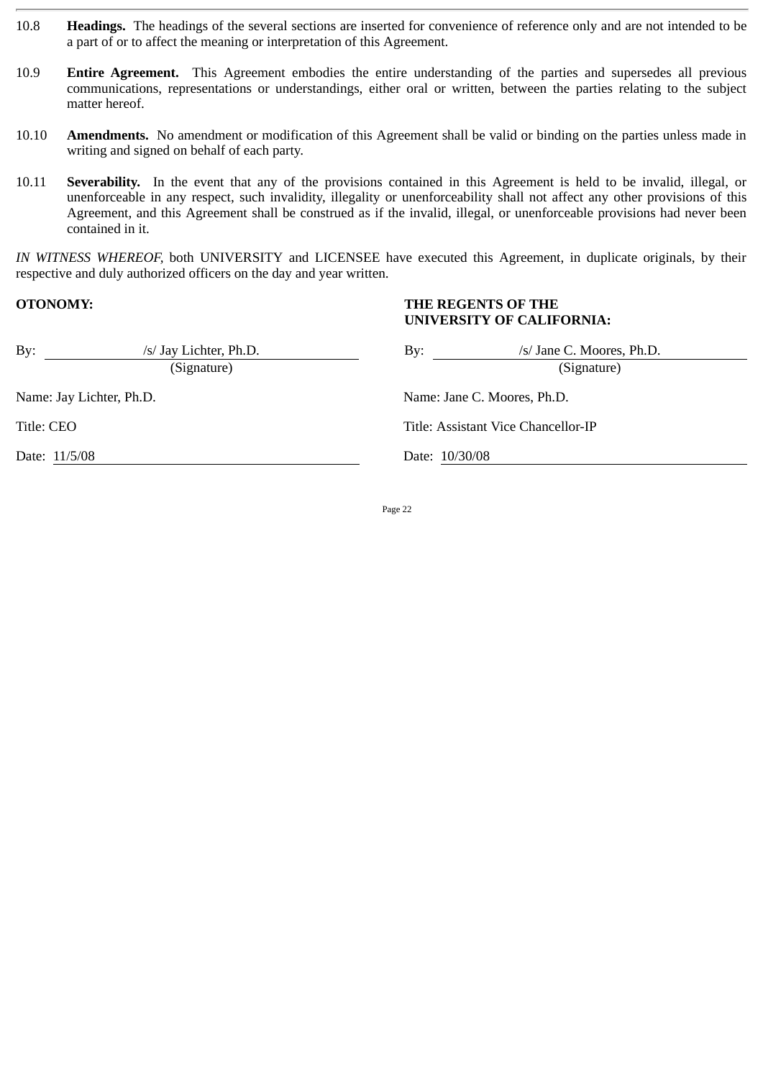- 10.8 **Headings.** The headings of the several sections are inserted for convenience of reference only and are not intended to be a part of or to affect the meaning or interpretation of this Agreement.
- 10.9 **Entire Agreement.** This Agreement embodies the entire understanding of the parties and supersedes all previous communications, representations or understandings, either oral or written, between the parties relating to the subject matter hereof.
- 10.10 **Amendments.** No amendment or modification of this Agreement shall be valid or binding on the parties unless made in writing and signed on behalf of each party.
- 10.11 **Severability.** In the event that any of the provisions contained in this Agreement is held to be invalid, illegal, or unenforceable in any respect, such invalidity, illegality or unenforceability shall not affect any other provisions of this Agreement, and this Agreement shall be construed as if the invalid, illegal, or unenforceable provisions had never been contained in it.

*IN WITNESS WHEREOF,* both UNIVERSITY and LICENSEE have executed this Agreement, in duplicate originals, by their respective and duly authorized officers on the day and year written.

## **OTONOMY: THE REGENTS OF THE UNIVERSITY OF CALIFORNIA:**

| By:        | /s/ Jay Lichter, Ph.D.<br>(Signature) | /s/ Jane C. Moores, Ph.D.<br>By:<br>(Signature) |
|------------|---------------------------------------|-------------------------------------------------|
|            | Name: Jay Lichter, Ph.D.              | Name: Jane C. Moores, Ph.D.                     |
| Title: CEO |                                       | Title: Assistant Vice Chancellor-IP             |
|            | Date: 11/5/08                         | Date: 10/30/08                                  |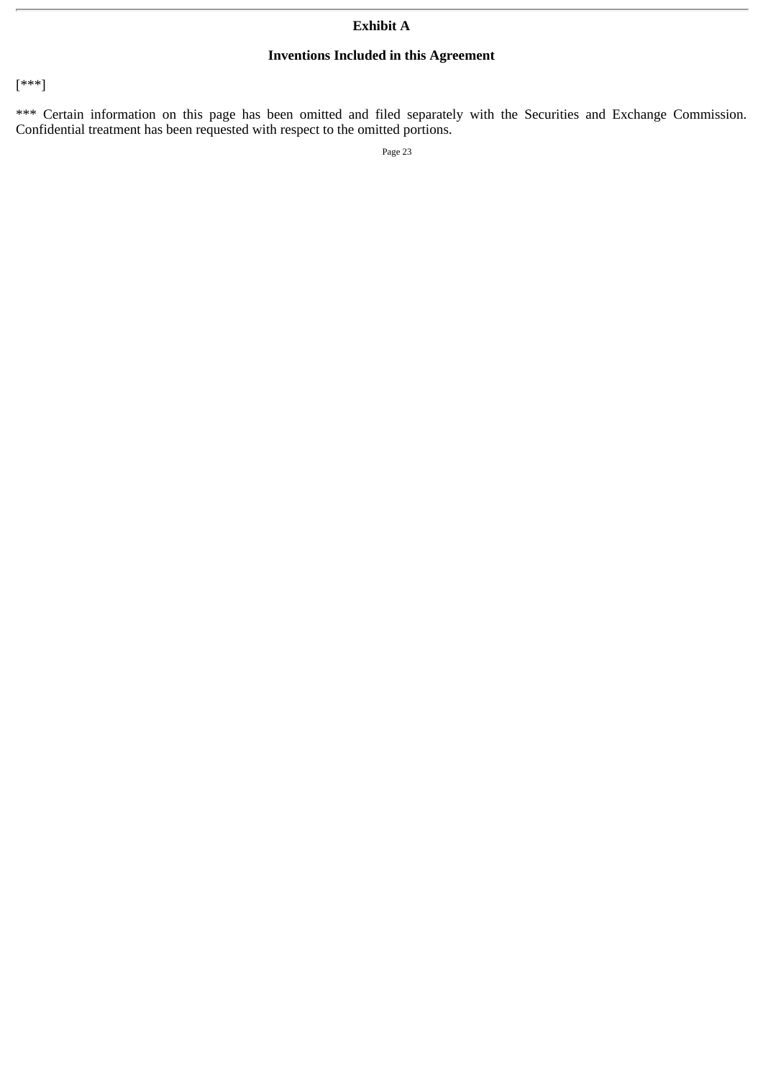# **Exhibit A**

# **Inventions Included in this Agreement**

[\*\*\*]

\*\*\* Certain information on this page has been omitted and filed separately with the Securities and Exchange Commission. Confidential treatment has been requested with respect to the omitted portions.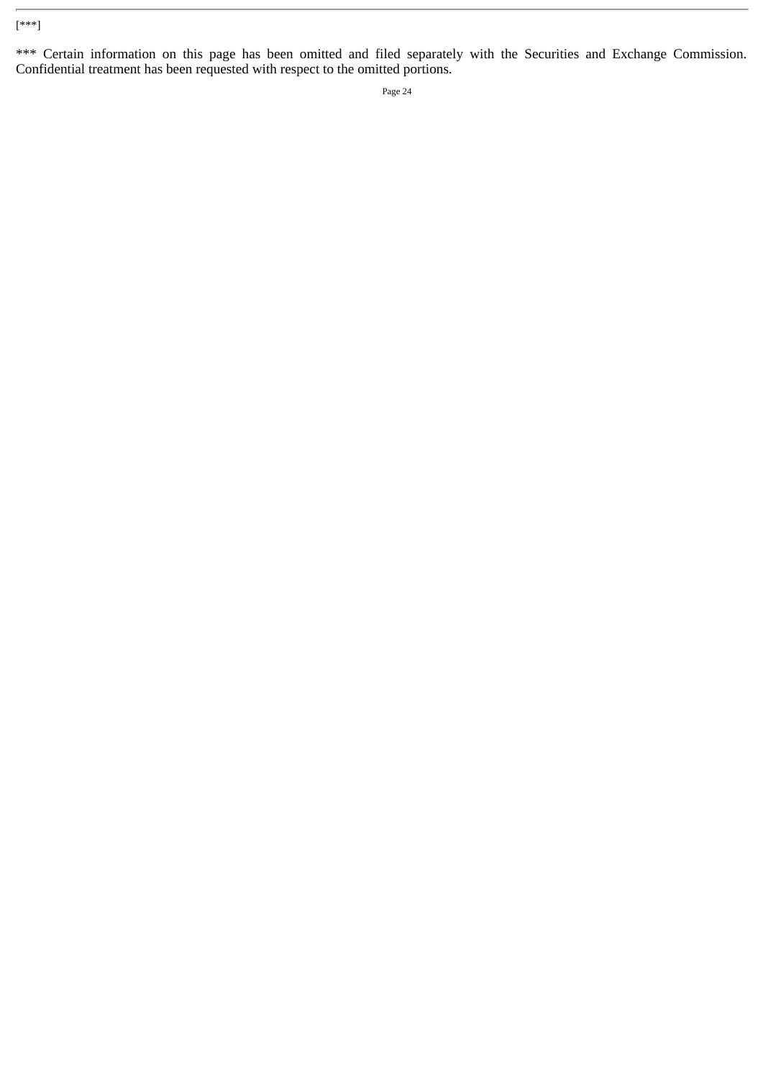# [\*\*\*]

\*\*\* Certain information on this page has been omitted and filed separately with the Securities and Exchange Commission. Confidential treatment has been requested with respect to the omitted portions.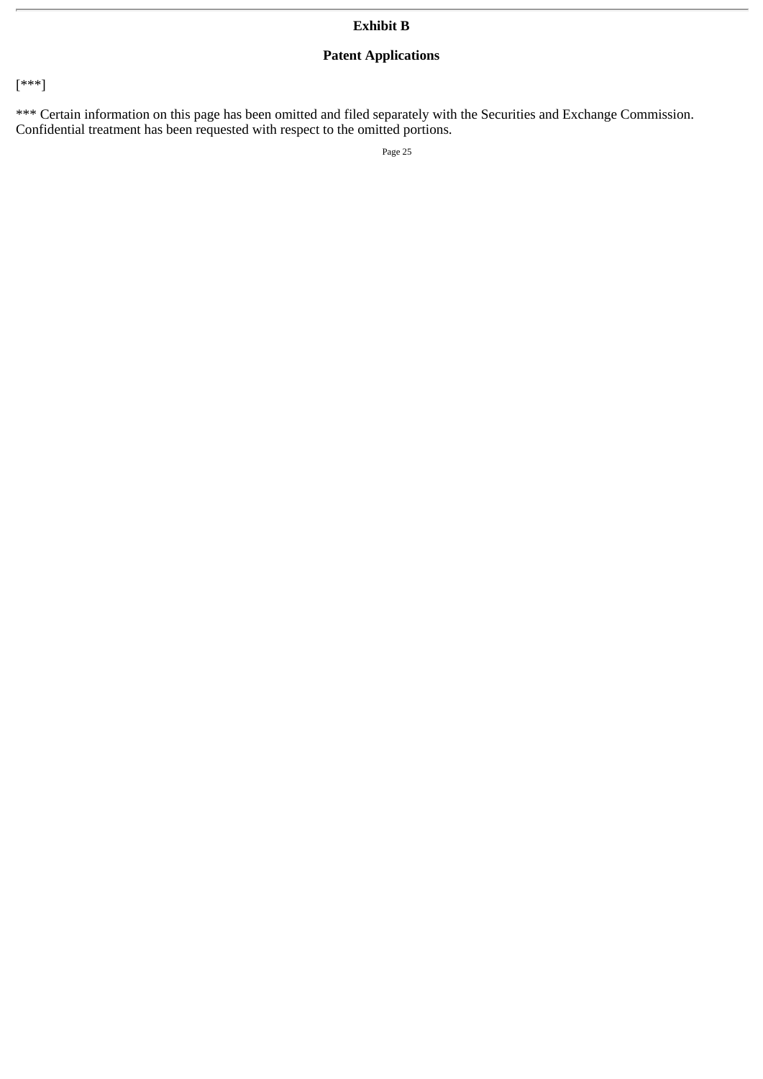# **Patent Applications**

[\*\*\*]

\*\*\* Certain information on this page has been omitted and filed separately with the Securities and Exchange Commission. Confidential treatment has been requested with respect to the omitted portions.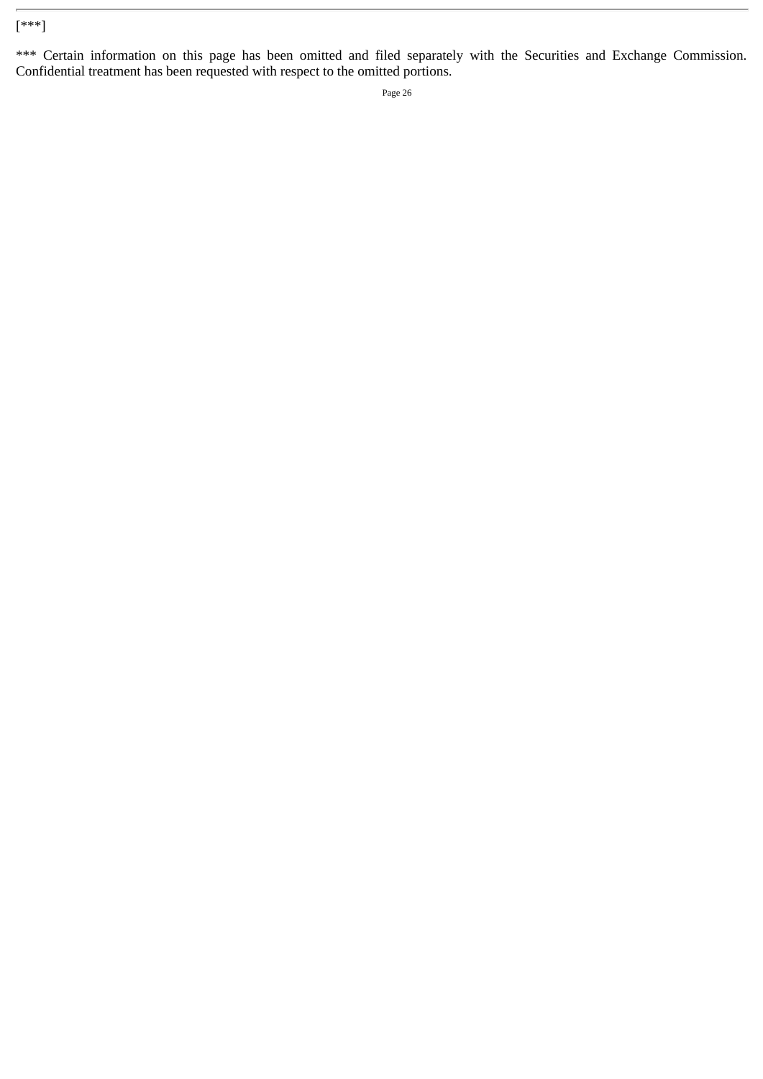# [\*\*\*]

\*\*\* Certain information on this page has been omitted and filed separately with the Securities and Exchange Commission. Confidential treatment has been requested with respect to the omitted portions.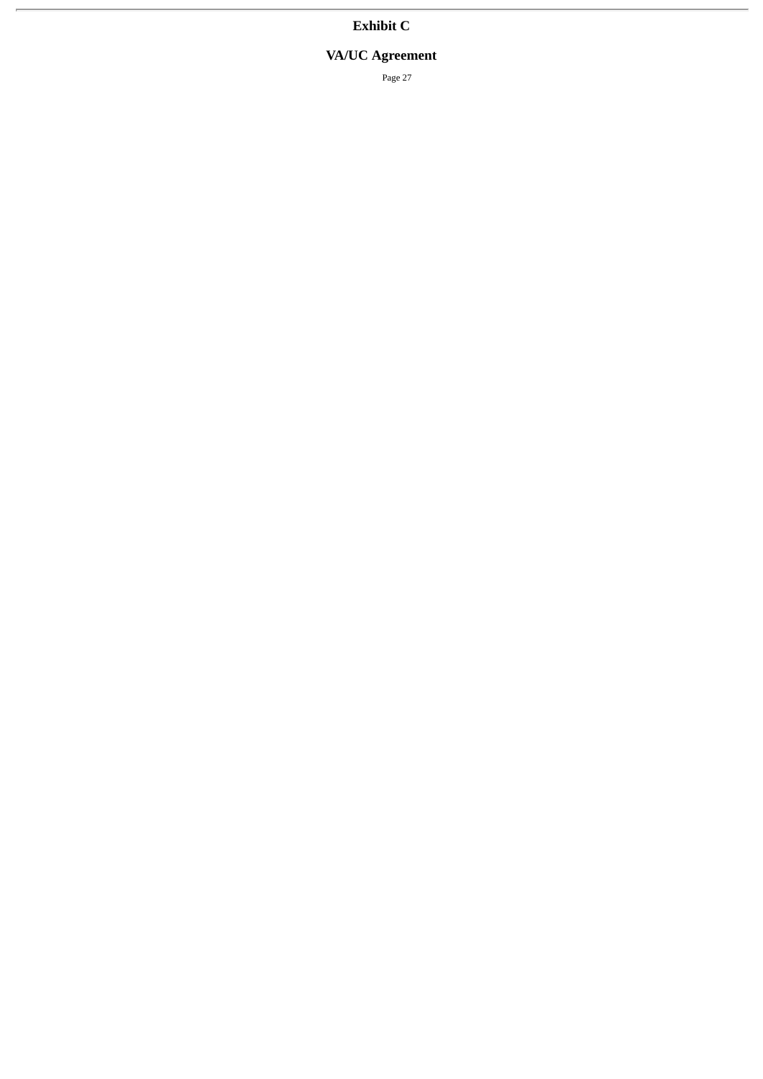# **VA/UC Agreement**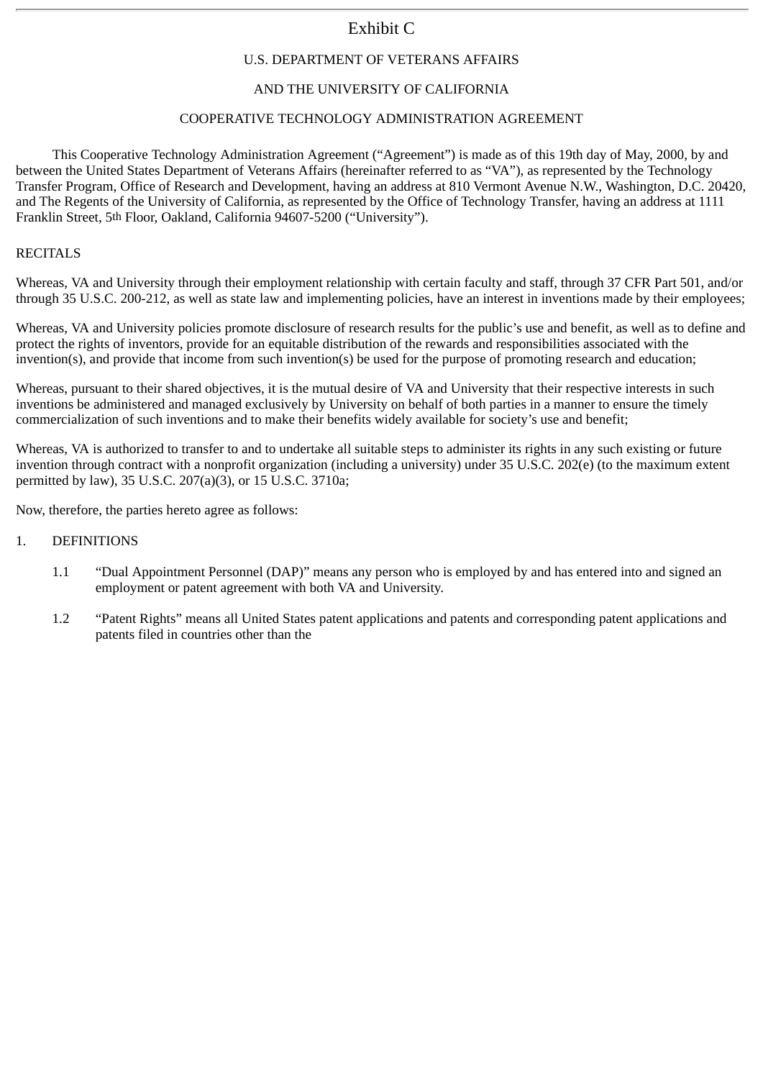# U.S. DEPARTMENT OF VETERANS AFFAIRS

# AND THE UNIVERSITY OF CALIFORNIA

# COOPERATIVE TECHNOLOGY ADMINISTRATION AGREEMENT

This Cooperative Technology Administration Agreement ("Agreement") is made as of this 19th day of May, 2000, by and between the United States Department of Veterans Affairs (hereinafter referred to as "VA"), as represented by the Technology Transfer Program, Office of Research and Development, having an address at 810 Vermont Avenue N.W., Washington, D.C. 20420, and The Regents of the University of California, as represented by the Office of Technology Transfer, having an address at 1111 Franklin Street, 5th Floor, Oakland, California 94607-5200 ("University").

#### **RECITALS**

Whereas, VA and University through their employment relationship with certain faculty and staff, through 37 CFR Part 501, and/or through 35 U.S.C. 200-212, as well as state law and implementing policies, have an interest in inventions made by their employees;

Whereas, VA and University policies promote disclosure of research results for the public's use and benefit, as well as to define and protect the rights of inventors, provide for an equitable distribution of the rewards and responsibilities associated with the invention(s), and provide that income from such invention(s) be used for the purpose of promoting research and education;

Whereas, pursuant to their shared objectives, it is the mutual desire of VA and University that their respective interests in such inventions be administered and managed exclusively by University on behalf of both parties in a manner to ensure the timely commercialization of such inventions and to make their benefits widely available for society's use and benefit;

Whereas, VA is authorized to transfer to and to undertake all suitable steps to administer its rights in any such existing or future invention through contract with a nonprofit organization (including a university) under 35 U.S.C. 202(e) (to the maximum extent permitted by law), 35 U.S.C. 207(a)(3), or 15 U.S.C. 3710a;

Now, therefore, the parties hereto agree as follows:

- 1. DEFINITIONS
	- 1.1 "Dual Appointment Personnel (DAP)" means any person who is employed by and has entered into and signed an employment or patent agreement with both VA and University.
	- 1.2 "Patent Rights" means all United States patent applications and patents and corresponding patent applications and patents filed in countries other than the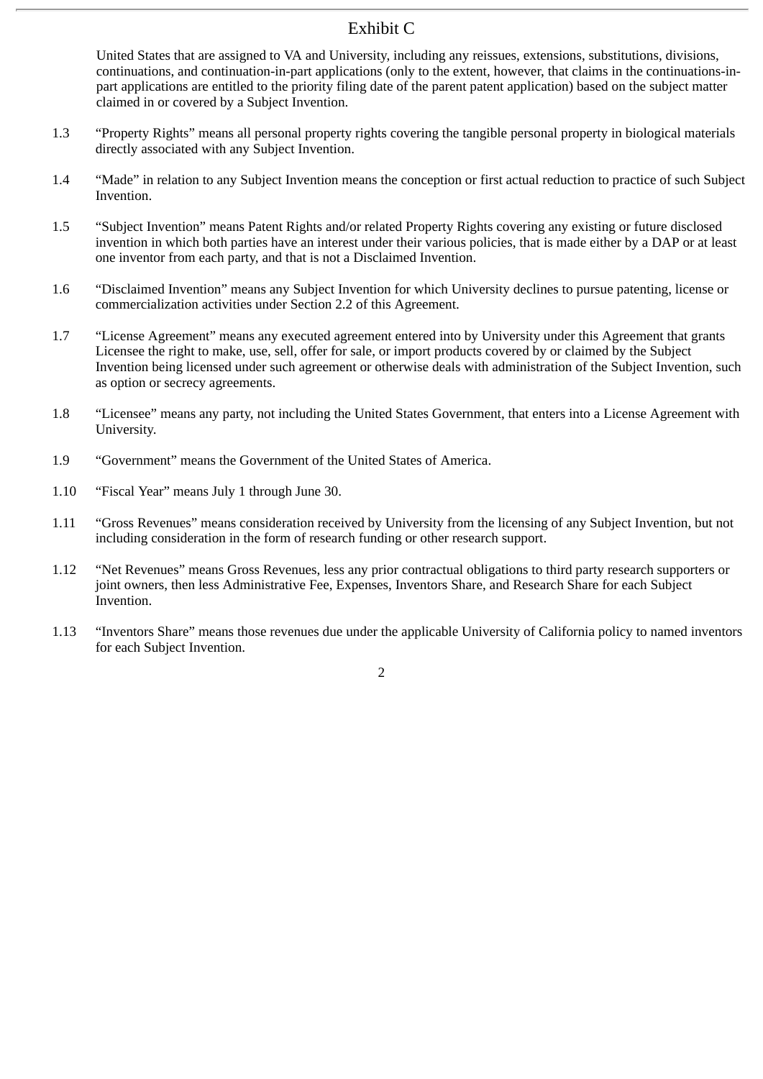United States that are assigned to VA and University, including any reissues, extensions, substitutions, divisions, continuations, and continuation-in-part applications (only to the extent, however, that claims in the continuations-inpart applications are entitled to the priority filing date of the parent patent application) based on the subject matter claimed in or covered by a Subject Invention.

- 1.3 "Property Rights" means all personal property rights covering the tangible personal property in biological materials directly associated with any Subject Invention.
- 1.4 "Made" in relation to any Subject Invention means the conception or first actual reduction to practice of such Subject Invention.
- 1.5 "Subject Invention" means Patent Rights and/or related Property Rights covering any existing or future disclosed invention in which both parties have an interest under their various policies, that is made either by a DAP or at least one inventor from each party, and that is not a Disclaimed Invention.
- 1.6 "Disclaimed Invention" means any Subject Invention for which University declines to pursue patenting, license or commercialization activities under Section 2.2 of this Agreement.
- 1.7 "License Agreement" means any executed agreement entered into by University under this Agreement that grants Licensee the right to make, use, sell, offer for sale, or import products covered by or claimed by the Subject Invention being licensed under such agreement or otherwise deals with administration of the Subject Invention, such as option or secrecy agreements.
- 1.8 "Licensee" means any party, not including the United States Government, that enters into a License Agreement with University.
- 1.9 "Government" means the Government of the United States of America.
- 1.10 "Fiscal Year" means July 1 through June 30.
- 1.11 "Gross Revenues" means consideration received by University from the licensing of any Subject Invention, but not including consideration in the form of research funding or other research support.
- 1.12 "Net Revenues" means Gross Revenues, less any prior contractual obligations to third party research supporters or joint owners, then less Administrative Fee, Expenses, Inventors Share, and Research Share for each Subject Invention.
- 1.13 "Inventors Share" means those revenues due under the applicable University of California policy to named inventors for each Subject Invention.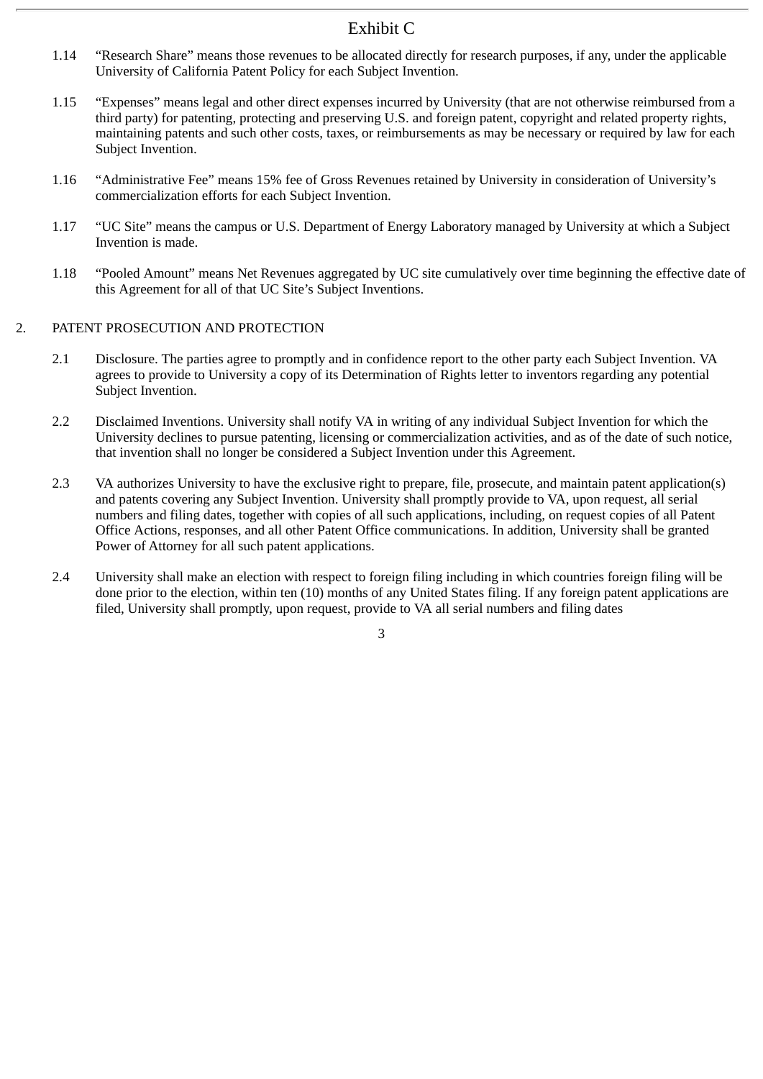- 1.14 "Research Share" means those revenues to be allocated directly for research purposes, if any, under the applicable University of California Patent Policy for each Subject Invention.
- 1.15 "Expenses" means legal and other direct expenses incurred by University (that are not otherwise reimbursed from a third party) for patenting, protecting and preserving U.S. and foreign patent, copyright and related property rights, maintaining patents and such other costs, taxes, or reimbursements as may be necessary or required by law for each Subject Invention.
- 1.16 "Administrative Fee" means 15% fee of Gross Revenues retained by University in consideration of University's commercialization efforts for each Subject Invention.
- 1.17 "UC Site" means the campus or U.S. Department of Energy Laboratory managed by University at which a Subject Invention is made.
- 1.18 "Pooled Amount" means Net Revenues aggregated by UC site cumulatively over time beginning the effective date of this Agreement for all of that UC Site's Subject Inventions.

# 2. PATENT PROSECUTION AND PROTECTION

- 2.1 Disclosure. The parties agree to promptly and in confidence report to the other party each Subject Invention. VA agrees to provide to University a copy of its Determination of Rights letter to inventors regarding any potential Subject Invention.
- 2.2 Disclaimed Inventions. University shall notify VA in writing of any individual Subject Invention for which the University declines to pursue patenting, licensing or commercialization activities, and as of the date of such notice, that invention shall no longer be considered a Subject Invention under this Agreement.
- 2.3 VA authorizes University to have the exclusive right to prepare, file, prosecute, and maintain patent application(s) and patents covering any Subject Invention. University shall promptly provide to VA, upon request, all serial numbers and filing dates, together with copies of all such applications, including, on request copies of all Patent Office Actions, responses, and all other Patent Office communications. In addition, University shall be granted Power of Attorney for all such patent applications.
- 2.4 University shall make an election with respect to foreign filing including in which countries foreign filing will be done prior to the election, within ten (10) months of any United States filing. If any foreign patent applications are filed, University shall promptly, upon request, provide to VA all serial numbers and filing dates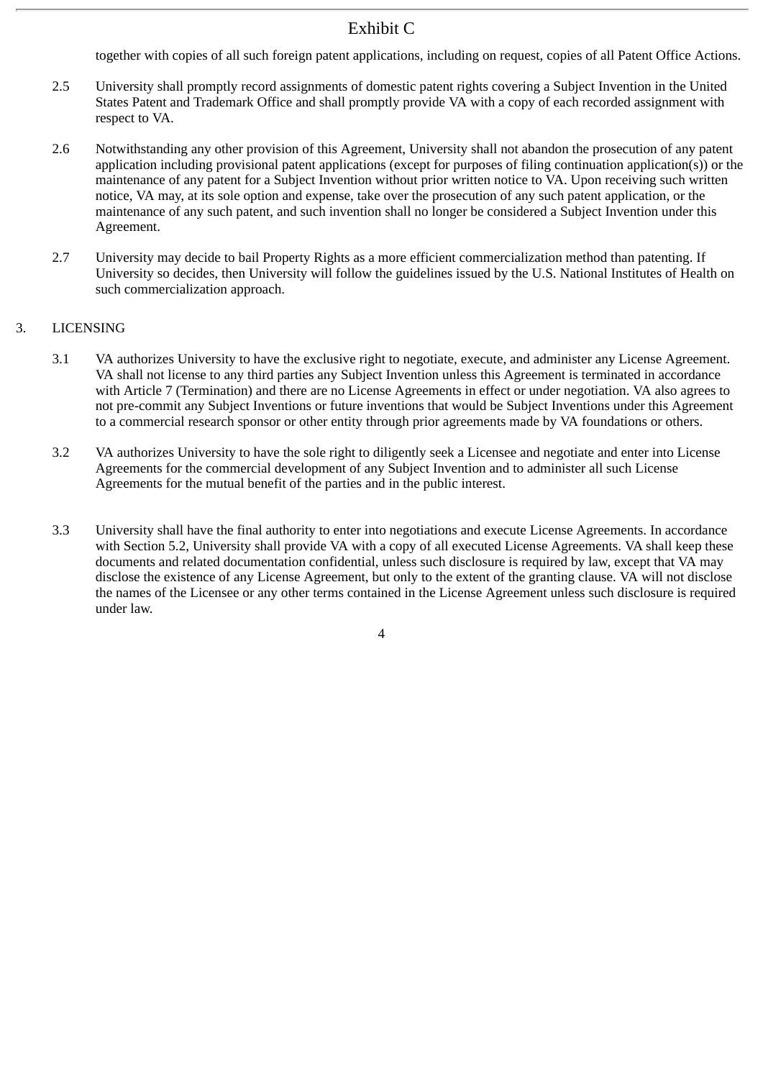together with copies of all such foreign patent applications, including on request, copies of all Patent Office Actions.

- 2.5 University shall promptly record assignments of domestic patent rights covering a Subject Invention in the United States Patent and Trademark Office and shall promptly provide VA with a copy of each recorded assignment with respect to VA.
- 2.6 Notwithstanding any other provision of this Agreement, University shall not abandon the prosecution of any patent application including provisional patent applications (except for purposes of filing continuation application(s)) or the maintenance of any patent for a Subject Invention without prior written notice to VA. Upon receiving such written notice, VA may, at its sole option and expense, take over the prosecution of any such patent application, or the maintenance of any such patent, and such invention shall no longer be considered a Subject Invention under this Agreement.
- 2.7 University may decide to bail Property Rights as a more efficient commercialization method than patenting. If University so decides, then University will follow the guidelines issued by the U.S. National Institutes of Health on such commercialization approach.

# 3. LICENSING

- 3.1 VA authorizes University to have the exclusive right to negotiate, execute, and administer any License Agreement. VA shall not license to any third parties any Subject Invention unless this Agreement is terminated in accordance with Article 7 (Termination) and there are no License Agreements in effect or under negotiation. VA also agrees to not pre-commit any Subject Inventions or future inventions that would be Subject Inventions under this Agreement to a commercial research sponsor or other entity through prior agreements made by VA foundations or others.
- 3.2 VA authorizes University to have the sole right to diligently seek a Licensee and negotiate and enter into License Agreements for the commercial development of any Subject Invention and to administer all such License Agreements for the mutual benefit of the parties and in the public interest.
- 3.3 University shall have the final authority to enter into negotiations and execute License Agreements. In accordance with Section 5.2, University shall provide VA with a copy of all executed License Agreements. VA shall keep these documents and related documentation confidential, unless such disclosure is required by law, except that VA may disclose the existence of any License Agreement, but only to the extent of the granting clause. VA will not disclose the names of the Licensee or any other terms contained in the License Agreement unless such disclosure is required under law.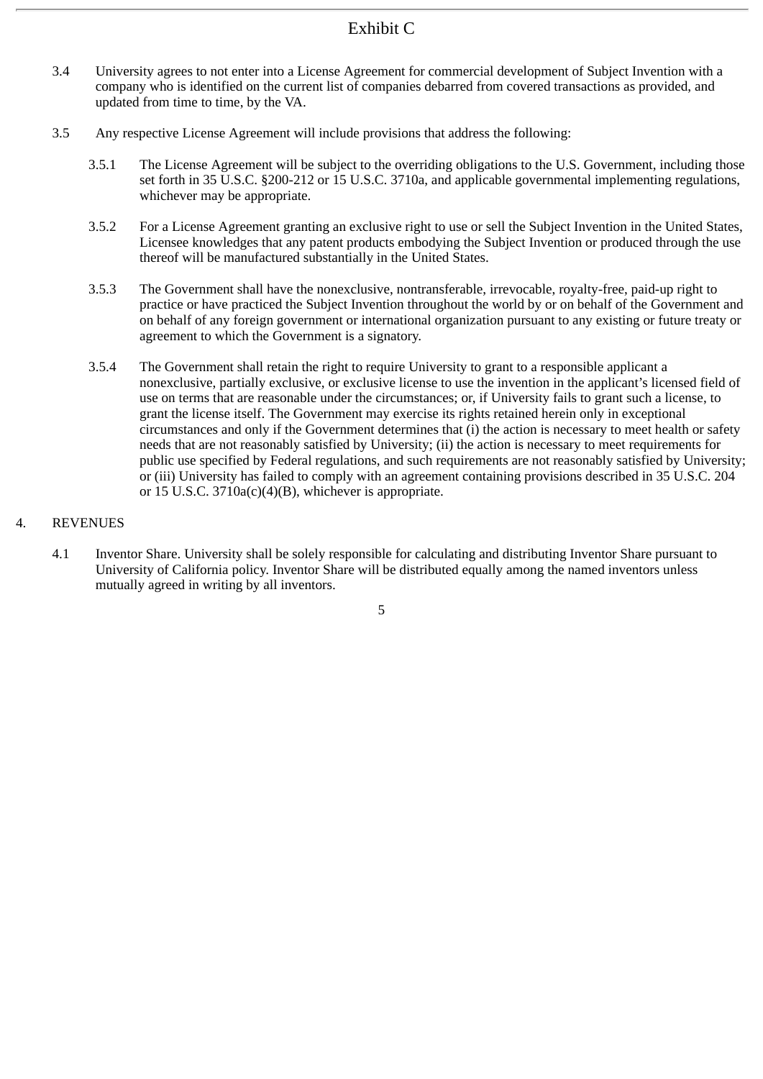- 3.4 University agrees to not enter into a License Agreement for commercial development of Subject Invention with a company who is identified on the current list of companies debarred from covered transactions as provided, and updated from time to time, by the VA.
- 3.5 Any respective License Agreement will include provisions that address the following:
	- 3.5.1 The License Agreement will be subject to the overriding obligations to the U.S. Government, including those set forth in 35 U.S.C. §200-212 or 15 U.S.C. 3710a, and applicable governmental implementing regulations, whichever may be appropriate.
	- 3.5.2 For a License Agreement granting an exclusive right to use or sell the Subject Invention in the United States, Licensee knowledges that any patent products embodying the Subject Invention or produced through the use thereof will be manufactured substantially in the United States.
	- 3.5.3 The Government shall have the nonexclusive, nontransferable, irrevocable, royalty-free, paid-up right to practice or have practiced the Subject Invention throughout the world by or on behalf of the Government and on behalf of any foreign government or international organization pursuant to any existing or future treaty or agreement to which the Government is a signatory.
	- 3.5.4 The Government shall retain the right to require University to grant to a responsible applicant a nonexclusive, partially exclusive, or exclusive license to use the invention in the applicant's licensed field of use on terms that are reasonable under the circumstances; or, if University fails to grant such a license, to grant the license itself. The Government may exercise its rights retained herein only in exceptional circumstances and only if the Government determines that (i) the action is necessary to meet health or safety needs that are not reasonably satisfied by University; (ii) the action is necessary to meet requirements for public use specified by Federal regulations, and such requirements are not reasonably satisfied by University; or (iii) University has failed to comply with an agreement containing provisions described in 35 U.S.C. 204 or 15 U.S.C.  $3710a(c)(4)(B)$ , whichever is appropriate.

## 4. REVENUES

4.1 Inventor Share. University shall be solely responsible for calculating and distributing Inventor Share pursuant to University of California policy. Inventor Share will be distributed equally among the named inventors unless mutually agreed in writing by all inventors.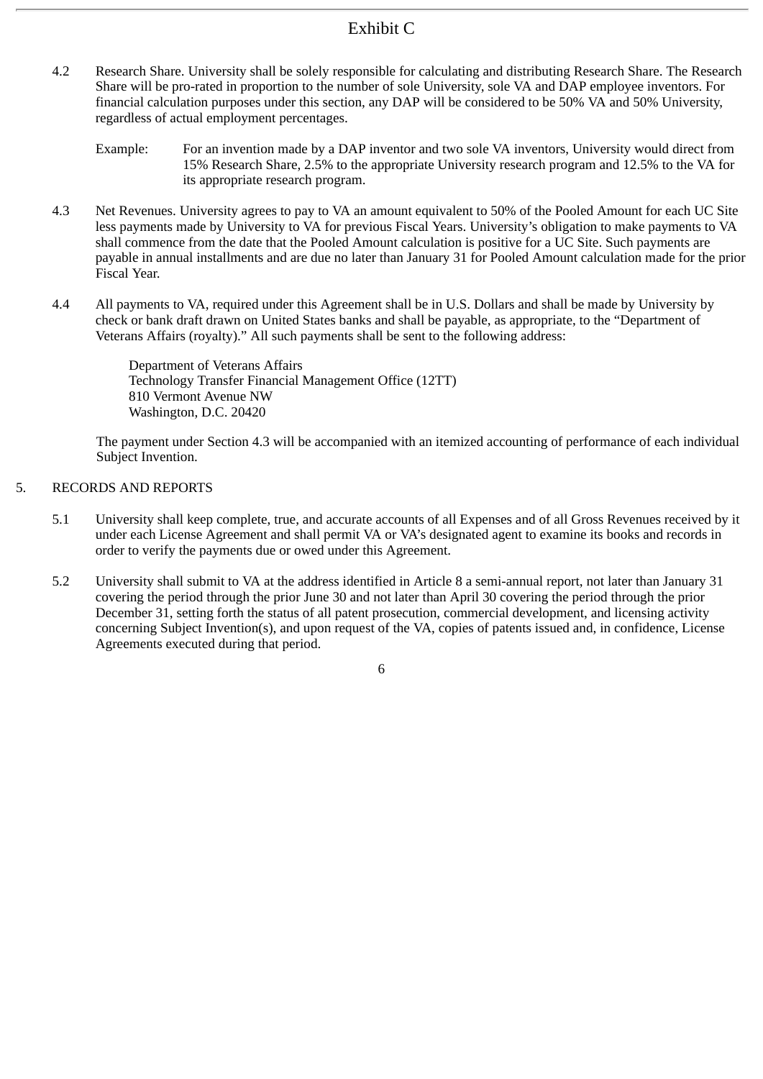- 4.2 Research Share. University shall be solely responsible for calculating and distributing Research Share. The Research Share will be pro-rated in proportion to the number of sole University, sole VA and DAP employee inventors. For financial calculation purposes under this section, any DAP will be considered to be 50% VA and 50% University, regardless of actual employment percentages.
	- Example: For an invention made by a DAP inventor and two sole VA inventors, University would direct from 15% Research Share, 2.5% to the appropriate University research program and 12.5% to the VA for its appropriate research program.
- 4.3 Net Revenues. University agrees to pay to VA an amount equivalent to 50% of the Pooled Amount for each UC Site less payments made by University to VA for previous Fiscal Years. University's obligation to make payments to VA shall commence from the date that the Pooled Amount calculation is positive for a UC Site. Such payments are payable in annual installments and are due no later than January 31 for Pooled Amount calculation made for the prior Fiscal Year.
- 4.4 All payments to VA, required under this Agreement shall be in U.S. Dollars and shall be made by University by check or bank draft drawn on United States banks and shall be payable, as appropriate, to the "Department of Veterans Affairs (royalty)." All such payments shall be sent to the following address:

Department of Veterans Affairs Technology Transfer Financial Management Office (12TT) 810 Vermont Avenue NW Washington, D.C. 20420

The payment under Section 4.3 will be accompanied with an itemized accounting of performance of each individual Subject Invention.

# 5. RECORDS AND REPORTS

- 5.1 University shall keep complete, true, and accurate accounts of all Expenses and of all Gross Revenues received by it under each License Agreement and shall permit VA or VA's designated agent to examine its books and records in order to verify the payments due or owed under this Agreement.
- 5.2 University shall submit to VA at the address identified in Article 8 a semi-annual report, not later than January 31 covering the period through the prior June 30 and not later than April 30 covering the period through the prior December 31, setting forth the status of all patent prosecution, commercial development, and licensing activity concerning Subject Invention(s), and upon request of the VA, copies of patents issued and, in confidence, License Agreements executed during that period.
	- 6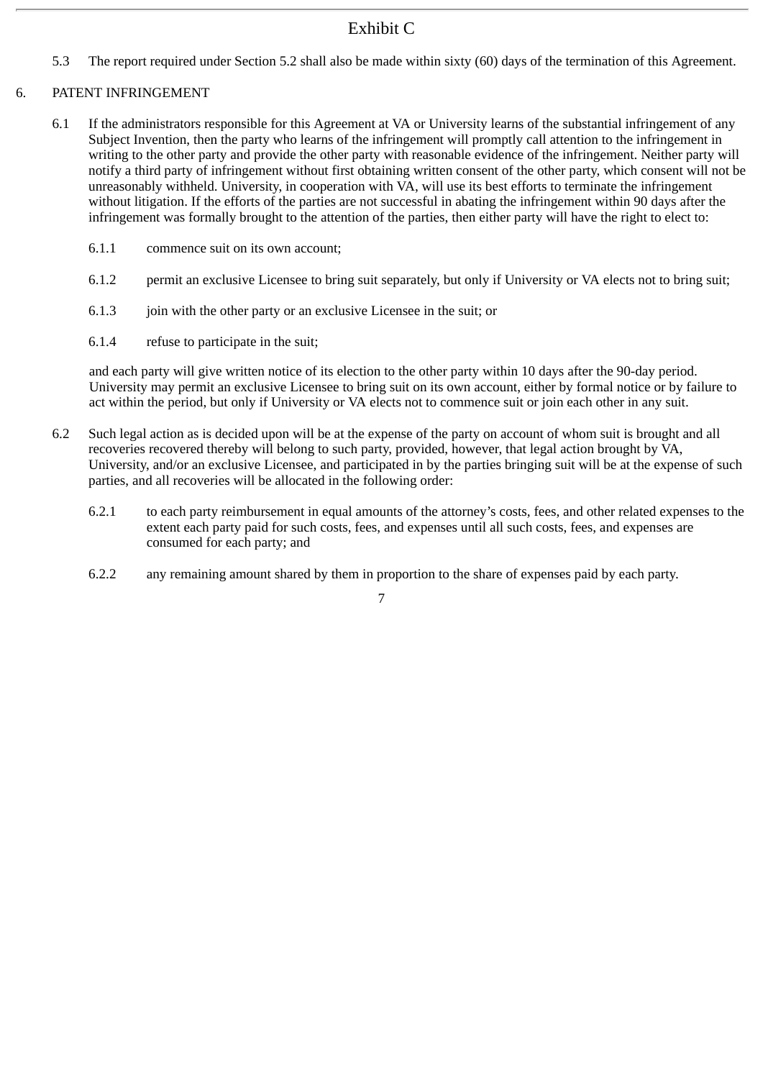5.3 The report required under Section 5.2 shall also be made within sixty (60) days of the termination of this Agreement.

# 6. PATENT INFRINGEMENT

- 6.1 If the administrators responsible for this Agreement at VA or University learns of the substantial infringement of any Subject Invention, then the party who learns of the infringement will promptly call attention to the infringement in writing to the other party and provide the other party with reasonable evidence of the infringement. Neither party will notify a third party of infringement without first obtaining written consent of the other party, which consent will not be unreasonably withheld. University, in cooperation with VA, will use its best efforts to terminate the infringement without litigation. If the efforts of the parties are not successful in abating the infringement within 90 days after the infringement was formally brought to the attention of the parties, then either party will have the right to elect to:
	- 6.1.1 commence suit on its own account;
	- 6.1.2 permit an exclusive Licensee to bring suit separately, but only if University or VA elects not to bring suit;
	- 6.1.3 join with the other party or an exclusive Licensee in the suit; or
	- 6.1.4 refuse to participate in the suit;

and each party will give written notice of its election to the other party within 10 days after the 90-day period. University may permit an exclusive Licensee to bring suit on its own account, either by formal notice or by failure to act within the period, but only if University or VA elects not to commence suit or join each other in any suit.

- 6.2 Such legal action as is decided upon will be at the expense of the party on account of whom suit is brought and all recoveries recovered thereby will belong to such party, provided, however, that legal action brought by VA, University, and/or an exclusive Licensee, and participated in by the parties bringing suit will be at the expense of such parties, and all recoveries will be allocated in the following order:
	- 6.2.1 to each party reimbursement in equal amounts of the attorney's costs, fees, and other related expenses to the extent each party paid for such costs, fees, and expenses until all such costs, fees, and expenses are consumed for each party; and
	- 6.2.2 any remaining amount shared by them in proportion to the share of expenses paid by each party.

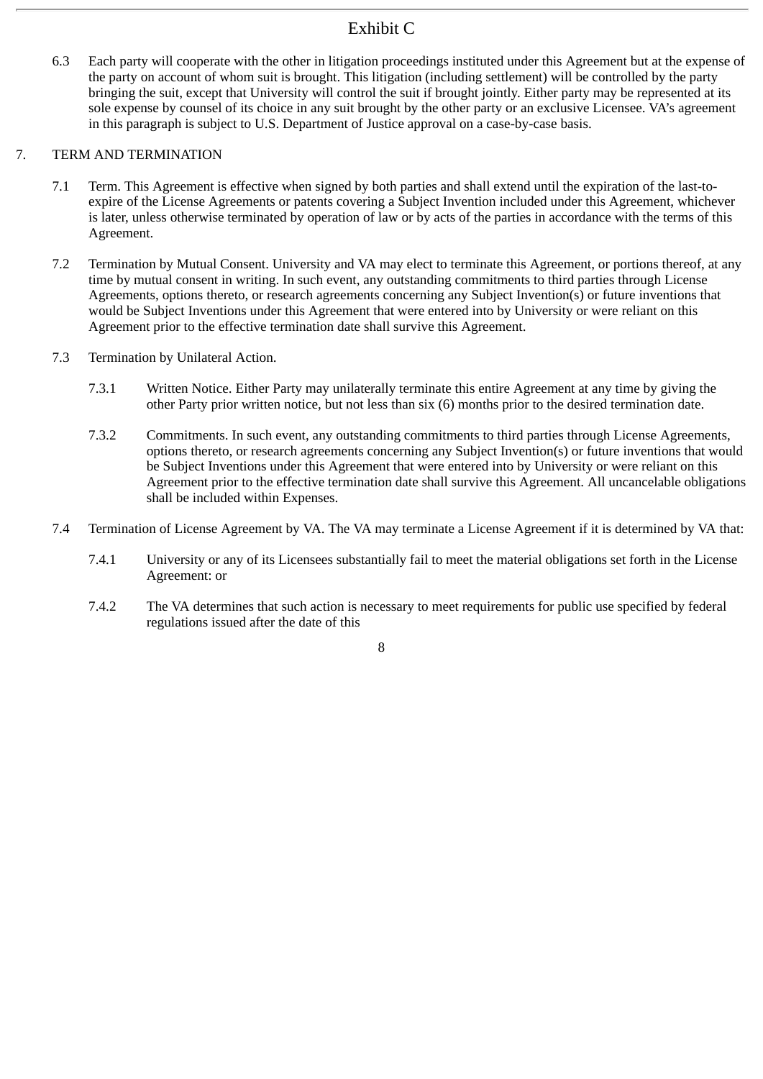6.3 Each party will cooperate with the other in litigation proceedings instituted under this Agreement but at the expense of the party on account of whom suit is brought. This litigation (including settlement) will be controlled by the party bringing the suit, except that University will control the suit if brought jointly. Either party may be represented at its sole expense by counsel of its choice in any suit brought by the other party or an exclusive Licensee. VA's agreement in this paragraph is subject to U.S. Department of Justice approval on a case-by-case basis.

# 7. TERM AND TERMINATION

- 7.1 Term. This Agreement is effective when signed by both parties and shall extend until the expiration of the last-toexpire of the License Agreements or patents covering a Subject Invention included under this Agreement, whichever is later, unless otherwise terminated by operation of law or by acts of the parties in accordance with the terms of this Agreement.
- 7.2 Termination by Mutual Consent. University and VA may elect to terminate this Agreement, or portions thereof, at any time by mutual consent in writing. In such event, any outstanding commitments to third parties through License Agreements, options thereto, or research agreements concerning any Subject Invention(s) or future inventions that would be Subject Inventions under this Agreement that were entered into by University or were reliant on this Agreement prior to the effective termination date shall survive this Agreement.
- 7.3 Termination by Unilateral Action.
	- 7.3.1 Written Notice. Either Party may unilaterally terminate this entire Agreement at any time by giving the other Party prior written notice, but not less than six (6) months prior to the desired termination date.
	- 7.3.2 Commitments. In such event, any outstanding commitments to third parties through License Agreements, options thereto, or research agreements concerning any Subject Invention(s) or future inventions that would be Subject Inventions under this Agreement that were entered into by University or were reliant on this Agreement prior to the effective termination date shall survive this Agreement. All uncancelable obligations shall be included within Expenses.
- 7.4 Termination of License Agreement by VA. The VA may terminate a License Agreement if it is determined by VA that:
	- 7.4.1 University or any of its Licensees substantially fail to meet the material obligations set forth in the License Agreement: or
	- 7.4.2 The VA determines that such action is necessary to meet requirements for public use specified by federal regulations issued after the date of this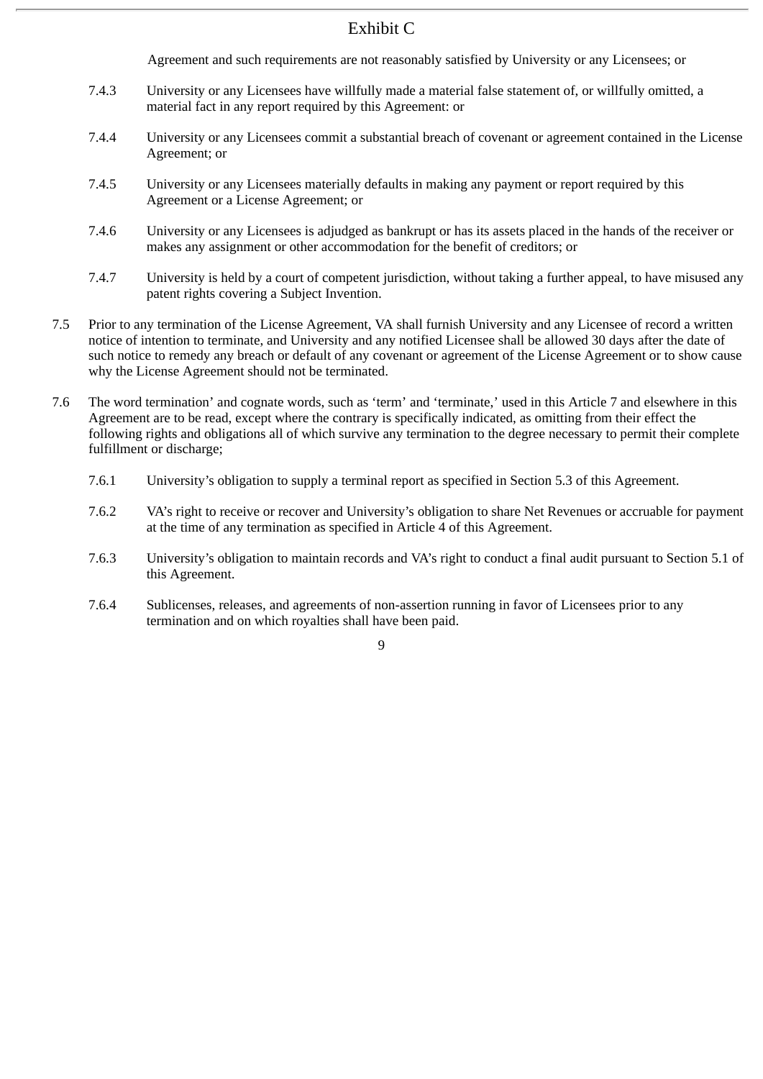Agreement and such requirements are not reasonably satisfied by University or any Licensees; or

- 7.4.3 University or any Licensees have willfully made a material false statement of, or willfully omitted, a material fact in any report required by this Agreement: or
- 7.4.4 University or any Licensees commit a substantial breach of covenant or agreement contained in the License Agreement; or
- 7.4.5 University or any Licensees materially defaults in making any payment or report required by this Agreement or a License Agreement; or
- 7.4.6 University or any Licensees is adjudged as bankrupt or has its assets placed in the hands of the receiver or makes any assignment or other accommodation for the benefit of creditors; or
- 7.4.7 University is held by a court of competent jurisdiction, without taking a further appeal, to have misused any patent rights covering a Subject Invention.
- 7.5 Prior to any termination of the License Agreement, VA shall furnish University and any Licensee of record a written notice of intention to terminate, and University and any notified Licensee shall be allowed 30 days after the date of such notice to remedy any breach or default of any covenant or agreement of the License Agreement or to show cause why the License Agreement should not be terminated.
- 7.6 The word termination' and cognate words, such as 'term' and 'terminate,' used in this Article 7 and elsewhere in this Agreement are to be read, except where the contrary is specifically indicated, as omitting from their effect the following rights and obligations all of which survive any termination to the degree necessary to permit their complete fulfillment or discharge;
	- 7.6.1 University's obligation to supply a terminal report as specified in Section 5.3 of this Agreement.
	- 7.6.2 VA's right to receive or recover and University's obligation to share Net Revenues or accruable for payment at the time of any termination as specified in Article 4 of this Agreement.
	- 7.6.3 University's obligation to maintain records and VA's right to conduct a final audit pursuant to Section 5.1 of this Agreement.
	- 7.6.4 Sublicenses, releases, and agreements of non-assertion running in favor of Licensees prior to any termination and on which royalties shall have been paid.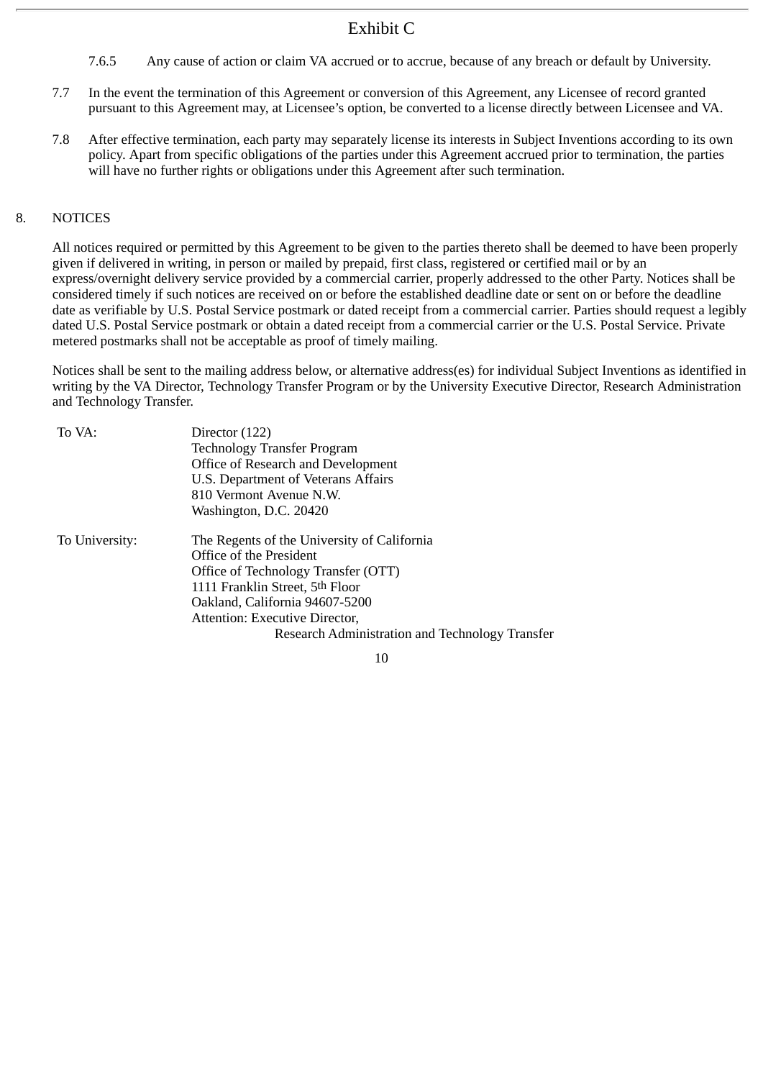- 7.6.5 Any cause of action or claim VA accrued or to accrue, because of any breach or default by University.
- 7.7 In the event the termination of this Agreement or conversion of this Agreement, any Licensee of record granted pursuant to this Agreement may, at Licensee's option, be converted to a license directly between Licensee and VA.
- 7.8 After effective termination, each party may separately license its interests in Subject Inventions according to its own policy. Apart from specific obligations of the parties under this Agreement accrued prior to termination, the parties will have no further rights or obligations under this Agreement after such termination.

#### 8. NOTICES

All notices required or permitted by this Agreement to be given to the parties thereto shall be deemed to have been properly given if delivered in writing, in person or mailed by prepaid, first class, registered or certified mail or by an express/overnight delivery service provided by a commercial carrier, properly addressed to the other Party. Notices shall be considered timely if such notices are received on or before the established deadline date or sent on or before the deadline date as verifiable by U.S. Postal Service postmark or dated receipt from a commercial carrier. Parties should request a legibly dated U.S. Postal Service postmark or obtain a dated receipt from a commercial carrier or the U.S. Postal Service. Private metered postmarks shall not be acceptable as proof of timely mailing.

Notices shall be sent to the mailing address below, or alternative address(es) for individual Subject Inventions as identified in writing by the VA Director, Technology Transfer Program or by the University Executive Director, Research Administration and Technology Transfer.

| To VA:         | Director (122)                                  |
|----------------|-------------------------------------------------|
|                | <b>Technology Transfer Program</b>              |
|                | Office of Research and Development              |
|                | U.S. Department of Veterans Affairs             |
|                | 810 Vermont Avenue N.W.                         |
|                | Washington, D.C. 20420                          |
| To University: | The Regents of the University of California     |
|                | Office of the President                         |
|                | Office of Technology Transfer (OTT)             |
|                | 1111 Franklin Street, 5th Floor                 |
|                | Oakland, California 94607-5200                  |
|                | Attention: Executive Director,                  |
|                | Research Administration and Technology Transfer |
|                |                                                 |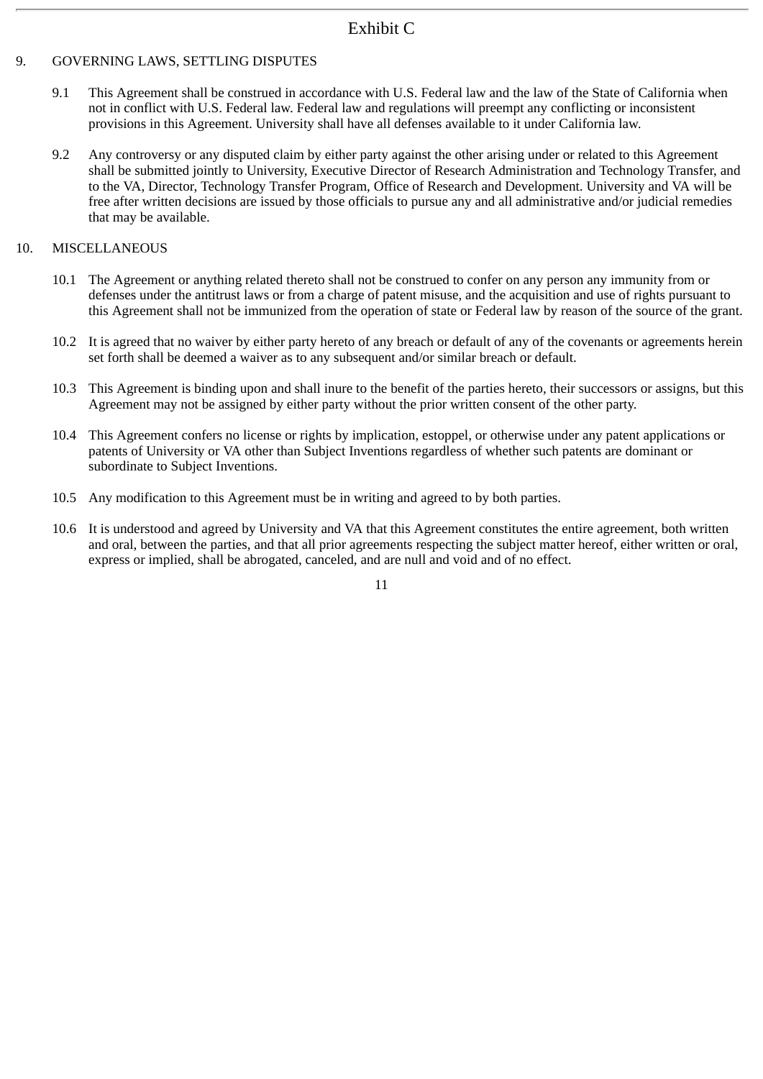# Exhibit C

## 9. GOVERNING LAWS, SETTLING DISPUTES

- 9.1 This Agreement shall be construed in accordance with U.S. Federal law and the law of the State of California when not in conflict with U.S. Federal law. Federal law and regulations will preempt any conflicting or inconsistent provisions in this Agreement. University shall have all defenses available to it under California law.
- 9.2 Any controversy or any disputed claim by either party against the other arising under or related to this Agreement shall be submitted jointly to University, Executive Director of Research Administration and Technology Transfer, and to the VA, Director, Technology Transfer Program, Office of Research and Development. University and VA will be free after written decisions are issued by those officials to pursue any and all administrative and/or judicial remedies that may be available.

## 10. MISCELLANEOUS

- 10.1 The Agreement or anything related thereto shall not be construed to confer on any person any immunity from or defenses under the antitrust laws or from a charge of patent misuse, and the acquisition and use of rights pursuant to this Agreement shall not be immunized from the operation of state or Federal law by reason of the source of the grant.
- 10.2 It is agreed that no waiver by either party hereto of any breach or default of any of the covenants or agreements herein set forth shall be deemed a waiver as to any subsequent and/or similar breach or default.
- 10.3 This Agreement is binding upon and shall inure to the benefit of the parties hereto, their successors or assigns, but this Agreement may not be assigned by either party without the prior written consent of the other party.
- 10.4 This Agreement confers no license or rights by implication, estoppel, or otherwise under any patent applications or patents of University or VA other than Subject Inventions regardless of whether such patents are dominant or subordinate to Subject Inventions.
- 10.5 Any modification to this Agreement must be in writing and agreed to by both parties.
- 10.6 It is understood and agreed by University and VA that this Agreement constitutes the entire agreement, both written and oral, between the parties, and that all prior agreements respecting the subject matter hereof, either written or oral, express or implied, shall be abrogated, canceled, and are null and void and of no effect.

11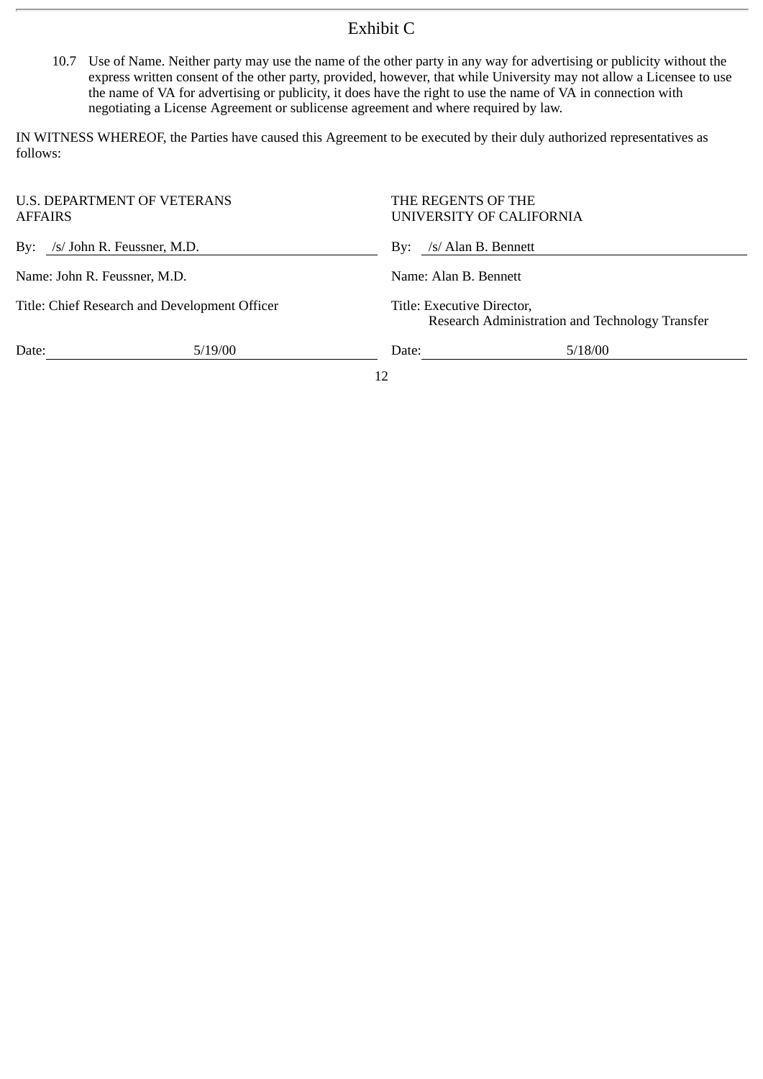# Exhibit C

10.7 Use of Name. Neither party may use the name of the other party in any way for advertising or publicity without the express written consent of the other party, provided, however, that while University may not allow a Licensee to use the name of VA for advertising or publicity, it does have the right to use the name of VA in connection with negotiating a License Agreement or sublicense agreement and where required by law.

IN WITNESS WHEREOF, the Parties have caused this Agreement to be executed by their duly authorized representatives as follows:

| <b>AFFAIRS</b>                                | U.S. DEPARTMENT OF VETERANS | THE REGENTS OF THE<br>UNIVERSITY OF CALIFORNIA |                                                 |  |  |
|-----------------------------------------------|-----------------------------|------------------------------------------------|-------------------------------------------------|--|--|
| By: /s/ John R. Feussner, M.D.                |                             | By: /s/ Alan B. Bennett                        |                                                 |  |  |
| Name: John R. Feussner, M.D.                  |                             | Name: Alan B. Bennett                          |                                                 |  |  |
| Title: Chief Research and Development Officer |                             | Title: Executive Director,                     | Research Administration and Technology Transfer |  |  |
| Date:                                         | 5/19/00                     | 5/18/00<br>Date:                               |                                                 |  |  |
|                                               |                             | 12                                             |                                                 |  |  |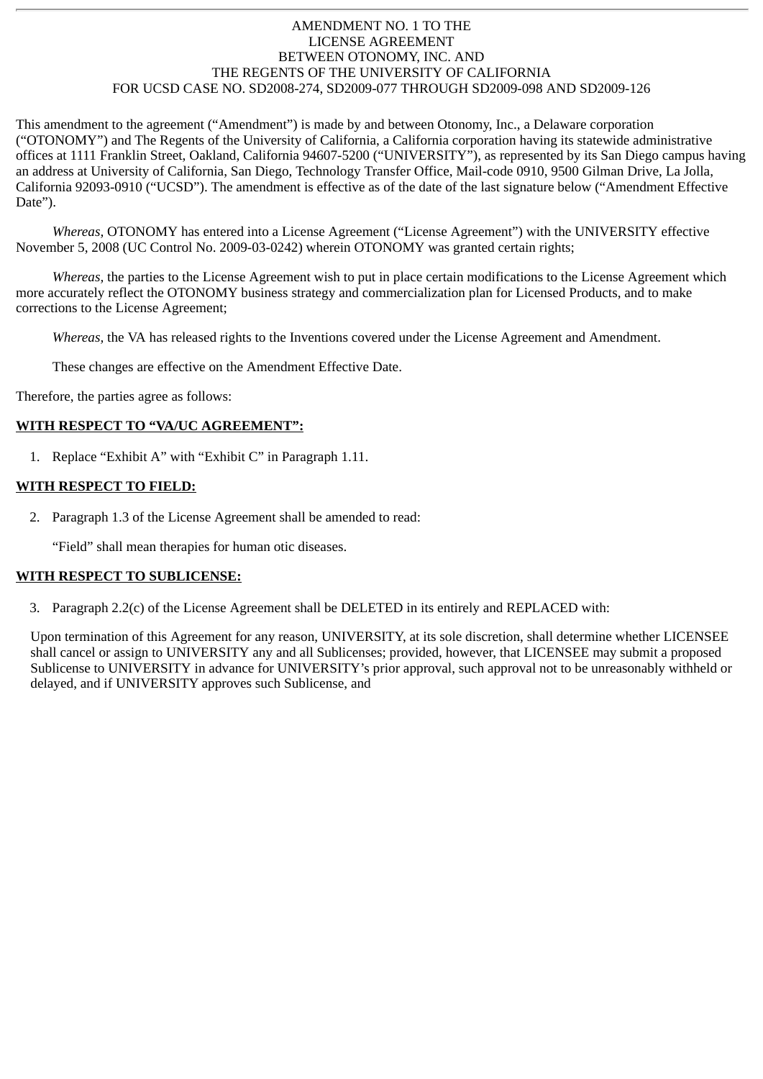### AMENDMENT NO. 1 TO THE LICENSE AGREEMENT BETWEEN OTONOMY, INC. AND THE REGENTS OF THE UNIVERSITY OF CALIFORNIA FOR UCSD CASE NO. SD2008-274, SD2009-077 THROUGH SD2009-098 AND SD2009-126

This amendment to the agreement ("Amendment") is made by and between Otonomy, Inc., a Delaware corporation ("OTONOMY") and The Regents of the University of California, a California corporation having its statewide administrative offices at 1111 Franklin Street, Oakland, California 94607-5200 ("UNIVERSITY"), as represented by its San Diego campus having an address at University of California, San Diego, Technology Transfer Office, Mail-code 0910, 9500 Gilman Drive, La Jolla, California 92093-0910 ("UCSD"). The amendment is effective as of the date of the last signature below ("Amendment Effective Date").

*Whereas,* OTONOMY has entered into a License Agreement ("License Agreement") with the UNIVERSITY effective November 5, 2008 (UC Control No. 2009-03-0242) wherein OTONOMY was granted certain rights;

*Whereas,* the parties to the License Agreement wish to put in place certain modifications to the License Agreement which more accurately reflect the OTONOMY business strategy and commercialization plan for Licensed Products, and to make corrections to the License Agreement;

*Whereas,* the VA has released rights to the Inventions covered under the License Agreement and Amendment.

These changes are effective on the Amendment Effective Date.

Therefore, the parties agree as follows:

#### **WITH RESPECT TO "VA/UC AGREEMENT":**

1. Replace "Exhibit A" with "Exhibit C" in Paragraph 1.11.

### **WITH RESPECT TO FIELD:**

2. Paragraph 1.3 of the License Agreement shall be amended to read:

"Field" shall mean therapies for human otic diseases.

#### **WITH RESPECT TO SUBLICENSE:**

3. Paragraph 2.2(c) of the License Agreement shall be DELETED in its entirely and REPLACED with:

Upon termination of this Agreement for any reason, UNIVERSITY, at its sole discretion, shall determine whether LICENSEE shall cancel or assign to UNIVERSITY any and all Sublicenses; provided, however, that LICENSEE may submit a proposed Sublicense to UNIVERSITY in advance for UNIVERSITY's prior approval, such approval not to be unreasonably withheld or delayed, and if UNIVERSITY approves such Sublicense, and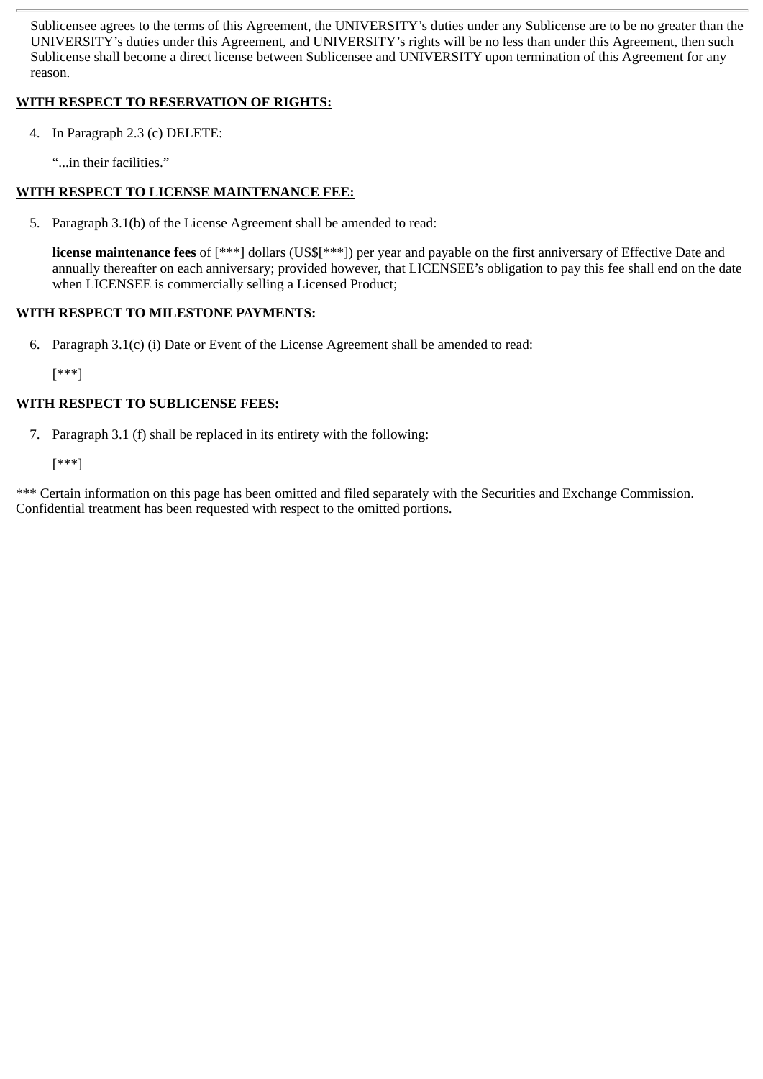Sublicensee agrees to the terms of this Agreement, the UNIVERSITY's duties under any Sublicense are to be no greater than the UNIVERSITY's duties under this Agreement, and UNIVERSITY's rights will be no less than under this Agreement, then such Sublicense shall become a direct license between Sublicensee and UNIVERSITY upon termination of this Agreement for any reason.

## **WITH RESPECT TO RESERVATION OF RIGHTS:**

- 4. In Paragraph 2.3 (c) DELETE:
	- "...in their facilities."

## **WITH RESPECT TO LICENSE MAINTENANCE FEE:**

5. Paragraph 3.1(b) of the License Agreement shall be amended to read:

**license maintenance fees** of [\*\*\*] dollars (US\$[\*\*\*]) per year and payable on the first anniversary of Effective Date and annually thereafter on each anniversary; provided however, that LICENSEE's obligation to pay this fee shall end on the date when LICENSEE is commercially selling a Licensed Product;

## **WITH RESPECT TO MILESTONE PAYMENTS:**

6. Paragraph 3.1(c) (i) Date or Event of the License Agreement shall be amended to read:

[\*\*\*]

## **WITH RESPECT TO SUBLICENSE FEES:**

7. Paragraph 3.1 (f) shall be replaced in its entirety with the following:

[\*\*\*]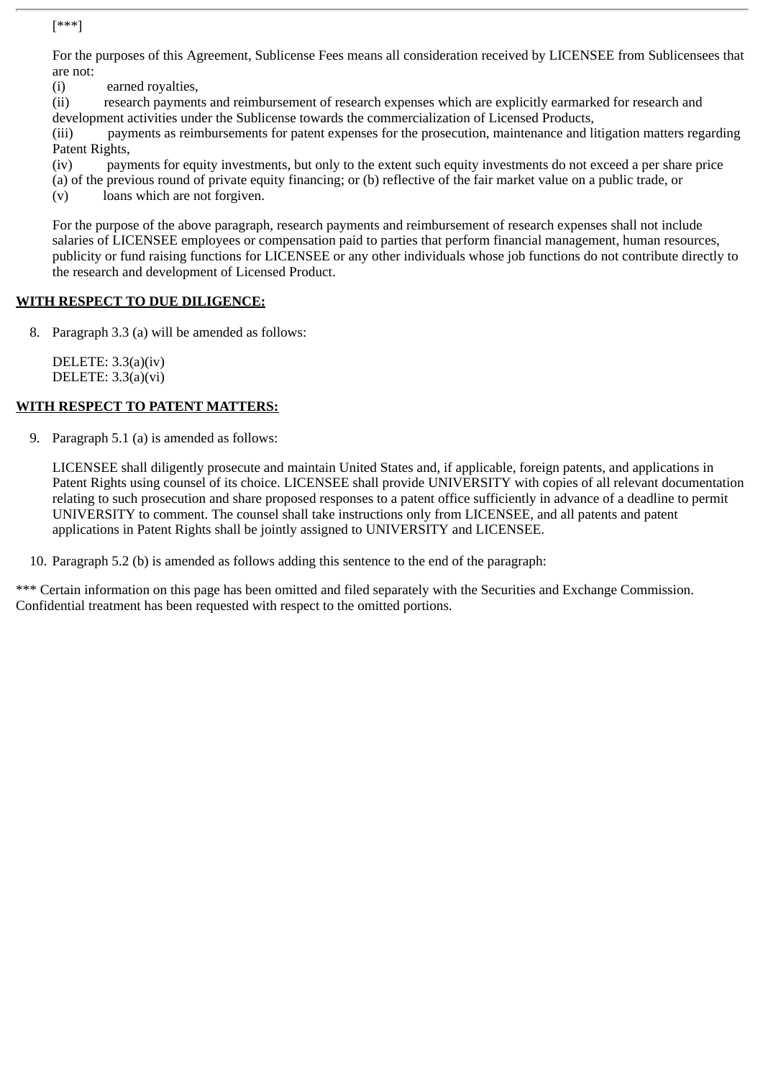For the purposes of this Agreement, Sublicense Fees means all consideration received by LICENSEE from Sublicensees that are not:

(i) earned royalties,

(ii) research payments and reimbursement of research expenses which are explicitly earmarked for research and development activities under the Sublicense towards the commercialization of Licensed Products,

(iii) payments as reimbursements for patent expenses for the prosecution, maintenance and litigation matters regarding Patent Rights,

(iv) payments for equity investments, but only to the extent such equity investments do not exceed a per share price

(a) of the previous round of private equity financing; or (b) reflective of the fair market value on a public trade, or

(v) loans which are not forgiven.

For the purpose of the above paragraph, research payments and reimbursement of research expenses shall not include salaries of LICENSEE employees or compensation paid to parties that perform financial management, human resources, publicity or fund raising functions for LICENSEE or any other individuals whose job functions do not contribute directly to the research and development of Licensed Product.

### **WITH RESPECT TO DUE DILIGENCE:**

8. Paragraph 3.3 (a) will be amended as follows:

DELETE: 3.3(a)(iv) DELETE: 3.3(a)(vi)

### **WITH RESPECT TO PATENT MATTERS:**

9. Paragraph 5.1 (a) is amended as follows:

LICENSEE shall diligently prosecute and maintain United States and, if applicable, foreign patents, and applications in Patent Rights using counsel of its choice. LICENSEE shall provide UNIVERSITY with copies of all relevant documentation relating to such prosecution and share proposed responses to a patent office sufficiently in advance of a deadline to permit UNIVERSITY to comment. The counsel shall take instructions only from LICENSEE, and all patents and patent applications in Patent Rights shall be jointly assigned to UNIVERSITY and LICENSEE.

10. Paragraph 5.2 (b) is amended as follows adding this sentence to the end of the paragraph: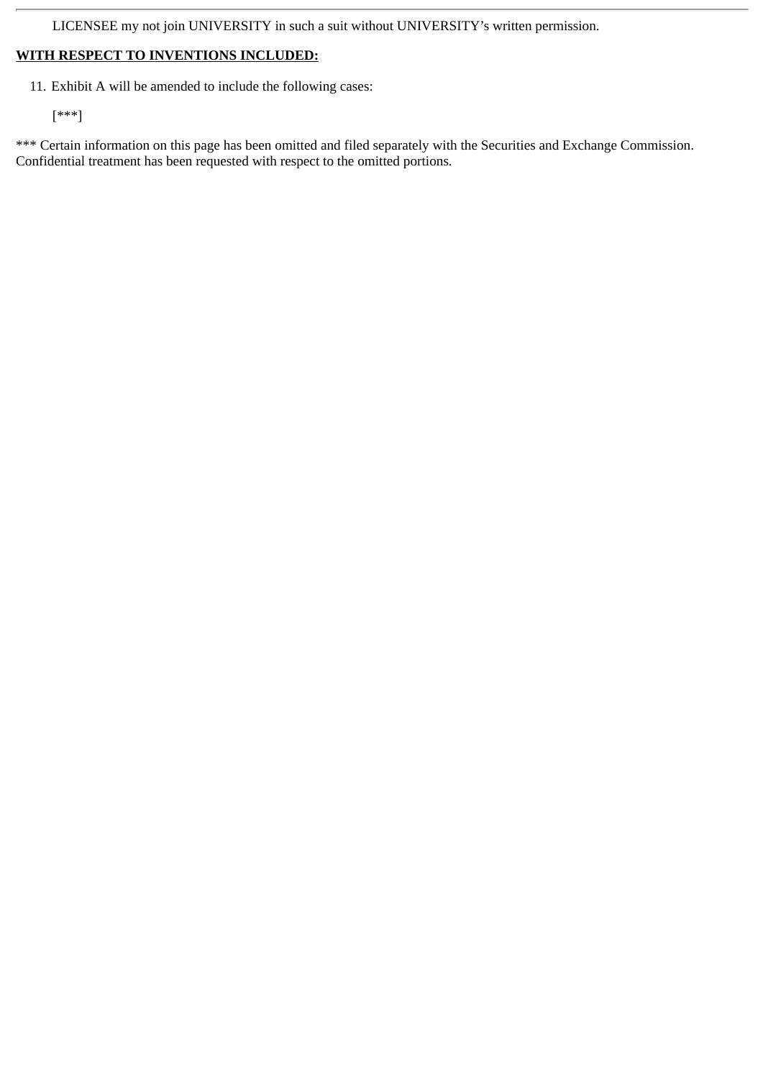LICENSEE my not join UNIVERSITY in such a suit without UNIVERSITY's written permission.

## **WITH RESPECT TO INVENTIONS INCLUDED:**

11. Exhibit A will be amended to include the following cases:

[\*\*\*]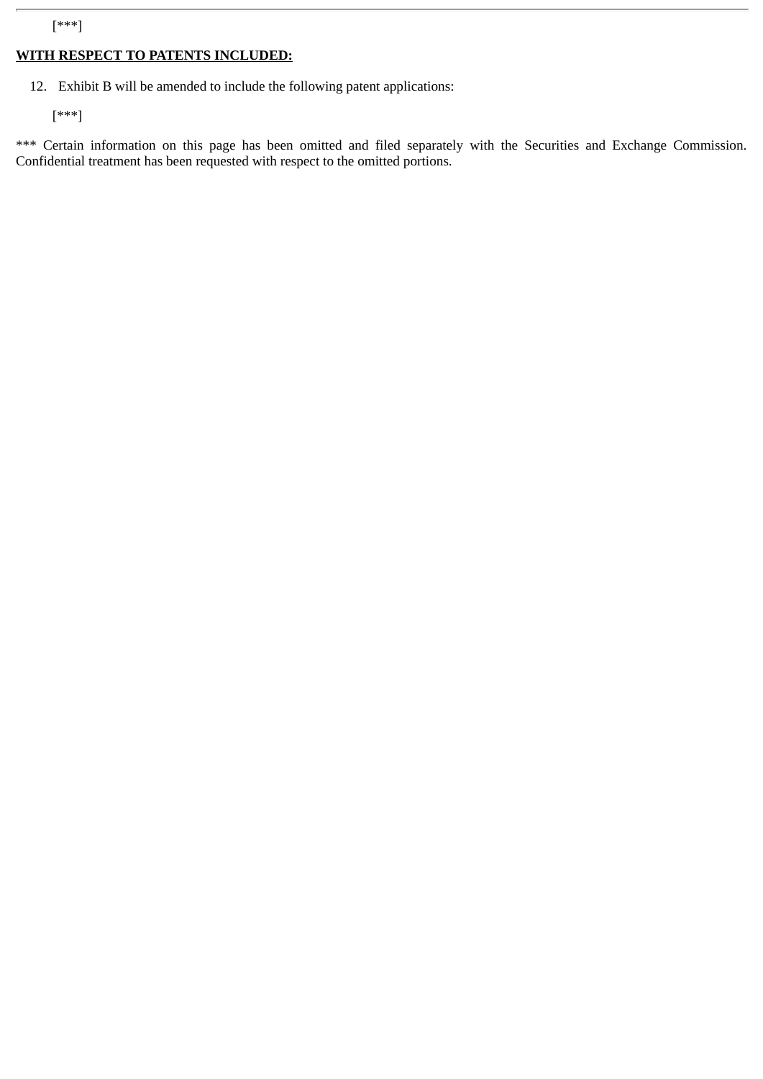## **WITH RESPECT TO PATENTS INCLUDED:**

12. Exhibit B will be amended to include the following patent applications:

[\*\*\*]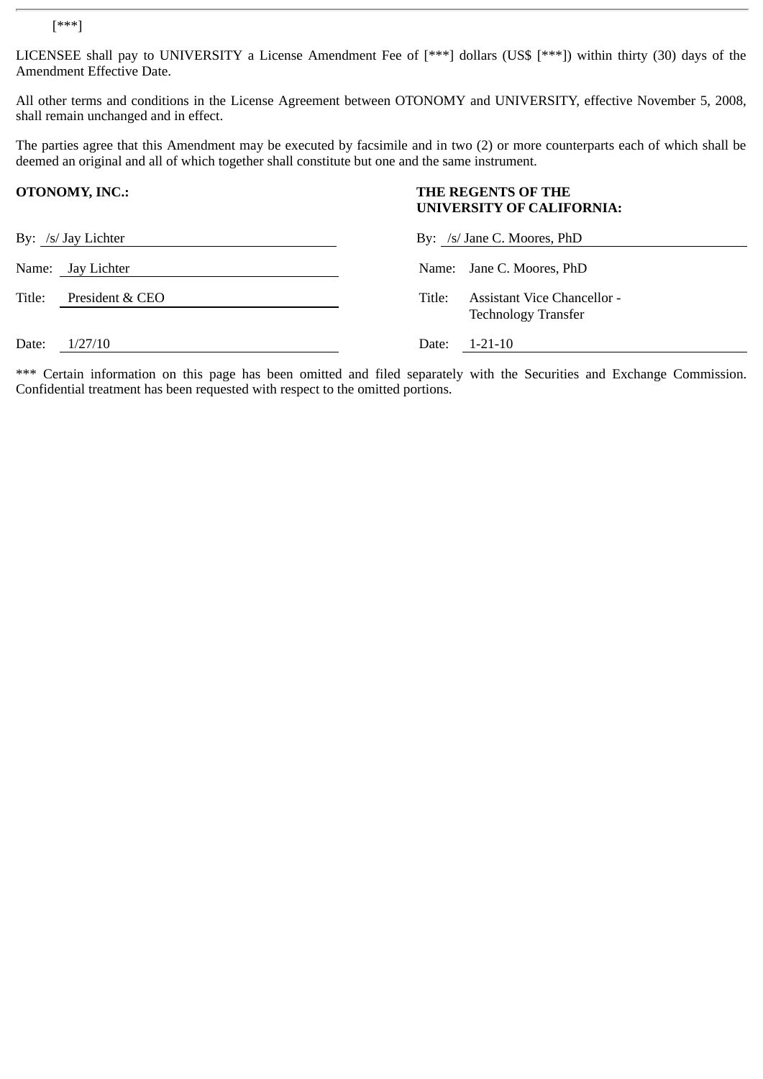LICENSEE shall pay to UNIVERSITY a License Amendment Fee of [\*\*\*] dollars (US\$ [\*\*\*]) within thirty (30) days of the Amendment Effective Date.

All other terms and conditions in the License Agreement between OTONOMY and UNIVERSITY, effective November 5, 2008, shall remain unchanged and in effect.

The parties agree that this Amendment may be executed by facsimile and in two (2) or more counterparts each of which shall be deemed an original and all of which together shall constitute but one and the same instrument.

|        | <b>OTONOMY, INC.:</b> | THE REGENTS OF THE<br>UNIVERSITY OF CALIFORNIA:<br>By: /s/ Jane C. Moores, PhD |                                                           |
|--------|-----------------------|--------------------------------------------------------------------------------|-----------------------------------------------------------|
|        | By: /s/ Jay Lichter   |                                                                                |                                                           |
|        | Name: Jay Lichter     |                                                                                | Name: Jane C. Moores, PhD                                 |
| Title: | President & CEO       | Title:                                                                         | Assistant Vice Chancellor -<br><b>Technology Transfer</b> |
| Date:  | 1/27/10               | Date:                                                                          | $1 - 21 - 10$                                             |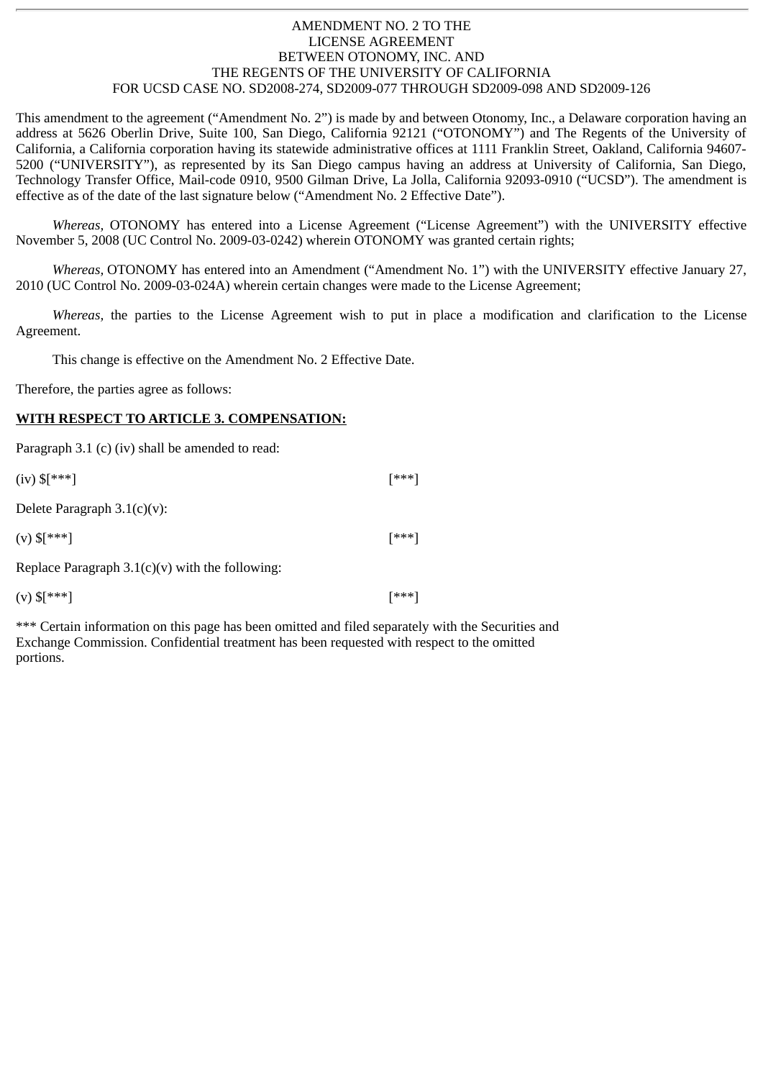### AMENDMENT NO. 2 TO THE LICENSE AGREEMENT BETWEEN OTONOMY, INC. AND THE REGENTS OF THE UNIVERSITY OF CALIFORNIA FOR UCSD CASE NO. SD2008-274, SD2009-077 THROUGH SD2009-098 AND SD2009-126

This amendment to the agreement ("Amendment No. 2") is made by and between Otonomy, Inc., a Delaware corporation having an address at 5626 Oberlin Drive, Suite 100, San Diego, California 92121 ("OTONOMY") and The Regents of the University of California, a California corporation having its statewide administrative offices at 1111 Franklin Street, Oakland, California 94607- 5200 ("UNIVERSITY"), as represented by its San Diego campus having an address at University of California, San Diego, Technology Transfer Office, Mail-code 0910, 9500 Gilman Drive, La Jolla, California 92093-0910 ("UCSD"). The amendment is effective as of the date of the last signature below ("Amendment No. 2 Effective Date").

*Whereas,* OTONOMY has entered into a License Agreement ("License Agreement") with the UNIVERSITY effective November 5, 2008 (UC Control No. 2009-03-0242) wherein OTONOMY was granted certain rights;

*Whereas,* OTONOMY has entered into an Amendment ("Amendment No. 1") with the UNIVERSITY effective January 27, 2010 (UC Control No. 2009-03-024A) wherein certain changes were made to the License Agreement;

*Whereas,* the parties to the License Agreement wish to put in place a modification and clarification to the License Agreement.

This change is effective on the Amendment No. 2 Effective Date.

Therefore, the parties agree as follows:

#### **WITH RESPECT TO ARTICLE 3. COMPENSATION:**

Paragraph 3.1 (c) (iv) shall be amended to read:

| $[***]$ |
|---------|
|         |

Delete Paragraph 3.1(c)(v):

(v)  $\frac{1}{2}$  [\*\*\*] [\*\*\*]

Replace Paragraph  $3.1(c)(v)$  with the following:

 $(v)$  \$[\*\*\*] [\*\*\*]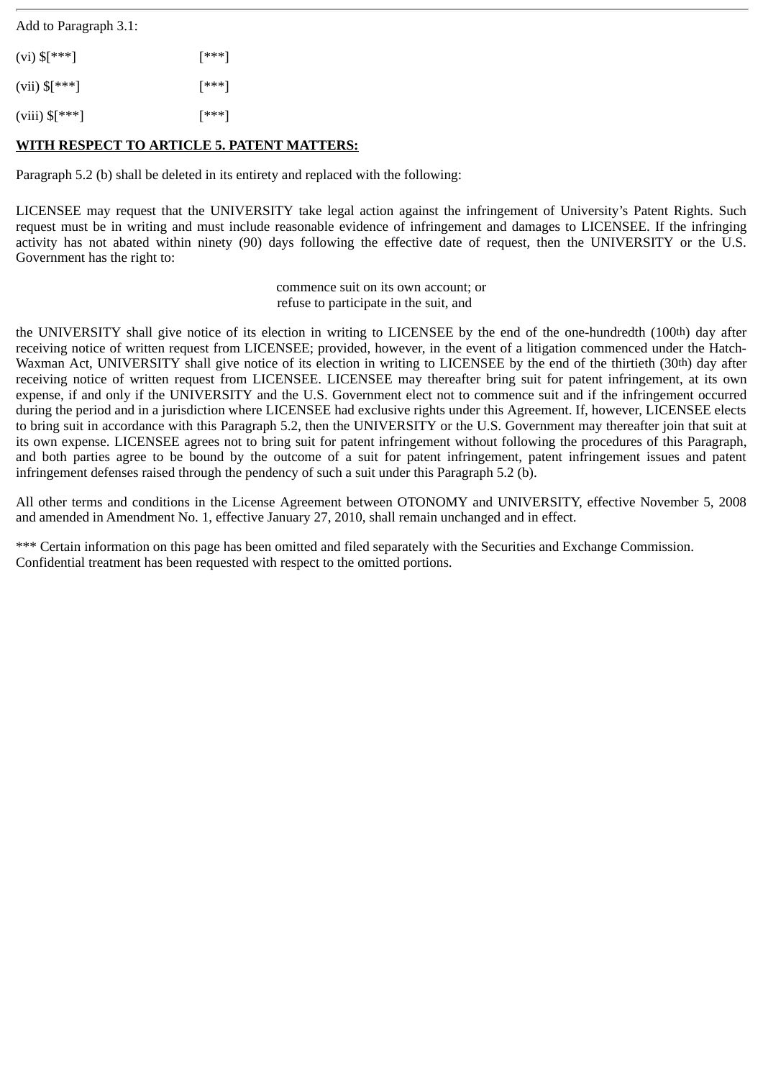Add to Paragraph 3.1:

| $(vi)$ \$[***]            | [***] |
|---------------------------|-------|
| (vii) $\mathcal{S}[***]$  | [***] |
| (viii) $\mathcal{S}[***]$ | [***] |

### **WITH RESPECT TO ARTICLE 5. PATENT MATTERS:**

Paragraph 5.2 (b) shall be deleted in its entirety and replaced with the following:

LICENSEE may request that the UNIVERSITY take legal action against the infringement of University's Patent Rights. Such request must be in writing and must include reasonable evidence of infringement and damages to LICENSEE. If the infringing activity has not abated within ninety (90) days following the effective date of request, then the UNIVERSITY or the U.S. Government has the right to:

> commence suit on its own account; or refuse to participate in the suit, and

the UNIVERSITY shall give notice of its election in writing to LICENSEE by the end of the one-hundredth (100th) day after receiving notice of written request from LICENSEE; provided, however, in the event of a litigation commenced under the Hatch-Waxman Act, UNIVERSITY shall give notice of its election in writing to LICENSEE by the end of the thirtieth (30th) day after receiving notice of written request from LICENSEE. LICENSEE may thereafter bring suit for patent infringement, at its own expense, if and only if the UNIVERSITY and the U.S. Government elect not to commence suit and if the infringement occurred during the period and in a jurisdiction where LICENSEE had exclusive rights under this Agreement. If, however, LICENSEE elects to bring suit in accordance with this Paragraph 5.2, then the UNIVERSITY or the U.S. Government may thereafter join that suit at its own expense. LICENSEE agrees not to bring suit for patent infringement without following the procedures of this Paragraph, and both parties agree to be bound by the outcome of a suit for patent infringement, patent infringement issues and patent infringement defenses raised through the pendency of such a suit under this Paragraph 5.2 (b).

All other terms and conditions in the License Agreement between OTONOMY and UNIVERSITY, effective November 5, 2008 and amended in Amendment No. 1, effective January 27, 2010, shall remain unchanged and in effect.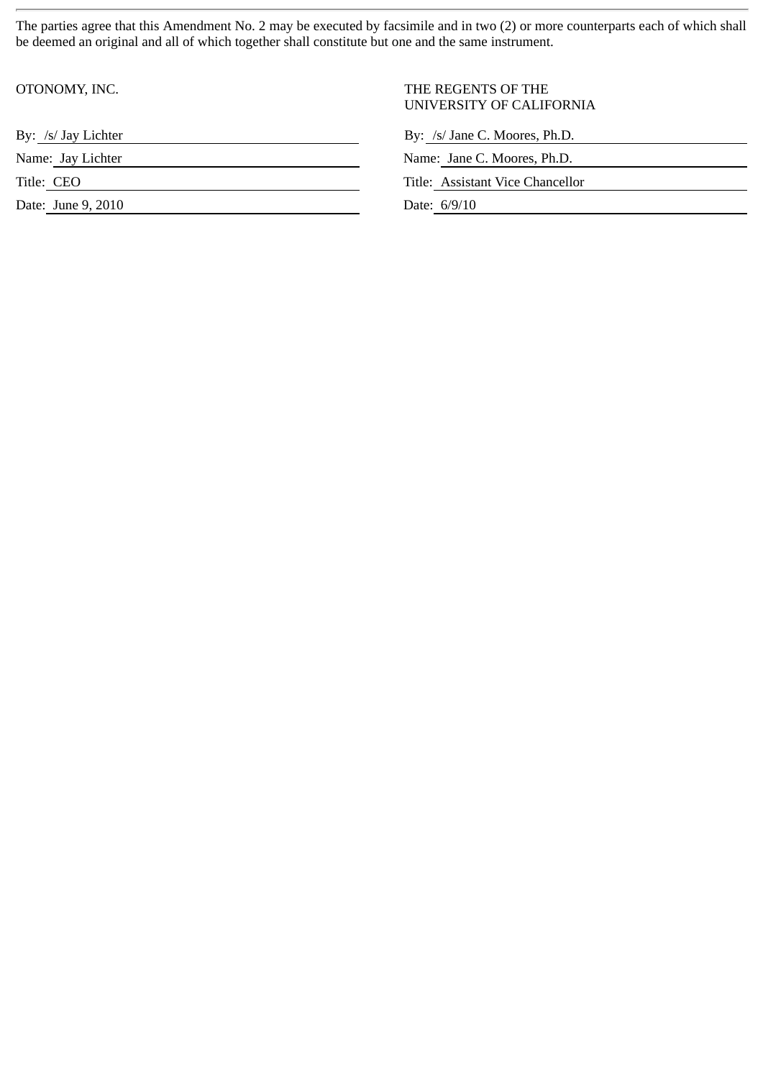The parties agree that this Amendment No. 2 may be executed by facsimile and in two (2) or more counterparts each of which shall be deemed an original and all of which together shall constitute but one and the same instrument.

| OTONOMY, INC.       | THE REGENTS OF THE<br>UNIVERSITY OF CALIFORNIA |
|---------------------|------------------------------------------------|
| By: /s/ Jay Lichter | By: /s/ Jane C. Moores, Ph.D.                  |
| Name: Jay Lichter   | Name: Jane C. Moores, Ph.D.                    |
| Title: CEO          | Title: Assistant Vice Chancellor               |
| Date: June 9, 2010  | Date: 6/9/10                                   |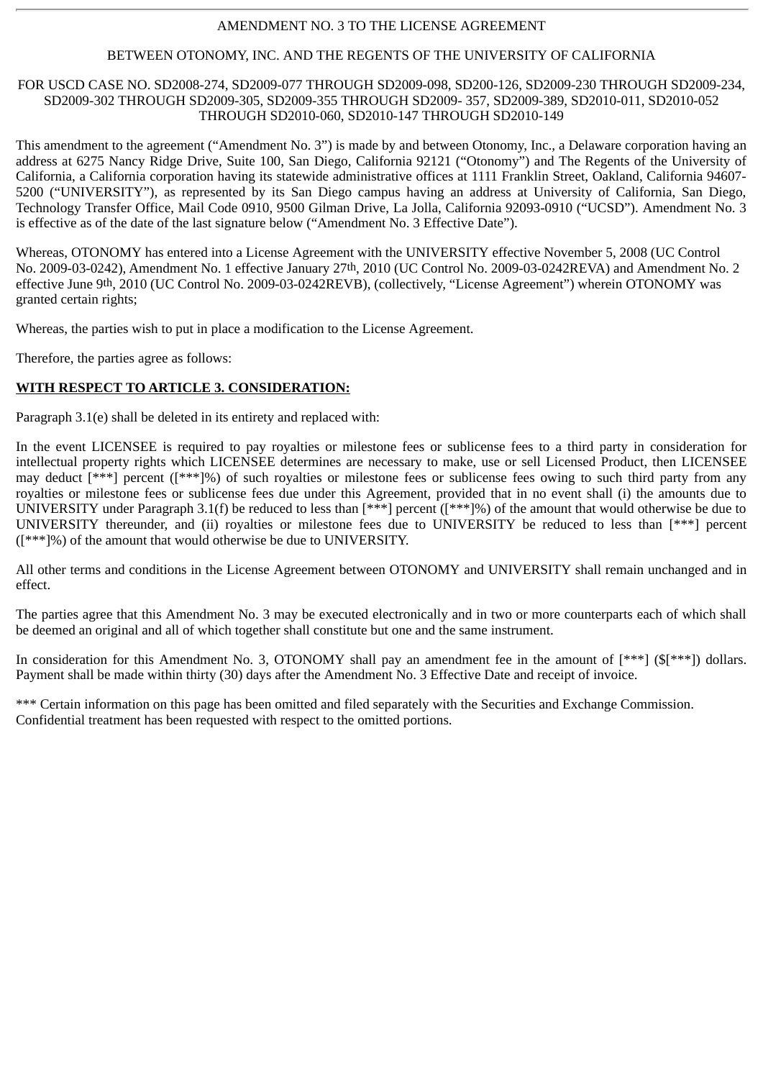### AMENDMENT NO. 3 TO THE LICENSE AGREEMENT

#### BETWEEN OTONOMY, INC. AND THE REGENTS OF THE UNIVERSITY OF CALIFORNIA

#### FOR USCD CASE NO. SD2008-274, SD2009-077 THROUGH SD2009-098, SD200-126, SD2009-230 THROUGH SD2009-234, SD2009-302 THROUGH SD2009-305, SD2009-355 THROUGH SD2009- 357, SD2009-389, SD2010-011, SD2010-052 THROUGH SD2010-060, SD2010-147 THROUGH SD2010-149

This amendment to the agreement ("Amendment No. 3") is made by and between Otonomy, Inc., a Delaware corporation having an address at 6275 Nancy Ridge Drive, Suite 100, San Diego, California 92121 ("Otonomy") and The Regents of the University of California, a California corporation having its statewide administrative offices at 1111 Franklin Street, Oakland, California 94607- 5200 ("UNIVERSITY"), as represented by its San Diego campus having an address at University of California, San Diego, Technology Transfer Office, Mail Code 0910, 9500 Gilman Drive, La Jolla, California 92093-0910 ("UCSD"). Amendment No. 3 is effective as of the date of the last signature below ("Amendment No. 3 Effective Date").

Whereas, OTONOMY has entered into a License Agreement with the UNIVERSITY effective November 5, 2008 (UC Control No. 2009-03-0242), Amendment No. 1 effective January 27th, 2010 (UC Control No. 2009-03-0242REVA) and Amendment No. 2 effective June 9th, 2010 (UC Control No. 2009-03-0242REVB), (collectively, "License Agreement") wherein OTONOMY was granted certain rights;

Whereas, the parties wish to put in place a modification to the License Agreement.

Therefore, the parties agree as follows:

#### **WITH RESPECT TO ARTICLE 3. CONSIDERATION:**

Paragraph 3.1(e) shall be deleted in its entirety and replaced with:

In the event LICENSEE is required to pay royalties or milestone fees or sublicense fees to a third party in consideration for intellectual property rights which LICENSEE determines are necessary to make, use or sell Licensed Product, then LICENSEE may deduct [\*\*\*] percent ([\*\*\*]%) of such royalties or milestone fees or sublicense fees owing to such third party from any royalties or milestone fees or sublicense fees due under this Agreement, provided that in no event shall (i) the amounts due to UNIVERSITY under Paragraph 3.1(f) be reduced to less than [\*\*\*] percent ([\*\*\*]%) of the amount that would otherwise be due to UNIVERSITY thereunder, and (ii) royalties or milestone fees due to UNIVERSITY be reduced to less than [\*\*\*] percent ([\*\*\*]%) of the amount that would otherwise be due to UNIVERSITY.

All other terms and conditions in the License Agreement between OTONOMY and UNIVERSITY shall remain unchanged and in effect.

The parties agree that this Amendment No. 3 may be executed electronically and in two or more counterparts each of which shall be deemed an original and all of which together shall constitute but one and the same instrument.

In consideration for this Amendment No. 3, OTONOMY shall pay an amendment fee in the amount of [\*\*\*] (\$[\*\*\*]) dollars. Payment shall be made within thirty (30) days after the Amendment No. 3 Effective Date and receipt of invoice.